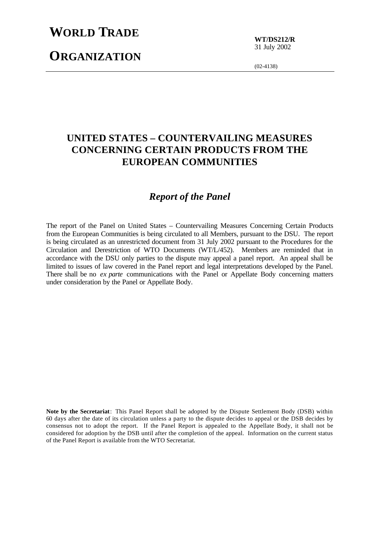# **WORLD TRADE**

**ORGANIZATION**

**WT/DS212/R** 31 July 2002

(02-4138)

# **UNITED STATES – COUNTERVAILING MEASURES CONCERNING CERTAIN PRODUCTS FROM THE EUROPEAN COMMUNITIES**

# *Report of the Panel*

The report of the Panel on United States – Countervailing Measures Concerning Certain Products from the European Communities is being circulated to all Members, pursuant to the DSU. The report is being circulated as an unrestricted document from 31 July 2002 pursuant to the Procedures for the Circulation and Derestriction of WTO Documents (WT/L/452). Members are reminded that in accordance with the DSU only parties to the dispute may appeal a panel report. An appeal shall be limited to issues of law covered in the Panel report and legal interpretations developed by the Panel. There shall be no *ex parte* communications with the Panel or Appellate Body concerning matters under consideration by the Panel or Appellate Body.

**Note by the Secretariat**: This Panel Report shall be adopted by the Dispute Settlement Body (DSB) within 60 days after the date of its circulation unless a party to the dispute decides to appeal or the DSB decides by consensus not to adopt the report. If the Panel Report is appealed to the Appellate Body, it shall not be considered for adoption by the DSB until after the completion of the appeal. Information on the current status of the Panel Report is available from the WTO Secretariat.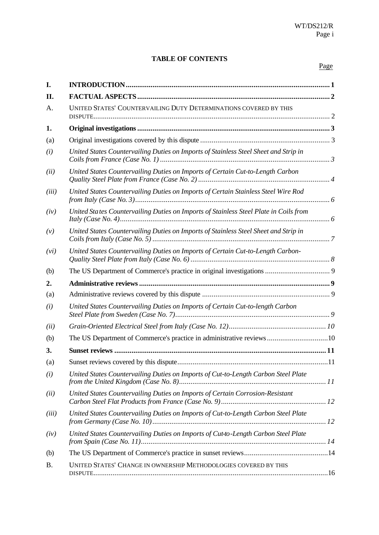# **TABLE OF CONTENTS**

| I.    |                                                                                       |  |
|-------|---------------------------------------------------------------------------------------|--|
| II.   |                                                                                       |  |
| Α.    | UNITED STATES' COUNTERVAILING DUTY DETERMINATIONS COVERED BY THIS                     |  |
| 1.    |                                                                                       |  |
| (a)   |                                                                                       |  |
| (i)   | United States Countervailing Duties on Imports of Stainless Steel Sheet and Strip in  |  |
| (ii)  | United States Countervailing Duties on Imports of Certain Cut-to-Length Carbon        |  |
| (iii) | United States Countervailing Duties on Imports of Certain Stainless Steel Wire Rod    |  |
| (iv)  | United States Countervailing Duties on Imports of Stainless Steel Plate in Coils from |  |
| (v)   | United States Countervailing Duties on Imports of Stainless Steel Sheet and Strip in  |  |
| (vi)  | United States Countervailing Duties on Imports of Certain Cut-to-Length Carbon-       |  |
| (b)   |                                                                                       |  |
| 2.    |                                                                                       |  |
| (a)   |                                                                                       |  |
| (i)   | United States Countervailing Duties on Imports of Certain Cut-to-length Carbon        |  |
| (ii)  |                                                                                       |  |
| (b)   | The US Department of Commerce's practice in administrative reviews10                  |  |
| 3.    |                                                                                       |  |
| (a)   |                                                                                       |  |
| (i)   | United States Countervailing Duties on Imports of Cut-to-Length Carbon Steel Plate    |  |
| (ii)  | United States Countervailing Duties on Imports of Certain Corrosion-Resistant         |  |
| (iii) | United States Countervailing Duties on Imports of Cut-to-Length Carbon Steel Plate    |  |
| (iv)  | United States Countervailing Duties on Imports of Cut-to-Length Carbon Steel Plate    |  |
|       |                                                                                       |  |
| (b)   |                                                                                       |  |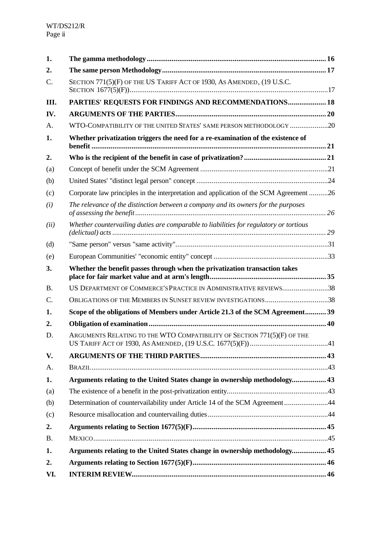| 1.        |                                                                                                                |  |
|-----------|----------------------------------------------------------------------------------------------------------------|--|
| 2.        |                                                                                                                |  |
| C.        | SECTION 771(5)(F) OF THE US TARIFF ACT OF 1930, AS AMENDED, (19 U.S.C.                                         |  |
| III.      | PARTIES' REQUESTS FOR FINDINGS AND RECOMMENDATIONS 18                                                          |  |
| IV.       |                                                                                                                |  |
| A.        | WTO-COMPATIBILITY OF THE UNITED STATES' SAME PERSON METHODOLOGY 20                                             |  |
| 1.        | Whether privatization triggers the need for a re-examination of the existence of                               |  |
| 2.        |                                                                                                                |  |
| (a)       |                                                                                                                |  |
| (b)       |                                                                                                                |  |
| (c)       | Corporate law principles in the interpretation and application of the SCM Agreement 26                         |  |
| (i)       | The relevance of the distinction between a company and its owners for the purposes                             |  |
| (ii)      | Whether countervailing duties are comparable to liabilities for regulatory or tortious<br>(delictual) acts 129 |  |
| (d)       |                                                                                                                |  |
| (e)       |                                                                                                                |  |
| 3.        | Whether the benefit passes through when the privatization transaction takes                                    |  |
| <b>B.</b> | US DEPARTMENT OF COMMERCE'S PRACTICE IN ADMINISTRATIVE REVIEWS38                                               |  |
| C.        | OBLIGATIONS OF THE MEMBERS IN SUNSET REVIEW INVESTIGATIONS38                                                   |  |
| 1.        | Scope of the obligations of Members under Article 21.3 of the SCM Agreement 39                                 |  |
| 2.        |                                                                                                                |  |
| D.        | ARGUMENTS RELATING TO THE WTO COMPATIBILITY OF SECTION 771(5)(F) OF THE                                        |  |
| V.        |                                                                                                                |  |
| A.        |                                                                                                                |  |
| 1.        | Arguments relating to the United States change in ownership methodology 43                                     |  |
| (a)       |                                                                                                                |  |
| (b)       | Determination of countervailability under Article 14 of the SCM Agreement44                                    |  |
| (c)       |                                                                                                                |  |
| 2.        |                                                                                                                |  |
| <b>B.</b> |                                                                                                                |  |
| 1.        | Arguments relating to the United States change in ownership methodology 45                                     |  |
| 2.        |                                                                                                                |  |
| VI.       |                                                                                                                |  |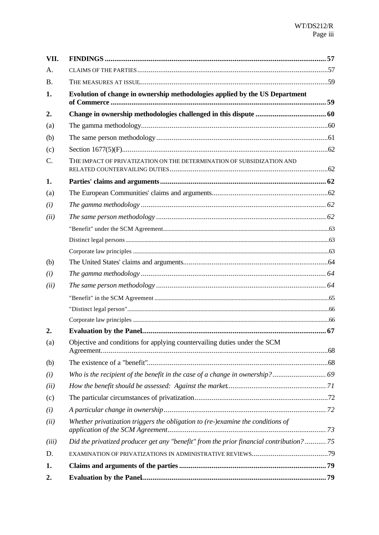| VII.           |                                                                                          |  |
|----------------|------------------------------------------------------------------------------------------|--|
| $\mathsf{A}$ . |                                                                                          |  |
| <b>B.</b>      |                                                                                          |  |
| 1.             | Evolution of change in ownership methodologies applied by the US Department              |  |
| 2.             |                                                                                          |  |
| (a)            |                                                                                          |  |
| (b)            |                                                                                          |  |
| (c)            |                                                                                          |  |
| C.             | THE IMPACT OF PRIVATIZATION ON THE DETERMINATION OF SUBSIDIZATION AND                    |  |
| 1.             |                                                                                          |  |
| (a)            |                                                                                          |  |
| (i)            |                                                                                          |  |
| (ii)           |                                                                                          |  |
|                |                                                                                          |  |
|                |                                                                                          |  |
|                |                                                                                          |  |
| (b)            |                                                                                          |  |
| (i)            |                                                                                          |  |
| (ii)           |                                                                                          |  |
|                |                                                                                          |  |
|                |                                                                                          |  |
|                |                                                                                          |  |
| 2.             |                                                                                          |  |
| (a)            | Objective and conditions for applying countervailing duties under the SCM                |  |
| (b)            |                                                                                          |  |
| (i)            |                                                                                          |  |
| (ii)           |                                                                                          |  |
| (c)            |                                                                                          |  |
| (i)            |                                                                                          |  |
| (ii)           | Whether privatization triggers the obligation to (re-)examine the conditions of          |  |
| (iii)          | Did the privatized producer get any "benefit" from the prior financial contribution?  75 |  |
| D.             |                                                                                          |  |
| 1.             |                                                                                          |  |
| 2.             |                                                                                          |  |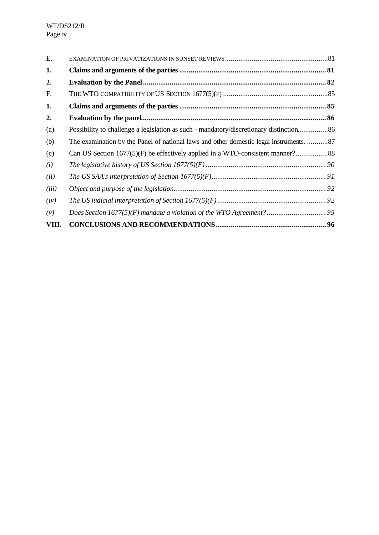| Ε.    |                                                                                        |  |
|-------|----------------------------------------------------------------------------------------|--|
| 1.    |                                                                                        |  |
| 2.    |                                                                                        |  |
| F.    |                                                                                        |  |
| 1.    |                                                                                        |  |
| 2.    |                                                                                        |  |
| (a)   | Possibility to challenge a legislation as such - mandatory/discretionary distinction86 |  |
| (b)   | The examination by the Panel of national laws and other domestic legal instruments. 87 |  |
| (c)   | Can US Section 1677(5)(F) be effectively applied in a WTO-consistent manner?88         |  |
| (i)   |                                                                                        |  |
| (ii)  |                                                                                        |  |
| (iii) |                                                                                        |  |
| (iv)  |                                                                                        |  |
| (v)   |                                                                                        |  |
| VIII. |                                                                                        |  |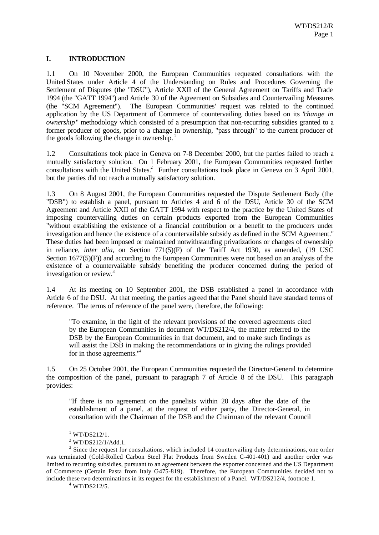# **I. INTRODUCTION**

1.1 On 10 November 2000, the European Communities requested consultations with the United States under Article 4 of the Understanding on Rules and Procedures Governing the Settlement of Disputes (the "DSU"), Article XXII of the General Agreement on Tariffs and Trade 1994 (the "GATT 1994") and Article 30 of the Agreement on Subsidies and Countervailing Measures (the "SCM Agreement"). The European Communities' request was related to the continued application by the US Department of Commerce of countervailing duties based on its "*change in ownership*" methodology which consisted of a presumption that non-recurring subsidies granted to a former producer of goods, prior to a change in ownership, "pass through" to the current producer of the goods following the change in ownership.<sup>1</sup>

1.2 Consultations took place in Geneva on 7-8 December 2000, but the parties failed to reach a mutually satisfactory solution. On 1 February 2001, the European Communities requested further consultations with the United States.<sup>2</sup> Further consultations took place in Geneva on 3 April 2001, but the parties did not reach a mutually satisfactory solution.

1.3 On 8 August 2001, the European Communities requested the Dispute Settlement Body (the "DSB") to establish a panel, pursuant to Articles 4 and 6 of the DSU, Article 30 of the SCM Agreement and Article XXII of the GATT 1994 with respect to the practice by the United States of imposing countervailing duties on certain products exported from the European Communities "without establishing the existence of a financial contribution or a benefit to the producers under investigation and hence the existence of a countervailable subsidy as defined in the SCM Agreement." These duties had been imposed or maintained notwithstanding privatizations or changes of ownership in reliance, *inter alia,* on Section 771(5)(F) of the Tariff Act 1930, as amended, (19 USC Section 1677(5)(F)) and according to the European Communities were not based on an analysis of the existence of a countervailable subsidy benefiting the producer concerned during the period of investigation or review.<sup>3</sup>

1.4 At its meeting on 10 September 2001, the DSB established a panel in accordance with Article 6 of the DSU. At that meeting, the parties agreed that the Panel should have standard terms of reference. The terms of reference of the panel were, therefore, the following:

"To examine, in the light of the relevant provisions of the covered agreements cited by the European Communities in document WT/DS212/4, the matter referred to the DSB by the European Communities in that document, and to make such findings as will assist the DSB in making the recommendations or in giving the rulings provided for in those agreements."<sup>4</sup>

1.5 On 25 October 2001, the European Communities requested the Director-General to determine the composition of the panel, pursuant to paragraph 7 of Article 8 of the DSU. This paragraph provides:

"If there is no agreement on the panelists within 20 days after the date of the establishment of a panel, at the request of either party, the Director-General, in consultation with the Chairman of the DSB and the Chairman of the relevant Council

 $1$  WT/DS212/1.

 $2$  WT/DS212/1/Add.1.

 $3$  Since the request for consultations, which included 14 countervailing duty determinations, one order was terminated (Cold-Rolled Carbon Steel Flat Products from Sweden C-401-401) and another order was limited to recurring subsidies, pursuant to an agreement between the exporter concerned and the US Department of Commerce (Certain Pasta from Italy C-475-819). Therefore, the European Communities decided not to include these two determinations in its request for the establishment of a Panel. WT/DS212/4, footnote 1.

<sup>4</sup> WT/DS212/5.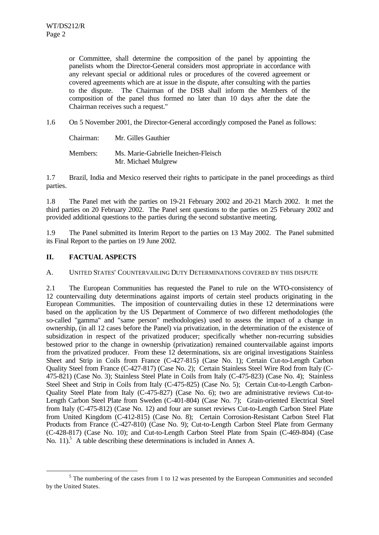or Committee, shall determine the composition of the panel by appointing the panelists whom the Director-General considers most appropriate in accordance with any relevant special or additional rules or procedures of the covered agreement or covered agreements which are at issue in the dispute, after consulting with the parties to the dispute. The Chairman of the DSB shall inform the Members of the composition of the panel thus formed no later than 10 days after the date the Chairman receives such a request."

1.6 On 5 November 2001, the Director-General accordingly composed the Panel as follows:

| Chairman: | Mr. Gilles Gauthier                  |
|-----------|--------------------------------------|
| Members:  | Ms. Marie-Gabrielle Ineichen-Fleisch |
|           | Mr. Michael Mulgrew                  |

1.7 Brazil, India and Mexico reserved their rights to participate in the panel proceedings as third parties.

1.8 The Panel met with the parties on 19-21 February 2002 and 20-21 March 2002. It met the third parties on 20 February 2002. The Panel sent questions to the parties on 25 February 2002 and provided additional questions to the parties during the second substantive meeting.

1.9 The Panel submitted its Interim Report to the parties on 13 May 2002. The Panel submitted its Final Report to the parties on 19 June 2002.

# **II. FACTUAL ASPECTS**

l

A. UNITED STATES' COUNTERVAILING DUTY DETERMINATIONS COVERED BY THIS DISPUTE

2.1 The European Communities has requested the Panel to rule on the WTO-consistency of 12 countervailing duty determinations against imports of certain steel products originating in the European Communities. The imposition of countervailing duties in these 12 determinations were based on the application by the US Department of Commerce of two different methodologies (the so-called "gamma" and "same person" methodologies) used to assess the impact of a change in ownership, (in all 12 cases before the Panel) via privatization, in the determination of the existence of subsidization in respect of the privatized producer; specifically whether non-recurring subsidies bestowed prior to the change in ownership (privatization) remained countervailable against imports from the privatized producer. From these 12 determinations, six are original investigations Stainless Sheet and Strip in Coils from France (C-427-815) (Case No. 1); Certain Cut-to-Length Carbon Quality Steel from France (C-427-817) (Case No. 2); Certain Stainless Steel Wire Rod from Italy (C-475-821) (Case No. 3); Stainless Steel Plate in Coils from Italy (C-475-823) (Case No. 4); Stainless Steel Sheet and Strip in Coils from Italy (C-475-825) (Case No. 5); Certain Cut-to-Length Carbon-Quality Steel Plate from Italy (C-475-827) (Case No. 6); two are administrative reviews Cut-to-Length Carbon Steel Plate from Sweden (C-401-804) (Case No. 7); Grain-oriented Electrical Steel from Italy (C-475-812) (Case No. 12) and four are sunset reviews Cut-to-Length Carbon Steel Plate from United Kingdom (C-412-815) (Case No. 8); Certain Corrosion-Resistant Carbon Steel Flat Products from France (C-427-810) (Case No. 9); Cut-to-Length Carbon Steel Plate from Germany (C-428-817) (Case No. 10); and Cut-to-Length Carbon Steel Plate from Spain (C-469-804) (Case No.  $11$ <sup>5</sup> A table describing these determinations is included in Annex A.

 $<sup>5</sup>$  The numbering of the cases from 1 to 12 was presented by the European Communities and seconded</sup> by the United States.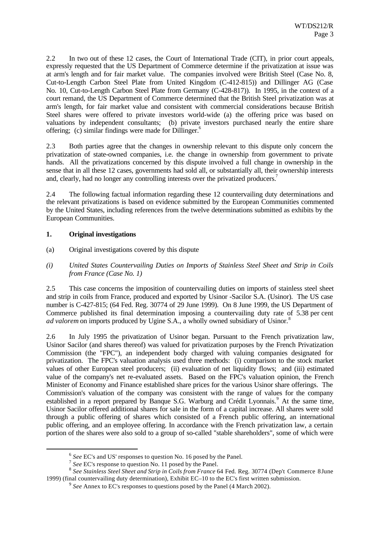2.2 In two out of these 12 cases, the Court of International Trade (CIT), in prior court appeals, expressly requested that the US Department of Commerce determine if the privatization at issue was at arm's length and for fair market value. The companies involved were British Steel (Case No. 8, Cut-to-Length Carbon Steel Plate from United Kingdom (C-412-815)) and Dillinger AG (Case No. 10, Cut-to-Length Carbon Steel Plate from Germany (C-428-817)). In 1995, in the context of a court remand, the US Department of Commerce determined that the British Steel privatization was at arm's length, for fair market value and consistent with commercial considerations because British Steel shares were offered to private investors world-wide (a) the offering price was based on valuations by independent consultants; (b) private investors purchased nearly the entire share offering; (c) similar findings were made for Dillinger.<sup>6</sup>

2.3 Both parties agree that the changes in ownership relevant to this dispute only concern the privatization of state-owned companies, i.e. the change in ownership from government to private hands. All the privatizations concerned by this dispute involved a full change in ownership in the sense that in all these 12 cases, governments had sold all, or substantially all, their ownership interests and, clearly, had no longer any controlling interests over the privatized producers.<sup>7</sup>

2.4 The following factual information regarding these 12 countervailing duty determinations and the relevant privatizations is based on evidence submitted by the European Communities commented by the United States, including references from the twelve determinations submitted as exhibits by the European Communities.

# **1. Original investigations**

l

- (a) Original investigations covered by this dispute
- *(i) United States Countervailing Duties on Imports of Stainless Steel Sheet and Strip in Coils from France (Case No. 1)*

2.5 This case concerns the imposition of countervailing duties on imports of stainless steel sheet and strip in coils from France, produced and exported by Usinor -Sacilor S.A. (Usinor). The US case number is C-427-815; (64 Fed. Reg. 30774 of 29 June 1999). On 8 June 1999, the US Department of Commerce published its final determination imposing a countervailing duty rate of 5.38 per cent *ad valorem* on imports produced by Ugine S.A., a wholly owned subsidiary of Usinor.<sup>8</sup>

2.6 In July 1995 the privatization of Usinor began. Pursuant to the French privatization law, Usinor Sacilor (and shares thereof) was valued for privatization purposes by the French Privatization Commission (the "FPC"), an independent body charged with valuing companies designated for privatization. The FPC's valuation analysis used three methods: (i) comparison to the stock market values of other European steel producers; (ii) evaluation of net liquidity flows; and (iii) estimated value of the company's net re-evaluated assets. Based on the FPC's valuation opinion, the French Minister of Economy and Finance established share prices for the various Usinor share offerings. The Commission's valuation of the company was consistent with the range of values for the company established in a report prepared by Banque S.G. Warburg and Crédit Lyonnais.<sup>9</sup> At the same time, Usinor Sacilor offered additional shares for sale in the form of a capital increase. All shares were sold through a public offering of shares which consisted of a French public offering, an international public offering, and an employee offering. In accordance with the French privatization law, a certain portion of the shares were also sold to a group of so-called "stable shareholders", some of which were

<sup>&</sup>lt;sup>6</sup> See EC's and US' responses to question No. 16 posed by the Panel.

<sup>&</sup>lt;sup>7</sup> See EC's response to question No. 11 posed by the Panel.

<sup>8</sup> *See Stainless Steel Sheet and Strip in Coils from France* 64 Fed. Reg. 30774 (Dep't Commerce 8 June 1999) (final countervailing duty determination), Exhibit EC–10 to the EC's first written submission.

<sup>&</sup>lt;sup>9</sup> See Annex to EC's responses to questions posed by the Panel (4 March 2002).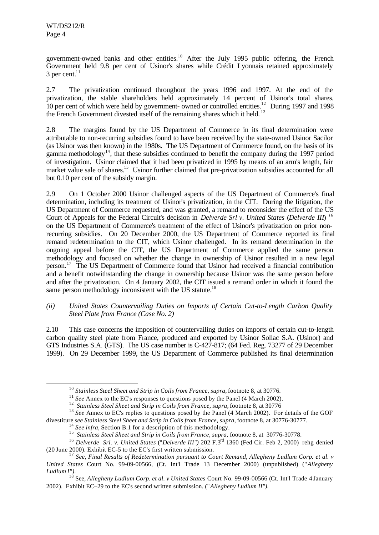l

government-owned banks and other entities.<sup>10</sup> After the July 1995 public offering, the French Government held 9.8 per cent of Usinor's shares while Crédit Lyonnais retained approximately  $3$  per cent.<sup>11</sup>

2.7 The privatization continued throughout the years 1996 and 1997. At the end of the privatization, the stable shareholders held approximately 14 percent of Usinor's total shares, 10 per cent of which were held by government- owned or controlled entities.<sup>12</sup> During 1997 and 1998 the French Government divested itself of the remaining shares which it held.<sup>13</sup>

2.8 The margins found by the US Department of Commerce in its final determination were attributable to non-recurring subsidies found to have been received by the state-owned Usinor Sacilor (as Usinor was then known) in the 1980s. The US Department of Commerce found, on the basis of its gamma methodology<sup>14</sup>, that these subsidies continued to benefit the company during the 1997 period of investigation. Usinor claimed that it had been privatized in 1995 by means of an arm's length, fair market value sale of shares.<sup>15</sup> Usinor further claimed that pre-privatization subsidies accounted for all but 0.10 per cent of the subsidy margin.

2.9 On 1 October 2000 Usinor challenged aspects of the US Department of Commerce's final determination, including its treatment of Usinor's privatization, in the CIT. During the litigation, the US Department of Commerce requested, and was granted, a remand to reconsider the effect of the US Court of Appeals for the Federal Circuit's decision in *Delverde Srl v. United States* (*Delverde III*) *16* on the US Department of Commerce's treatment of the effect of Usinor's privatization on prior nonrecurring subsidies. On 20 December 2000, the US Department of Commerce reported its final remand redetermination to the CIT, which Usinor challenged. In its remand determination in the ongoing appeal before the CIT, the US Department of Commerce applied the same person methodology and focused on whether the change in ownership of Usinor resulted in a new legal person.<sup>17</sup> The US Department of Commerce found that Usinor had received a financial contribution and a benefit notwithstanding the change in ownership because Usinor was the same person before and after the privatization. On 4 January 2002, the CIT issued a remand order in which it found the same person methodology inconsistent with the US statute.<sup>18</sup>

#### *(ii) United States Countervailing Duties on Imports of Certain Cut-to-Length Carbon Quality Steel Plate from France (Case No. 2)*

2.10 This case concerns the imposition of countervailing duties on imports of certain cut-to-length carbon quality steel plate from France, produced and exported by Usinor Sollac S.A. (Usinor) and GTS Industries S.A. (GTS). The US case number is C-427-817; (64 Fed. Reg. 73277 of 29 December 1999). On 29 December 1999, the US Department of Commerce published its final determination

<sup>10</sup> *Stainless Steel Sheet and Strip in Coils from France, supra,* footnote 8, at 30776.

<sup>&</sup>lt;sup>11</sup> *See* Annex to the EC's responses to questions posed by the Panel (4 March 2002).

<sup>&</sup>lt;sup>12</sup> Stainless Steel Sheet and Strip in Coils from France, supra, footnote 8, at 30776

<sup>&</sup>lt;sup>13</sup> See Annex to EC's replies to questions posed by the Panel (4 March 2002). For details of the GOF divestiture *see Stainless Steel Sheet and Strip in Coils from France, supra,* footnote 8, at 30776-30777.

<sup>&</sup>lt;sup>14</sup> See infra, Section B.1 for a description of this methodology.

<sup>15</sup> *Stainless Steel Sheet and Strip in Coils from France, supra,* footnote 8, at 30776-30778.

<sup>16</sup> *Delverde Srl. v. United States* ("*Delverde III")* 202 F.3rd 1360 (Fed Cir. Feb 2, 2000) rehg denied (20 June 2000). Exhibit EC-5 to the EC's first written submission.

<sup>17</sup> *See*, *Final Results of Redetermination pursuant to Court Remand*, *Allegheny Ludlum Corp. et al. v United States* Court No. 99-09-00566, (Ct. Int'l Trade 13 December 2000) (unpublished) ("*Allegheny Ludlum I")*.

<sup>18</sup> See, *Allegheny Ludlum Corp. et al. v United States* Court No. 99-09-00566 (Ct. Int'l Trade 4 January 2002). Exhibit EC–29 to the EC's second written submission. ("*Allegheny Ludlum II").*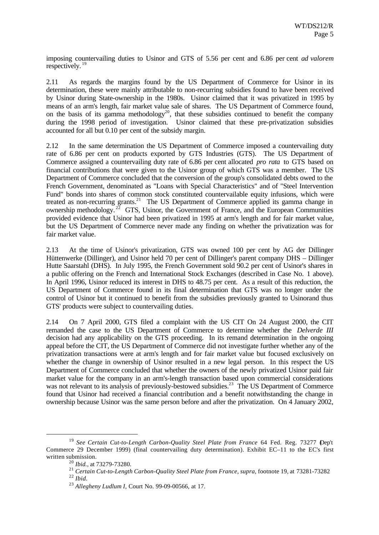imposing countervailing duties to Usinor and GTS of 5.56 per cent and 6.86 per cent *ad valorem* respectively.<sup>19</sup>

2.11 As regards the margins found by the US Department of Commerce for Usinor in its determination, these were mainly attributable to non-recurring subsidies found to have been received by Usinor during State-ownership in the 1980s. Usinor claimed that it was privatized in 1995 by means of an arm's length, fair market value sale of shares. The US Department of Commerce found, on the basis of its gamma methodology<sup>20</sup>, that these subsidies continued to benefit the company during the 1998 period of investigation. Usinor claimed that these pre-privatization subsidies accounted for all but 0.10 per cent of the subsidy margin.

2.12 In the same determination the US Department of Commerce imposed a countervailing duty rate of 6.86 per cent on products exported by GTS Industries (GTS). The US Department of Commerce assigned a countervailing duty rate of 6.86 per cent allocated *pro rata* to GTS based on financial contributions that were given to the Usinor group of which GTS was a member. The US Department of Commerce concluded that the conversion of the group's consolidated debts owed to the French Government, denominated as "Loans with Special Characteristics" and of "Steel Intervention Fund" bonds into shares of common stock constituted countervailable equity infusions, which were treated as non-recurring grants.<sup>21</sup> The US Department of Commerce applied its gamma change in ownership methodology.<sup>22</sup> GTS, Usinor, the Government of France, and the European Communities provided evidence that Usinor had been privatized in 1995 at arm's length and for fair market value, but the US Department of Commerce never made any finding on whether the privatization was for fair market value.

2.13 At the time of Usinor's privatization, GTS was owned 100 per cent by AG der Dillinger Hüttenwerke (Dillinger), and Usinor held 70 per cent of Dillinger's parent company DHS – Dillinger Hutte Saarstahl (DHS). In July 1995, the French Government sold 90.2 per cent of Usinor's shares in a public offering on the French and International Stock Exchanges (described in Case No. 1 above). In April 1996, Usinor reduced its interest in DHS to 48.75 per cent. As a result of this reduction, the US Department of Commerce found in its final determination that GTS was no longer under the control of Usinor but it continued to benefit from the subsidies previously granted to Usinorand thus GTS' products were subject to countervailing duties.

2.14 On 7 April 2000, GTS filed a complaint with the US CIT On 24 August 2000, the CIT remanded the case to the US Department of Commerce to determine whether the *Delverde III* decision had any applicability on the GTS proceeding. In its remand determination in the ongoing appeal before the CIT, the US Department of Commerce did not investigate further whether any of the privatization transactions were at arm's length and for fair market value but focused exclusively on whether the change in ownership of Usinor resulted in a new legal person. In this respect the US Department of Commerce concluded that whether the owners of the newly privatized Usinor paid fair market value for the company in an arm's-length transaction based upon commercial considerations was not relevant to its analysis of previously-bestowed subsidies.<sup>23</sup> The US Department of Commerce found that Usinor had received a financial contribution and a benefit notwithstanding the change in ownership because Usinor was the same person before and after the privatization. On 4 January 2002,

<sup>&</sup>lt;sup>19</sup> See Certain Cut-to-Length Carbon-Quality Steel Plate from France 64 Fed. Reg. 73277 Dep't Commerce 29 December 1999) (final countervailing duty determination). Exhibit EC–11 to the EC's first written submission.

<sup>20</sup> *Ibid.,* at 73279-73280.

<sup>21</sup> *Certain Cut-to-Length Carbon-Quality Steel Plate from France, supra,* footnote 19*,* at 73281-73282 <sup>22</sup> *Ibid.*

<sup>23</sup> *Allegheny Ludlum I,* Court No. 99-09-00566, at 17.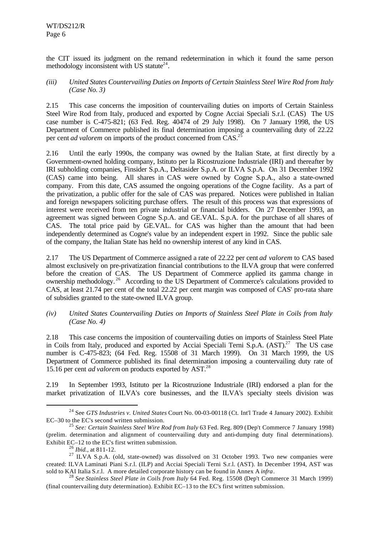the CIT issued its judgment on the remand redetermination in which it found the same person methodology inconsistent with US statute<sup>24</sup>.

# *(iii) United States Countervailing Duties on Imports of Certain Stainless Steel Wire Rod from Italy (Case No. 3)*

2.15 This case concerns the imposition of countervailing duties on imports of Certain Stainless Steel Wire Rod from Italy, produced and exported by Cogne Acciai Speciali S.r.l. (CAS) The US case number is C-475-821; (63 Fed. Reg. 40474 of 29 July 1998). On 7 January 1998, the US Department of Commerce published its final determination imposing a countervailing duty of 22.22 per cent *ad valorem* on imports of the product concerned from CAS.<sup>25</sup>

2.16 Until the early 1990s, the company was owned by the Italian State, at first directly by a Government-owned holding company, Istituto per la Ricostruzione Industriale (IRI) and thereafter by IRI subholding companies, Finsider S.p.A., Deltasider S.p.A. or ILVA S.p.A. On 31 December 1992 (CAS) came into being. All shares in CAS were owned by Cogne S.p.A., also a state-owned company. From this date, CAS assumed the ongoing operations of the Cogne facility. As a part of the privatization, a public offer for the sale of CAS was prepared. Notices were published in Italian and foreign newspapers soliciting purchase offers. The result of this process was that expressions of interest were received from ten private industrial or financial bidders. On 27 December 1993, an agreement was signed between Cogne S.p.A. and GE.VAL. S.p.A. for the purchase of all shares of CAS. The total price paid by GE.VAL. for CAS was higher than the amount that had been independently determined as Cogne's value by an independent expert in 1992. Since the public sale of the company, the Italian State has held no ownership interest of any kind in CAS.

2.17 The US Department of Commerce assigned a rate of 22.22 per cent *ad valorem* to CAS based almost exclusively on pre-privatization financial contributions to the ILVA group that were conferred before the creation of CAS. The US Department of Commerce applied its gamma change in ownership methodology. <sup>26</sup> According to the US Department of Commerce's calculations provided to CAS, at least 21.74 per cent of the total 22.22 per cent margin was composed of CAS' pro-rata share of subsidies granted to the state-owned ILVA group.

# *(iv) United States Countervailing Duties on Imports of Stainless Steel Plate in Coils from Italy (Case No. 4)*

2.18 This case concerns the imposition of countervailing duties on imports of Stainless Steel Plate in Coils from Italy, produced and exported by Acciai Speciali Terni S.p.A.  $(AST)^{27}$  The US case number is C-475-823; (64 Fed. Reg. 15508 of 31 March 1999). On 31 March 1999, the US Department of Commerce published its final determination imposing a countervailing duty rate of 15.16 per cent *ad valorem* on products exported by AST.<sup>28</sup>

2.19 In September 1993, Istituto per la Ricostruzione Industriale (IRI) endorsed a plan for the market privatization of ILVA's core businesses, and the ILVA's specialty steels division was

<sup>24</sup> See *GTS Industries v. United States* Court No. 00-03-00118 (Ct. Int'l Trade 4 January 2002). Exhibit EC–30 to the EC's second written submission.

<sup>25</sup> *See: Certain Stainless Steel Wire Rod from Italy* 63 Fed. Reg. 809 (Dep't Commerce 7 January 1998) (prelim. determination and alignment of countervailing duty and anti-dumping duty final determinations). Exhibit EC–12 to the EC's first written submission.

<sup>26</sup> *Ibid.,* at 811-12.

<sup>&</sup>lt;sup>27</sup> ILVA S.p.A. (old, state-owned) was dissolved on 31 October 1993. Two new companies were created: ILVA Laminati Piani S.r.l. (ILP) and Acciai Speciali Terni S.r.l. (AST). In December 1994, AST was sold to KAI Italia S.r.l. A more detailed corporate history can be found in Annex A *infra*.

<sup>28</sup> *See Stainless Steel Plate in Coils from Italy* 64 Fed. Reg. 15508 (Dep't Commerce 31 March 1999) (final countervailing duty determination). Exhibit EC–13 to the EC's first written submission.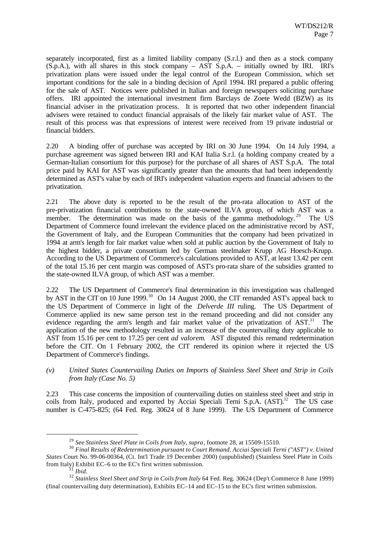separately incorporated, first as a limited liability company (S.r.l.) and then as a stock company (S.p.A.), with all shares in this stock company – AST S.p.A. – initially owned by IRI. IRI's privatization plans were issued under the legal control of the European Commission, which set important conditions for the sale in a binding decision of April 1994. IRI prepared a public offering for the sale of AST. Notices were published in Italian and foreign newspapers soliciting purchase offers. IRI appointed the international investment firm Barclays de Zoete Wedd (BZW) as its financial adviser in the privatization process. It is reported that two other independent financial advisers were retained to conduct financial appraisals of the likely fair market value of AST. The result of this process was that expressions of interest were received from 19 private industrial or financial bidders.

2.20 A binding offer of purchase was accepted by IRI on 30 June 1994. On 14 July 1994, a purchase agreement was signed between IRI and KAI Italia S.r.l. (a holding company created by a German-Italian consortium for this purpose) for the purchase of all shares of AST S.p.A. The total price paid by KAI for AST was significantly greater than the amounts that had been independently determined as AST's value by each of IRI's independent valuation experts and financial advisers to the privatization.

2.21 The above duty is reported to be the result of the pro-rata allocation to AST of the pre-privatization financial contributions to the state-owned ILVA group, of which AST was a member. The determination was made on the basis of the gamma methodology.<sup>29</sup> The US Department of Commerce found irrelevant the evidence placed on the administrative record by AST, the Government of Italy, and the European Communities that the company had been privatized in 1994 at arm's length for fair market value when sold at public auction by the Government of Italy to the highest bidder, a private consortium led by German steelmaker Krupp AG Hoesch-Krupp. According to the US Department of Commerce's calculations provided to AST, at least 13.42 per cent of the total 15.16 per cent margin was composed of AST's pro-rata share of the subsidies granted to the state-owned ILVA group, of which AST was a member.

2.22 The US Department of Commerce's final determination in this investigation was challenged by AST in the CIT on 10 June 1999.<sup>30</sup> On 14 August 2000, the CIT remanded AST's appeal back to the US Department of Commerce in light of the *Delverde III* ruling. The US Department of Commerce applied its new same person test in the remand proceeding and did not consider any evidence regarding the arm's length and fair market value of the privatization of AST.<sup>31</sup> The application of the new methodology resulted in an increase of the countervailing duty applicable to AST from 15.16 per cent to 17.25 per cent *ad valorem*. AST disputed this remand redetermination before the CIT. On 1 February 2002, the CIT rendered its opinion where it rejected the US Department of Commerce's findings.

*(v) United States Countervailing Duties on Imports of Stainless Steel Sheet and Strip in Coils from Italy (Case No. 5)*

2.23 This case concerns the imposition of countervailing duties on stainless steel sheet and strip in coils from Italy, produced and exported by Acciai Speciali Terni S.p.A.  $(AST).<sup>32</sup>$  The US case number is C-475-825; (64 Fed. Reg. 30624 of 8 June 1999). The US Department of Commerce

<sup>29</sup> *See Stainless Steel Plate in Coils from Italy, supra*, footnote 28, at 15509-15510.

<sup>30</sup> *Final Results of Redetermination pursuant to Court Remand, Acciai Speciali Terni ("AST") v. United States* Court No. 99-06-00364, (Ct. Int'l Trade 19 December 2000) (unpublished) (Stainless Steel Plate in Coils from Italy) Exhibit EC–6 to the EC's first written submission.

<sup>31</sup> *Ibid.*

<sup>32</sup> *Stainless Steel Sheet and Strip in Coils from Italy* 64 Fed. Reg. 30624 (Dep't Commerce 8 June 1999) (final countervailing duty determination), Exhibits EC–14 and EC–15 to the EC's first written submission.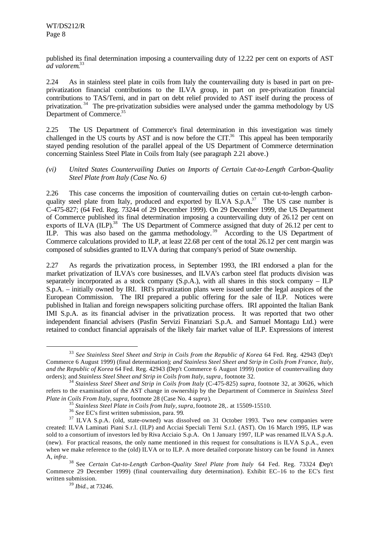published its final determination imposing a countervailing duty of 12.22 per cent on exports of AST *ad valorem*. 33

2.24 As in stainless steel plate in coils from Italy the countervailing duty is based in part on preprivatization financial contributions to the ILVA group, in part on pre-privatization financial contributions to TAS/Terni, and in part on debt relief provided to AST itself during the process of privatization.<sup>34</sup> The pre-privatization subsidies were analysed under the gamma methodology by US Department of Commerce.<sup>35</sup>

2.25 The US Department of Commerce's final determination in this investigation was timely challenged in the US courts by AST and is now before the CIT.<sup>36</sup> This appeal has been temporarily stayed pending resolution of the parallel appeal of the US Department of Commerce determination concerning Stainless Steel Plate in Coils from Italy (see paragraph 2.21 above.)

# *(vi) United States Countervailing Duties on Imports of Certain Cut-to-Length Carbon-Quality Steel Plate from Italy (Case No. 6)*

2.26 This case concerns the imposition of countervailing duties on certain cut-to-length carbonquality steel plate from Italy, produced and exported by  $\text{ILVA S.p.A.}^{37}$  The US case number is C-475-827; (64 Fed. Reg. 73244 of 29 December 1999). On 29 December 1999, the US Department of Commerce published its final determination imposing a countervailing duty of 26.12 per cent on exports of ILVA (ILP).<sup>38</sup> The US Department of Commerce assigned that duty of 26.12 per cent to ILP. This was also based on the gamma methodology.<sup>39</sup> According to the US Department of Commerce calculations provided to ILP, at least 22.68 per cent of the total 26.12 per cent margin was composed of subsidies granted to ILVA during that company's period of State ownership.

2.27 As regards the privatization process, in September 1993, the IRI endorsed a plan for the market privatization of ILVA's core businesses, and ILVA's carbon steel flat products division was separately incorporated as a stock company (S.p.A.), with all shares in this stock company – ILP S.p.A. – initially owned by IRI. IRI's privatization plans were issued under the legal auspices of the European Commission. The IRI prepared a public offering for the sale of ILP. Notices were published in Italian and foreign newspapers soliciting purchase offers. IRI appointed the Italian Bank IMI S.p.A. as its financial adviser in the privatization process. It was reported that two other independent financial advisers (Pasfin Servizi Finanziari S.p.A. and Samuel Montagu Ltd.) were retained to conduct financial appraisals of the likely fair market value of ILP. Expressions of interest

<sup>33</sup> *See Stainless Steel Sheet and Strip in Coils from the Republic of Korea* 64 Fed. Reg. 42943 (Dep't Commerce 6 August 1999) (final determination)*; and Stainless Steel Sheet and Strip in Coils from France, Italy, and the Republic of Korea* 64 Fed. Reg. 42943 (Dep't Commerce 6 August 1999) (notice of countervailing duty orders); and *Stainless Steel Sheet and Strip in Coils from Italy, supra*, footnote 32.

<sup>34</sup> *Stainless Steel Sheet and Strip in Coils from Italy* (C-475-825) *supra,* footnote 32, at 30626, which refers to the examination of the AST change in ownership by the Department of Commerce in *Stainless Steel Plate in Coils From Italy*, *supra,* footnote 28 (Case No. 4 *supra*).

<sup>35</sup> *Stainless Steel Plate in Coils from Italy*, *supra,* footnote 28,*.* at 15509-15510.

<sup>36</sup> *See* EC's first written submission, para. 99.

<sup>&</sup>lt;sup>37</sup> ILVA S.p.A. (old, state-owned) was dissolved on 31 October 1993. Two new companies were created: ILVA Laminati Piani S.r.l. (ILP) and Acciai Speciali Terni S.r.l. (AST). On 16 March 1995, ILP was sold to a consortium of investors led by Riva Acciaio S.p.A. On 1 January 1997, ILP was renamed ILVA S.p.A. (new). For practical reasons, the only name mentioned in this request for consultations is ILVA S.p.A., even when we make reference to the (old) ILVA or to ILP. A more detailed corporate history can be found in Annex A, *infra*.

<sup>38</sup> See *Certain Cut-to-Length Carbon-Quality Steel Plate from Italy* 64 Fed. Reg. 73324 (Dep't Commerce 29 December 1999) (final countervailing duty determination). Exhibit EC–16 to the EC's first written submission.

<sup>39</sup> *Ibid.,* at 73246.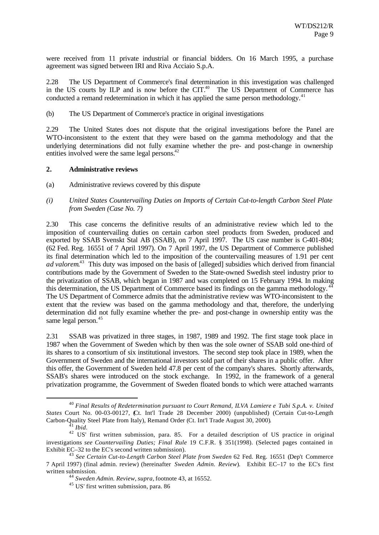were received from 11 private industrial or financial bidders. On 16 March 1995, a purchase agreement was signed between IRI and Riva Acciaio S.p.A.

2.28 The US Department of Commerce's final determination in this investigation was challenged in the US courts by ILP and is now before the CIT.<sup>40</sup> The US Department of Commerce has conducted a remand redetermination in which it has applied the same person methodology.<sup>41</sup>

(b) The US Department of Commerce's practice in original investigations

2.29 The United States does not dispute that the original investigations before the Panel are WTO-inconsistent to the extent that they were based on the gamma methodology and that the underlying determinations did not fully examine whether the pre- and post-change in ownership entities involved were the same legal persons.<sup>42</sup>

# **2. Administrative reviews**

- (a) Administrative reviews covered by this dispute
- *(i) United States Countervailing Duties on Imports of Certain Cut-to-length Carbon Steel Plate from Sweden (Case No. 7)*

2.30 This case concerns the definitive results of an administrative review which led to the imposition of countervailing duties on certain carbon steel products from Sweden, produced and exported by SSAB Svenskt Stal AB (SSAB), on 7 April 1997. The US case number is C-401-804; (62 Fed. Reg. 16551 of 7 April 1997). On 7 April 1997, the US Department of Commerce published its final determination which led to the imposition of the countervailing measures of 1.91 per cent *ad valorem*. <sup>43</sup> This duty was imposed on the basis of [alleged] subsidies which derived from financial contributions made by the Government of Sweden to the State-owned Swedish steel industry prior to the privatization of SSAB, which began in 1987 and was completed on 15 February 1994. In making this determination, the US Department of Commerce based its findings on the gamma methodology.<sup>4</sup> The US Department of Commerce admits that the administrative review was WTO-inconsistent to the extent that the review was based on the gamma methodology and that, therefore, the underlying determination did not fully examine whether the pre- and post-change in ownership entity was the same legal person.<sup>45</sup>

2.31 SSAB was privatized in three stages, in 1987, 1989 and 1992. The first stage took place in 1987 when the Government of Sweden which by then was the sole owner of SSAB sold one-third of its shares to a consortium of six institutional investors. The second step took place in 1989, when the Government of Sweden and the international investors sold part of their shares in a public offer. After this offer, the Government of Sweden held 47.8 per cent of the company's shares. Shortly afterwards, SSAB's shares were introduced on the stock exchange. In 1992, in the framework of a general privatization programme, the Government of Sweden floated bonds to which were attached warrants

<sup>40</sup> *Final Results of Redetermination pursuant to Court Remand, ILVA Lamiere e Tubi S.p.A. v. United States* Court No. 00-03-00127, (Ct. Int'l Trade 28 December 2000) (unpublished) (Certain Cut-to-Length Carbon-Quality Steel Plate from Italy), Remand Order (Ct. Int'l Trade August 30, 2000).

<sup>41</sup> *Ibid.*

<sup>&</sup>lt;sup>42</sup> US' first written submission, para. 85. For a detailed description of US practice in original investigations *see Countervailing Duties; Final Rule* 19 C.F.R. § 351(1998). (Selected pages contained in Exhibit EC–32 to the EC's second written submission).

<sup>43</sup> *See Certain Cut-to-Length Carbon Steel Plate from Sweden* 62 Fed. Reg. 16551 (Dep't Commerce 7 April 1997) (final admin. review) (hereinafter *Sweden Admin. Review*). Exhibit EC–17 to the EC's first written submission.

<sup>44</sup> *Sweden Admin. Review*, *supra,* footnote 43, at 16552.

<sup>45</sup> US' first written submission, para. 86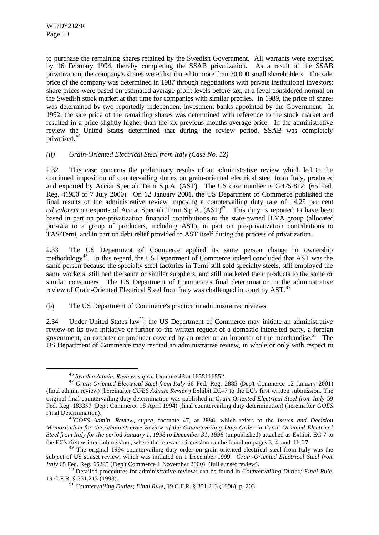l

to purchase the remaining shares retained by the Swedish Government. All warrants were exercised by 16 February 1994, thereby completing the SSAB privatization. As a result of the SSAB privatization, the company's shares were distributed to more than 30,000 small shareholders. The sale price of the company was determined in 1987 through negotiations with private institutional investors; share prices were based on estimated average profit levels before tax, at a level considered normal on the Swedish stock market at that time for companies with similar profiles. In 1989, the price of shares was determined by two reportedly independent investment banks appointed by the Government. In 1992, the sale price of the remaining shares was determined with reference to the stock market and resulted in a price slightly higher than the six previous months average price. In the administrative review the United States determined that during the review period, SSAB was completely privatized.<sup>46</sup>

# *(ii) Grain-Oriented Electrical Steel from Italy (Case No. 12)*

2.32 This case concerns the preliminary results of an administrative review which led to the continued imposition of countervailing duties on grain-oriented electrical steel from Italy, produced and exported by Acciai Speciali Terni S.p.A. (AST). The US case number is C-475-812; (65 Fed. Reg. 41950 of 7 July 2000). On 12 January 2001, the US Department of Commerce published the final results of the administrative review imposing a countervailing duty rate of 14.25 per cent *ad valorem* on exports of Acciai Speciali Terni S.p.A. (AST)<sup>47</sup>. This duty is reported to have been based in part on pre-privatization financial contributions to the state-owned ILVA group (allocated pro-rata to a group of producers, including AST), in part on pre-privatization contributions to TAS/Terni, and in part on debt relief provided to AST itself during the process of privatization.

2.33 The US Department of Commerce applied its same person change in ownership methodology<sup>48</sup>. In this regard, the US Department of Commerce indeed concluded that AST was the same person because the specialty steel factories in Terni still sold specialty steels, still employed the same workers, still had the same or similar suppliers, and still marketed their products to the same or similar consumers. The US Department of Commerce's final determination in the administrative review of Grain-Oriented Electrical Steel from Italy was challenged in court by AST.<sup>49</sup>

# (b) The US Department of Commerce's practice in administrative reviews

2.34 Under United States law<sup>50</sup>, the US Department of Commerce may initiate an administrative review on its own initiative or further to the written request of a domestic interested party, a foreign government, an exporter or producer covered by an order or an importer of the merchandise.<sup>51</sup> The US Department of Commerce may rescind an administrative review, in whole or only with respect to

<sup>46</sup> *Sweden Admin. Review*, *supra,* footnote 43 at 1655116552.

<sup>47</sup> *Grain-Oriented Electrical Steel from Italy* 66 Fed. Reg. 2885 (Dep't Commerce 12 January 2001) (final admin. review) (hereinafter *GOES Admin. Review*) Exhibit EC–7 to the EC's first written submission. The original final countervailing duty determination was published in *Grain Oriented Electrical Steel from Italy* 59 Fed. Reg. 183357 (Dep't Commerce 18 April 1994) (final countervailing duty determination) (hereinafter *GOES* Final Determination).

<sup>48</sup>*GOES Admin. Review*, *supra,* footnote 47, at 2886, which refers to the *Issues and Decision Memorandum for the Administrative Review of the Countervailing Duty Order in Grain Oriented Electrical Steel from Italy for the period January 1, 1998 to December 31, 1998* (unpublished) attached as Exhibit EC-7 to the EC's first written submission , where the relevant discussion can be found on pages 3, 4, and 16-27.

<sup>&</sup>lt;sup>49</sup> The original 1994 countervailing duty order on grain-oriented electrical steel from Italy was the subject of US sunset review, which was initiated on 1 December 1999. *Grain-Oriented Electrical Steel from Italy* 65 Fed. Reg. 65295 (Dep't Commerce 1 November 2000) (full sunset review).

<sup>50</sup> Detailed procedures for administrative reviews can be found in *Countervailing Duties; Final Rule*, 19 C.F.R. § 351.213 (1998).

<sup>51</sup> *Countervailing Duties; Final Rule*, 19 C.F.R. § 351.213 (1998), p. 203.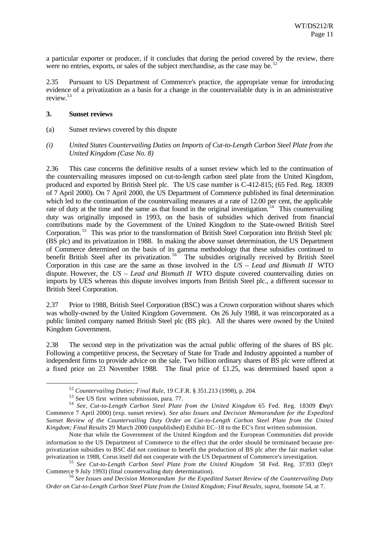a particular exporter or producer, if it concludes that during the period covered by the review, there were no entries, exports, or sales of the subject merchandise, as the case may be.<sup>52</sup>

2.35 Pursuant to US Department of Commerce's practice, the appropriate venue for introducing evidence of a privatization as a basis for a change in the countervailable duty is in an administrative review.<sup>53</sup>

#### **3. Sunset reviews**

- (a) Sunset reviews covered by this dispute
- *(i) United States Countervailing Duties on Imports of Cut-to-Length Carbon Steel Plate from the United Kingdom (Case No. 8)*

2.36 This case concerns the definitive results of a sunset review which led to the continuation of the countervailing measures imposed on cut-to-length carbon steel plate from the United Kingdom, produced and exported by British Steel plc. The US case number is C-412-815; (65 Fed. Reg. 18309 of 7 April 2000). On 7 April 2000, the US Department of Commerce published its final determination which led to the continuation of the countervailing measures at a rate of 12.00 per cent, the applicable rate of duty at the time and the same as that found in the original investigation.<sup>54</sup> This countervailing duty was originally imposed in 1993, on the basis of subsidies which derived from financial contributions made by the Government of the United Kingdom to the State-owned British Steel Corporation. <sup>55</sup> This was prior to the transformation of British Steel Corporation into British Steel plc (BS plc) and its privatization in 1988. In making the above sunset determination, the US Department of Commerce determined on the basis of its gamma methodology that these subsidies continued to benefit British Steel after its privatization.<sup>56</sup> The subsidies originally received by British Steel Corporation in this case are the same as those involved in the *US – Lead and Bismuth II* WTO dispute. However, the *US – Lead and Bismuth II* WTO dispute covered countervailing duties on imports by UES whereas this dispute involves imports from British Steel plc., a different sucessor to British Steel Corporation.

2.37 Prior to 1988, British Steel Corporation (BSC) was a Crown corporation without shares which was wholly-owned by the United Kingdom Government. On 26 July 1988, it was reincorporated as a public limited company named British Steel plc (BS plc). All the shares were owned by the United Kingdom Government.

2.38 The second step in the privatization was the actual public offering of the shares of BS plc. Following a competitive process, the Secretary of State for Trade and Industry appointed a number of independent firms to provide advice on the sale. Two billion ordinary shares of BS plc were offered at a fixed price on 23 November 1988. The final price of £1.25, was determined based upon a

<sup>52</sup> *Countervailing Duties; Final Rule*, 19 C.F.R. § 351.213 (1998), p. 204.

<sup>53</sup> See US first written submission, para. 77.

<sup>54</sup> *See*, *Cut-to-Length Carbon Steel Plate from the United Kingdom* 65 Fed. Reg. 18309 (Dep't Commerce 7 April 2000) (exp. sunset review). *See also Issues and Decision Memorandum for the Expedited Sunset Review of the Countervailing Duty Order on Cut-to-Length Carbon Steel Plate from the United Kingdom; Final Results* 29 March 2000 (unpublished) Exhibit EC–18 to the EC's first written submission.

Note that while the Government of the United Kingdom and the European Communities did provide information to the US Department of Commerce to the effect that the order should be terminated because preprivatization subsidies to BSC did not continue to benefit the production of BS plc after the fair market value privatization in 1988, Corus itself did not cooperate with the US Department of Commerce's investigation.

<sup>55</sup> *See Cut-to-Length Carbon Steel Plate from the United Kingdom* 58 Fed. Reg. 37393 (Dep't Commerce 9 July 1993) (final countervailing duty determination).

<sup>56</sup> *See Issues and Decision Memorandum for the Expedited Sunset Review of the Countervailing Duty Order on Cut-to-Length Carbon Steel Plate from the United Kingdom; Final Results, supra,* footnote 54, at 7.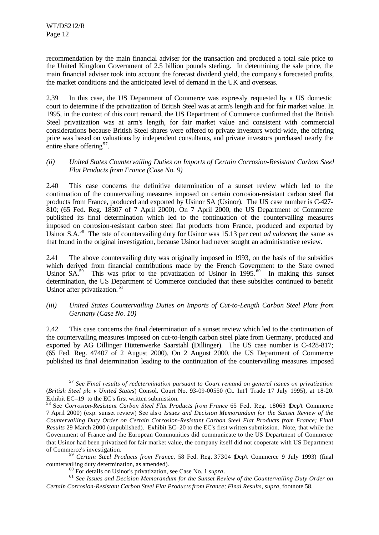l

recommendation by the main financial adviser for the transaction and produced a total sale price to the United Kingdom Government of 2.5 billion pounds sterling. In determining the sale price, the main financial adviser took into account the forecast dividend yield, the company's forecasted profits, the market conditions and the anticipated level of demand in the UK and overseas.

2.39 In this case, the US Department of Commerce was expressly requested by a US domestic court to determine if the privatization of British Steel was at arm's length and for fair market value. In 1995, in the context of this court remand, the US Department of Commerce confirmed that the British Steel privatization was at arm's length, for fair market value and consistent with commercial considerations because British Steel shares were offered to private investors world-wide, the offering price was based on valuations by independent consultants, and private investors purchased nearly the entire share offering<sup>57</sup>.

# *(ii) United States Countervailing Duties on Imports of Certain Corrosion-Resistant Carbon Steel Flat Products from France (Case No. 9)*

2.40 This case concerns the definitive determination of a sunset review which led to the continuation of the countervailing measures imposed on certain corrosion-resistant carbon steel flat products from France, produced and exported by Usinor SA (Usinor). The US case number is C-427- 810; (65 Fed. Reg. 18307 of 7 April 2000). On 7 April 2000, the US Department of Commerce published its final determination which led to the continuation of the countervailing measures imposed on corrosion-resistant carbon steel flat products from France, produced and exported by Usinor S.A.<sup>58</sup> The rate of countervailing duty for Usinor was 15.13 per cent *ad valorem*; the same as that found in the original investigation, because Usinor had never sought an administrative review.

2.41 The above countervailing duty was originally imposed in 1993, on the basis of the subsidies which derived from financial contributions made by the French Government to the State owned Usinor  $SA^{59}$  This was prior to the privatization of Usinor in 1995.<sup>60</sup> In making this sunset determination, the US Department of Commerce concluded that these subsidies continued to benefit Usinor after privatization.  $\delta$ <sup>1</sup>

# *(iii) United States Countervailing Duties on Imports of Cut-to-Length Carbon Steel Plate from Germany (Case No. 10)*

2.42 This case concerns the final determination of a sunset review which led to the continuation of the countervailing measures imposed on cut-to-length carbon steel plate from Germany, produced and exported by AG Dillinger Hüttenwerke Saarstahl (Dillinger). The US case number is C-428-817; (65 Fed. Reg. 47407 of 2 August 2000). On 2 August 2000, the US Department of Commerce published its final determination leading to the continuation of the countervailing measures imposed

<sup>57</sup> *See Final results of redetermination pursuant to Court remand on general issues on privatization* (*British Steel plc v United States*) Consol. Court No. 93-09-00550 (Ct. Int'l Trade 17 July 1995), at 18-20. Exhibit EC–19 to the EC's first written submission.

<sup>58</sup> See *Corrosion-Resistant Carbon Steel Flat Products from France* 65 Fed. Reg. 18063 (Dep't Commerce 7 April 2000) (exp. sunset review) See als o *Issues and Decision Memorandum for the Sunset Review of the Countervailing Duty Order on Certain Corrosion-Resistant Carbon Steel Flat Products from France; Final Results* 29 March 2000 (unpublished). Exhibit EC–20 to the EC's first written submission. Note, that while the Government of France and the European Communities did communicate to the US Department of Commerce that Usinor had been privatized for fair market value, the company itself did not cooperate with US Department of Commerce's investigation.

<sup>59</sup> *Certain Steel Products from France*, 58 Fed. Reg. 37304 (Dep't Commerce 9 July 1993) (final countervailing duty determination, as amended).

<sup>60</sup> For details on Usinor's privatization, see Case No. 1 *supra*.

<sup>61</sup> *See Issues and Decision Memorandum for the Sunset Review of the Countervailing Duty Order on Certain Corrosion-Resistant Carbon Steel Flat Products from France; Final Results, supra,* footnote 58.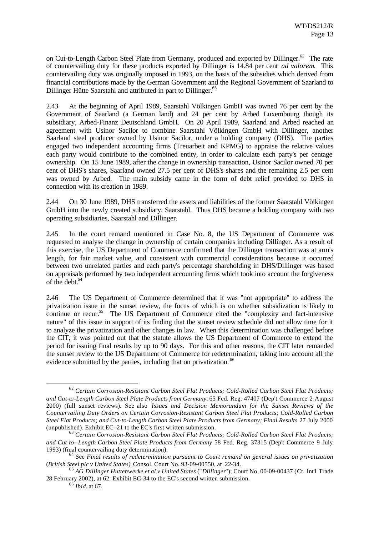on Cut-to-Length Carbon Steel Plate from Germany, produced and exported by Dillinger.<sup>62</sup> The rate of countervailing duty for these products exported by Dillinger is 14.84 per cent *ad valorem*. This countervailing duty was originally imposed in 1993, on the basis of the subsidies which derived from financial contributions made by the German Government and the Regional Government of Saarland to Dillinger Hütte Saarstahl and attributed in part to Dillinger.<sup>63</sup>

2.43 At the beginning of April 1989, Saarstahl Völkingen GmbH was owned 76 per cent by the Government of Saarland (a German land) and 24 per cent by Arbed Luxembourg though its subsidiary, Arbed-Finanz Deutschland GmbH. On 20 April 1989, Saarland and Arbed reached an agreement with Usinor Sacilor to combine Saarstahl Völkingen GmbH with Dillinger, another Saarland steel producer owned by Usinor Sacilor, under a holding company (DHS). The parties engaged two independent accounting firms (Treuarbeit and KPMG) to appraise the relative values each party would contribute to the combined entity, in order to calculate each party's per centage ownership. On 15 June 1989, after the change in ownership transaction, Usinor Sacilor owned 70 per cent of DHS's shares, Saarland owned 27.5 per cent of DHS's shares and the remaining 2.5 per cent was owned by Arbed. The main subsidy came in the form of debt relief provided to DHS in connection with its creation in 1989.

2.44 On 30 June 1989, DHS transferred the assets and liabilities of the former Saarstahl Völkingen GmbH into the newly created subsidiary, Saarstahl. Thus DHS became a holding company with two operating subsidiaries, Saarstahl and Dillinger.

2.45 In the court remand mentioned in Case No. 8, the US Department of Commerce was requested to analyse the change in ownership of certain companies including Dillinger. As a result of this exercise, the US Department of Commerce confirmed that the Dillinger transaction was at arm's length, for fair market value, and consistent with commercial considerations because it occurred between two unrelated parties and each party's percentage shareholding in DHS/Dillinger was based on appraisals performed by two independent accounting firms which took into account the forgiveness of the debt.<sup>64</sup>

2.46 The US Department of Commerce determined that it was "not appropriate" to address the privatization issue in the sunset review, the focus of which is on whether subsidization is likely to continue or recur.<sup>65</sup> The US Department of Commerce cited the "complexity and fact-intensive nature" of this issue in support of its finding that the sunset review schedule did not allow time for it to analyze the privatization and other changes in law. When this determination was challenged before the CIT, it was pointed out that the statute allows the US Department of Commerce to extend the period for issuing final results by up to 90 days. For this and other reasons, the CIT later remanded the sunset review to the US Department of Commerce for redetermination, taking into account all the evidence submitted by the parties, including that on privatization.<sup>66</sup>

<sup>62</sup> *Certain Corrosion-Resistant Carbon Steel Flat Products; Cold-Rolled Carbon Steel Flat Products; and Cut-to-Length Carbon Steel Plate Products from Germany*. 65 Fed. Reg. 47407 (Dep't Commerce 2 August 2000) (full sunset reviews). See also *Issues and Decision Memorandum for the Sunset Reviews of the Countervailing Duty Orders on Certain Corrosion-Resistant Carbon Steel Flat Products; Cold-Rolled Carbon Steel Flat Products; and Cut-to-Length Carbon Steel Plate Products from Germany; Final Results* 27 July 2000 (unpublished). Exhibit EC–21 to the EC's first written submission.

<sup>63</sup> *Certain Corrosion-Resistant Carbon Steel Flat Products; Cold-Rolled Carbon Steel Flat Products; and Cut to- Length Carbon Steel Plate Products from Germany* 58 Fed. Reg. 37315 (Dep't Commerce 9 July 1993) (final countervailing duty determination).

<sup>64</sup> See *Final results of redetermination pursuant to Court remand on general issues on privatization* (*British Steel plc v United States)* Consol. Court No. 93-09-00550, at 22-34.

<sup>65</sup> *AG Dillinger Huttenwerke et al v United States* ("*Dillinger*"); Court No. 00-09-00437 (Ct. Int'l Trade 28 February 2002), at 62. Exhibit EC-34 to the EC's second written submission.

<sup>66</sup> *Ibid.* at 67.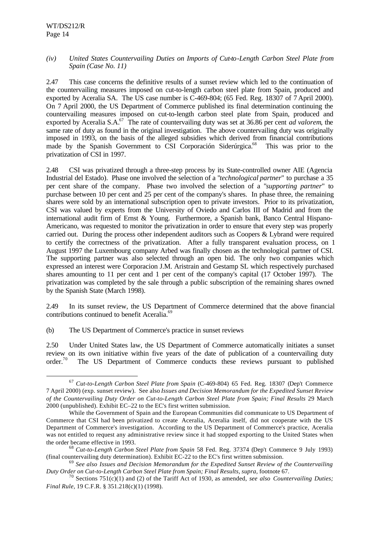l

### *(iv) United States Countervailing Duties on Imports of Cut-to-Length Carbon Steel Plate from Spain (Case No. 11)*

2.47 This case concerns the definitive results of a sunset review which led to the continuation of the countervailing measures imposed on cut-to-length carbon steel plate from Spain, produced and exported by Aceralia SA. The US case number is C-469-804; (65 Fed. Reg. 18307 of 7 April 2000). On 7 April 2000, the US Department of Commerce published its final determination continuing the countervailing measures imposed on cut-to-length carbon steel plate from Spain, produced and exported by Aceralia S.A.<sup>67</sup> The rate of countervailing duty was set at 36.86 per cent *ad valorem*, the same rate of duty as found in the original investigation. The above countervailing duty was originally imposed in 1993, on the basis of the alleged subsidies which derived from financial contributions made by the Spanish Government to CSI Corporación Siderúrgica.<sup>68</sup> This was prior to the privatization of CSI in 1997.

2.48 CSI was privatized through a three-step process by its State-controlled owner AIE (Agencia Industrial del Estado). Phase one involved the selection of a "*technological partner*" to purchase a 35 per cent share of the company. Phase two involved the selection of a "*supporting partner*" to purchase between 10 per cent and 25 per cent of the company's shares. In phase three, the remaining shares were sold by an international subscription open to private investors. Prior to its privatization, CSI was valued by experts from the University of Oviedo and Carlos III of Madrid and from the international audit firm of Ernst & Young. Furthermore, a Spanish bank, Banco Central Hispano-Americano, was requested to monitor the privatization in order to ensure that every step was properly carried out. During the process other independent auditors such as Coopers & Lybrand were required to certify the correctness of the privatization. After a fully transparent evaluation process, on 1 August 1997 the Luxembourg company Arbed was finally chosen as the technological partner of CSI. The supporting partner was also selected through an open bid. The only two companies which expressed an interest were Corporacion J.M. Aristrain and Gestamp SL which respectively purchased shares amounting to 11 per cent and 1 per cent of the company's capital (17 October 1997). The privatization was completed by the sale through a public subscription of the remaining shares owned by the Spanish State (March 1998).

2.49 In its sunset review, the US Department of Commerce determined that the above financial contributions continued to benefit Aceralia.<sup>69</sup>

(b) The US Department of Commerce's practice in sunset reviews

2.50 Under United States law, the US Department of Commerce automatically initiates a sunset review on its own initiative within five years of the date of publication of a countervailing duty order.<sup>70</sup> The US Department of Commerce conducts these reviews pursuant to published

<sup>67</sup> *Cut-to-Length Carbon Steel Plate from Spain* (C-469-804) 65 Fed. Reg. 18307 (Dep't Commerce 7 April 2000) (exp. sunset review). See also *Issues and Decision Memorandum for the Expedited Sunset Review of the Countervailing Duty Order on Cut-to-Length Carbon Steel Plate from Spain; Final Results* 29 March 2000 (unpublished). Exhibit EC–22 to the EC's first written submission.

While the Government of Spain and the European Communities did communicate to US Department of Commerce that CSI had been privatized to create Aceralia, Aceralia itself, did not cooperate with the US Department of Commerce's investigation. According to the US Department of Commerce's practice, Aceralia was not entitled to request any administrative review since it had stopped exporting to the United States when the order became effective in 1993.

<sup>68</sup> *Cut-to-Length Carbon Steel Plate from Spain* 58 Fed. Reg. 37374 (Dep't Commerce 9 July 1993) (final countervailing duty determination). Exhibit EC-22 to the EC's first written submission.

<sup>69</sup> *See also Issues and Decision Memorandum for the Expedited Sunset Review of the Countervailing Duty Order on Cut-to-Length Carbon Steel Plate from Spain; Final Results, supra,* footnote 67.

<sup>&</sup>lt;sup>70</sup> Sections 751(c)(1) and (2) of the Tariff Act of 1930, as amended, *see also Countervailing Duties*; *Final Rule,* 19 C.F.R. § 351.218(c)(1) (1998).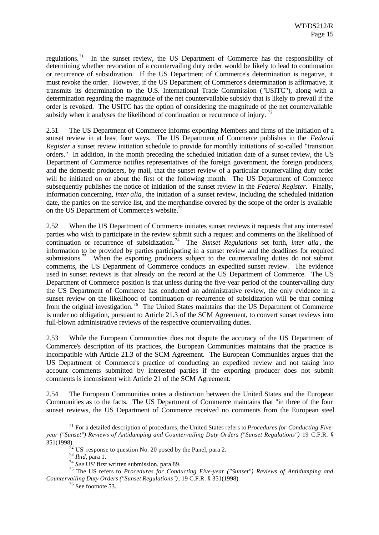regulations.<sup>71</sup> In the sunset review, the US Department of Commerce has the responsibility of determining whether revocation of a countervailing duty order would be likely to lead to continuation or recurrence of subsidization. If the US Department of Commerce's determination is negative, it must revoke the order. However, if the US Department of Commerce's determination is affirmative, it transmits its determination to the U.S. International Trade Commission ("USITC"), along with a determination regarding the magnitude of the net countervailable subsidy that is likely to prevail if the order is revoked. The USITC has the option of considering the magnitude of the net countervailable subsidy when it analyses the likelihood of continuation or recurrence of injury.  $^{72}$ 

2.51 The US Department of Commerce informs exporting Members and firms of the initiation of a sunset review in at least four ways. The US Department of Commerce publishes in the *Federal Register* a sunset review initiation schedule to provide for monthly initiations of so-called "transition" orders." In addition, in the month preceding the scheduled initiation date of a sunset review, the US Department of Commerce notifies representatives of the foreign government, the foreign producers, and the domestic producers, by mail, that the sunset review of a particular countervailing duty order will be initiated on or about the first of the following month. The US Department of Commerce subsequently publishes the notice of initiation of the sunset review in the *Federal Register*. Finally, information concerning, *inter alia*, the initiation of a sunset review, including the scheduled initiation date, the parties on the service list, and the merchandise covered by the scope of the order is available on the US Department of Commerce's website.<sup>73</sup>

2.52 When the US Department of Commerce initiates sunset reviews it requests that any interested parties who wish to participate in the review submit such a request and comments on the likelihood of continuation or recurrence of subsidization.<sup>74</sup> The *Sunset Regulations* set forth, *inter alia*, the information to be provided by parties participating in a sunset review and the deadlines for required submissions.<sup>75</sup> When the exporting producers subject to the countervailing duties do not submit comments, the US Department of Commerce conducts an expedited sunset review. The evidence used in sunset reviews is that already on the record at the US Department of Commerce. The US Department of Commerce position is that unless during the five-year period of the countervailing duty the US Department of Commerce has conducted an administrative review, the only evidence in a sunset review on the likelihood of continuation or recurrence of subsidization will be that coming from the original investigation.<sup>76</sup> The United States maintains that the US Department of Commerce is under no obligation, pursuant to Article 21.3 of the SCM Agreement, to convert sunset reviews into full-blown administrative reviews of the respective countervailing duties.

2.53 While the European Communities does not dispute the accuracy of the US Department of Commerce's description of its practices, the European Communities maintains that the practice is incompatible with Article 21.3 of the SCM Agreement. The European Communities argues that the US Department of Commerce's practice of conducting an expedited review and not taking into account comments submitted by interested parties if the exporting producer does not submit comments is inconsistent with Article 21 of the SCM Agreement.

2.54 The European Communities notes a distinction between the United States and the European Communities as to the facts. The US Department of Commerce maintains that "in three of the four sunset reviews, the US Department of Commerce received no comments from the European steel

<sup>71</sup> For a detailed description of procedures, the United States refers to *Procedures for Conducting Fiveyear ("Sunset") Reviews of Antidumping and Countervailing Duty Orders ("Sunset Regulations")* 19 C.F.R. § 351(1998).

 $72$  US' response to question No. 20 posed by the Panel, para 2.

<sup>73</sup> *Ibid*, para 1.

<sup>74</sup> *See* US' first written submission, para 89.

<sup>75</sup> The US refers to *Procedures for Conducting Five-year ("Sunset") Reviews of Antidumping and Countervailing Duty Orders ("Sunset Regulations")*, 19 C.F.R. § 351(1998)*.*

 $76$  See footnote 53.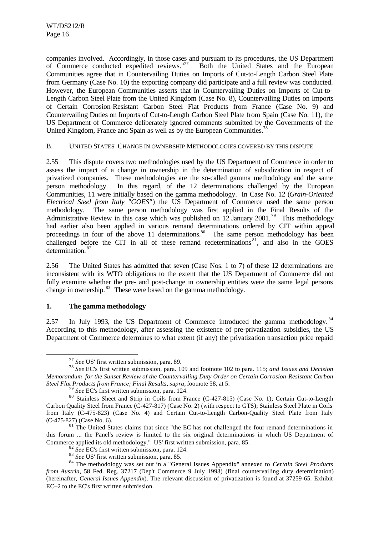companies involved. Accordingly, in those cases and pursuant to its procedures, the US Department of Commerce conducted expedited reviews."<sup>77</sup> Both the United States and the European Communities agree that in Countervailing Duties on Imports of Cut-to-Length Carbon Steel Plate from Germany (Case No. 10) the exporting company did participate and a full review was conducted. However, the European Communities asserts that in Countervailing Duties on Imports of Cut-to-Length Carbon Steel Plate from the United Kingdom (Case No. 8), Countervailing Duties on Imports of Certain Corrosion-Resistant Carbon Steel Flat Products from France (Case No. 9) and Countervailing Duties on Imports of Cut-to-Length Carbon Steel Plate from Spain (Case No. 11), the US Department of Commerce deliberately ignored comments submitted by the Governments of the United Kingdom, France and Spain as well as by the European Communities.<sup>78</sup>

#### B. UNITED STATES' CHANGE IN OWNERSHIP METHODOLOGIES COVERED BY THIS DISPUTE

2.55 This dispute covers two methodologies used by the US Department of Commerce in order to assess the impact of a change in ownership in the determination of subsidization in respect of privatized companies. These methodologies are the so-called gamma methodology and the same person methodology. In this regard, of the 12 determinations challenged by the European Communities, 11 were initially based on the gamma methodology. In Case No. 12 (*Grain-Oriented Electrical Steel from Italy "GOES"*) the US Department of Commerce used the same person methodology. The same person methodology was first applied in the Final Results of the Administrative Review in this case which was published on  $12$  January 2001.<sup>79</sup> This methodology had earlier also been applied in various remand determinations ordered by CIT within appeal proceedings in four of the above 11 determinations.<sup>80</sup> The same person methodology has been challenged before the CIT in all of these remand redeterminations<sup>81</sup>, and also in the GOES determination. <sup>82</sup>

2.56 The United States has admitted that seven (Case Nos. 1 to 7) of these 12 determinations are inconsistent with its WTO obligations to the extent that the US Department of Commerce did not fully examine whether the pre- and post-change in ownership entities were the same legal persons change in ownership. <sup>83</sup> These were based on the gamma methodology.

#### **1. The gamma methodology**

l

2.57 In July 1993, the US Department of Commerce introduced the gamma methodology.<sup>84</sup> According to this methodology, after assessing the existence of pre-privatization subsidies, the US Department of Commerce determines to what extent (if any) the privatization transaction price repaid

<sup>77</sup> *See* US' first written submission, para. 89.

<sup>78</sup> *See* EC's first written submission, para. 109 and footnote 102 to para. 115; *and Issues and Decision Memorandum for the Sunset Review of the Countervailing Duty Order on Certain Corrosion-Resistant Carbon Steel Flat Products from France; Final Results, supra,* footnote 58, at 5.

<sup>79</sup> *See* EC's first written submission, para. 124.

<sup>80</sup> Stainless Sheet and Strip in Coils from France (C-427-815) (Case No. 1); Certain Cut-to-Length Carbon Quality Steel from France (C-427-817) (Case No. 2) (with respect to GTS); Stainless Steel Plate in Coils from Italy (C-475-823) (Case No. 4) and Certain Cut-to-Length Carbon-Quality Steel Plate from Italy (C-475-827) (Case No. 6).

 $81$ <sup>81</sup> The United States claims that since "the EC has not challenged the four remand determinations in this forum ... the Panel's review is limited to the six original determinations in which US Department of Commerce applied its old methodology." US' first written submission, para. 85.

<sup>&</sup>lt;sup>82</sup> *See* EC's first written submission, para. 124.

<sup>&</sup>lt;sup>83</sup> *See* US' first written submission, para. 85.

<sup>84</sup> The methodology was set out in a "General Issues Appendix" annexed to *Certain Steel Products from Austria*, 58 Fed. Reg. 37217 (Dep't Commerce 9 July 1993) (final countervailing duty determination) (hereinafter, *General Issues Appendix*). The relevant discussion of privatization is found at 37259-65. Exhibit EC–2 to the EC's first written submission.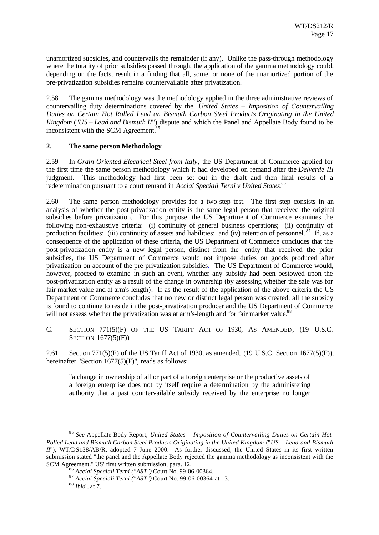unamortized subsidies, and countervails the remainder (if any). Unlike the pass-through methodology where the totality of prior subsidies passed through, the application of the gamma methodology could, depending on the facts, result in a finding that all, some, or none of the unamortized portion of the pre-privatization subsidies remains countervailable after privatization.

2.58 The gamma methodology was the methodology applied in the three administrative reviews of countervailing duty determinations covered by the *United States – Imposition of Countervailing Duties on Certain Hot Rolled Lead an Bismuth Carbon Steel Products Originating in the United Kingdom* ("*US – Lead and Bismuth II*") dispute and which the Panel and Appellate Body found to be inconsistent with the SCM Agreement.<sup>85</sup>

# **2. The same person Methodology**

2.59 In *Grain-Oriented Electrical Steel from Italy*, the US Department of Commerce applied for the first time the same person methodology which it had developed on remand after the *Delverde III* judgment. This methodology had first been set out in the draft and then final results of a redetermination pursuant to a court remand in *Acciai Speciali Terni v United States.*<sup>86</sup>

2.60 The same person methodology provides for a two-step test. The first step consists in an analysis of whether the post-privatization entity is the same legal person that received the original subsidies before privatization. For this purpose, the US Department of Commerce examines the following non-exhaustive criteria: (i) continuity of general business operations; (ii) continuity of production facilities; (iii) continuity of assets and liabilities; and (iv) retention of personnel.<sup>87</sup> If, as a consequence of the application of these criteria, the US Department of Commerce concludes that the post-privatization entity is a new legal person, distinct from the entity that received the prior subsidies, the US Department of Commerce would not impose duties on goods produced after privatization on account of the pre-privatization subsidies. The US Department of Commerce would, however, proceed to examine in such an event, whether any subsidy had been bestowed upon the post-privatization entity as a result of the change in ownership (by assessing whether the sale was for fair market value and at arm's-length). If as the result of the application of the above criteria the US Department of Commerce concludes that no new or distinct legal person was created, all the subsidy is found to continue to reside in the post-privatization producer and the US Department of Commerce will not assess whether the privatization was at arm's-length and for fair market value.<sup>88</sup>

C. SECTION 771(5)(F) OF THE US TARIFF ACT OF 1930, AS AMENDED, (19 U.S.C. SECTION 1677(5)(F))

2.61 Section 771(5)(F) of the US Tariff Act of 1930, as amended, (19 U.S.C. Section 1677(5)(F)), hereinafter "Section 1677(5)(F)", reads as follows:

"a change in ownership of all or part of a foreign enterprise or the productive assets of a foreign enterprise does not by itself require a determination by the administering authority that a past countervailable subsidy received by the enterprise no longer

<sup>85</sup> *See* Appellate Body Report, *United States – Imposition of Countervailing Duties on Certain Hot-Rolled Lead and Bismuth Carbon Steel Products Originating in the United Kingdom* ("*US – Lead and Bismuth II*"), WT/DS138/AB/R, adopted 7 June 2000. As further discussed, the United States in its first written submission stated "the panel and the Appellate Body rejected the gamma methodology as inconsistent with the SCM Agreement." US' first written submission, para. 12.

<sup>86</sup> *Acciai Speciali Terni ("AST")* Court No. 99-06-00364.

<sup>87</sup> *Acciai Speciali Terni ("AST")* Court No. 99-06-00364*,* at 13.

<sup>88</sup> *Ibid.,* at 7.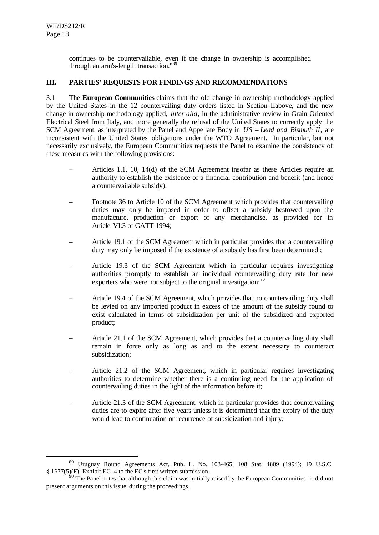l

continues to be countervailable, even if the change in ownership is accomplished through an arm's-length transaction."<sup>89</sup>

### **III. PARTIES' REQUESTS FOR FINDINGS AND RECOMMENDATIONS**

3.1 The **European Communities** claims that the old change in ownership methodology applied by the United States in the 12 countervailing duty orders listed in Section IIabove, and the new change in ownership methodology applied, *inter alia*, in the administrative review in Grain Oriented Electrical Steel from Italy, and more generally the refusal of the United States to correctly apply the SCM Agreement, as interpreted by the Panel and Appellate Body in *US – Lead and Bismuth II*, are inconsistent with the United States' obligations under the WTO Agreement. In particular, but not necessarily exclusively, the European Communities requests the Panel to examine the consistency of these measures with the following provisions:

- Articles 1.1, 10, 14(d) of the SCM Agreement insofar as these Articles require an authority to establish the existence of a financial contribution and benefit (and hence a countervailable subsidy);
- Footnote 36 to Article 10 of the SCM Agreement which provides that countervailing duties may only be imposed in order to offset a subsidy bestowed upon the manufacture, production or export of any merchandise, as provided for in Article VI:3 of GATT 1994;
- Article 19.1 of the SCM Agreement which in particular provides that a countervailing duty may only be imposed if the existence of a subsidy has first been determined ;
- Article 19.3 of the SCM Agreement which in particular requires investigating authorities promptly to establish an individual countervailing duty rate for new exporters who were not subject to the original investigation:  $90$
- Article 19.4 of the SCM Agreement, which provides that no countervailing duty shall be levied on any imported product in excess of the amount of the subsidy found to exist calculated in terms of subsidization per unit of the subsidized and exported product;
- Article 21.1 of the SCM Agreement, which provides that a countervailing duty shall remain in force only as long as and to the extent necessary to counteract subsidization;
- Article 21.2 of the SCM Agreement, which in particular requires investigating authorities to determine whether there is a continuing need for the application of countervailing duties in the light of the information before it;
- Article 21.3 of the SCM Agreement, which in particular provides that countervailing duties are to expire after five years unless it is determined that the expiry of the duty would lead to continuation or recurrence of subsidization and injury;

<sup>89</sup> Uruguay Round Agreements Act, Pub. L. No. 103-465, 108 Stat. 4809 (1994); 19 U.S.C. § 1677(5)(F). Exhibit EC–4 to the EC's first written submission.

 $\sigma^0$  The Panel notes that although this claim was initially raised by the European Communities, it did not present arguments on this issue during the proceedings.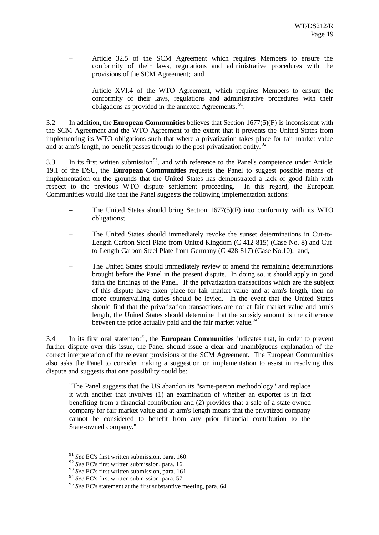- Article 32.5 of the SCM Agreement which requires Members to ensure the conformity of their laws, regulations and administrative procedures with the provisions of the SCM Agreement; and
- Article XVI.4 of the WTO Agreement, which requires Members to ensure the conformity of their laws, regulations and administrative procedures with their obligations as provided in the annexed Agreements.<sup>91</sup>.

3.2 In addition, the **European Communities** believes that Section 1677(5)(F) is inconsistent with the SCM Agreement and the WTO Agreement to the extent that it prevents the United States from implementing its WTO obligations such that where a privatization takes place for fair market value and at arm's length, no benefit passes through to the post-privatization entity.  $92$ 

 $3.3$  In its first written submission<sup>93</sup>, and with reference to the Panel's competence under Article 19.1 of the DSU, the **European Communities** requests the Panel to suggest possible means of implementation on the grounds that the United States has demonstrated a lack of good faith with respect to the previous WTO dispute settlement proceeding. In this regard, the European Communities would like that the Panel suggests the following implementation actions:

- The United States should bring Section  $1677(5)$ (F) into conformity with its WTO obligations;
- The United States should immediately revoke the sunset determinations in Cut-to-Length Carbon Steel Plate from United Kingdom (C-412-815) (Case No. 8) and Cutto-Length Carbon Steel Plate from Germany (C-428-817) (Case No.10); and,
- The United States should immediately review or amend the remaining determinations brought before the Panel in the present dispute. In doing so, it should apply in good faith the findings of the Panel. If the privatization transactions which are the subject of this dispute have taken place for fair market value and at arm's length, then no more countervailing duties should be levied. In the event that the United States should find that the privatization transactions are not at fair market value and arm's length, the United States should determine that the subsidy amount is the difference between the price actually paid and the fair market value.<sup>94</sup>

3.4 In its first oral statement<sup>95</sup>, the **European Communities** indicates that, in order to prevent further dispute over this issue, the Panel should issue a clear and unambiguous explanation of the correct interpretation of the relevant provisions of the SCM Agreement. The European Communities also asks the Panel to consider making a suggestion on implementation to assist in resolving this dispute and suggests that one possibility could be:

"The Panel suggests that the US abandon its "same-person methodology" and replace it with another that involves (1) an examination of whether an exporter is in fact benefiting from a financial contribution and (2) provides that a sale of a state-owned company for fair market value and at arm's length means that the privatized company cannot be considered to benefit from any prior financial contribution to the State-owned company."

<sup>91</sup> *See* EC's first written submission, para. 160.

<sup>92</sup> *See* EC's first written submission, para. 16.

<sup>&</sup>lt;sup>93</sup> See EC's first written submission, para. 161.

<sup>&</sup>lt;sup>94</sup> See EC's first written submission, para. 57.

<sup>&</sup>lt;sup>95</sup> See EC's statement at the first substantive meeting, para. 64.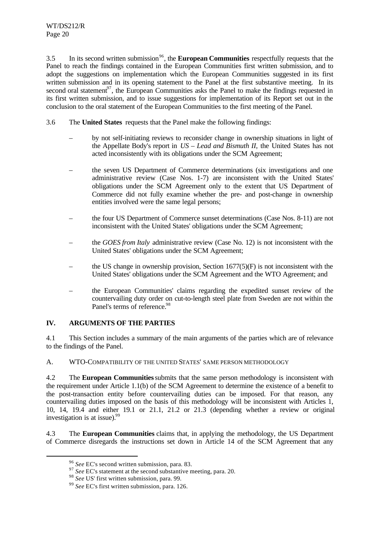3.5 In its second written submission<sup>96</sup>, the **European Communities** respectfully requests that the Panel to reach the findings contained in the European Communities first written submission, and to adopt the suggestions on implementation which the European Communities suggested in its first written submission and in its opening statement to the Panel at the first substantive meeting. In its second oral statement<sup>97</sup>, the European Communities asks the Panel to make the findings requested in its first written submission, and to issue suggestions for implementation of its Report set out in the conclusion to the oral statement of the European Communities to the first meeting of the Panel.

- 3.6 The **United States** requests that the Panel make the following findings:
	- by not self-initiating reviews to reconsider change in ownership situations in light of the Appellate Body's report in *US – Lead and Bismuth II*, the United States has not acted inconsistently with its obligations under the SCM Agreement;
	- the seven US Department of Commerce determinations (six investigations and one administrative review (Case Nos. 1-7) are inconsistent with the United States' obligations under the SCM Agreement only to the extent that US Department of Commerce did not fully examine whether the pre- and post-change in ownership entities involved were the same legal persons;
	- the four US Department of Commerce sunset determinations (Case Nos. 8-11) are not inconsistent with the United States' obligations under the SCM Agreement;
	- the *GOES from Italy* administrative review (Case No. 12) is not inconsistent with the United States' obligations under the SCM Agreement;
	- the US change in ownership provision, Section  $1677(5)(F)$  is not inconsistent with the United States' obligations under the SCM Agreement and the WTO Agreement; and
	- the European Communities' claims regarding the expedited sunset review of the countervailing duty order on cut-to-length steel plate from Sweden are not within the Panel's terms of reference.<sup>98</sup>

# **IV. ARGUMENTS OF THE PARTIES**

4.1 This Section includes a summary of the main arguments of the parties which are of relevance to the findings of the Panel.

A. WTO-COMPATIBILITY OF THE UNITED STATES' SAME PERSON METHODOLOGY

4.2 The **European Communities** submits that the same person methodology is inconsistent with the requirement under Article 1.1(b) of the SCM Agreement to determine the existence of a benefit to the post-transaction entity before countervailing duties can be imposed. For that reason, any countervailing duties imposed on the basis of this methodology will be inconsistent with Articles 1, 10, 14, 19.4 and either 19.1 or 21.1, 21.2 or 21.3 (depending whether a review or original investigation is at issue). $99$ 

4.3 The **European Communities** claims that, in applying the methodology, the US Department of Commerce disregards the instructions set down in Article 14 of the SCM Agreement that any

<sup>96</sup> *See* EC's second written submission, para. 83.

<sup>&</sup>lt;sup>97</sup> See EC's statement at the second substantive meeting, para. 20.

<sup>98</sup> *See* US' first written submission, para. 99.

<sup>99</sup> *See* EC's first written submission, para. 126.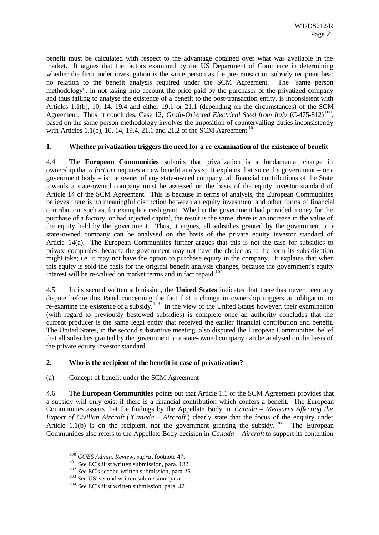benefit must be calculated with respect to the advantage obtained over what was available in the market. It argues that the factors examined by the US Department of Commerce in determining whether the firm under investigation is the same person as the pre-transaction subsidy recipient bear no relation to the benefit analysis required under the SCM Agreement. The "same person methodology", in not taking into account the price paid by the purchaser of the privatized company and thus failing to analyse the existence of a benefit to the post-transaction entity, is inconsistent with Articles 1.1(b), 10, 14, 19.4 and either 19.1 or 21.1 (depending on the circumstances) of the SCM Agreement. Thus, it concludes, Case 12, *Grain-Oriented Electrical Steel from Italy* (C-475-812)<sup>100</sup>, based on the same person methodology involves the imposition of countervailing duties inconsistently with Articles 1.1(b), 10, 14, 19.4, 21.1 and 21.2 of the SCM Agreement.<sup>101</sup>

# **1. Whether privatization triggers the need for a re-examination of the existence of benefit**

4.4 The **European Communities** submits that privatization is a fundamental change in ownership that *a fortiori* requires a new benefit analysis. It explains that since the government – or a government body – is the owner of any state-owned company, all financial contributions of the State towards a state-owned company must be assessed on the basis of the equity investor standard of Article 14 of the SCM Agreement. This is because in terms of analysis, the European Communities believes there is no meaningful distinction between an equity investment and other forms of financial contribution, such as, for example a cash grant. Whether the government had provided money for the purchase of a factory, or had injected capital, the result is the same; there is an increase in the value of the equity held by the government. Thus, it argues, all subsidies granted by the government to a state-owned company can be analysed on the basis of the private equity investor standard of Article 14(a). The European Communities further argues that this is not the case for subsidies to private companies, because the government may not have the choice as to the form its subsidization might take; i.e. it may not have the option to purchase equity in the company. It explains that when this equity is sold the basis for the original benefit analysis changes, because the government's equity interest will be re-valued on market terms and in fact repaid.<sup>102</sup>

4.5 In its second written submission, the **United States** indicates that there has never been any dispute before this Panel concerning the fact that a change in ownership triggers an obligation to re-examine the existence of a subsidy.<sup>103</sup> In the view of the United States however, their examination (with regard to previously bestowed subsidies) is complete once an authority concludes that the current producer is the same legal entity that received the earlier financial contribution and benefit. The United States, in the second substantive meeting, also disputed the European Communities' belief that all subsidies granted by the government to a state-owned company can be analysed on the basis of the private equity investor standard..

#### **2. Who is the recipient of the benefit in case of privatization?**

(a) Concept of benefit under the SCM Agreement

4.6 The **European Communities** points out that Article 1.1 of the SCM Agreement provides that a subsidy will only exist if there is a financial contribution which confers a benefit. The European Communities asserts that the findings by the Appellate Body in *Canada – Measures Affecting the Export of Civilian Aircraft* ("*Canada – Aircraft*") clearly state that the focus of the enquiry under Article 1.1(b) is on the recipient, not the government granting the subsidy. <sup>104</sup> The European Communities also refers to the Appellate Body decision in *Canada – Aircraft* to support its contention

<sup>100</sup> *GOES Admin. Review, supra*, footnote 47.

<sup>101</sup> *See* EC's first written submission, para. 132.

<sup>&</sup>lt;sup>102</sup> *See* EC's second written submission, para.26.

<sup>103</sup> *See* US' second written submission, para. 11.

<sup>104</sup> *See* EC's first written submission, para. 42.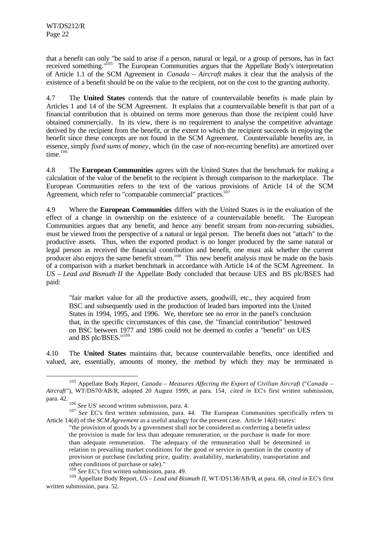l

that a benefit can only "be said to arise if a person, natural or legal, or a group of persons, has in fact received something."<sup>105</sup> The European Communities argues that the Appellate Body's interpretation of Article 1.1 of the SCM Agreement in *Canada – Aircraft* makes it clear that the analysis of the existence of a benefit should be on the value to the recipient, not on the cost to the granting authority.

4.7 The **United States** contends that the nature of countervailable benefits is made plain by Articles 1 and 14 of the SCM Agreement. It explains that a countervailable benefit is that part of a financial contribution that is obtained on terms more generous than those the recipient could have obtained commercially. In its view, there is no requirement to analyse the competitive advantage derived by the recipient from the benefit, or the extent to which the recipient succeeds in enjoying the benefit since these concepts are not found in the SCM Agreement. Countervailable benefits are, in essence, simply *fixed sums of money*, which (in the case of non-recurring benefits) are amortized over time. $106$ 

4.8 The **European Communities** agrees with the United States that the benchmark for making a calculation of the value of the benefit to the recipient is through comparison to the marketplace. The European Communities refers to the text of the various provisions of Article 14 of the SCM Agreement, which refer to "comparable commercial" practices.<sup>107</sup>

4.9 Where the **European Communities** differs with the United States is in the evaluation of the effect of a change in ownership on the existence of a countervailable benefit. The European Communities argues that any benefit, and hence any benefit stream from non-recurring subsidies, must be viewed from the perspective of a natural or legal person. The benefit does not "attach" to the productive assets. Thus, when the exported product is no longer produced by the same natural or legal person as received the financial contribution and benefit, one must ask whether the current producer also enjoys the same benefit stream.<sup>108</sup> This new benefit analysis must be made on the basis of a comparison with a market benchmark in accordance with Article 14 of the SCM Agreement. In *US – Lead and Bismuth II* the Appellate Body concluded that because UES and BS plc/BSES had paid:

"fair market value for all the productive assets, goodwill, etc., they acquired from BSC and subsequently used in the production of leaded bars imported into the United States in 1994, 1995, and 1996. We, therefore see no error in the panel's conclusion that, in the specific circumstances of this case, the "financial contribution" bestowed on BSC between 1977 and 1986 could not be deemed to confer a "benefit" on UES and BS plc/BSES."<sup>109</sup>

4.10 The **United States** maintains that, because countervailable benefits, once identified and valued, are, essentially, amounts of money, the method by which they may be terminated is

<sup>105</sup> Appellate Body Report, *Canada – Measures Affecting the Export of Civilian Aircraft* ("*Canada – Aircraft*"), WT/DS70/AB/R, adopted 20 August 1999, at para. 154, *cited in* EC's first written submission, para. 42.

<sup>106</sup> *See* US' second written submission, para. 4.

<sup>&</sup>lt;sup>107</sup> See EC's first written submission, para. 44. The European Communities specifically refers to Article 14(d) of the *SCM Agreement* as a useful analogy for the present case. Article 14(d) states:

<sup>&</sup>quot;the provision of goods by a government shall not be considered as conferring a benefit unless the provision is made for less than adequate remuneration, or the purchase is made for more than adequate remuneration. The adequacy of the remuneration shall be determined in relation to prevailing market conditions for the good or service in question in the country of provision or purchase (including price, quality, availability, marketability, transportation and other conditions of purchase or sale)."

<sup>108</sup> *See* EC's first written submission, para. 49.

<sup>109</sup> Appellate Body Report, *US – Lead and Bismuth II,* WT/DS138/AB/R*,* at para. 68, *cited in* EC's first written submission, para. 52.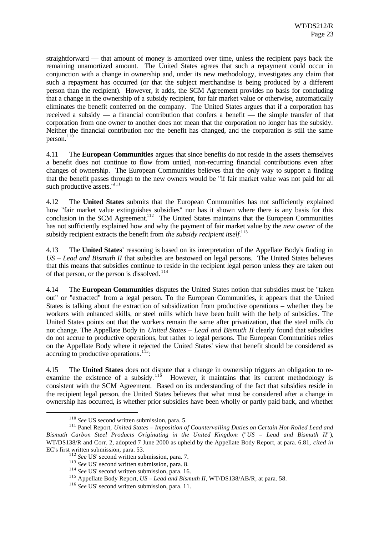straightforward — that amount of money is amortized over time, unless the recipient pays back the remaining unamortized amount. The United States agrees that such a repayment could occur in conjunction with a change in ownership and, under its new methodology, investigates any claim that such a repayment has occurred (or that the subject merchandise is being produced by a different person than the recipient). However, it adds, the SCM Agreement provides no basis for concluding that a change in the ownership of a subsidy recipient, for fair market value or otherwise, automatically eliminates the benefit conferred on the company. The United States argues that if a corporation has received a subsidy — a financial contribution that confers a benefit — the simple transfer of that corporation from one owner to another does not mean that the corporation no longer has the subsidy. Neither the financial contribution nor the benefit has changed, and the corporation is still the same person. 110

4.11 The **European Communities** argues that since benefits do not reside in the assets themselves a benefit does not continue to flow from untied, non-recurring financial contributions even after changes of ownership. The European Communities believes that the only way to support a finding that the benefit passes through to the new owners would be "if fair market value was not paid for all such productive assets. $"$ <sup>111</sup>

4.12 The **United States** submits that the European Communities has not sufficiently explained how "fair market value extinguishes subsidies" nor has it shown where there is any basis for this conclusion in the SCM Agreement.<sup>112</sup> The United States maintains that the European Communities has not sufficiently explained how and why the payment of fair market value by the *new owner* of the subsidy recipient extracts the benefit from *the subsidy recipient itself*.<sup>113</sup>

4.13 The **United States'** reasoning is based on its interpretation of the Appellate Body's finding in *US – Lead and Bismuth II* that subsidies are bestowed on legal persons. The United States believes that this means that subsidies continue to reside in the recipient legal person unless they are taken out of that person, or the person is dissolved. <sup>114</sup>

4.14 The **European Communities** disputes the United States notion that subsidies must be "taken out" or "extracted" from a legal person. To the European Communities, it appears that the United States is talking about the extraction of subsidization from productive operations – whether they be workers with enhanced skills, or steel mills which have been built with the help of subsidies. The United States points out that the workers remain the same after privatization, that the steel mills do not change. The Appellate Body in *United States – Lead and Bismuth II* clearly found that subsidies do not accrue to productive operations, but rather to legal persons. The European Communities relies on the Appellate Body where it rejected the United States' view that benefit should be considered as accruing to productive operations.<sup>115</sup>:

4.15 The **United States** does not dispute that a change in ownership triggers an obligation to re-<br>examine the existence of a subsidy.<sup>116</sup> However, it maintains that its current methodology is However, it maintains that its current methodology is consistent with the SCM Agreement. Based on its understanding of the fact that subsidies reside in the recipient legal person, the United States believes that what must be considered after a change in ownership has occurred, is whether prior subsidies have been wholly or partly paid back, and whether

<sup>110</sup> *See* US second written submission, para. 5.

<sup>111</sup> Panel Report, *United States – Imposition of Countervailing Duties on Certain Hot-Rolled Lead and Bismuth Carbon Steel Products Originating in the United Kingdom* ("*US – Lead and Bismuth II*")*,* WT/DS138/R and Corr. 2, adopted 7 June 2000 as upheld by the Appellate Body Report, at para. 6.81, *cited in* EC's first written submission, para. 53.

<sup>112</sup> *See* US' second written submission, para. 7.

<sup>&</sup>lt;sup>113</sup> See US' second written submission, para. 8.

<sup>&</sup>lt;sup>114</sup> See US' second written submission, para. 16.

<sup>115</sup> Appellate Body Report, *US – Lead and Bismuth II,* WT/DS138/AB/R, at para. 58.

<sup>116</sup> *See* US' second written submission, para. 11.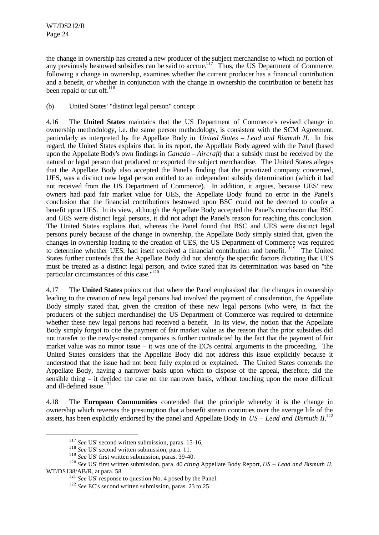the change in ownership has created a new producer of the subject merchandise to which no portion of any previously bestowed subsidies can be said to accrue.<sup>117</sup> Thus, the US Department of Commerce, following a change in ownership, examines whether the current producer has a financial contribution and a benefit, or whether in conjunction with the change in ownership the contribution or benefit has been repaid or cut off. $118$ 

(b) United States' "distinct legal person" concept

4.16 The **United States** maintains that the US Department of Commerce's revised change in ownership methodology, i.e. the same person methodology, is consistent with the SCM Agreement, particularly as interpreted by the Appellate Body in *United States – Lead and Bismuth II*. In this regard, the United States explains that, in its report, the Appellate Body agreed with the Panel (based upon the Appellate Body's own findings in *Canada – Aircraft*) that a subsidy must be received by the natural or legal person that produced or exported the subject merchandise. The United States alleges that the Appellate Body also accepted the Panel's finding that the privatized company concerned, UES, was a distinct new legal person entitled to an independent subsidy determination (which it had not received from the US Department of Commerce). In addition, it argues, because UES' new owners had paid fair market value for UES, the Appellate Body found no error in the Panel's conclusion that the financial contributions bestowed upon BSC could not be deemed to confer a benefit upon UES. In its view, although the Appellate Body accepted the Panel's conclusion that BSC and UES were distinct legal persons, it did not adopt the Panel's reason for reaching this conclusion. The United States explains that, whereas the Panel found that BSC and UES were distinct legal persons purely because of the change in ownership, the Appellate Body simply stated that, given the changes in ownership leading to the creation of UES, the US Department of Commerce was required to determine whether UES, had itself received a financial contribution and benefit. <sup>119</sup> The United States further contends that the Appellate Body did not identify the specific factors dictating that UES must be treated as a distinct legal person, and twice stated that its determination was based on "the particular circumstances of this case."<sup>120</sup>

4.17 The **United States** points out that where the Panel emphasized that the changes in ownership leading to the creation of new legal persons had involved the payment of consideration, the Appellate Body simply stated that, given the creation of these new legal persons (who were, in fact the producers of the subject merchandise) the US Department of Commerce was required to determine whether these new legal persons had received a benefit. In its view, the notion that the Appellate Body simply forgot to cite the payment of fair market value as the reason that the prior subsidies did not transfer to the newly-created companies is further contradicted by the fact that the payment of fair market value was no minor issue – it was one of the EC's central arguments in the proceeding. The United States considers that the Appellate Body did not address this issue explicitly because it understood that the issue had not been fully explored or explained. The United States contends the Appellate Body, having a narrower basis upon which to dispose of the appeal, therefore, did the sensible thing – it decided the case on the narrower basis, without touching upon the more difficult and ill-defined issue.<sup>121</sup>

4.18 The **European Communities** contended that the principle whereby it is the change in ownership which reverses the presumption that a benefit stream continues over the average life of the assets, has been explicitly endorsed by the panel and Appellate Body in  $US - Lead$  and Bismuth II.<sup>122</sup>

<sup>117</sup> *See* US' second written submission, paras. 15-16*.*

<sup>&</sup>lt;sup>118</sup> *See* US' second written submission, para. 11.

<sup>&</sup>lt;sup>119</sup> See US' first written submission, paras. 39-40.

<sup>120</sup> *See* US' first written submission, para. 40 *citing* Appellate Body Report, *US – Lead and Bismuth II,* WT/DS138/AB/R, at para. 58.

<sup>&</sup>lt;sup>121</sup> See US' response to question No. 4 posed by the Panel.

<sup>122</sup> *See* EC's second written submission, paras. 23 to 25.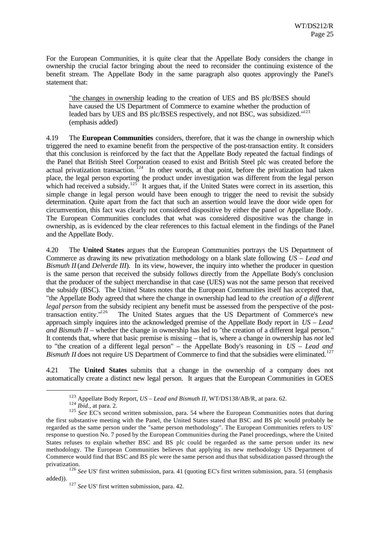For the European Communities, it is quite clear that the Appellate Body considers the change in ownership the crucial factor bringing about the need to reconsider the continuing existence of the benefit stream. The Appellate Body in the same paragraph also quotes approvingly the Panel's statement that:

"the changes in ownership leading to the creation of UES and BS plc/BSES should have caused the US Department of Commerce to examine whether the production of leaded bars by UES and BS plc/BSES respectively, and not BSC, was subsidized."<sup>123</sup> (emphasis added)

4.19 The **European Communities** considers, therefore, that it was the change in ownership which triggered the need to examine benefit from the perspective of the post-transaction entity. It considers that this conclusion is reinforced by the fact that the Appellate Body repeated the factual findings of the Panel that British Steel Corporation ceased to exist and British Steel plc was created before the actual privatization transaction.  $124$  In other words, at that point, before the privatization had taken place, the legal person exporting the product under investigation was different from the legal person which had received a subsidy.<sup>125</sup> It argues that, if the United States were correct in its assertion, this simple change in legal person would have been enough to trigger the need to revisit the subsidy determination. Quite apart from the fact that such an assertion would leave the door wide open for circumvention, this fact was clearly not considered dispositive by either the panel or Appellate Body. The European Communities concludes that what was considered dispositive was the change in ownership, as is evidenced by the clear references to this factual element in the findings of the Panel and the Appellate Body.

4.20 The **United States** argues that the European Communities portrays the US Department of Commerce as drawing its new privatization methodology on a blank slate following *US – Lead and Bismuth II* (and *Delverde III*). In its view, however, the inquiry into whether the producer in question is the same person that received the subsidy follows directly from the Appellate Body's conclusion that the producer of the subject merchandise in that case (UES) was not the same person that received the subsidy (BSC). The United States notes that the European Communities itself has accepted that, "the Appellate Body agreed that where the change in ownership had lead to *the creation of a different legal person* from the subsidy recipient any benefit must be assessed from the perspective of the post-<br>transaction entity."<sup>126</sup> The United States argues that the US Department of Commerce's new The United States argues that the US Department of Commerce's new approach simply inquires into the acknowledged premise of the Appellate Body report in *US – Lead and Bismuth II* – whether the change in ownership has led to "the creation of a different legal person." It contends that, where that basic premise is missing – that is, where a change in ownership has *not* led to "the creation of a different legal person" – the Appellate Body's reasoning in *US – Lead and Bismuth II* does not require US Department of Commerce to find that the subsidies were eliminated.<sup>127</sup>

4.21 The **United States** submits that a change in the ownership of a company does not automatically create a distinct new legal person. It argues that the European Communities in GOES

<sup>123</sup> Appellate Body Report, *US – Lead and Bismuth II,* WT/DS138/AB/R, at para. 62.

<sup>124</sup> *Ibid.,* at para. 2.

<sup>&</sup>lt;sup>125</sup> See EC's second written submission, para. 54 where the European Communities notes that during the first substantive meeting with the Panel, the United States stated that BSC and BS plc would probably be regarded as the same person under the "same person methodology". The European Communities refers to US' response to question No. 7 posed by the European Communities during the Panel proceedings, where the United States refuses to explain whether BSC and BS plc could be regarded as the same person under its new methodology. The European Communities believes that applying its new methodology US Department of Commerce would find that BSC and BS plc were the same person and thus that subsidization passed through the privatization.

<sup>&</sup>lt;sup>126</sup> See US' first written submission, para. 41 (quoting EC's first written submission, para. 51 (emphasis added)).

<sup>&</sup>lt;sup>127</sup> See US' first written submission, para. 42.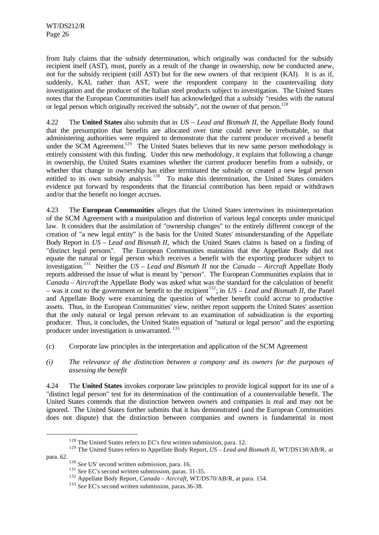from Italy claims that the subsidy determination, which originally was conducted for the subsidy recipient itself (AST), must, purely as a result of the change in ownership, now be conducted anew, not for the subsidy recipient (still AST) but for the new owners of that recipient (KAI). It is as if, suddenly, KAI, rather than AST, were the respondent company in the countervailing duty investigation and the producer of the Italian steel products subject to investigation. The United States notes that the European Communities itself has acknowledged that a subsidy "resides with the natural or legal person which originally received the subsidy", not the owner of that person.<sup>128</sup>

4.22 The **United States** also submits that in *US – Lead and Bismuth II*, the Appellate Body found that the presumption that benefits are allocated over time could never be irrebuttable, so that administering authorities were required to demonstrate that the current producer received a benefit under the SCM Agreement.<sup>129</sup> The United States believes that its new same person methodology is entirely consistent with this finding. Under this new methodology, it explains that following a change in ownership, the United States examines whether the current producer benefits from a subsidy, or whether that change in ownership has either terminated the subsidy or created a new legal person entitled to its own subsidy analysis.<sup>130</sup> To make this determination, the United States considers evidence put forward by respondents that the financial contribution has been repaid or withdrawn and/or that the benefit no longer accrues.

4.23 The **European Communities** alleges that the United States intertwines its misinterpretation of the SCM Agreement with a manipulation and distortion of various legal concepts under municipal law. It considers that the assimilation of "ownership changes" to the entirely different concept of the creation of "a new legal entity" is the basis for the United States' misunderstanding of the Appellate Body Report in *US – Lead and Bismuth II,* which the United States claims is based on a finding of "distinct legal persons". The European Communities maintains that the Appellate Body did not equate the natural or legal person which receives a benefit with the exporting producer subject to investigation.<sup>131</sup> Neither the *US – Lead and Bismuth II* nor the *Canada – Aircraft* Appellate Body reports addressed the issue of what is meant by "person". The European Communities explains that in *Canada – Aircraft* the Appellate Body was asked what was the standard for the calculation of benefit – was it cost to the government or benefit to the recipient<sup>132</sup>; in  $US - Lead$  and Bismuth II, the Panel and Appellate Body were examining the question of whether benefit could accrue to productive assets. Thus, in the European Communities' view, neither report supports the United States' assertion that the only natural or legal person relevant to an examination of subsidization is the exporting producer. Thus, it concludes, the United States equation of "natural or legal person" and the exporting producer under investigation is unwarranted. <sup>133</sup>

- (c) Corporate law principles in the interpretation and application of the SCM Agreement
- *(i) The relevance of the distinction between a company and its owners for the purposes of assessing the benefit*

4.24 The **United States** invokes corporate law principles to provide logical support for its use of a "distinct legal person" test for its determination of the continuation of a countervailable benefit. The United States contends that the distinction between owners and companies is real and may not be ignored. The United States further submits that it has demonstrated (and the European Communities does not dispute) that the distinction between companies and owners is fundamental in most

<sup>&</sup>lt;sup>128</sup> The United States refers to EC's first written submission, para. 12.

<sup>129</sup> The United States refers to Appellate Body Report, *US – Lead and Bismuth II,* WT/DS138/AB/R, at para. 62.

<sup>130</sup> *See* US' second written submission, para. 16.

<sup>&</sup>lt;sup>131</sup> *See* EC's second written submission, paras. 31-35.

<sup>132</sup> Appellate Body Report, *Canada – Aircraft,* WT/DS70/AB/R, at para. 154.

<sup>&</sup>lt;sup>133</sup> See EC's second written submission, paras. 36-38.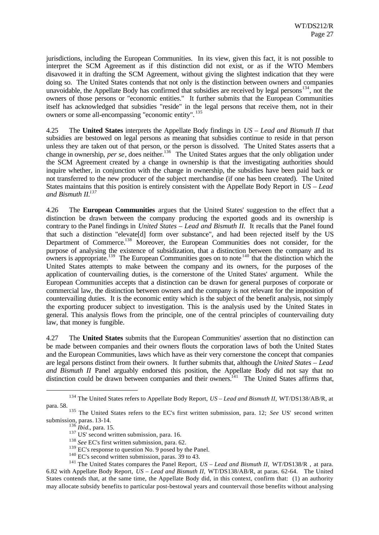jurisdictions, including the European Communities. In its view, given this fact, it is not possible to interpret the SCM Agreement as if this distinction did not exist, or as if the WTO Members disavowed it in drafting the SCM Agreement, without giving the slightest indication that they were doing so. The United States contends that not only is the distinction between owners and companies unavoidable, the Appellate Body has confirmed that subsidies are received by legal persons<sup>134</sup>, not the owners of those persons or "economic entities." It further submits that the European Communities itself has acknowledged that subsidies "reside" in the legal persons that receive them, not in their owners or some all-encompassing "economic entity". <sup>135</sup>

4.25 The **United States** interprets the Appellate Body findings in *US – Lead and Bismuth II* that subsidies are bestowed on legal persons as meaning that subsidies continue to reside in that person unless they are taken out of that person, or the person is dissolved. The United States asserts that a change in ownership, *per se*, does neither.<sup>136</sup> The United States argues that the only obligation under the SCM Agreement created by a change in ownership is that the investigating authorities should inquire whether, in conjunction with the change in ownership, the subsidies have been paid back or not transferred to the new producer of the subject merchandise (if one has been created). The United States maintains that this position is entirely consistent with the Appellate Body Report in *US – Lead and Bismuth II.<sup>137</sup>*

4.26 The **European Communities** argues that the United States' suggestion to the effect that a distinction be drawn between the company producing the exported goods and its ownership is contrary to the Panel findings in *United States – Lead and Bismuth II.* It recalls that the Panel found that such a distinction "elevate[d] form over substance", and had been rejected itself by the US Department of Commerce.<sup>138</sup> Moreover, the European Communities does not consider, for the purpose of analysing the existence of subsidization, that a distinction between the company and its owners is appropriate.<sup>139</sup> The European Communities goes on to note  $140$  that the distinction which the United States attempts to make between the company and its owners, for the purposes of the application of countervailing duties, is the cornerstone of the United States' argument. While the European Communities accepts that a distinction can be drawn for general purposes of corporate or commercial law, the distinction between owners and the company is not relevant for the imposition of countervailing duties. It is the economic entity which is the subject of the benefit analysis, not simply the exporting producer subject to investigation. This is the analysis used by the United States in general. This analysis flows from the principle, one of the central principles of countervailing duty law, that money is fungible.

4.27 The **United States** submits that the European Communities' assertion that no distinction can be made between companies and their owners flouts the corporation laws of both the United States and the European Communities, laws which have as their very cornerstone the concept that companies are legal persons distinct from their owners. It further submits that, although the *United States – Lead and Bismuth II* Panel arguably endorsed this position, the Appellate Body did not say that no distinction could be drawn between companies and their owners.<sup>141</sup> The United States affirms that,

<sup>134</sup> The United States refers to Appellate Body Report, *US – Lead and Bismuth II,* WT/DS138/AB/R, at para. 58.

<sup>&</sup>lt;sup>135</sup> The United States refers to the EC's first written submission, para. 12; *See* US' second written submission, paras. 13-14.

<sup>136</sup> *Ibid.*, para. 15.

<sup>&</sup>lt;sup>137</sup> US' second written submission, para. 16.

<sup>138</sup> *See* EC's first written submission, para. 62.

 $^{139}$  EC's response to question No. 9 posed by the Panel.

<sup>&</sup>lt;sup>140</sup> EC's second written submission, paras. 39 to 43.

<sup>&</sup>lt;sup>141</sup> The United States compares the Panel Report, *US – Lead and Bismuth II*, WT/DS138/R, at para. 6.82 with Appellate Body Report, *US – Lead and Bismuth II,* WT/DS138/AB/R, at paras. 62-64. The United States contends that, at the same time, the Appellate Body did, in this context, confirm that: (1) an authority may allocate subsidy benefits to particular post-bestowal years and countervail those benefits without analysing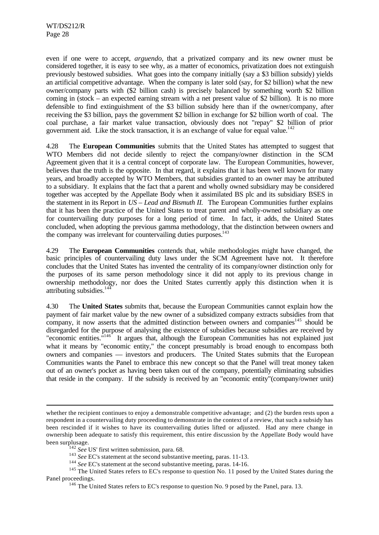even if one were to accept, *arguendo,* that a privatized company and its new owner must be considered together, it is easy to see why, as a matter of economics, privatization does not extinguish previously bestowed subsidies. What goes into the company initially (say a \$3 billion subsidy) yields an artificial competitive advantage. When the company is later sold (say, for \$2 billion) what the new owner/company parts with (\$2 billion cash) is precisely balanced by something worth \$2 billion coming in (stock – an expected earning stream with a net present value of \$2 billion). It is no more defensible to find extinguishment of the \$3 billion subsidy here than if the owner/company, after receiving the \$3 billion, pays the government \$2 billion in exchange for \$2 billion worth of coal. The coal purchase, a fair market value transaction, obviously does not "repay" \$2 billion of prior government aid. Like the stock transaction, it is an exchange of value for equal value.<sup>142</sup>

4.28 The **European Communities** submits that the United States has attempted to suggest that WTO Members did not decide silently to reject the company/owner distinction in the SCM Agreement given that it is a central concept of corporate law. The European Communities, however, believes that the truth is the opposite. In that regard, it explains that it has been well known for many years, and broadly accepted by WTO Members, that subsidies granted to an owner may be attributed to a subsidiary. It explains that the fact that a parent and wholly owned subsidiary may be considered together was accepted by the Appellate Body when it assimilated BS plc and its subsidiary BSES in the statement in its Report in *US – Lead and Bismuth II.* The European Communities further explains that it has been the practice of the United States to treat parent and wholly-owned subsidiary as one for countervailing duty purposes for a long period of time. In fact, it adds, the United States concluded, when adopting the previous gamma methodology, that the distinction between owners and the company was irrelevant for countervailing duties purposes. $143$ 

4.29 The **European Communities** contends that, while methodologies might have changed, the basic principles of countervailing duty laws under the SCM Agreement have not. It therefore concludes that the United States has invented the centrality of its company/owner distinction only for the purposes of its same person methodology since it did not apply to its previous change in ownership methodology, nor does the United States currently apply this distinction when it is attributing subsidies. $14$ 

4.30 The **United States** submits that, because the European Communities cannot explain how the payment of fair market value by the new owner of a subsidized company extracts subsidies from that company, it now asserts that the admitted distinction between owners and companies<sup>145</sup> should be disregarded for the purpose of analysing the existence of subsidies because subsidies are received by "economic entities.<sup>"146</sup> It argues that, although the European Communities has not explained just what it means by "economic entity," the concept presumably is broad enough to encompass both owners and companies — investors and producers. The United States submits that the European Communities wants the Panel to embrace this new concept so that the Panel will treat money taken out of an owner's pocket as having been taken out of the company, potentially eliminating subsidies that reside in the company. If the subsidy is received by an "economic entity"(company/owner unit)

whether the recipient continues to enjoy a demonstrable competitive advantage; and (2) the burden rests upon a respondent in a countervailing duty proceeding to demonstrate in the context of a review, that such a subsidy has been rescinded if it wishes to have its countervailing duties lifted or adjusted. Had any mere change in ownership been adequate to satisfy this requirement, this entire discussion by the Appellate Body would have been surplusage.

<sup>&</sup>lt;sup>142</sup> *See* US' first written submission, para. 68.

<sup>&</sup>lt;sup>143</sup> *See* EC's statement at the second substantive meeting, paras. 11-13.

<sup>&</sup>lt;sup>144</sup> See EC's statement at the second substantive meeting, paras. 14-16.

<sup>&</sup>lt;sup>145</sup> The United States refers to EC's response to question No. 11 posed by the United States during the Panel proceedings.

<sup>&</sup>lt;sup>146</sup> The United States refers to EC's response to question No. 9 posed by the Panel, para. 13.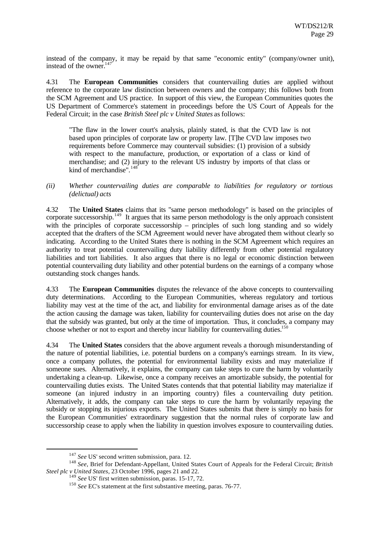instead of the company, it may be repaid by that same "economic entity" (company/owner unit), instead of the owner. $147$ 

4.31 The **European Communities** considers that countervailing duties are applied without reference to the corporate law distinction between owners and the company; this follows both from the SCM Agreement and US practice. In support of this view, the European Communities quotes the US Department of Commerce's statement in proceedings before the US Court of Appeals for the Federal Circuit; in the case *British Steel plc v United States* as follows:

"The flaw in the lower court's analysis, plainly stated, is that the CVD law is not based upon principles of corporate law or property law. [T]he CVD law imposes two requirements before Commerce may countervail subsidies: (1) provision of a subsidy with respect to the manufacture, production, or exportation of a class or kind of merchandise; and (2) injury to the relevant US industry by imports of that class or kind of merchandise".<sup>148</sup>

*(ii) Whether countervailing duties are comparable to liabilities for regulatory or tortious (delictual) acts*

4.32 The **United States** claims that its "same person methodology" is based on the principles of corporate successorship.<sup>149</sup> It argues that its same person methodology is based on the principles of corporate successorship.<sup>149</sup> with the principles of corporate successorship – principles of such long standing and so widely accepted that the drafters of the SCM Agreement would never have abrogated them without clearly so indicating. According to the United States there is nothing in the SCM Agreement which requires an authority to treat potential countervailing duty liability differently from other potential regulatory liabilities and tort liabilities. It also argues that there is no legal or economic distinction between potential countervailing duty liability and other potential burdens on the earnings of a company whose outstanding stock changes hands.

4.33 The **European Communities** disputes the relevance of the above concepts to countervailing duty determinations. According to the European Communities, whereas regulatory and tortious liability may vest at the time of the act, and liability for environmental damage arises as of the date the action causing the damage was taken, liability for countervailing duties does not arise on the day that the subsidy was granted, but only at the time of importation. Thus, it concludes, a company may choose whether or not to export and thereby incur liability for countervailing duties.<sup>150</sup>

4.34 The **United States** considers that the above argument reveals a thorough misunderstanding of the nature of potential liabilities, i.e. potential burdens on a company's earnings stream. In its view, once a company pollutes, the potential for environmental liability exists and may materialize if someone sues. Alternatively, it explains, the company can take steps to cure the harm by voluntarily undertaking a clean-up. Likewise, once a company receives an amortizable subsidy, the potential for countervailing duties exists. The United States contends that that potential liability may materialize if someone (an injured industry in an importing country) files a countervailing duty petition. Alternatively, it adds, the company can take steps to cure the harm by voluntarily repaying the subsidy or stopping its injurious exports. The United States submits that there is simply no basis for the European Communities' extraordinary suggestion that the normal rules of corporate law and successorship cease to apply when the liability in question involves exposure to countervailing duties.

<sup>&</sup>lt;sup>147</sup> *See* US' second written submission, para. 12.

<sup>148</sup> *See*, Brief for Defendant-Appellant, United States Court of Appeals for the Federal Circuit; *British Steel plc v United States*, 23 October 1996, pages 21 and 22.

<sup>&</sup>lt;sup>149</sup> See US' first written submission, paras. 15-17, 72.

<sup>150</sup> *See* EC's statement at the first substantive meeting, paras. 76-77.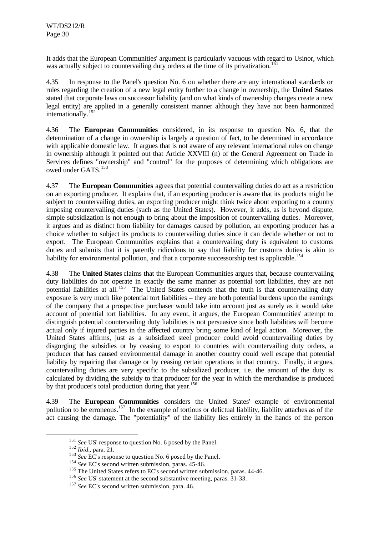It adds that the European Communities' argument is particularly vacuous with regard to Usinor, which was actually subject to countervailing duty orders at the time of its privatization.<sup>151</sup>

4.35 In response to the Panel's question No. 6 on whether there are any international standards or rules regarding the creation of a new legal entity further to a change in ownership, the **United States** stated that corporate laws on successor liability (and on what kinds of ownership changes create a new legal entity) are applied in a generally consistent manner although they have not been harmonized internationally.<sup>152</sup>

4.36 The **European Communities** considered, in its response to question No. 6, that the determination of a change in ownership is largely a question of fact, to be determined in accordance with applicable domestic law. It argues that is not aware of any relevant international rules on change in ownership although it pointed out that Article XXVIII (n) of the General Agreement on Trade in Services defines "ownership" and "control" for the purposes of determining which obligations are owed under GATS.<sup>153</sup>

4.37 The **European Communities** agrees that potential countervailing duties do act as a restriction on an exporting producer. It explains that, if an exporting producer is aware that its products might be subject to countervailing duties, an exporting producer might think twice about exporting to a country imposing countervailing duties (such as the United States). However, it adds, as is beyond dispute, simple subsidization is not enough to bring about the imposition of countervailing duties. Moreover, it argues and as distinct from liability for damages caused by pollution, an exporting producer has a choice whether to subject its products to countervailing duties since it can decide whether or not to export. The European Communities explains that a countervailing duty is equivalent to customs duties and submits that it is patently ridiculous to say that liability for customs duties is akin to liability for environmental pollution, and that a corporate successorship test is applicable.<sup>154</sup>

4.38 The **United States** claims that the European Communities argues that, because countervailing duty liabilities do not operate in exactly the same manner as potential tort liabilities, they are not potential liabilities at all.<sup>155</sup> The United States contends that the truth is that countervailing duty exposure is very much like potential tort liabilities – they are both potential burdens upon the earnings of the company that a prospective purchaser would take into account just as surely as it would take account of potential tort liabilities. In any event, it argues, the European Communities' attempt to distinguish potential countervailing duty liabilities is not persuasive since both liabilities will become actual only if injured parties in the affected country bring some kind of legal action. Moreover, the United States affirms, just as a subsidized steel producer could avoid countervailing duties by disgorging the subsidies or by ceasing to export to countries with countervailing duty orders, a producer that has caused environmental damage in another country could well escape that potential liability by repairing that damage or by ceasing certain operations in that country. Finally, it argues, countervailing duties are very specific to the subsidized producer, i.e. the amount of the duty is calculated by dividing the subsidy to that producer for the year in which the merchandise is produced by that producer's total production during that year.<sup>156</sup>

4.39 The **European Communities** considers the United States' example of environmental pollution to be erroneous.<sup>157</sup> In the example of tortious or delictual liability, liability attaches as of the act causing the damage. The "potentiality" of the liability lies entirely in the hands of the person

<sup>&</sup>lt;sup>151</sup> *See* US' response to question No. 6 posed by the Panel.

<sup>152</sup> *Ibid.*, para. 21.

<sup>&</sup>lt;sup>153</sup> *See* EC's response to question No. 6 posed by the Panel.

<sup>&</sup>lt;sup>154</sup> See EC's second written submission, paras. 45-46.

<sup>&</sup>lt;sup>155</sup> The United States refers to EC's second written submission, paras. 44-46.

<sup>156</sup> *See* US' statement at the second substantive meeting, paras. 31-33.

<sup>&</sup>lt;sup>157</sup> See EC's second written submission, para. 46.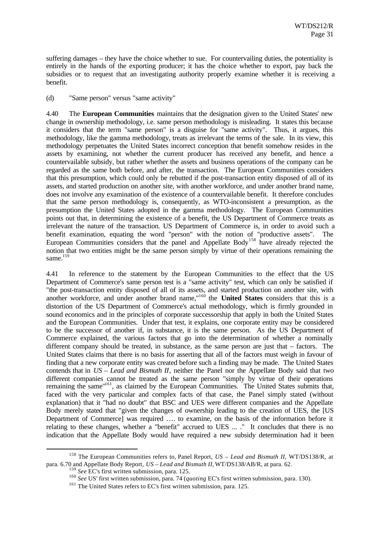suffering damages – they have the choice whether to sue. For countervailing duties, the potentiality is entirely in the hands of the exporting producer; it has the choice whether to export, pay back the subsidies or to request that an investigating authority properly examine whether it is receiving a benefit.

(d) "Same person" versus "same activity"

4.40 The **European Communities** maintains that the designation given to the United States' new change in ownership methodology, i.e. same person methodology is misleading. It states this because it considers that the term "same person" is a disguise for "same activity". Thus, it argues, this methodology, like the gamma methodology, treats as irrelevant the terms of the sale. In its view, this methodology perpetuates the United States incorrect conception that benefit somehow resides in the assets by examining, not whether the current producer has received any benefit, and hence a countervailable subsidy, but rather whether the assets and business operations of the company can be regarded as the same both before, and after, the transaction. The European Communities considers that this presumption, which could only be rebutted if the post-transaction entity disposed of all of its assets, and started production on another site, with another workforce, and under another brand name, does not involve any examination of the existence of a countervailable benefit. It therefore concludes that the same person methodology is, consequently, as WTO-inconsistent a presumption, as the presumption the United States adopted in the gamma methodology. The European Communities points out that, in determining the existence of a benefit, the US Department of Commerce treats as irrelevant the nature of the transaction. US Department of Commerce is, in order to avoid such a benefit examination, equating the word "person" with the notion of "productive assets". The European Communities considers that the panel and Appellate Body<sup>158</sup> have already rejected the notion that two entities might be the same person simply by virtue of their operations remaining the same. 159

4.41 In reference to the statement by the European Communities to the effect that the US Department of Commerce's same person test is a "same activity" test, which can only be satisfied if "the post-transaction entity disposed of all of its assets, and started production on another site, with another workforce, and under another brand name,"<sup>160</sup> the **United States** considers that this is a distortion of the US Department of Commerce's actual methodology, which is firmly grounded in sound economics and in the principles of corporate successorship that apply in both the United States and the European Communities. Under that test, it explains, one corporate entity may be considered to be the successor of another if, in substance, it is the same person. As the US Department of Commerce explained, the various factors that go into the determination of whether a nominally different company should be treated, in substance, as the same person are just that – factors. The United States claims that there is no basis for asserting that all of the factors must weigh in favour of finding that a new corporate entity was created before such a finding may be made. The United States contends that in *US – Lead and Bismuth II*, neither the Panel nor the Appellate Body said that two different companies cannot be treated as the same person "simply by virtue of their operations remaining the same<sup>"161</sup>, as claimed by the European Communities. The United States submits that, faced with the very particular and complex facts of that case, the Panel simply stated (without explanation) that it "had no doubt" that BSC and UES were different companies and the Appellate Body merely stated that "given the changes of ownership leading to the creation of UES, the [US Department of Commerce] was required …. to examine, on the basis of the information before it relating to these changes, whether a "benefit" accrued to UES ... ." It concludes that there is no indication that the Appellate Body would have required a new subsidy determination had it been

<sup>158</sup> The European Communities refers to*,* Panel Report, *US – Lead and Bismuth II,* WT/DS138/R, at para. 6.70 and Appellate Body Report, *US – Lead and Bismuth II,* WT/DS138/AB/R, at para. 62.

<sup>159</sup> *See* EC's first written submission, para. 125.

<sup>160</sup> *See* US' first written submission, para. 74 (*quoting* EC's first written submission, para. 130).

<sup>&</sup>lt;sup>161</sup> The United States refers to EC's first written submission, para. 125.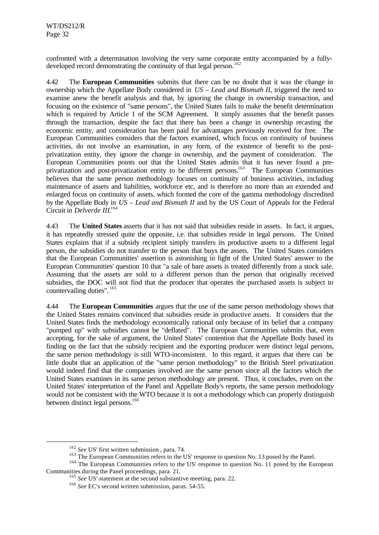confronted with a determination involving the very same corporate entity accompanied by a fullydeveloped record demonstrating the continuity of that legal person.<sup>162</sup>

4.42 The **European Communities** submits that there can be no doubt that it was the change in ownership which the Appellate Body considered in *US – Lead and Bismuth II*, triggered the need to examine anew the benefit analysis and that, by ignoring the change in ownership transaction, and focusing on the existence of "same persons", the United States fails to make the benefit determination which is required by Article 1 of the SCM Agreement. It simply assumes that the benefit passes through the transaction, despite the fact that there has been a change in ownership recasting the economic entity, and consideration has been paid for advantages previously received for free. The European Communities considers that the factors examined, which focus on continuity of business activities, do not involve an examination, in any form, of the existence of benefit to the postprivatization entity, they ignore the change in ownership, and the payment of consideration. The European Communities points out that the United States admits that it has never found a preprivatization and post-privatization entity to be different persons.<sup>163</sup> The European Communities believes that the same person methodology focuses on continuity of business activities, including maintenance of assets and liabilities, workforce etc, and is therefore no more than an extended and enlarged focus on continuity of assets, which formed the core of the gamma methodology discredited by the Appellate Body in *US – Lead and Bismuth II* and by the US Court of Appeals for the Federal Circuit in *Delverde III*. 164

4.43 The **United States** asserts that it has not said that subsidies reside in assets. In fact, it argues, it has repeatedly stressed quite the opposite, i.e. that subsidies reside in legal persons. The United States explains that if a subsidy recipient simply transfers its productive assets to a different legal person, the subsidies do not transfer to the person that buys the assets. The United States considers that the European Communities' assertion is astonishing in light of the United States' answer to the European Communities' question 10 that "a sale of bare assets is treated differently from a stock sale. Assuming that the assets are sold to a different person than the person that originally received subsidies, the DOC will not find that the producer that operates the purchased assets is subject to countervailing duties". <sup>165</sup>

4.44 The **European Communities** argues that the use of the same person methodology shows that the United States remains convinced that subsidies reside in productive assets. It considers that the United States finds the methodology economically rational only because of its belief that a company "pumped up" with subsidies cannot be "deflated". The European Communities submits that, even accepting, for the sake of argument, the United States' contention that the Appellate Body based its finding on the fact that the subsidy recipient and the exporting producer were distinct legal persons, the same person methodology is still WTO-inconsistent. In this regard, it argues that there can be little doubt that an application of the "same person methodology" to the British Steel privatization would indeed find that the companies involved are the same person since all the factors which the United States examines in its same person methodology are present. Thus, it concludes, even on the United States' interpretation of the Panel and Appellate Body's reports, the same person methodology would not be consistent with the WTO because it is not a methodology which can properly distinguish between distinct legal persons.<sup>166</sup>

<sup>162</sup> *See* US' first written submission , para. 74.

<sup>&</sup>lt;sup>163</sup> The European Communities refers to the US' response to question No. 13 posed by the Panel.

<sup>&</sup>lt;sup>164</sup> The European Communities refers to the US' response to question No. 11 posed by the European Communities during the Panel proceedings, para. 21.

<sup>&</sup>lt;sup>165</sup> See US' statement at the second substantive meeting, para. 22.

<sup>&</sup>lt;sup>166</sup> See EC's second written submission, paras. 54-55.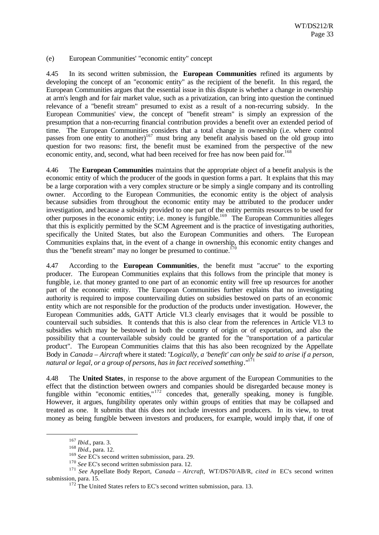### (e) European Communities' "economic entity" concept

4.45 In its second written submission, the **European Communities** refined its arguments by developing the concept of an "economic entity" as the recipient of the benefit. In this regard, the European Communities argues that the essential issue in this dispute is whether a change in ownership at arm's length and for fair market value, such as a privatization, can bring into question the continued relevance of a "benefit stream" presumed to exist as a result of a non-recurring subsidy. In the European Communities' view, the concept of "benefit stream" is simply an expression of the presumption that a non-recurring financial contribution provides a benefit over an extended period of time. The European Communities considers that a total change in ownership (i.e. where control passes from one entity to another)<sup>167</sup> must bring any benefit analysis based on the old group into question for two reasons: first, the benefit must be examined from the perspective of the new economic entity, and, second, what had been received for free has now been paid for.<sup>168</sup>

4.46 The **European Communities** maintains that the appropriate object of a benefit analysis is the economic entity of which the producer of the goods in question forms a part. It explains that this may be a large corporation with a very complex structure or be simply a single company and its controlling owner. According to the European Communities, the economic entity is the object of analysis because subsidies from throughout the economic entity may be attributed to the producer under investigation, and because a subsidy provided to one part of the entity permits resources to be used for other purposes in the economic entity; i.e. money is fungible.<sup>169</sup> The European Communities alleges that this is explicitly permitted by the SCM Agreement and is the practice of investigating authorities, specifically the United States, but also the European Communities and others. The European Communities explains that, in the event of a change in ownership, this economic entity changes and thus the "benefit stream" may no longer be presumed to continue.<sup>1</sup>

4.47 According to the **European Communities**, the benefit must "accrue" to the exporting producer. The European Communities explains that this follows from the principle that money is fungible, i.e. that money granted to one part of an economic entity will free up resources for another part of the economic entity. The European Communities further explains that no investigating authority is required to impose countervailing duties on subsidies bestowed on parts of an economic entity which are not responsible for the production of the products under investigation. However, the European Communities adds, GATT Article VI.3 clearly envisages that it would be possible to countervail such subsidies. It contends that this is also clear from the references in Article VI.3 to subsidies which may be bestowed in both the country of origin or of exportation, and also the possibility that a countervailable subsidy could be granted for the "transportation of a particular product". The European Communities claims that this has also been recognized by the Appellate Body in *Canada – Aircraft* where it stated: "*Logically, a 'benefit' can only be said to arise if a person, natural or legal, or a group of persons, has in fact received something*."<sup>171</sup>

4.48 The **United States**, in response to the above argument of the European Communities to the effect that the distinction between owners and companies should be disregarded because money is fungible within "economic entities,"<sup>172</sup> concedes that, generally speaking, money is fungible. However, it argues, fungibility operates only within groups of entities that may be collapsed and treated as one. It submits that this does not include investors and producers. In its view, to treat money as being fungible between investors and producers, for example, would imply that, if one of

<sup>167</sup> *Ibid.*, para. 3.

<sup>168</sup> *Ibid.*, para. 12.

<sup>&</sup>lt;sup>169</sup> *See* EC's second written submission, para. 29.

<sup>&</sup>lt;sup>170</sup> See EC's second written submission para. 12.

<sup>171</sup> *See* Appellate Body Report, *Canada – Aircraft,* WT/DS70/AB/R, *cited in* EC's second written submission, para. 15.

 $172$ <sup>172</sup> The United States refers to EC's second written submission, para. 13.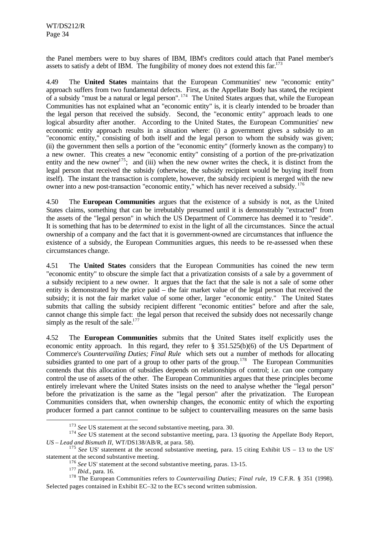the Panel members were to buy shares of IBM, IBM's creditors could attach that Panel member's assets to satisfy a debt of IBM. The fungibility of money does not extend this far.<sup>173</sup>

4.49 The **United States** maintains that the European Communities' new "economic entity" approach suffers from two fundamental defects. First, as the Appellate Body has stated**,** the recipient of a subsidy "must be a natural or legal person".<sup>174</sup> The United States argues that, while the European Communities has not explained what an "economic entity" is, it is clearly intended to be broader than the legal person that received the subsidy. Second, the "economic entity" approach leads to one logical absurdity after another. According to the United States, the European Communities' new economic entity approach results in a situation where: (i) a government gives a subsidy to an "economic entity," consisting of both itself and the legal person to whom the subsidy was given; (ii) the government then sells a portion of the "economic entity" (formerly known as the company) to a new owner. This creates a new "economic entity" consisting of a portion of the pre-privatization entity and the new owner<sup>175</sup>; and (iii) when the new owner writes the check, it is distinct from the legal person that received the subsidy (otherwise, the subsidy recipient would be buying itself from itself). The instant the transaction is complete, however, the subsidy recipient is merged with the new owner into a new post-transaction "economic entity," which has never received a subsidy. <sup>176</sup>

4.50 The **European Communities** argues that the existence of a subsidy is not, as the United States claims, something that can be irrebutably presumed until it is demonstrably "extracted" from the assets of the "legal person" in which the US Department of Commerce has deemed it to "reside". It is something that has to be *determined* to exist in the light of all the circumstances. Since the actual ownership of a company and the fact that it is government-owned are circumstances that influence the existence of a subsidy, the European Communities argues, this needs to be re-assessed when these circumstances change.

4.51 The **United States** considers that the European Communities has coined the new term "economic entity" to obscure the simple fact that a privatization consists of a sale by a government of a subsidy recipient to a new owner. It argues that the fact that the sale is not a sale of some other entity is demonstrated by the price paid – the fair market value of the legal person that received the subsidy; it is not the fair market value of some other, larger "economic entity." The United States submits that calling the subsidy recipient different "economic entities" before and after the sale, cannot change this simple fact: the legal person that received the subsidy does not necessarily change simply as the result of the sale. $177$ 

4.52 The **European Communities** submits that the United States itself explicitly uses the economic entity approach. In this regard, they refer to § 351.525(b)(6) of the US Department of Commerce's *Countervailing Duties; Final Rule* which sets out a number of methods for allocating subsidies granted to one part of a group to other parts of the group.<sup>178</sup> The European Communities contends that this allocation of subsidies depends on relationships of control; i.e. can one company control the use of assets of the other. The European Communities argues that these principles become entirely irrelevant where the United States insists on the need to analyse whether the "legal person" before the privatization is the same as the "legal person" after the privatization. The European Communities considers that, when ownership changes, the economic entity of which the exporting producer formed a part cannot continue to be subject to countervailing measures on the same basis

<sup>&</sup>lt;sup>173</sup> See US statement at the second substantive meeting, para. 30.

<sup>&</sup>lt;sup>174</sup> See US statement at the second substantive meeting, para. 13 (*quoting* the Appellate Body Report, *US – Lead and Bismuth II,* WT/DS138/AB/R, at para. 58).

<sup>&</sup>lt;sup>175</sup> See US' statement at the second substantive meeting, para. 15 citing Exhibit US – 13 to the US' statement at the second substantive meeting.

<sup>&</sup>lt;sup>176</sup> See US' statement at the second substantive meeting, paras. 13-15.

<sup>177</sup> *Ibid.*, para. 16.

<sup>&</sup>lt;sup>178</sup> The European Communities refers to *Countervailing Duties; Final rule*, 19 C.F.R. § 351 (1998). Selected pages contained in Exhibit EC–32 to the EC's second written submission.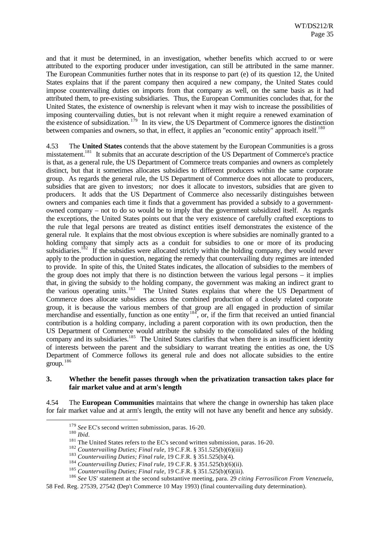and that it must be determined, in an investigation, whether benefits which accrued to or were attributed to the exporting producer under investigation, can still be attributed in the same manner. The European Communities further notes that in its response to part (e) of its question 12, the United States explains that if the parent company then acquired a new company, the United States could impose countervailing duties on imports from that company as well, on the same basis as it had attributed them, to pre-existing subsidiaries. Thus, the European Communities concludes that, for the United States, the existence of ownership is relevant when it may wish to increase the possibilities of imposing countervailing duties, but is not relevant when it might require a renewed examination of the existence of subsidization. <sup>179</sup> In its view, the US Department of Commerce ignores the distinction between companies and owners, so that, in effect, it applies an "economic entity" approach itself.<sup>180</sup>

4.53 The **United States** contends that the above statement by the European Communities is a gross misstatement.<sup>181</sup> It submits that an accurate description of the US Department of Commerce's practice is that, as a general rule, the US Department of Commerce treats companies and owners as completely distinct, but that it sometimes allocates subsidies to different producers within the same corporate group. As regards the general rule, the US Department of Commerce does not allocate to producers, subsidies that are given to investors; nor does it allocate to investors, subsidies that are given to producers. It adds that the US Department of Commerce also necessarily distinguishes between owners and companies each time it finds that a government has provided a subsidy to a governmentowned company – not to do so would be to imply that the government subsidized itself. As regards the exceptions, the United States points out that the very existence of carefully crafted exceptions to the rule that legal persons are treated as distinct entities itself demonstrates the existence of the general rule. It explains that the most obvious exception is where subsidies are nominally granted to a holding company that simply acts as a conduit for subsidies to one or more of its producing subsidiaries.<sup>182</sup> If the subsidies were allocated strictly within the holding company, they would never apply to the production in question, negating the remedy that countervailing duty regimes are intended to provide. In spite of this, the United States indicates, the allocation of subsidies to the members of the group does not imply that there is no distinction between the various legal persons – it implies that, in giving the subsidy to the holding company, the government was making an indirect grant to the various operating units.<sup>183</sup> The United States explains that where the US Department of Commerce does allocate subsidies across the combined production of a closely related corporate group, it is because the various members of that group are all engaged in production of similar merchandise and essentially, function as one entity<sup>184</sup>, or, if the firm that received an untied financial contribution is a holding company, including a parent corporation with its own production, then the US Department of Commerce would attribute the subsidy to the consolidated sales of the holding company and its subsidiaries.<sup>185</sup> The United States clarifies that when there is an insufficient identity of interests between the parent and the subsidiary to warrant treating the entities as one, the US Department of Commerce follows its general rule and does not allocate subsidies to the entire group. 186

### **3. Whether the benefit passes through when the privatization transaction takes place for fair market value and at arm's length**

4.54 The **European Communities** maintains that where the change in ownership has taken place for fair market value and at arm's length, the entity will not have any benefit and hence any subsidy.

<sup>&</sup>lt;sup>179</sup> See EC's second written submission, paras. 16-20.

 $180$   $\rm \tilde{I}bid.$ 

<sup>&</sup>lt;sup>181</sup> The United States refers to the EC's second written submission, paras. 16-20.

<sup>182</sup> *Countervailing Duties; Final rule,* 19 C.F.R. § 351.525(b)(6)(iii)

<sup>183</sup> *Countervailing Duties; Final rule,* 19 C.F.R. § 351.525(b)(4).

<sup>184</sup> *Countervailing Duties; Final rule,* 19 C.F.R. § 351.525(b)(6)(ii).

<sup>185</sup> *Countervailing Duties; Final rule,* 19 C.F.R. § 351.525(b)(6)(iii).

<sup>186</sup> *See* US' statement at the second substantive meeting, para. 29 *citing Ferrosilicon From Venezuela*,

<sup>58</sup> Fed. Reg. 27539, 27542 (Dep't Commerce 10 May 1993) (final countervailing duty determination).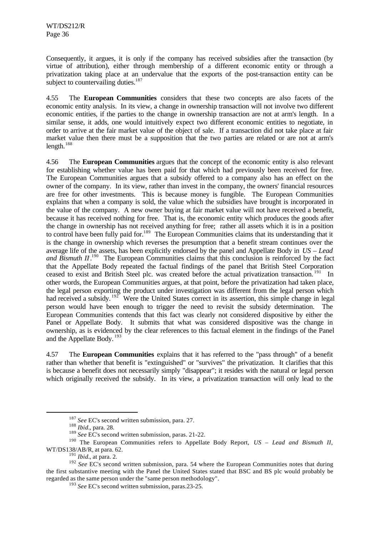Consequently, it argues, it is only if the company has received subsidies after the transaction (by virtue of attribution), either through membership of a different economic entity or through a privatization taking place at an undervalue that the exports of the post-transaction entity can be subject to countervailing duties.<sup>187</sup>

4.55 The **European Communities** considers that these two concepts are also facets of the economic entity analysis. In its view, a change in ownership transaction will not involve two different economic entities, if the parties to the change in ownership transaction are not at arm's length. In a similar sense, it adds, one would intuitively expect two different economic entities to negotiate, in order to arrive at the fair market value of the object of sale. If a transaction did not take place at fair market value then there must be a supposition that the two parties are related or are not at arm's length.<sup>188</sup>

4.56 The **European Communities** argues that the concept of the economic entity is also relevant for establishing whether value has been paid for that which had previously been received for free. The European Communities argues that a subsidy offered to a company also has an effect on the owner of the company. In its view, rather than invest in the company, the owners' financial resources are free for other investments. This is because money is fungible. The European Communities explains that when a company is sold, the value which the subsidies have brought is incorporated in the value of the company. A new owner buying at fair market value will not have received a benefit, because it has received nothing for free. That is, the economic entity which produces the goods after the change in ownership has not received anything for free; rather all assets which it is in a position to control have been fully paid for.<sup>189</sup> The European Communities claims that its understanding that it is the change in ownership which reverses the presumption that a benefit stream continues over the average life of the assets, has been explicitly endorsed by the panel and Appellate Body in *US – Lead* and Bismuth  $II^{190}$ . The European Communities claims that this conclusion is reinforced by the fact that the Appellate Body repeated the factual findings of the panel that British Steel Corporation ceased to exist and British Steel plc. was created before the actual privatization transaction.<sup>191</sup> In other words, the European Communities argues, at that point, before the privatization had taken place, the legal person exporting the product under investigation was different from the legal person which had received a subsidy. <sup>192</sup> Were the United States correct in its assertion, this simple change in legal person would have been enough to trigger the need to revisit the subsidy determination. The European Communities contends that this fact was clearly not considered dispositive by either the Panel or Appellate Body. It submits that what was considered dispositive was the change in ownership, as is evidenced by the clear references to this factual element in the findings of the Panel and the Appellate Body. <sup>193</sup>

4.57 The **European Communities** explains that it has referred to the "pass through" of a benefit rather than whether that benefit is "extinguished" or "survives" the privatization. It clarifies that this is because a benefit does not necessarily simply "disappear"; it resides with the natural or legal person which originally received the subsidy. In its view, a privatization transaction will only lead to the

<sup>&</sup>lt;sup>187</sup> See EC's second written submission, para. 27.

<sup>188</sup> *Ibid.*, para. 28.

<sup>&</sup>lt;sup>189</sup> See EC's second written submission, paras. 21-22.

<sup>190</sup> The European Communities refers to Appellate Body Report, *US – Lead and Bismuth II,* WT/DS138/AB/R*,* at para. 62.

<sup>191</sup> *Ibid.*, at para. 2.

<sup>&</sup>lt;sup>192</sup> See EC's second written submission, para. 54 where the European Communities notes that during the first substantive meeting with the Panel the United States stated that BSC and BS plc would probably be regarded as the same person under the "same person methodology".

<sup>&</sup>lt;sup>193</sup> See EC's second written submission, paras.23-25.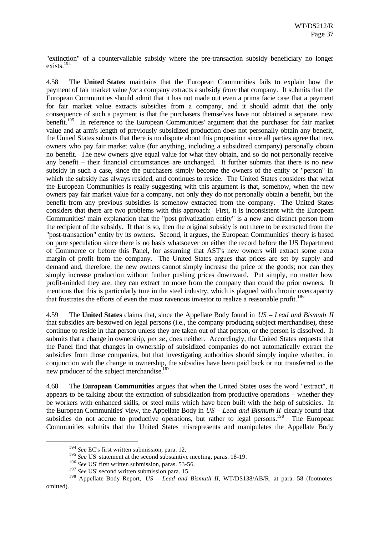"extinction" of a countervailable subsidy where the pre-transaction subsidy beneficiary no longer exists.<sup>194</sup>

4.58 The **United States** maintains that the European Communities fails to explain how the payment of fair market value *for* a company extracts a subsidy *from* that company. It submits that the European Communities should admit that it has not made out even a prima facie case that a payment for fair market value extracts subsidies from a company, and it should admit that the only consequence of such a payment is that the purchasers themselves have not obtained a separate, new benefit.<sup>195</sup> In reference to the European Communities' argument that the purchaser for fair market value and at arm's length of previously subsidized production does not personally obtain any benefit, the United States submits that there is no dispute about this proposition since all parties agree that new owners who pay fair market value (for anything, including a subsidized company) personally obtain no benefit. The new owners give equal value for what they obtain, and so do not personally receive any benefit – their financial circumstances are unchanged. It further submits that there is no new subsidy in such a case, since the purchasers simply become the owners of the entity or "person" in which the subsidy has always resided, and continues to reside. The United States considers that what the European Communities is really suggesting with this argument is that, somehow, when the new owners pay fair market value for a company, not only they do not personally obtain a benefit, but the benefit from any previous subsidies is somehow extracted from the company. The United States considers that there are two problems with this approach: First, it is inconsistent with the European Communities' main explanation that the "post privatization entity" is a new and distinct person from the recipient of the subsidy. If that is so, then the original subsidy is not there to be extracted from the "post-transaction" entity by its owners. Second, it argues, the European Communities' theory is based on pure speculation since there is no basis whatsoever on either the record before the US Department of Commerce or before this Panel, for assuming that AST's new owners will extract some extra margin of profit from the company. The United States argues that prices are set by supply and demand and, therefore, the new owners cannot simply increase the price of the goods; nor can they simply increase production without further pushing prices downward. Put simply, no matter how profit-minded they are, they can extract no more from the company than could the prior owners. It mentions that this is particularly true in the steel industry, which is plagued with chronic overcapacity that frustrates the efforts of even the most ravenous investor to realize a reasonable profit.<sup>196</sup>

4.59 The **United States** claims that, since the Appellate Body found in *US – Lead and Bismuth II* that subsidies are bestowed on legal persons (i.e., the company producing subject merchandise), these continue to reside in that person unless they are taken out of that person, or the person is dissolved. It submits that a change in ownership, *per se*, does neither. Accordingly, the United States requests that the Panel find that changes in ownership of subsidized companies do not automatically extract the subsidies from those companies, but that investigating authorities should simply inquire whether, in conjunction with the change in ownership, the subsidies have been paid back or not transferred to the new producer of the subject merchandise.<sup>19</sup>

4.60 The **European Communities** argues that when the United States uses the word "extract", it appears to be talking about the extraction of subsidization from productive operations – whether they be workers with enhanced skills, or steel mills which have been built with the help of subsidies. In the European Communities' view, the Appellate Body in *US – Lead and Bismuth II* clearly found that subsidies do not accrue to productive operations, but rather to legal persons.<sup>198</sup> The European Communities submits that the United States misrepresents and manipulates the Appellate Body

<sup>194</sup> *See* EC's first written submission, para. 12.

<sup>&</sup>lt;sup>195</sup> See US' statement at the second substantive meeting, paras. 18-19.

<sup>196</sup> *See* US' first written submission, paras. 53-56.

<sup>&</sup>lt;sup>197</sup> See US' second written submission para. 15.

<sup>198</sup> Appellate Body Report, *US – Lead and Bismuth II,* WT/DS138/AB/R, at para. 58 (footnotes omitted).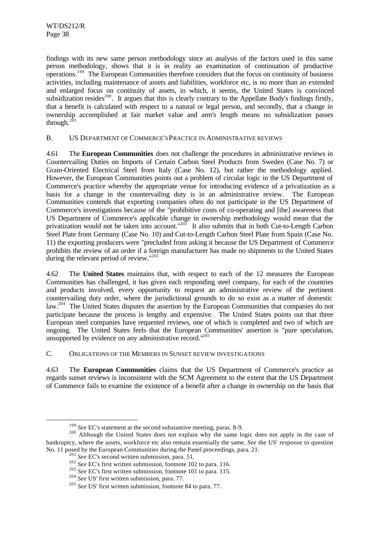findings with its new same person methodology since an analysis of the factors used in this same person methodology, shows that it is in reality an examination of continuation of productive operations.<sup>199</sup> The European Communities therefore considers that the focus on continuity of business activities, including maintenance of assets and liabilities, workforce etc, is no more than an extended and enlarged focus on continuity of assets, in which, it seems, the United States is convinced subsidization resides<sup>200</sup>. It argues that this is clearly contrary to the Appellate Body's findings firstly, that a benefit is calculated with respect to a natural or legal person, and secondly, that a change in ownership accomplished at fair market value and arm's length means no subsidization passes through. $^{201}$ 

### B. US DEPARTMENT OF COMMERCE'S PRACTICE IN ADMINISTRATIVE REVIEWS

4.61 The **European Communities** does not challenge the procedures in administrative reviews in Countervailing Duties on Imports of Certain Carbon Steel Products from Sweden (Case No. 7) or Grain-Oriented Electrical Steel from Italy (Case No. 12), but rather the methodology applied. However, the European Communities points out a problem of circular logic in the US Department of Commerce's practice whereby the appropriate venue for introducing evidence of a privatization as a basis for a change in the countervailing duty is in an administrative review. The European Communities contends that exporting companies often do not participate in the US Department of Commerce's investigations because of the "prohibitive costs of co-operating and [the] awareness that US Department of Commerce's applicable change in ownership methodology would mean that the privatization would not be taken into account."<sup>202</sup> It also submits that in both Cut-to-Length Carbon Steel Plate from Germany (Case No. 10) and Cut-to-Length Carbon Steel Plate from Spain (Case No. 11) the exporting producers were "precluded from asking it because the US Department of Commerce prohibits the review of an order if a foreign manufacturer has made no shipments to the United States during the relevant period of review."<sup>20</sup>

4.62 The **United States** maintains that, with respect to each of the 12 measures the European Communities has challenged, it has given each responding steel company, for each of the countries and products involved, every opportunity to request an administrative review of the pertinent countervailing duty order, where the jurisdictional grounds to do so exist as a matter of domestic law.<sup>204</sup> The United States disputes the assertion by the European Communities that companies do not participate because the process is lengthy and expensive. The United States points out that three European steel companies have requested reviews, one of which is completed and two of which are ongoing. The United States feels that the European Communities' assertion is "pure speculation, unsupported by evidence on any administrative record."<sup>205</sup>

### C. OBLIGATIONS OF THE MEMBERS IN SUNSET REVIEW INVESTIGATIONS

4.63 The **European Communities** claims that the US Department of Commerce's practice as regards sunset reviews is inconsistent with the SCM Agreement to the extent that the US Department of Commerce fails to examine the existence of a benefit after a change in ownership on the basis that

<sup>199</sup> *See* EC's statement at the second substantive meeting, paras. 8-9.

<sup>&</sup>lt;sup>200</sup> Although the United States does not explain why the same logic does not apply in the case of bankruptcy, where the assets, workforce etc also remain essentially the same. *See* the US' response to question No. 11 posed by the European Communities during the Panel proceedings, para. 21.

<sup>201</sup> *See* EC's second written submission, para. 51.

<sup>202</sup> *See* EC's first written submission, footnote 102 to para. 116.

<sup>&</sup>lt;sup>203</sup> See EC's first written submission, footnote 101 to para. 115.

<sup>204</sup> *See* US' first written submission, para. 77.

<sup>205</sup> *See* US' first written submission, footnote 84 to para. 77.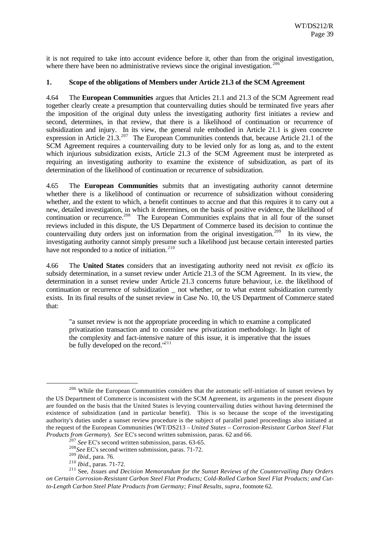it is not required to take into account evidence before it, other than from the original investigation, where there have been no administrative reviews since the original investigation.  $^{206}$ 

### **1. Scope of the obligations of Members under Article 21.3 of the SCM Agreement**

4.64 The **European Communities** argues that Articles 21.1 and 21.3 of the SCM Agreement read together clearly create a presumption that countervailing duties should be terminated five years after the imposition of the original duty unless the investigating authority first initiates a review and second, determines, in that review, that there is a likelihood of continuation or recurrence of subsidization and injury. In its view, the general rule embodied in Article 21.1 is given concrete expression in Article 21.3.<sup>207</sup> The European Communities contends that, because Article 21.1 of the SCM Agreement requires a countervailing duty to be levied only for as long as, and to the extent which injurious subsidization exists, Article 21.3 of the SCM Agreement must be interpreted as requiring an investigating authority to examine the existence of subsidization, as part of its determination of the likelihood of continuation or recurrence of subsidization.

4.65 The **European Communities** submits that an investigating authority cannot determine whether there is a likelihood of continuation or recurrence of subsidization without considering whether, and the extent to which, a benefit continues to accrue and that this requires it to carry out a new, detailed investigation, in which it determines, on the basis of positive evidence, the likelihood of continuation or recurrence.<sup>208</sup> The European Communities explains that in all four of the sunset reviews included in this dispute, the US Department of Commerce based its decision to continue the countervailing duty orders just on information from the original investigation.<sup>209</sup> In its view, the investigating authority cannot simply presume such a likelihood just because certain interested parties have not responded to a notice of initiation.<sup>210</sup>

4.66 The **United States** considers that an investigating authority need not revisit *ex officio* its subsidy determination, in a sunset review under Article 21.3 of the SCM Agreement. In its view, the determination in a sunset review under Article 21.3 concerns future behaviour, i.e. the likelihood of continuation or recurrence of subsidization \_ not whether, or to what extent subsidization currently exists. In its final results of the sunset review in Case No. 10, the US Department of Commerce stated that:

"a sunset review is not the appropriate proceeding in which to examine a complicated privatization transaction and to consider new privatization methodology. In light of the complexity and fact-intensive nature of this issue, it is imperative that the issues be fully developed on the record."<sup>211</sup>

<sup>&</sup>lt;sup>206</sup> While the European Communities considers that the automatic self-initiation of sunset reviews by the US Department of Commerce is inconsistent with the SCM Agreement*,* its arguments in the present dispute are founded on the basis that the United States is levying countervailing duties without having determined the existence of subsidization (and in particular benefit). This is so because the scope of the investigating authority's duties under a sunset review procedure is the subject of parallel panel proceedings also initiated at the request of the European Communities (WT/DS213 – *United States – Corrosion-Resistant Carbon Steel Flat Products from Germany*). *See* EC's second written submission, paras. 62 and 66.

<sup>207</sup> *See* EC's second written submission, paras. 63-65.

<sup>208</sup>*See* EC's second written submission, paras. 71-72.

<sup>209</sup> *Ibid.*, para. 76.

<sup>210</sup> *Ibid.*, paras. 71-72.

<sup>211</sup> See, *Issues and Decision Memorandum for the Sunset Reviews of the Countervailing Duty Orders on Certain Corrosion-Resistant Carbon Steel Flat Products; Cold-Rolled Carbon Steel Flat Products; and Cutto-Length Carbon Steel Plate Products from Germany; Final Results, supra*, footnote 62*.*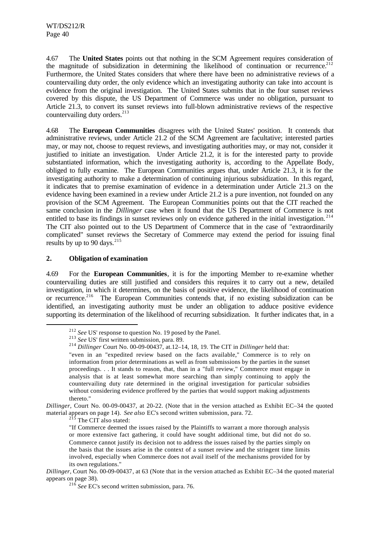4.67 The **United States** points out that nothing in the SCM Agreement requires consideration of the magnitude of subsidization in determining the likelihood of continuation or recurrence.<sup>212</sup> Furthermore, the United States considers that where there have been no administrative reviews of a countervailing duty order, the only evidence which an investigating authority can take into account is evidence from the original investigation. The United States submits that in the four sunset reviews covered by this dispute, the US Department of Commerce was under no obligation, pursuant to Article 21.3, to convert its sunset reviews into full-blown administrative reviews of the respective countervailing duty orders. $^{213}$ 

4.68 The **European Communities** disagrees with the United States' position. It contends that administrative reviews, under Article 21.2 of the SCM Agreement are facultative; interested parties may, or may not, choose to request reviews, and investigating authorities may, or may not, consider it justified to initiate an investigation. Under Article 21.2, it is for the interested party to provide substantiated information, which the investigating authority is, according to the Appellate Body, obliged to fully examine. The European Communities argues that, under Article 21.3, it is for the investigating authority to make a determination of continuing injurious subsidization. In this regard, it indicates that to premise examination of evidence in a determination under Article 21.3 on the evidence having been examined in a review under Article 21.2 is a pure invention, not founded on any provision of the SCM Agreement. The European Communities points out that the CIT reached the same conclusion in the *Dillinger* case when it found that the US Department of Commerce is not entitled to base its findings in sunset reviews only on evidence gathered in the initial investigation.<sup>214</sup> The CIT also pointed out to the US Department of Commerce that in the case of "extraordinarily complicated" sunset reviews the Secretary of Commerce may extend the period for issuing final results by up to 90 days.<sup>215</sup>

# **2. Obligation of examination**

l

4.69 For the **European Communities**, it is for the importing Member to re-examine whether countervailing duties are still justified and considers this requires it to carry out a new, detailed investigation, in which it determines, on the basis of positive evidence, the likelihood of continuation or recurrence.<sup>216</sup> The European Communities contends that, if no existing subsidization can be identified, an investigating authority must be under an obligation to adduce positive evidence supporting its determination of the likelihood of recurring subsidization. It further indicates that, in a

<sup>212</sup> *See* US' response to question No. 19 posed by the Panel.

<sup>213</sup> *See* US' first written submission, para. 89.

<sup>214</sup> *Dillinger* Court No. 00-09-00437, at.12–14, 18, 19. The CIT in *Dillinger* held that:

<sup>&</sup>quot;even in an "expedited review based on the facts available," Commerce is to rely on information from prior determinations as well as from submissions by the parties in the sunset proceedings. . . It stands to reason, that, than in a "full review," Commerce must engage in analysis that is at least somewhat more searching than simply continuing to apply the countervailing duty rate determined in the original investigation for particular subsidies without considering evidence proffered by the parties that would support making adjustments thereto."

*Dillinger*, Court No. 00-09-00437, at 20-22. (Note that in the version attached as Exhibit EC–34 the quoted material appears on page 14). *See also* EC's second written submission, para. 72.

 $2^{15}$  The CIT also stated:

<sup>&</sup>quot;If Commerce deemed the issues raised by the Plaintiffs to warrant a more thorough analysis or more extensive fact gathering, it could have sought additional time, but did not do so. Commerce cannot justify its decision not to address the issues raised by the parties simply on the basis that the issues arise in the context of a sunset review and the stringent time limits involved, especially when Commerce does not avail itself of the mechanisms provided for by its own regulations."

*Dillinger,* Court No. 00-09-00437*,* at 63 (Note that in the version attached as Exhibit EC–34 the quoted material appears on page 38).

<sup>&</sup>lt;sup>216</sup> See EC's second written submission, para. 76.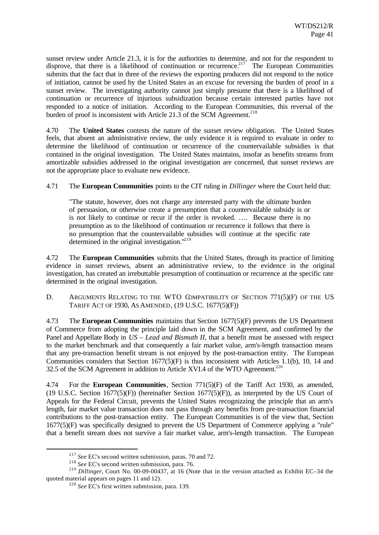sunset review under Article 21.3, it is for the authorities to determine, and not for the respondent to disprove, that there is a likelihood of continuation or recurrence.<sup>217</sup> The European Communities submits that the fact that in three of the reviews the exporting producers did not respond to the notice of initiation, cannot be used by the United States as an excuse for reversing the burden of proof in a sunset review. The investigating authority cannot just simply presume that there is a likelihood of continuation or recurrence of injurious subsidization because certain interested parties have not responded to a notice of initiation. According to the European Communities, this reversal of the burden of proof is inconsistent with Article 21.3 of the SCM Agreement.<sup>218</sup>

4.70 The **United States** contests the nature of the sunset review obligation. The United States feels, that absent an administrative review, the only evidence it is required to evaluate in order to determine the likelihood of continuation or recurrence of the countervailable subsidies is that contained in the original investigation. The United States maintains, insofar as benefits streams from amortizable subsidies addressed in the original investigation are concerned, that sunset reviews are not the appropriate place to evaluate new evidence.

4.71 The **European Communities** points to the CIT ruling in *Dillinger* where the Court held that:

"The statute, however, does not charge any interested party with the ultimate burden of persuasion, or otherwise create a presumption that a countervailable subsidy is or is not likely to continue or recur if the order is revoked. …. Because there is no presumption as to the likelihood of continuation or recurrence it follows that there is no presumption that the countervailable subsidies will continue at the specific rate determined in the original investigation."<sup>219</sup>

4.72 The **European Communities** submits that the United States, through its practice of limiting evidence in sunset reviews, absent an administrative review, to the evidence in the original investigation, has created an irrebuttable presumption of continuation or recurrence at the specific rate determined in the original investigation.

D. ARGUMENTS RELATING TO THE WTO COMPATIBILITY OF SECTION 771(5)(F) OF THE US TARIFF ACT OF 1930, AS AMENDED, (19 U.S.C. 1677(5)(F))

4.73 The **European Communities** maintains that Section 1677(5)(F) prevents the US Department of Commerce from adopting the principle laid down in the SCM Agreement, and confirmed by the Panel and Appellate Body in *US – Lead and Bismuth II,* that a benefit must be assessed with respect to the market benchmark and that consequently a fair market value, arm's-length transaction means that any pre-transaction benefit stream is not enjoyed by the post-transaction entity. The European Communities considers that Section 1677(5)(F) is thus inconsistent with Articles 1.1(b), 10, 14 and 32.5 of the SCM Agreement in addition to Article XVI.4 of the WTO Agreement.<sup>220</sup>

4.74 For the **European Communities**, Section 771(5)(F) of the Tariff Act 1930, as amended, (19 U.S.C. Section 1677(5)(F)) (hereinafter Section 1677(5)(F)), as interpreted by the US Court of Appeals for the Federal Circuit, prevents the United States recognizzing the principle that an arm's length, fair market value transaction does not pass through any benefits from pre-transaction financial contributions to the post-transaction entity. The European Communities is of the view that, Section 1677(5)(F) was specifically designed to prevent the US Department of Commerce applying a "rule" that a benefit stream does not survive a fair market value, arm's-length transaction. The European

<sup>217</sup> *See* EC's second written submission, paras. 70 and 72.

<sup>218</sup> *See* EC's second written submission, para. 76.

<sup>219</sup> *Dillinger,* Court No. 00-09-00437, at 16 (Note that in the version attached as Exhibit EC–34 the quoted material appears on pages 11 and 12).

<sup>220</sup> *See* EC's first written submission, para. 139.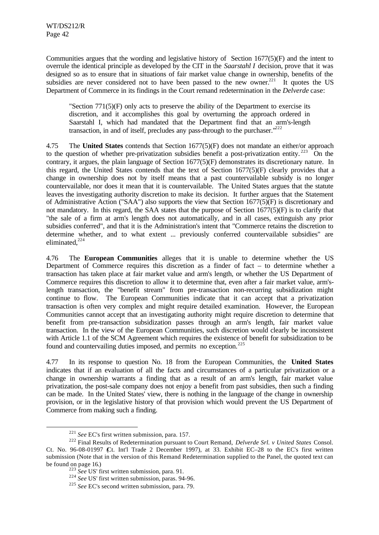Communities argues that the wording and legislative history of Section  $1677(5)$ (F) and the intent to overrule the identical principle as developed by the CIT in the *Saarstahl I* decision, prove that it was designed so as to ensure that in situations of fair market value change in ownership, benefits of the subsidies are never considered not to have been passed to the new owner.<sup>221</sup> It quotes the US Department of Commerce in its findings in the Court remand redetermination in the *Delverde* case:

"Section 771(5)(F) only acts to preserve the ability of the Department to exercise its discretion, and it accomplishes this goal by overturning the approach ordered in Saarstahl I, which had mandated that the Department find that an arm's-length transaction, in and of itself, precludes any pass-through to the purchaser. $1222$ 

4.75 The **United States** contends that Section 1677(5)(F) does not mandate an either/or approach to the question of whether pre-privatization subsidies benefit a post-privatization entity.<sup>223</sup> On the contrary, it argues, the plain language of Section 1677(5)(F) demonstrates its discretionary nature. In this regard, the United States contends that the text of Section 1677(5)(F) clearly provides that a change in ownership does not by itself means that a past countervailable subsidy is no longer countervailable, nor does it mean that it is countervailable. The United States argues that the statute leaves the investigating authority discretion to make its decision. It further argues that the Statement of Administrative Action ("SAA") also supports the view that Section 1677(5)(F) is discretionary and not mandatory. In this regard, the SAA states that the purpose of Section  $1677(5)$ (F) is to clarify that "the sale of a firm at arm's length does not automatically, and in all cases, extinguish any prior subsidies conferred", and that it is the Administration's intent that "Commerce retains the discretion to determine whether, and to what extent ... previously conferred countervailable subsidies" are eliminated. $224$ 

4.76 The **European Communities** alleges that it is unable to determine whether the US Department of Commerce requires this discretion as a finder of fact – to determine whether a transaction has taken place at fair market value and arm's length, or whether the US Department of Commerce requires this discretion to allow it to determine that, even after a fair market value, arm'slength transaction, the "benefit stream" from pre-transaction non-recurring subsidization might continue to flow. The European Communities indicate that it can accept that a privatization transaction is often very complex and might require detailed examination. However, the European Communities cannot accept that an investigating authority might require discretion to determine that benefit from pre-transaction subsidization passes through an arm's length, fair market value transaction. In the view of the European Communities, such discretion would clearly be inconsistent with Article 1.1 of the SCM Agreement which requires the existence of benefit for subsidization to be found and countervailing duties imposed, and permits no exception. $^{225}$ 

4.77 In its response to question No. 18 from the European Communities, the **United States** indicates that if an evaluation of all the facts and circumstances of a particular privatization or a change in ownership warrants a finding that as a result of an arm's length, fair market value privatization, the post-sale company does not enjoy a benefit from past subsidies, then such a finding can be made. In the United States' view, there is nothing in the language of the change in ownership provision, or in the legislative history of that provision which would prevent the US Department of Commerce from making such a finding.

<sup>221</sup> *See* EC's first written submission, para. 157.

<sup>222</sup> Final Results of Redetermination pursuant to Court Remand, *Delverde Srl. v United States* Consol. Ct. No. 96-08-01997 (Ct. Int'l Trade 2 December 1997), at 33. Exhibit EC–28 to the EC's first written submission (Note that in the version of this Remand Redetermination supplied to the Panel, the quoted text can be found on page 16.)

<sup>223</sup> *See* US' first written submission, para. 91.

<sup>&</sup>lt;sup>224</sup> *See* US instructured submission, paras. 94-96.

<sup>225</sup> *See* EC's second written submission, para. 79.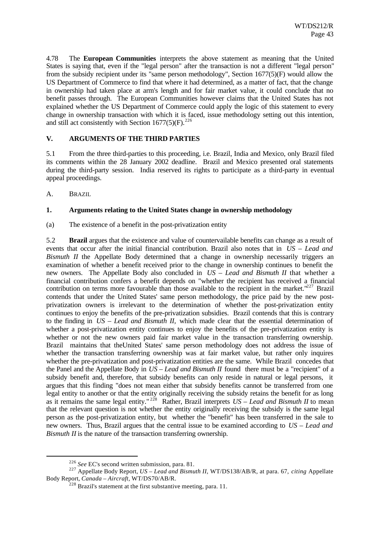4.78 The **European Communities** interprets the above statement as meaning that the United States is saying that, even if the "legal person" after the transaction is not a different "legal person" from the subsidy recipient under its "same person methodology", Section 1677(5)(F) would allow the US Department of Commerce to find that where it had determined, as a matter of fact, that the change in ownership had taken place at arm's length and for fair market value, it could conclude that no benefit passes through. The European Communities however claims that the United States has not explained whether the US Department of Commerce could apply the logic of this statement to every change in ownership transaction with which it is faced, issue methodology setting out this intention, and still act consistently with Section  $1677(5)$ (F).<sup>226</sup>

### **V. ARGUMENTS OF THE THIRD PARTIES**

5.1 From the three third-parties to this proceeding, i.e. Brazil, India and Mexico, only Brazil filed its comments within the 28 January 2002 deadline. Brazil and Mexico presented oral statements during the third-party session. India reserved its rights to participate as a third-party in eventual appeal proceedings.

A. BRAZIL

l

### **1. Arguments relating to the United States change in ownership methodology**

(a) The existence of a benefit in the post-privatization entity

5.2 **Brazil** argues that the existence and value of countervailable benefits can change as a result of events that occur after the initial financial contribution. Brazil also notes that in *US – Lead and Bismuth II* the Appellate Body determined that a change in ownership necessarily triggers an examination of whether a benefit received prior to the change in ownership continues to benefit the new owners. The Appellate Body also concluded in *US – Lead and Bismuth II* that whether a financial contribution confers a benefit depends on "whether the recipient has received a financial contribution on terms more favourable than those available to the recipient in the market."<sup>227</sup> Brazil contends that under the United States' same person methodology, the price paid by the new postprivatization owners is irrelevant to the determination of whether the post-privatization entity continues to enjoy the benefits of the pre-privatization subsidies. Brazil contends that this is contrary to the finding in *US – Lead and Bismuth II,* which made clear that the essential determination of whether a post-privatization entity continues to enjoy the benefits of the pre-privatization entity is whether or not the new owners paid fair market value in the transaction transferring ownership. Brazil maintains that the United States' same person methodology does not address the issue of whether the transaction transferring ownership was at fair market value, but rather only inquires whether the pre-privatization and post-privatization entities are the same. While Brazil concedes that the Panel and the Appellate Body in *US – Lead and Bismuth II* found there must be a "recipient" of a subsidy benefit and, therefore, that subsidy benefits can only reside in natural or legal persons, it argues that this finding "does not mean either that subsidy benefits cannot be transferred from one legal entity to another or that the entity originally receiving the subsidy retains the benefit for as long as it remains the same legal entity."<sup>228</sup> Rather, Brazil interprets *US – Lead and Bismuth II* to mean that the relevant question is not whether the entity originally receiving the subsidy is the same legal person as the post-privatization entity, but whether the "benefit" has been transferred in the sale to new owners. Thus, Brazil argues that the central issue to be examined according to *US – Lead and Bismuth II* is the nature of the transaction transferring ownership.

<sup>226</sup> *See* EC's second written submission, para. 81.

<sup>227</sup> Appellate Body Report, *US – Lead and Bismuth II,* WT/DS138/AB/R, at para. 67, *citing* Appellate Body Report, *Canada – Aircraft,* WT/DS70/AB/R.

 $^{228}$  Brazil's statement at the first substantive meeting, para. 11.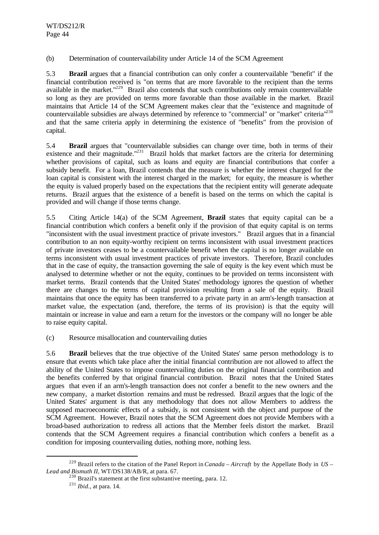# (b) Determination of countervailability under Article 14 of the SCM Agreement

5.3 **Brazil** argues that a financial contribution can only confer a countervailable "benefit" if the financial contribution received is "on terms that are more favorable to the recipient than the terms available in the market."<sup>229</sup> Brazil also contends that such contributions only remain countervailable so long as they are provided on terms more favorable than those available in the market. Brazil maintains that Article 14 of the SCM Agreement makes clear that the "existence and magnitude of countervailable subsidies are always determined by reference to "commercial" or "market" criteria"<sup>230</sup> and that the same criteria apply in determining the existence of "benefits" from the provision of capital.

5.4 **Brazil** argues that "countervailable subsidies can change over time, both in terms of their existence and their magnitude."<sup>231</sup> Brazil holds that market factors are the criteria for determining existence and their magnitude."<sup>231</sup> whether provisions of capital, such as loans and equity are financial contributions that confer a subsidy benefit. For a loan, Brazil contends that the measure is whether the interest charged for the loan capital is consistent with the interest charged in the market: for equity, the measure is whether the equity is valued properly based on the expectations that the recipient entity will generate adequate returns. Brazil argues that the existence of a benefit is based on the terms on which the capital is provided and will change if those terms change.

5.5 Citing Article 14(a) of the SCM Agreement, **Brazil** states that equity capital can be a financial contribution which confers a benefit only if the provision of that equity capital is on terms "inconsistent with the usual investment practice of private investors." Brazil argues that in a financial contribution to an non equity-worthy recipient on terms inconsistent with usual investment practices of private investors ceases to be a countervailable benefit when the capital is no longer available on terms inconsistent with usual investment practices of private investors. Therefore, Brazil concludes that in the case of equity, the transaction governing the sale of equity is the key event which must be analysed to determine whether or not the equity, continues to be provided on terms inconsistent with market terms. Brazil contends that the United States' methodology ignores the question of whether there are changes to the terms of capital provision resulting from a sale of the equity. Brazil maintains that once the equity has been transferred to a private party in an arm's-length transaction at market value, the expectation (and, therefore, the terms of its provision) is that the equity will maintain or increase in value and earn a return for the investors or the company will no longer be able to raise equity capital.

(c) Resource misallocation and countervailing duties

5.6 **Brazil** believes that the true objective of the United States' same person methodology is to ensure that events which take place after the initial financial contribution are not allowed to affect the ability of the United States to impose countervailing duties on the original financial contribution and the benefits conferred by that original financial contribution. Brazil notes that the United States argues that even if an arm's-length transaction does not confer a benefit to the new owners and the new company, a market distortion remains and must be redressed. Brazil argues that the logic of the United States' argument is that any methodology that does not allow Members to address the supposed macroeconomic effects of a subsidy, is not consistent with the object and purpose of the SCM Agreement. However, Brazil notes that the SCM Agreement does not provide Members with a broad-based authorization to redress all actions that the Member feels distort the market. Brazil contends that the SCM Agreement requires a financial contribution which confers a benefit as a condition for imposing countervailing duties, nothing more, nothing less.

<sup>229</sup> Brazil refers to the citation of the Panel Report in *Canada – Aircraft* by the Appellate Body in *US – Lead and Bismuth II,* WT/DS138/AB/R, at para. 67.

 $^{230}$  Brazil's statement at the first substantive meeting, para. 12.

<sup>231</sup> *Ibid*., at para. 14.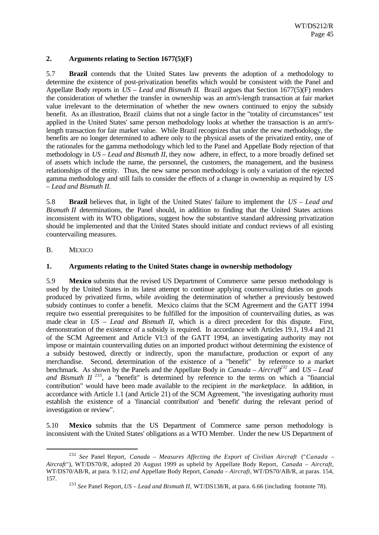### **2. Arguments relating to Section 1677(5)(F)**

5.7 **Brazil** contends that the United States law prevents the adoption of a methodology to determine the existence of post-privatization benefits which would be consistent with the Panel and Appellate Body reports in *US – Lead and Bismuth II*. Brazil argues that Section 1677(5)(F) renders the consideration of whether the transfer in ownership was an arm's-length transaction at fair market value irrelevant to the determination of whether the new owners continued to enjoy the subsidy benefit. As an illustration, Brazil claims that not a single factor in the "totality of circumstances" test applied in the United States' same person methodology looks at whether the transaction is an arm'slength transaction for fair market value. While Brazil recognizes that under the new methodology, the benefits are no longer determined to adhere only to the physical assets of the privatized entity, one of the rationales for the gamma methodology which led to the Panel and Appellate Body rejection of that methodology in *US – Lead and Bismuth II,* they now adhere, in effect, to a more broadly defined set of assets which include the name, the personnel, the customers, the management, and the business relationships of the entity. Thus, the new same person methodology is only a variation of the rejected gamma methodology and still fails to consider the effects of a change in ownership as required by *US – Lead and Bismuth II*.

5.8 **Brazil** believes that, in light of the United States' failure to implement the *US – Lead and Bismuth II* determinations, the Panel should, in addition to finding that the United States actions inconsistent with its WTO obligations, suggest how the substantive standard addressing privatization should be implemented and that the United States should initiate and conduct reviews of all existing countervailing measures.

### B. MEXICO

l

## **1. Arguments relating to the United States change in ownership methodology**

5.9 **Mexico** submits that the revised US Department of Commerce same person methodology is used by the United States in its latest attempt to continue applying countervailing duties on goods produced by privatized firms, while avoiding the determination of whether a previously bestowed subsidy continues to confer a benefit. Mexico claims that the SCM Agreement and the GATT 1994 require two essential prerequisites to be fulfilled for the imposition of countervailing duties, as was made clear in *US – Lead and Bismuth II,* which is a direct precedent for this dispute. First, demonstration of the existence of a subsidy is required. In accordance with Articles 19.1, 19.4 and 21 of the SCM Agreement and Article VI:3 of the GATT 1994, an investigating authority may not impose or maintain countervailing duties on an imported product without determining the existence of a subsidy bestowed, directly or indirectly, upon the manufacture, production or export of any merchandise. Second, determination of the existence of a "benefit" by reference to a market benchmark. As shown by the Panels and the Appellate Body in *Canada – Aircraft<sup>232</sup>* and *US – Lead* and Bismuth  $II^{233}$ , a "benefit" is determined by reference to the terms on which a "financial contribution" would have been made available to the recipient *in the marketplace.* In addition, in accordance with Article 1.1 (and Article 21) of the SCM Agreement, "the investigating authority must establish the existence of a 'financial contribution' and 'benefit' during the relevant period of investigation or review".

5.10 **Mexico** submits that the US Department of Commerce same person methodology is inconsistent with the United States' obligations as a WTO Member. Under the new US Department of

<sup>232</sup> *See* Panel Report, *Canada – Measures Affecting the Export of Civilian Aircraft* ("*Canada – Aircraft*"), WT/DS70/R, adopted 20 August 1999 as upheld by Appellate Body Report, *Canada – Aircraft,* WT/DS70/AB/R, at para. 9.112; *and* Appellate Body Report, *Canada – Aircraft,* WT/DS70/AB/R, at paras. 154, 157.

<sup>233</sup> *See* Panel Report, *US – Lead and Bismuth II,* WT/DS138/R, at para. 6.66 (including footnote 78).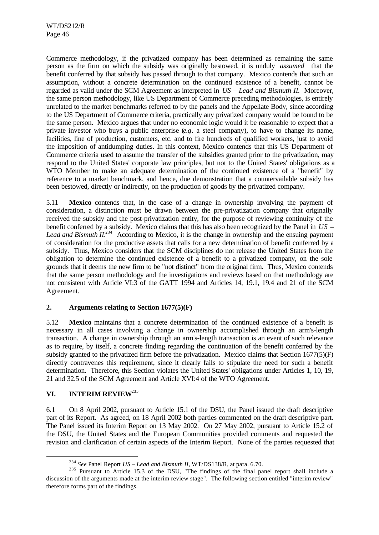Commerce methodology, if the privatized company has been determined as remaining the same person as the firm on which the subsidy was originally bestowed, it is unduly *assumed* that the benefit conferred by that subsidy has passed through to that company. Mexico contends that such an assumption, without a concrete determination on the continued existence of a benefit, cannot be regarded as valid under the SCM Agreement as interpreted in *US – Lead and Bismuth II.* Moreover, the same person methodology, like US Department of Commerce preceding methodologies, is entirely unrelated to the market benchmarks referred to by the panels and the Appellate Body, since according to the US Department of Commerce criteria, practically any privatized company would be found to be the same person. Mexico argues that under no economic logic would it be reasonable to expect that a private investor who buys a public enterprise (*e.g*. a steel company), to have to change its name, facilities, line of production, customers, etc. and to fire hundreds of qualified workers, just to avoid the imposition of antidumping duties. In this context, Mexico contends that this US Department of Commerce criteria used to assume the transfer of the subsidies granted prior to the privatization, may respond to the United States' corporate law principles, but not to the United States' obligations as a WTO Member to make an adequate determination of the continued existence of a "benefit" by reference to a market benchmark, and hence, due demonstration that a countervailable subsidy has been bestowed, directly or indirectly, on the production of goods by the privatized company.

5.11 **Mexico** contends that, in the case of a change in ownership involving the payment of consideration, a distinction must be drawn between the pre-privatization company that originally received the subsidy and the post-privatization entity, for the purpose of reviewing continuity of the benefit conferred by a subsidy. Mexico claims that this has also been recognized by the Panel in *US –* Lead and Bismuth II.<sup>234</sup> According to Mexico, it is the change in ownership and the ensuing payment of consideration for the productive assets that calls for a new determination of benefit conferred by a subsidy. Thus, Mexico considers that the SCM disciplines do not release the United States from the obligation to determine the continued existence of a benefit to a privatized company, on the sole grounds that it deems the new firm to be "not distinct" from the original firm. Thus, Mexico contends that the same person methodology and the investigations and reviews based on that methodology are not consistent with Article VI:3 of the GATT 1994 and Articles 14, 19.1, 19.4 and 21 of the SCM Agreement.

# **2. Arguments relating to Section 1677(5)(F)**

5.12 **Mexico** maintains that a concrete determination of the continued existence of a benefit is necessary in all cases involving a change in ownership accomplished through an arm's-length transaction. A change in ownership through an arm's-length transaction is an event of such relevance as to require, by itself, a concrete finding regarding the continuation of the benefit conferred by the subsidy granted to the privatized firm before the privatization. Mexico claims that Section 1677(5)(F) directly contravenes this requirement, since it clearly fails to stipulate the need for such a benefit determination. Therefore, this Section violates the United States' obligations under Articles 1, 10, 19, 21 and 32.5 of the SCM Agreement and Article XVI:4 of the WTO Agreement.

# **VI. INTERIM REVIEW**<sup>235</sup>

l

6.1 On 8 April 2002, pursuant to Article 15.1 of the DSU, the Panel issued the draft descriptive part of its Report. As agreed, on 18 April 2002 both parties commented on the draft descriptive part. The Panel issued its Interim Report on 13 May 2002. On 27 May 2002, pursuant to Article 15.2 of the DSU, the United States and the European Communities provided comments and requested the revision and clarification of certain aspects of the Interim Report. None of the parties requested that

<sup>234</sup> *See* Panel Report *US – Lead and Bismuth II,* WT/DS138/R, at para. 6.70.

<sup>&</sup>lt;sup>235</sup> Pursuant to Article 15.3 of the DSU, "The findings of the final panel report shall include a discussion of the arguments made at the interim review stage". The following section entitled "interim review" therefore forms part of the findings.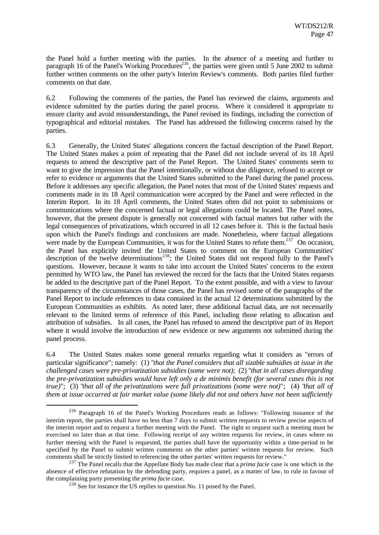the Panel hold a further meeting with the parties. In the absence of a meeting and further to paragraph 16 of the Panel's Working Procedures<sup>236</sup>, the parties were given until 5 June 2002 to submit further written comments on the other party's Interim Review's comments. Both parties filed further comments on that date.

6.2 Following the comments of the parties, the Panel has reviewed the claims, arguments and evidence submitted by the parties during the panel process. Where it considered it appropriate to ensure clarity and avoid misunderstandings, the Panel revised its findings, including the correction of typographical and editorial mistakes. The Panel has addressed the following concerns raised by the parties.

6.3 Generally, the United States' allegations concern the factual description of the Panel Report. The United States makes a point of repeating that the Panel did not include several of its 18 April requests to amend the descriptive part of the Panel Report. The United States' comments seem to want to give the impression that the Panel intentionally, or without due diligence, refused to accept or refer to evidence or arguments that the United States submitted to the Panel during the panel process. Before it addresses any specific allegation, the Panel notes that most of the United States' requests and comments made in its 18 April communication were accepted by the Panel and were reflected in the Interim Report. In its 18 April comments, the United States often did not point to submissions or communications where the concerned factual or legal allegations could be located. The Panel notes, however, that the present dispute is generally not concerned with factual matters but rather with the legal consequences of privatizations, which occurred in all 12 cases before it. This is the factual basis upon which the Panel's findings and conclusions are made. Nonetheless, where factual allegations were made by the European Communities, it was for the United States to refute them.<sup>237</sup> On occasion, the Panel has explicitly invited the United States to comment on the European Communities' description of the twelve determinations<sup>238</sup>; the United States did not respond fully to the Panel's questions. However, because it wants to take into account the United States' concerns to the extent permitted by WTO law, the Panel has reviewed the record for the facts that the United States requests be added to the descriptive part of the Panel Report. To the extent possible, and with a view to favour transparency of the circumstances of those cases, the Panel has revised some of the paragraphs of the Panel Report to include references to data contained in the actual 12 determinations submitted by the European Communities as exhibits. As noted later, these additional factual data, are not necessarily relevant to the limited terms of reference of this Panel, including those relating to allocation and attribution of subsidies. In all cases, the Panel has refused to amend the descriptive part of its Report where it would involve the introduction of new evidence or new arguments not submitted during the panel process.

6.4 The United States makes some general remarks regarding what it considers as "errors of particular significance"; namely: (1) "*that the Panel considers that all sizable subsidies at issue in the challenged cases were pre-privatization subsidies* (*some were not)*; (2) "*that in all cases disregarding the pre-privatization subsidies would have left only a de minimis benefit (for several cases this is not true)*"; (3) "*that all of the privatizations were full privatizations (some were not)*"; (4) "*that all of them at issue occurred at fair market value (some likely did not and others have not been sufficiently*

<sup>236</sup> Paragraph 16 of the Panel's Working Procedures reads as follows: "Following issuance of the interim report, the parties shall have no less than 7 days to submit written requests to review precise aspects of the interim report and to request a further meeting with the Panel. The right to request such a meeting must be exercised no later than at that time. Following receipt of any written requests for review, in cases where no further meeting with the Panel is requested, the parties shall have the opportunity within a time-period to be specified by the Panel to submit written comments on the other parties' written requests for review. Such comments shall be strictly limited to referencing the other parties' written requests for review."

<sup>237</sup> The Panel recalls that the Appellate Body has made clear that a *prima facie* case is one which in the absence of effective refutation by the defending party, requires a panel, as a matter of law, to rule in favour of the complaining party presenting the *prima facie* case.

 $^{238}$  See for instance the US replies to question No. 11 posed by the Panel.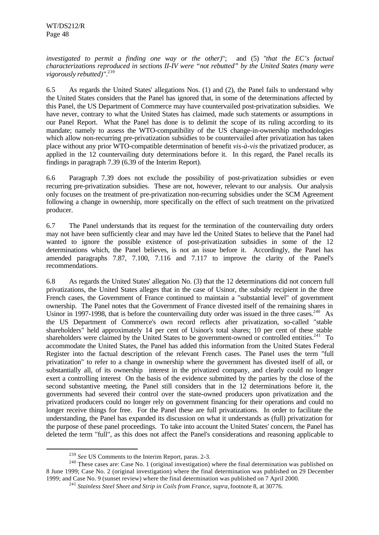*investigated to permit a finding one way or the other)*"; and (5) "*that the EC's factual characterizations reproduced in sections II-IV were "not rebutted" by the United States (many were vigorously rebutted)*".<sup>239</sup>

6.5 As regards the United States' allegations Nos. (1) and (2), the Panel fails to understand why the United States considers that the Panel has ignored that, in some of the determinations affected by this Panel, the US Department of Commerce may have countervailed post-privatization subsidies. We have never, contrary to what the United States has claimed, made such statements or assumptions in our Panel Report. What the Panel has done is to delimit the scope of its ruling according to its mandate; namely to assess the WTO-compatibility of the US change-in-ownership methodologies which allow non-recurring pre-privatization subsidies to be countervailed after privatization has taken place without any prior WTO-compatible determination of benefit *vis-à-vis* the privatized producer, as applied in the 12 countervailing duty determinations before it. In this regard, the Panel recalls its findings in paragraph 7.39 (6.39 of the Interim Report).

6.6 Paragraph 7.39 does not exclude the possibility of post-privatization subsidies or even recurring pre-privatization subsidies. These are not, however, relevant to our analysis. Our analysis only focuses on the treatment of pre-privatization non-recurring subsidies under the SCM Agreement following a change in ownership, more specifically on the effect of such treatment on the privatized producer.

6.7 The Panel understands that its request for the termination of the countervailing duty orders may not have been sufficiently clear and may have led the United States to believe that the Panel had wanted to ignore the possible existence of post-privatization subsidies in some of the 12 determinations which, the Panel believes, is not an issue before it. Accordingly, the Panel has amended paragraphs 7.87, 7.100, 7.116 and 7.117 to improve the clarity of the Panel's recommendations.

6.8 As regards the United States' allegation No. (3) that the 12 determinations did not concern full privatizations, the United States alleges that in the case of Usinor, the subsidy recipient in the three French cases, the Government of France continued to maintain a "substantial level" of government ownership. The Panel notes that the Government of France divested itself of the remaining shares in Usinor in 1997-1998, that is before the countervailing duty order was issued in the three cases.<sup>240</sup> As the US Department of Commerce's own record reflects after privatization, so-called "stable shareholders" held approximately 14 per cent of Usinor's total shares; 10 per cent of these stable shareholders were claimed by the United States to be government-owned or controlled entities.<sup>241</sup> To accommodate the United States, the Panel has added this information from the United States Federal Register into the factual description of the relevant French cases. The Panel uses the term "full privatization" to refer to a change in ownership where the government has divested itself of all, or substantially all, of its ownership interest in the privatized company, and clearly could no longer exert a controlling interest On the basis of the evidence submitted by the parties by the close of the second substantive meeting, the Panel still considers that in the 12 determinations before it, the governments had severed their control over the state-owned producers upon privatization and the privatized producers could no longer rely on government financing for their operations and could no longer receive things for free. For the Panel these are full privatizations. In order to facilitate the understanding, the Panel has expanded its discussion on what it understands as (full) privatization for the purpose of these panel proceedings. To take into account the United States' concern, the Panel has deleted the term "full", as this does not affect the Panel's considerations and reasoning applicable to

<sup>239</sup> *See* US Comments to the Interim Report, paras. 2-3.

<sup>&</sup>lt;sup>240</sup> These cases are: Case No. 1 (original investigation) where the final determination was published on 8 June 1999; Case No. 2 (original investigation) where the final determination was published on 29 December 1999; and Case No. 9 (sunset review) where the final determination was published on 7 April 2000.

<sup>241</sup> *Stainless Steel Sheet and Strip in Coils from France, supra,* footnote 8, at 30776.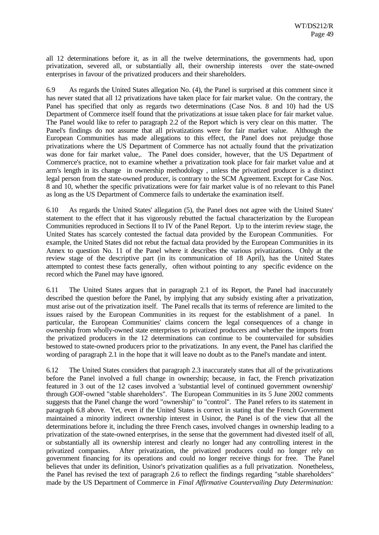all 12 determinations before it, as in all the twelve determinations, the governments had, upon privatization, severed all, or substantially all, their ownership interests over the state-owned enterprises in favour of the privatized producers and their shareholders.

6.9 As regards the United States allegation No. (4), the Panel is surprised at this comment since it has never stated that all 12 privatizations have taken place for fair market value. On the contrary, the Panel has specified that only as regards two determinations (Case Nos. 8 and 10) had the US Department of Commerce itself found that the privatizations at issue taken place for fair market value. The Panel would like to refer to paragraph 2.2 of the Report which is very clear on this matter. The Panel's findings do not assume that all privatizations were for fair market value. Although the European Communities has made allegations to this effect, the Panel does not prejudge those privatizations where the US Department of Commerce has not actually found that the privatization was done for fair market value,. The Panel does consider, however, that the US Department of Commerce's practice, not to examine whether a privatization took place for fair market value and at arm's length in its change in ownership methodology , unless the privatized producer is a distinct legal person from the state-owned producer, is contrary to the SCM Agreement. Except for Case Nos. 8 and 10, whether the specific privatizations were for fair market value is of no relevant to this Panel as long as the US Department of Commerce fails to undertake the examination itself.

6.10 As regards the United States' allegation (5), the Panel does not agree with the United States' statement to the effect that it has vigorously rebutted the factual characterization by the European Communities reproduced in Sections II to IV of the Panel Report. Up to the interim review stage, the United States has scarcely contested the factual data provided by the European Communities. For example, the United States did not rebut the factual data provided by the European Communities in its Annex to question No. 11 of the Panel where it describes the various privatizations. Only at the review stage of the descriptive part (in its communication of 18 April), has the United States attempted to contest these facts generally, often without pointing to any specific evidence on the record which the Panel may have ignored.

6.11 The United States argues that in paragraph 2.1 of its Report, the Panel had inaccurately described the question before the Panel, by implying that any subsidy existing after a privatization, must arise out of the privatization itself. The Panel recalls that its terms of reference are limited to the issues raised by the European Communities in its request for the establishment of a panel. In particular, the European Communities' claims concern the legal consequences of a change in ownership from wholly-owned state enterprises to privatized producers and whether the imports from the privatized producers in the 12 determinations can continue to be countervailed for subsidies bestowed to state-owned producers prior to the privatizations. In any event, the Panel has clarified the wording of paragraph 2.1 in the hope that it will leave no doubt as to the Panel's mandate and intent.

6.12 The United States considers that paragraph 2.3 inaccurately states that all of the privatizations before the Panel involved a full change in ownership; because, in fact, the French privatization featured in 3 out of the 12 cases involved a 'substantial level of continued government ownership' through GOF-owned "stable shareholders". The European Communities in its 5 June 2002 comments suggests that the Panel change the word "ownership" to "control". The Panel refers to its statement in paragraph 6.8 above. Yet, even if the United States is correct in stating that the French Government maintained a minority indirect ownership interest in Usinor, the Panel is of the view that all the determinations before it, including the three French cases, involved changes in ownership leading to a privatization of the state-owned enterprises, in the sense that the government had divested itself of all, or substantially all its ownership interest and clearly no longer had any controlling interest in the privatized companies. After privatization, the privatized producers could no longer rely on government financing for its operations and could no longer receive things for free. The Panel believes that under its definition, Usinor's privatization qualifies as a full privatization. Nonetheless, the Panel has revised the text of paragraph 2.6 to reflect the findings regarding "stable shareholders" made by the US Department of Commerce in *Final Affirmative Countervailing Duty Determination:*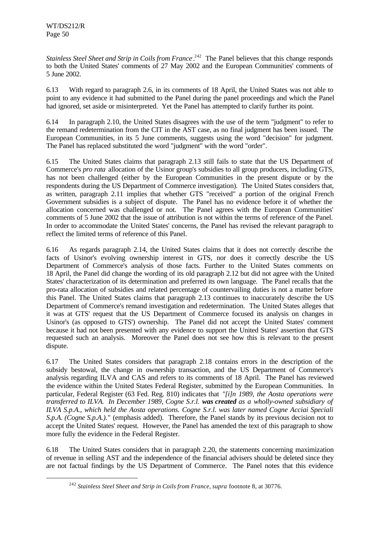l

Stainless Steel Sheet and Strip in Coils from France<sup>242</sup> The Panel believes that this change responds to both the United States' comments of 27 May 2002 and the European Communities' comments of 5 June 2002.

6.13 With regard to paragraph 2.6, in its comments of 18 April, the United States was not able to point to any evidence it had submitted to the Panel during the panel proceedings and which the Panel had ignored, set aside or misinterpreted. Yet the Panel has attempted to clarify further its point.

6.14 In paragraph 2.10, the United States disagrees with the use of the term "judgment" to refer to the remand redetermination from the CIT in the AST case, as no final judgment has been issued. The European Communities, in its 5 June comments, suggests using the word "decision" for judgment. The Panel has replaced substituted the word "judgment" with the word "order".

6.15 The United States claims that paragraph 2.13 still fails to state that the US Department of Commerce's *pro rata* allocation of the Usinor group's subsidies to all group producers, including GTS, has not been challenged (either by the European Communities in the present dispute or by the respondents during the US Department of Commerce investigation). The United States considers that, as written, paragraph 2.11 implies that whether GTS "received" a portion of the original French Government subsidies is a subject of dispute. The Panel has no evidence before it of whether the allocation concerned was challenged or not. The Panel agrees with the European Communities' comments of 5 June 2002 that the issue of attribution is not within the terms of reference of the Panel. In order to accommodate the United States' concerns, the Panel has revised the relevant paragraph to reflect the limited terms of reference of this Panel.

6.16 As regards paragraph 2.14, the United States claims that it does not correctly describe the facts of Usinor's evolving ownership interest in GTS, nor does it correctly describe the US Department of Commerce's analysis of those facts. Further to the United States comments on 18 April, the Panel did change the wording of its old paragraph 2.12 but did not agree with the United States' characterization of its determination and preferred its own language. The Panel recalls that the pro-rata allocation of subsidies and related percentage of countervailing duties is not a matter before this Panel. The United States claims that paragraph 2.13 continues to inaccurately describe the US Department of Commerce's remand investigation and redetermination. The United States alleges that it was at GTS' request that the US Department of Commerce focused its analysis on changes in Usinor's (as opposed to GTS') ownership. The Panel did not accept the United States' comment because it had not been presented with any evidence to support the United States' assertion that GTS requested such an analysis. Moreover the Panel does not see how this is relevant to the present dispute.

6.17 The United States considers that paragraph 2.18 contains errors in the description of the subsidy bestowal, the change in ownership transaction, and the US Department of Commerce's analysis regarding ILVA and CAS and refers to its comments of 18 April. The Panel has reviewed the evidence within the United States Federal Register, submitted by the European Communities. In particular, Federal Register (63 Fed. Reg. 810) indicates that *"[i]n 1989, the Aosta operations were transferred to ILVA. In December 1989, Cogne S.r.l. was created as a wholly-owned subsidiary of ILVA S.p.A., which held the Aosta operations. Cogne S.r.l. was later named Cogne Acciai Speciali S.p.A. (Cogne S.p.A.).*" (emphasis added). Therefore, the Panel stands by its previous decision not to accept the United States' request. However, the Panel has amended the text of this paragraph to show more fully the evidence in the Federal Register.

6.18 The United States considers that in paragraph 2.20, the statements concerning maximization of revenue in selling AST and the independence of the financial advisers should be deleted since they are not factual findings by the US Department of Commerce. The Panel notes that this evidence

<sup>242</sup> *Stainless Steel Sheet and Strip in Coils from France, supra* footnote 8, at 30776.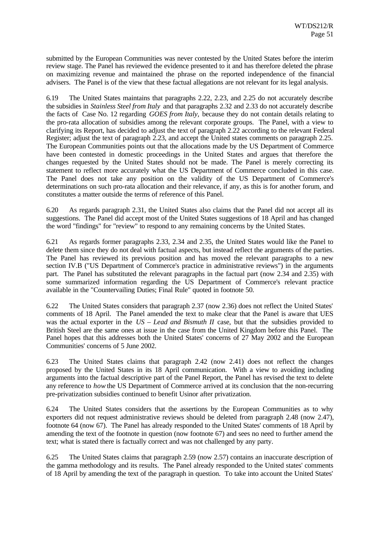submitted by the European Communities was never contested by the United States before the interim review stage. The Panel has reviewed the evidence presented to it and has therefore deleted the phrase on maximizing revenue and maintained the phrase on the reported independence of the financial advisers. The Panel is of the view that these factual allegations are not relevant for its legal analysis.

6.19 The United States maintains that paragraphs 2.22, 2.23, and 2.25 do not accurately describe the subsidies in *Stainless Steel from Italy* and that paragraphs 2.32 and 2.33 do not accurately describe the facts of Case No. 12 regarding *GOES from Italy,* because they do not contain details relating to the pro-rata allocation of subsidies among the relevant corporate groups. The Panel, with a view to clarifying its Report, has decided to adjust the text of paragraph 2.22 according to the relevant Federal Register; adjust the text of paragraph 2.23, and accept the United states comments on paragraph 2.25. The European Communities points out that the allocations made by the US Department of Commerce have been contested in domestic proceedings in the United States and argues that therefore the changes requested by the United States should not be made. The Panel is merely correcting its statement to reflect more accurately what the US Department of Commerce concluded in this case. The Panel does not take any position on the validity of the US Department of Commerce's determinations on such pro-rata allocation and their relevance, if any, as this is for another forum, and constitutes a matter outside the terms of reference of this Panel.

6.20 As regards paragraph 2.31, the United States also claims that the Panel did not accept all its suggestions. The Panel did accept most of the United States suggestions of 18 April and has changed the word "findings" for "review" to respond to any remaining concerns by the United States.

6.21 As regards former paragraphs 2.33, 2.34 and 2.35, the United States would like the Panel to delete them since they do not deal with factual aspects, but instead reflect the arguments of the parties. The Panel has reviewed its previous position and has moved the relevant paragraphs to a new section IV.B ("US Department of Commerce's practice in administrative reviews") in the arguments part. The Panel has substituted the relevant paragraphs in the factual part (now 2.34 and 2.35) with some summarized information regarding the US Department of Commerce's relevant practice available in the "Countervailing Duties; Final Rule" quoted in footnote 50.

6.22 The United States considers that paragraph 2.37 (now 2.36) does not reflect the United States' comments of 18 April. The Panel amended the text to make clear that the Panel is aware that UES was the actual exporter in the *US – Lead and Bismuth II* case, but that the subsidies provided to British Steel are the same ones at issue in the case from the United Kingdom before this Panel. The Panel hopes that this addresses both the United States' concerns of 27 May 2002 and the European Communities' concerns of 5 June 2002.

6.23 The United States claims that paragraph 2.42 (now 2.41) does not reflect the changes proposed by the United States in its 18 April communication. With a view to avoiding including arguments into the factual descriptive part of the Panel Report, the Panel has revised the text to delete any reference to *how* the US Department of Commerce arrived at its conclusion that the non-recurring pre-privatization subsidies continued to benefit Usinor after privatization.

6.24 The United States considers that the assertions by the European Communities as to why exporters did not request administrative reviews should be deleted from paragraph 2.48 (now 2.47), footnote 64 (now 67). The Panel has already responded to the United States' comments of 18 April by amending the text of the footnote in question (now footnote 67) and sees no need to further amend the text; what is stated there is factually correct and was not challenged by any party.

6.25 The United States claims that paragraph 2.59 (now 2.57) contains an inaccurate description of the gamma methodology and its results. The Panel already responded to the United states' comments of 18 April by amending the text of the paragraph in question. To take into account the United States'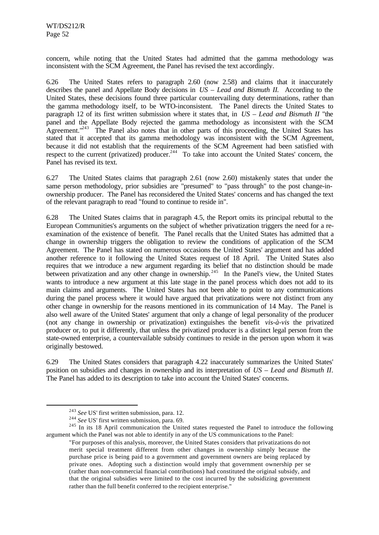concern, while noting that the United States had admitted that the gamma methodology was inconsistent with the SCM Agreement, the Panel has revised the text accordingly.

6.26 The United States refers to paragraph 2.60 (now 2.58) and claims that it inaccurately describes the panel and Appellate Body decisions in *US – Lead and Bismuth II.* According to the United States, these decisions found three particular countervailing duty determinations, rather than the gamma methodology itself, to be WTO-inconsistent. The Panel directs the United States to paragraph 12 of its first written submission where it states that, in *US – Lead and Bismuth II* "the panel and the Appellate Body rejected the gamma methodology as inconsistent with the SCM Agreement."<sup>243</sup> The Panel also notes that in other parts of this proceeding, the United States has stated that it accepted that its gamma methodology was inconsistent with the SCM Agreement, because it did not establish that the requirements of the SCM Agreement had been satisfied with respect to the current (privatized) producer.<sup>244</sup> To take into account the United States' concern, the Panel has revised its text.

6.27 The United States claims that paragraph 2.61 (now 2.60) mistakenly states that under the same person methodology, prior subsidies are "presumed" to "pass through" to the post change-inownership producer. The Panel has reconsidered the United States' concerns and has changed the text of the relevant paragraph to read "found to continue to reside in".

6.28 The United States claims that in paragraph 4.5, the Report omits its principal rebuttal to the European Communities's arguments on the subject of whether privatization triggers the need for a reexamination of the existence of benefit. The Panel recalls that the United States has admitted that a change in ownership triggers the obligation to review the conditions of application of the SCM Agreement. The Panel has stated on numerous occasions the United States' argument and has added another reference to it following the United States request of 18 April. The United States also requires that we introduce a new argument regarding its belief that no distinction should be made between privatization and any other change in ownership.<sup>245</sup> In the Panel's view, the United States wants to introduce a new argument at this late stage in the panel process which does not add to its main claims and arguments. The United States has not been able to point to any communications during the panel process where it would have argued that privatizations were not distinct from any other change in ownership for the reasons mentioned in its communication of 14 May. The Panel is also well aware of the United States' argument that only a change of legal personality of the producer (not any change in ownership or privatization) extinguishes the benefit *vis-à-vis* the privatized producer or, to put it differently, that unless the privatized producer is a distinct legal person from the state-owned enterprise, a countervailable subsidy continues to reside in the person upon whom it was originally bestowed.

6.29 The United States considers that paragraph 4.22 inaccurately summarizes the United States' position on subsidies and changes in ownership and its interpretation of *US – Lead and Bismuth II*. The Panel has added to its description to take into account the United States' concerns.

<sup>243</sup> *See* US' first written submission, para. 12.

<sup>244</sup> *See* US' first written submission, para. 69.

<sup>&</sup>lt;sup>245</sup> In its 18 April communication the United states requested the Panel to introduce the following argument which the Panel was not able to identify in any of the US communications to the Panel:

<sup>&</sup>quot;For purposes of this analysis, moreover, the United States considers that privatizations do not merit special treatment different from other changes in ownership simply because the purchase price is being paid to a government and government owners are being replaced by private ones. Adopting such a distinction would imply that government ownership per se (rather than non-commercial financial contributions) had constituted the original subsidy, and that the original subsidies were limited to the cost incurred by the subsidizing government rather than the full benefit conferred to the recipient enterprise."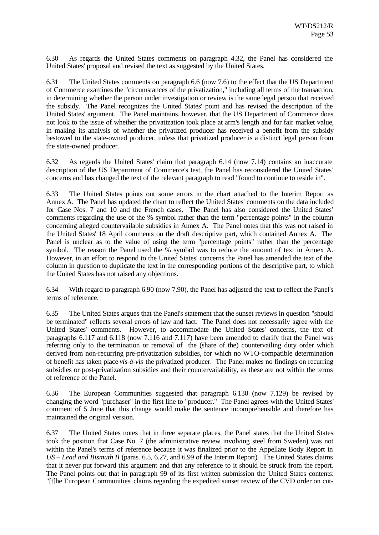6.30 As regards the United States comments on paragraph 4.32, the Panel has considered the United States' proposal and revised the text as suggested by the United States.

6.31 The United States comments on paragraph 6.6 (now 7.6) to the effect that the US Department of Commerce examines the "circumstances of the privatization," including all terms of the transaction, in determining whether the person under investigation or review is the same legal person that received the subsidy. The Panel recognizes the United States' point and has revised the description of the United States' argument. The Panel maintains, however, that the US Department of Commerce does not look to the issue of whether the privatization took place at arm's length and for fair market value, in making its analysis of whether the privatized producer has received a benefit from the subsidy bestowed to the state-owned producer, unless that privatized producer is a distinct legal person from the state-owned producer.

6.32 As regards the United States' claim that paragraph 6.14 (now 7.14) contains an inaccurate description of the US Department of Commerce's test, the Panel has reconsidered the United States' concerns and has changed the text of the relevant paragraph to read "found to continue to reside in".

6.33 The United States points out some errors in the chart attached to the Interim Report as Annex A. The Panel has updated the chart to reflect the United States' comments on the data included for Case Nos. 7 and 10 and the French cases. The Panel has also considered the United States' comments regarding the use of the % symbol rather than the term "percentage points" in the column concerning alleged countervailable subsidies in Annex A. The Panel notes that this was not raised in the United States' 18 April comments on the draft descriptive part, which contained Annex A. The Panel is unclear as to the value of using the term "percentage points" rather than the percentage symbol. The reason the Panel used the % symbol was to reduce the amount of text in Annex A. However, in an effort to respond to the United States' concerns the Panel has amended the text of the column in question to duplicate the text in the corresponding portions of the descriptive part, to which the United States has not raised any objections.

6.34 With regard to paragraph 6.90 (now 7.90), the Panel has adjusted the text to reflect the Panel's terms of reference.

6.35 The United States argues that the Panel's statement that the sunset reviews in question "should be terminated" reflects several errors of law and fact. The Panel does not necessarily agree with the United States' comments. However, to accommodate the United States' concerns, the text of paragraphs 6.117 and 6.118 (now 7.116 and 7.117) have been amended to clarify that the Panel was referring only to the termination or removal of the (share of the) countervailing duty order which derived from non-recurring pre-privatization subsidies, for which no WTO-compatible determination of benefit has taken place *vis-à-vis* the privatized producer. The Panel makes no findings on recurring subsidies or post-privatization subsidies and their countervailability, as these are not within the terms of reference of the Panel.

6.36 The European Communities suggested that paragraph 6.130 (now 7.129) be revised by changing the word "purchaser" in the first line to "producer." The Panel agrees with the United States' comment of 5 June that this change would make the sentence incomprehensible and therefore has maintained the original version.

6.37 The United States notes that in three separate places, the Panel states that the United States took the position that Case No. 7 (the administrative review involving steel from Sweden) was not within the Panel's terms of reference because it was finalized prior to the Appellate Body Report in *US – Lead and Bismuth II* (paras. 6.5, 6.27, and 6.99 of the Interim Report). The United States claims that it never put forward this argument and that any reference to it should be struck from the report. The Panel points out that in paragraph 99 of its first written submission the United States contents: "[t]he European Communities' claims regarding the expedited sunset review of the CVD order on cut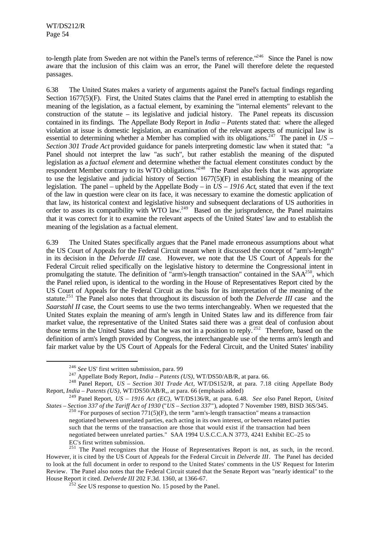to-length plate from Sweden are not within the Panel's terms of reference."<sup>246</sup> Since the Panel is now aware that the inclusion of this claim was an error, the Panel will therefore delete the requested passages.

6.38 The United States makes a variety of arguments against the Panel's factual findings regarding Section 1677(5)(F). First, the United States claims that the Panel erred in attempting to establish the meaning of the legislation, as a factual element, by examining the "internal elements" relevant to the construction of the statute – its legislative and judicial history. The Panel repeats its discussion contained in its findings. The Appellate Body Report in *India – Patents* stated that: where the alleged violation at issue is domestic legislation, an examination of the relevant aspects of municipal law is essential to determining whether a Member has complied with its obligations.<sup>247</sup> The panel in *US – Section 301 Trade Act* provided guidance for panels interpreting domestic law when it stated that: "a Panel should not interpret the law "as such", but rather establish the meaning of the disputed legislation as a *factual element* and determine whether the factual element constitutes conduct by the respondent Member contrary to its WTO obligations."<sup>248</sup> The Panel also feels that it was appropriate to use the legislative and judicial history of Section 1677(5)(F) in establishing the meaning of the legislation. The panel – upheld by the Appellate Body – in *US – 1916 Act*, stated that even if the text of the law in question were clear on its face, it was necessary to examine the domestic application of that law, its historical context and legislative history and subsequent declarations of US authorities in order to asses its compatibility with WTO law.<sup>249</sup> Based on the jurisprudence, the Panel maintains that it was correct for it to examine the relevant aspects of the United States' law and to establish the meaning of the legislation as a factual element.

6.39 The United States specifically argues that the Panel made erroneous assumptions about what the US Court of Appeals for the Federal Circuit meant when it discussed the concept of "arm's-length" in its decision in the *Delverde III* case. However, we note that the US Court of Appeals for the Federal Circuit relied specifically on the legislative history to determine the Congressional intent in promulgating the statute. The definition of "arm's-length transaction" contained in the  $SAA<sup>250</sup>$ , which the Panel relied upon, is identical to the wording in the House of Representatives Report cited by the US Court of Appeals for the Federal Circuit as the basis for its interpretation of the meaning of the statute.<sup>251</sup> The Panel also notes that throughout its discussion of both the *Delverde III* case and the *Saarstahl II* case, the Court seems to use the two terms interchangeably. When we requested that the United States explain the meaning of arm's length in United States law and its difference from fair market value, the representative of the United States said there was a great deal of confusion about those terms in the United States and that he was not in a position to reply.<sup>252</sup> Therefore, based on the definition of arm's length provided by Congress, the interchangeable use of the terms arm's length and fair market value by the US Court of Appeals for the Federal Circuit, and the United States' inability

<sup>246</sup> *See* US' first written submission, para. 99

<sup>247</sup> Appellate Body Report, *India – Patents (US)*, WT/DS50/AB/R, at para. 66.

<sup>248</sup> Panel Report, *US – Section 301 Trade Act,* WT/DS152/R, at para. 7.18 citing Appellate Body Report, *India – Patents (US)*, WT/DS50/AB/R,, at para. 66 (emphasis added)

<sup>249</sup> Panel Report, *US – 1916 Act (EC)*, WT/DS136/R, at para. 6.48. *See a*lso Panel Report, *United States – Section 337 of the Tariff Act of 1930* ("*US – Section 337*")*,* adopted 7 November 1989, BISD 36S/345.

<sup>&</sup>lt;sup>250</sup> "For purposes of section  $771(5)(F)$ , the term "arm's-length transaction" means a transaction negotiated between unrelated parties, each acting in its own interest, or between related parties such that the terms of the transaction are those that would exist if the transaction had been negotiated between unrelated parties." SAA 1994 U.S.C.C.A.N 3773, 4241 Exhibit EC–25 to EC's first written submission.

<sup>&</sup>lt;sup>251</sup> The Panel recognizes that the House of Representatives Report is not, as such, in the record. However, it is cited by the US Court of Appeals for the Federal Circuit in *Delverde III*. The Panel has decided to look at the full document in order to respond to the United States' comments in the US' Request for Interim Review. The Panel also notes that the Federal Circuit stated that the Senate Report was "nearly identical" to the House Report it cited. *Delverde III* 202 F.3d. 1360, at 1366-67.

<sup>252</sup> *See* US response to question No. 15 posed by the Panel.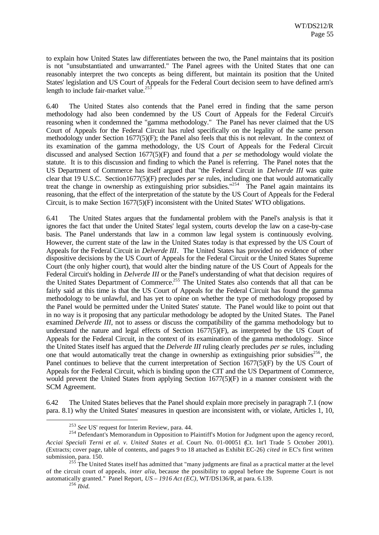to explain how United States law differentiates between the two, the Panel maintains that its position is not "unsubstantiated and unwarranted." The Panel agrees with the United States that one can reasonably interpret the two concepts as being different, but maintain its position that the United States' legislation and US Court of Appeals for the Federal Court decision seem to have defined arm's length to include fair-market value.<sup>25</sup>

6.40 The United States also contends that the Panel erred in finding that the same person methodology had also been condemned by the US Court of Appeals for the Federal Circuit's reasoning when it condemned the "gamma methodology." The Panel has never claimed that the US Court of Appeals for the Federal Circuit has ruled specifically on the legality of the same person methodology under Section 1677(5)(F); the Panel also feels that this is not relevant. In the context of its examination of the gamma methodology, the US Court of Appeals for the Federal Circuit discussed and analysed Section 1677(5)(F) and found that a *per se* methodology would violate the statute. It is to this discussion and finding to which the Panel is referring. The Panel notes that the US Department of Commerce has itself argued that "the Federal Circuit in *Delverde III* was quite clear that 19 U.S.C. Section1677(5)(F) precludes *per se* rules, including one that would automatically treat the change in ownership as extinguishing prior subsidies."<sup>254</sup> The Panel again maintains its reasoning, that the effect of the interpretation of the statute by the US Court of Appeals for the Federal Circuit, is to make Section 1677(5)(F) inconsistent with the United States' WTO obligations.

6.41 The United States argues that the fundamental problem with the Panel's analysis is that it ignores the fact that under the United States' legal system, courts develop the law on a case-by-case basis. The Panel understands that law in a common law legal system is continuously evolving. However, the current state of the law in the United States today is that expressed by the US Court of Appeals for the Federal Circuit in *Delverde III*. The United States has provided no evidence of other dispositive decisions by the US Court of Appeals for the Federal Circuit or the United States Supreme Court (the only higher court), that would alter the binding nature of the US Court of Appeals for the Federal Circuit's holding in *Delverde III* or the Panel's understanding of what that decision requires of the United States Department of Commerce.<sup>255</sup> The United States also contends that all that can be fairly said at this time is that the US Court of Appeals for the Federal Circuit has found the gamma methodology to be unlawful, and has yet to opine on whether the type of methodology proposed by the Panel would be permitted under the United States' statute. The Panel would like to point out that in no way is it proposing that any particular methodology be adopted by the United States. The Panel examined *Delverde III*, not to assess or discuss the compatibility of the gamma methodology but to understand the nature and legal effects of Section 1677(5)(F), as interpreted by the US Court of Appeals for the Federal Circuit, in the context of its examination of the gamma methodology. Since the United States itself has argued that the *Delverde III* ruling clearly precludes *per se* rules, including one that would automatically treat the change in ownership as extinguishing prior subsidies<sup>256</sup>, the Panel continues to believe that the current interpretation of Section 1677(5)(F) by the US Court of Appeals for the Federal Circuit, which is binding upon the CIT and the US Department of Commerce, would prevent the United States from applying Section 1677(5)(F) in a manner consistent with the SCM Agreement.

6.42 The United States believes that the Panel should explain more precisely in paragraph 7.1 (now para. 8.1) why the United States' measures in question are inconsistent with, or violate, Articles 1, 10,

<sup>253</sup> *See* US' request for Interim Review, para. 44.

<sup>&</sup>lt;sup>254</sup> Defendant's Memorandum in Opposition to Plaintiff's Motion for Judgment upon the agency record, *Acciai Speciali Terni et al. v. United States et al.* Court No. 01-00051 (Ct. Int'l Trade 5 October 2001). (Extracts; cover page, table of contents, and pages 9 to 18 attached as Exhibit EC-26) *cited in* EC's first written submission, para. 150.

<sup>255</sup> The United States itself has admitted that "many judgments are final as a practical matter at the level of the circuit court of appeals, *inter alia*, because the possibility to appeal before the Supreme Court is not automatically granted." Panel Report, *US – 1916 Act (EC)*, WT/DS136/R, at para. 6.139.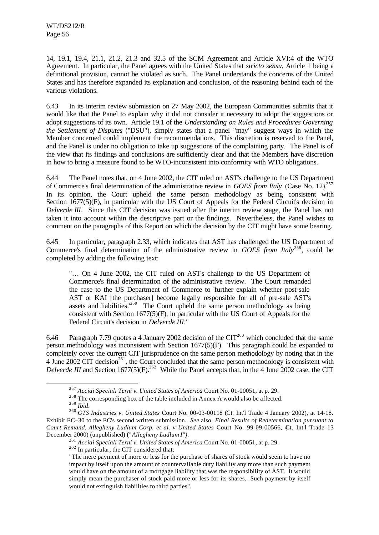14, 19.1, 19.4, 21.1, 21.2, 21.3 and 32.5 of the SCM Agreement and Article XVI:4 of the WTO Agreement. In particular, the Panel agrees with the United States that *stricto sensu*, Article 1 being a definitional provision, cannot be violated as such. The Panel understands the concerns of the United States and has therefore expanded its explanation and conclusion, of the reasoning behind each of the various violations.

6.43 In its interim review submission on 27 May 2002, the European Communities submits that it would like that the Panel to explain why it did not consider it necessary to adopt the suggestions or adopt suggestions of its own. Article 19.1 of the *Understanding on Rules and Procedures Governing the Settlement of Disputes* ("DSU"), simply states that a panel "may" suggest ways in which the Member concerned could implement the recommendations. This discretion is reserved to the Panel, and the Panel is under no obligation to take up suggestions of the complaining party. The Panel is of the view that its findings and conclusions are sufficiently clear and that the Members have discretion in how to bring a measure found to be WTO-inconsistent into conformity with WTO obligations.

6.44 The Panel notes that, on 4 June 2002, the CIT ruled on AST's challenge to the US Department of Commerce's final determination of the administrative review in *GOES from Italy* (Case No. 12).<sup>257</sup> In its opinion, the Court upheld the same person methodology as being consistent with Section  $1677(5)$ (F), in particular with the US Court of Appeals for the Federal Circuit's decision in *Delverde III.* Since this CIT decision was issued after the interim review stage, the Panel has not taken it into account within the descriptive part or the findings. Nevertheless, the Panel wishes to comment on the paragraphs of this Report on which the decision by the CIT might have some bearing.

6.45 In particular, paragraph 2.33, which indicates that AST has challenged the US Department of Commerce's final determination of the administrative review in *GOES from Italy*<sup>258</sup>, could be completed by adding the following text:

"… On 4 June 2002, the CIT ruled on AST's challenge to the US Department of Commerce's final determination of the administrative review. The Court remanded the case to the US Department of Commerce to 'further explain whether post-sale AST or KAI [the purchaser] become legally responsible for all of pre-sale AST's assets and liabilities.<sup>259</sup> The Court upheld the same person methodology as being consistent with Section 1677(5)(F), in particular with the US Court of Appeals for the Federal Circuit's decision in *Delverde III*."

6.46 Paragraph 7.79 quotes a 4 January 2002 decision of the  $CTT^{260}$  which concluded that the same person methodology was inconsistent with Section 1677(5)(F). This paragraph could be expanded to completely cover the current CIT jurisprudence on the same person methodology by noting that in the 4 June 2002 CIT decision<sup>261</sup>, the Court concluded that the same person methodology is consistent with *Delverde III* and Section  $1677(5)$ (F).<sup>262</sup> While the Panel accepts that, in the 4 June 2002 case, the CIT

<sup>257</sup> *Acciai Speciali Terni v. United States of America* Court No. 01-00051, at p. 29.

<sup>&</sup>lt;sup>258</sup> The corresponding box of the table included in Annex A would also be affected.

<sup>259</sup> *Ibid*.

<sup>260</sup> *GTS Industries v. United States* Court No. 00-03-00118 (Ct. Int'l Trade 4 January 2002), at 14-18. Exhibit EC–30 to the EC's second written submission. *See* also, *Final Results of Redetermination pursuant to Court Remand*, *Allegheny Ludlum Corp. et al. v United States* Court No. 99-09-00566, (Ct. Int'l Trade 13 December 2000) (unpublished) ("*Allegheny Ludlum I")*.

<sup>261</sup> *Acciai Speciali Terni v. United States of America* Court No. 01-00051, at p. 29.

<sup>262</sup> In particular, the CIT considered that:

<sup>&</sup>quot;The mere payment of more or less for the purchase of shares of stock would seem to have no impact by itself upon the amount of countervailable duty liability any more than such payment would have on the amount of a mortgage liability that was the responsibility of AST. It would simply mean the purchaser of stock paid more or less for its shares. Such payment by itself would not extinguish liabilities to third parties".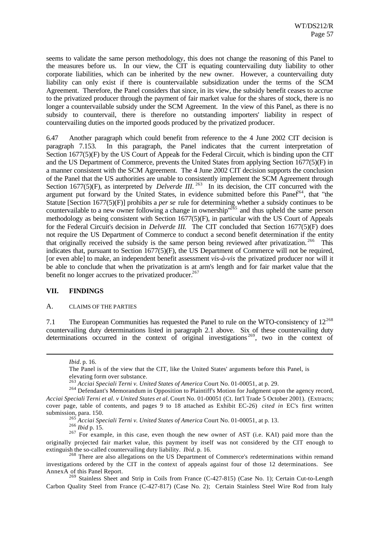seems to validate the same person methodology, this does not change the reasoning of this Panel to the measures before us. In our view, the CIT is equating countervailing duty liability to other corporate liabilities, which can be inherited by the new owner. However, a countervailing duty liability can only exist if there is countervailable subsidization under the terms of the SCM Agreement. Therefore, the Panel considers that since, in its view, the subsidy benefit ceases to accrue to the privatized producer through the payment of fair market value for the shares of stock, there is no longer a countervailable subsidy under the SCM Agreement. In the view of this Panel, as there is no subsidy to countervail, there is therefore no outstanding importers' liability in respect of countervailing duties on the imported goods produced by the privatized producer.

6.47 Another paragraph which could benefit from reference to the 4 June 2002 CIT decision is paragraph 7.153. In this paragraph, the Panel indicates that the current interpretation of Section 1677(5)(F) by the US Court of Appeals for the Federal Circuit, which is binding upon the CIT and the US Department of Commerce, prevents the United States from applying Section 1677(5)(F) in a manner consistent with the SCM Agreement. The 4 June 2002 CIT decision supports the conclusion of the Panel that the US authorities are unable to consistently implement the SCM Agreement through Section 1677(5)(F), as interpreted by *Delverde III*.<sup>263</sup> In its decision, the CIT concurred with the argument put forward by the United States, in evidence submitted before this Panel<sup>64</sup>, that "the Statute [Section 1677(5)(F)] prohibits a *per se* rule for determining whether a subsidy continues to be countervailable to a new owner following a change in ownership $^{1265}$  and thus upheld the same person methodology as being consistent with Section 1677(5)(F), in particular with the US Court of Appeals for the Federal Circuit's decision in *Delverde III*. The CIT concluded that Section 1677(5)(F) does not require the US Department of Commerce to conduct a second benefit determination if the entity that originally received the subsidy is the same person being reviewed after privatization.<sup>266</sup> This indicates that, pursuant to Section 1677(5)(F), the US Department of Commerce will not be required, [or even able] to make, an independent benefit assessment *vis-à-vis* the privatized producer nor will it be able to conclude that when the privatization is at arm's length and for fair market value that the benefit no longer accrues to the privatized producer.<sup>267</sup>

### **VII. FINDINGS**

#### A. CLAIMS OF THE PARTIES

7.1 The European Communities has requested the Panel to rule on the WTO-consistency of  $12^{268}$ countervailing duty determinations listed in paragraph 2.1 above. Six of these countervailing duty determinations occurred in the context of original investigations<sup>269</sup>, two in the context of

*Ibid*. p. 16.

The Panel is of the view that the CIT, like the United States' arguments before this Panel, is elevating form over substance.

<sup>263</sup> *Acciai Speciali Terni v. United States of America* Court No. 01-00051, at p. 29.

<sup>&</sup>lt;sup>264</sup> Defendant's Memorandum in Opposition to Plaintiff's Motion for Judgment upon the agency record, *Acciai Speciali Terni et al. v United States et al.* Court No. 01-00051 (Ct. Int'l Trade 5 October 2001). (Extracts; cover page, table of contents, and pages 9 to 18 attached as Exhibit EC-26) *cited in* EC's first written submission, para. 150.

<sup>265</sup> *Acciai Speciali Terni v. United States of America* Court No. 01-00051, at p. 13.

<sup>266</sup> *Ibid* p. 15.

<sup>&</sup>lt;sup>267</sup> For example, in this case, even though the new owner of AST (i.e. KAI) paid more than the originally projected fair market value, this payment by itself was not considered by the CIT enough to extinguish the so-called countervailing duty liability. *Ibid.* p. 16.

<sup>&</sup>lt;sup>268</sup> There are also allegations on the US Department of Commerce's redeterminations within remand investigations ordered by the CIT in the context of appeals against four of those 12 determinations. See Annex A of this Panel Report.

<sup>&</sup>lt;sup>269</sup> Stainless Sheet and Strip in Coils from France (C-427-815) (Case No. 1); Certain Cut-to-Length Carbon Quality Steel from France (C-427-817) (Case No. 2); Certain Stainless Steel Wire Rod from Italy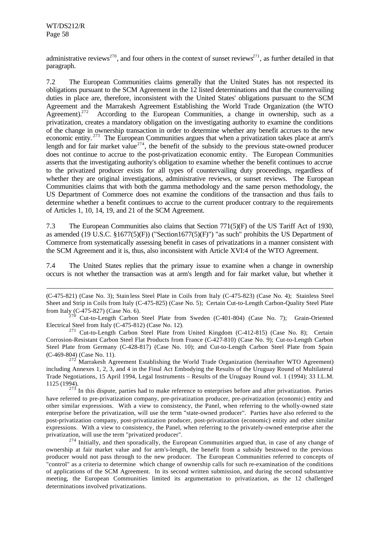l

administrative reviews<sup>270</sup>, and four others in the context of sunset reviews<sup>271</sup>, as further detailed in that paragraph.

7.2 The European Communities claims generally that the United States has not respected its obligations pursuant to the SCM Agreement in the 12 listed determinations and that the countervailing duties in place are, therefore, inconsistent with the United States' obligations pursuant to the SCM Agreement and the Marrakesh Agreement Establishing the World Trade Organization (the WTO Agreement).<sup>272</sup> According to the European Communities, a change in ownership, such as a According to the European Communities, a change in ownership, such as a privatization, creates a mandatory obligation on the investigating authority to examine the conditions of the change in ownership transaction in order to determine whether any benefit accrues to the new economic entity.<sup>273</sup> The European Communities argues that when a privatization takes place at arm's length and for fair market value<sup>274</sup>, the benefit of the subsidy to the previous state-owned producer does not continue to accrue to the post-privatization economic entity. The European Communities asserts that the investigating authority's obligation to examine whether the benefit continues to accrue to the privatized producer exists for all types of countervailing duty proceedings, regardless of whether they are original investigations, administrative reviews, or sunset reviews. The European Communities claims that with both the gamma methodology and the same person methodology, the US Department of Commerce does not examine the conditions of the transaction and thus fails to determine whether a benefit continues to accrue to the current producer contrary to the requirements of Articles 1, 10, 14, 19, and 21 of the SCM Agreement.

7.3 The European Communities also claims that Section 771(5)(F) of the US Tariff Act of 1930, as amended (19 U.S.C. §1677(5)(F)) ("Section1677(5)(F)") "as such" prohibits the US Department of Commerce from systematically assessing benefit in cases of privatizations in a manner consistent with the SCM Agreement and it is, thus, also inconsistent with Article XVI:4 of the WTO Agreement.

7.4 The United States replies that the primary issue to examine when a change in ownership occurs is not whether the transaction was at arm's length and for fair market value, but whether it

<sup>272</sup> Marrakesh Agreement Establishing the World Trade Organization (hereinafter WTO Agreement) including Annexes 1, 2, 3, and 4 in the Final Act Embodying the Results of the Uruguay Round of Multilateral Trade Negotiations, 15 April 1994, Legal Instruments – Results of the Uruguay Round vol. 1 (1994); 33 I.L.M. 1125 (1994).

 $273 \text{ In this dispute, parties had to make reference to enterprises before and after privatization. Parties.}$ have referred to pre-privatization company, pre-privatization producer, pre-privatization (economic) entity and other similar expressions. With a view to consistency, the Panel, when referring to the wholly-owned state enterprise before the privatization, will use the term "state-owned producer". Parties have also referred to the post-privatization company, post-privatization producer, post-privatization (economic) entity and other similar expressions. With a view to consistency, the Panel, when referring to the privately-owned enterprise after the privatization, will use the term "privatized producer".

 $^{274}$  Initially, and then sporadically, the European Communities argued that, in case of any change of ownership at fair market value and for arm's-length, the benefit from a subsidy bestowed to the previous producer would not pass through to the new producer. The European Communities referred to concepts of "control" as a criteria to determine which change of ownership calls for such re-examination of the conditions of applications of the SCM Agreement. In its second written submission, and during the second substantive meeting, the European Communities limited its argumentation to privatization, as the 12 challenged determinations involved privatizations.

<sup>(</sup>C-475-821) (Case No. 3); Stain less Steel Plate in Coils from Italy (C-475-823) (Case No. 4); Stainless Steel Sheet and Strip in Coils from Italy (C-475-825) (Case No. 5); Certain Cut-to-Length Carbon-Quality Steel Plate from Italy (C-475-827) (Case No. 6).

 $70$  Cut-to-Length Carbon Steel Plate from Sweden (C-401-804) (Case No. 7); Grain-Oriented Electrical Steel from Italy (C-475-812) (Case No. 12).

<sup>&</sup>lt;sup>271</sup> Cut-to-Length Carbon Steel Plate from United Kingdom (C-412-815) (Case No. 8); Certain Corrosion-Resistant Carbon Steel Flat Products from France (C-427-810) (Case No. 9); Cut-to-Length Carbon Steel Plate from Germany (C-428-817) (Case No. 10); and Cut-to-Length Carbon Steel Plate from Spain (C-469-804) (Case No. 11).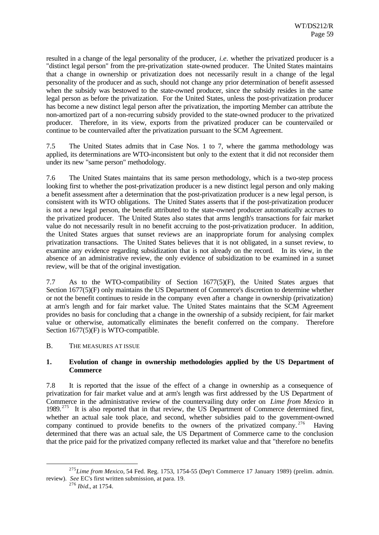resulted in a change of the legal personality of the producer, *i.e.* whether the privatized producer is a "distinct legal person" from the pre-privatization state-owned producer. The United States maintains that a change in ownership or privatization does not necessarily result in a change of the legal personality of the producer and as such, should not change any prior determination of benefit assessed when the subsidy was bestowed to the state-owned producer, since the subsidy resides in the same legal person as before the privatization. For the United States, unless the post-privatization producer has become a new distinct legal person after the privatization, the importing Member can attribute the non-amortized part of a non-recurring subsidy provided to the state-owned producer to the privatized producer. Therefore, in its view, exports from the privatized producer can be countervailed or continue to be countervailed after the privatization pursuant to the SCM Agreement.

7.5 The United States admits that in Case Nos. 1 to 7, where the gamma methodology was applied, its determinations are WTO-inconsistent but only to the extent that it did not reconsider them under its new "same person" methodology.

7.6 The United States maintains that its same person methodology, which is a two-step process looking first to whether the post-privatization producer is a new distinct legal person and only making a benefit assessment after a determination that the post-privatization producer is a new legal person, is consistent with its WTO obligations. The United States asserts that if the post-privatization producer is not a new legal person, the benefit attributed to the state-owned producer automatically accrues to the privatized producer. The United States also states that arms length's transactions for fair market value do not necessarily result in no benefit accruing to the post-privatization producer. In addition, the United States argues that sunset reviews are an inappropriate forum for analysing complex privatization transactions. The United States believes that it is not obligated, in a sunset review, to examine any evidence regarding subsidization that is not already on the record. In its view, in the absence of an administrative review, the only evidence of subsidization to be examined in a sunset review, will be that of the original investigation.

7.7 As to the WTO-compatibility of Section 1677(5)(F), the United States argues that Section 1677(5)(F) only maintains the US Department of Commerce's discretion to determine whether or not the benefit continues to reside in the company even after a change in ownership (privatization) at arm's length and for fair market value. The United States maintains that the SCM Agreement provides no basis for concluding that a change in the ownership of a subsidy recipient, for fair market value or otherwise, automatically eliminates the benefit conferred on the company. Therefore Section  $1677(5)$ (F) is WTO-compatible.

### B. THE MEASURES AT ISSUE

### **1. Evolution of change in ownership methodologies applied by the US Department of Commerce**

7.8 It is reported that the issue of the effect of a change in ownership as a consequence of privatization for fair market value and at arm's length was first addressed by the US Department of Commerce in the administrative review of the countervailing duty order on *Lime from Mexico* in 1989.<sup>275</sup> It is also reported that in that review, the US Department of Commerce determined first, whether an actual sale took place, and second, whether subsidies paid to the government-owned company continued to provide benefits to the owners of the privatized company.<sup>276</sup> Having determined that there was an actual sale, the US Department of Commerce came to the conclusion that the price paid for the privatized company reflected its market value and that "therefore no benefits

<sup>275</sup>*Lime from Mexico,* 54 Fed. Reg. 1753, 1754-55 (Dep't Commerce 17 January 1989) (prelim. admin. review). *See* EC's first written submission, at para. 19.

<sup>276</sup> *Ibid.*, at 1754.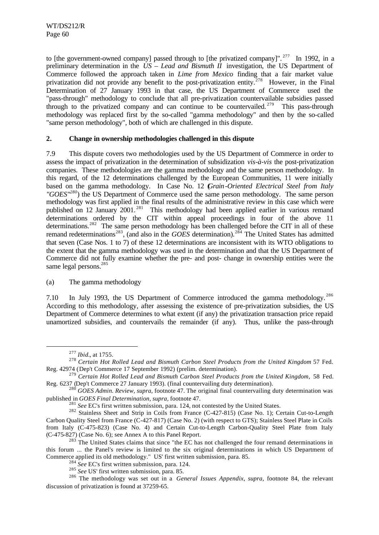to [the government-owned company] passed through to [the privatized company]".<sup>277</sup> In 1992, in a preliminary determination in the *US – Lead and Bismuth II* investigation, the US Department of Commerce followed the approach taken in *Lime from Mexico* finding that a fair market value privatization did not provide any benefit to the post-privatization entity.<sup>278</sup> However, in the Final Determination of 27 January 1993 in that case, the US Department of Commerce used the "pass-through" methodology to conclude that all pre-privatization countervailable subsidies passed through to the privatized company and can continue to be countervailed. <sup>279</sup> This pass-through methodology was replaced first by the so-called "gamma methodology" and then by the so-called "same person methodology", both of which are challenged in this dispute.

### **2. Change in ownership methodologies challenged in this dispute**

7.9 This dispute covers two methodologies used by the US Department of Commerce in order to assess the impact of privatization in the determination of subsidization *vis-à-vis* the post-privatization companies. These methodologies are the gamma methodology and the same person methodology. In this regard, of the 12 determinations challenged by the European Communities, 11 were initially based on the gamma methodology. In Case No. 12 (*Grain-Oriented Electrical Steel from Italy "GOES"<sup>280</sup>*) the US Department of Commerce used the same person methodology. The same person methodology was first applied in the final results of the administrative review in this case which were published on 12 January 2001.<sup>281</sup> This methodology had been applied earlier in various remand determinations ordered by the CIT within appeal proceedings in four of the above 11 determinations.<sup>282</sup> The same person methodology has been challenged before the CIT in all of these remand redeterminations<sup>283</sup>, (and also in the *GOES* determination).<sup>284</sup> The United States has admitted that seven (Case Nos. 1 to 7) of these 12 determinations are inconsistent with its WTO obligations to the extent that the gamma methodology was used in the determination and that the US Department of Commerce did not fully examine whether the pre- and post- change in ownership entities were the same legal persons.<sup>285</sup>

### (a) The gamma methodology

7.10 In July 1993, the US Department of Commerce introduced the gamma methodology. <sup>286</sup> According to this methodology, after assessing the existence of pre-privatization subsidies, the US Department of Commerce determines to what extent (if any) the privatization transaction price repaid unamortized subsidies, and countervails the remainder (if any). Thus, unlike the pass-through

<sup>277</sup> *Ibid.*, at 1755.

<sup>278</sup> *Certain Hot Rolled Lead and Bismuth Carbon Steel Products from the United Kingdom* 57 Fed. Reg. 42974 (Dep't Commerce 17 September 1992) (prelim. determination).

<sup>&</sup>lt;sup>279</sup> Certain Hot Rolled Lead and Bismuth Carbon Steel Products from the United Kingdom, 58 Fed. Reg. 6237 (Dep't Commerce 27 January 1993). (final countervailing duty determination).

<sup>280</sup> *GOES Admin. Review, supra,* footnote 47. The original final countervailing duty determination was published in *GOES Final Determination, supra,* footnote 47.

<sup>281</sup> *See* EC's first written submission, para. 124, not contested by the United States.

<sup>&</sup>lt;sup>282</sup> Stainless Sheet and Strip in Coils from France (C-427-815) (Case No. 1); Certain Cut-to-Length Carbon Quality Steel from France (C-427-817) (Case No. 2) (with respect to GTS); Stainless Steel Plate in Coils from Italy (C-475-823) (Case No. 4) and Certain Cut-to-Length Carbon-Quality Steel Plate from Italy (C-475-827) (Case No. 6); see Annex A to this Panel Report.

 $283$  The United States claims that since "the EC has not challenged the four remand determinations in this forum ... the Panel's review is limited to the six original determinations in which US Department of Commerce applied its old methodology." US' first written submission, para. 85.

<sup>284</sup> *See* EC's first written submission, para. 124.

<sup>&</sup>lt;sup>285</sup> *See* US' first written submission, para. 85.

<sup>286</sup> The methodology was set out in a *General Issues Appendix*, *supra,* footnote 84, the relevant discussion of privatization is found at 37259-65.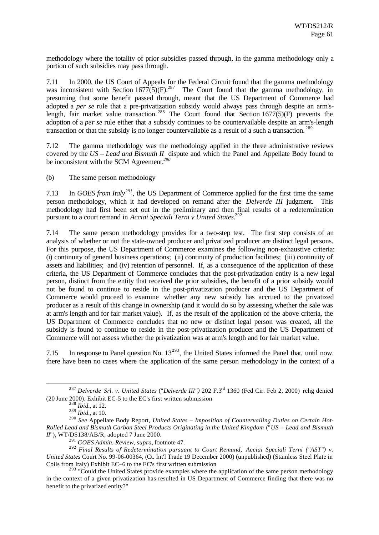methodology where the totality of prior subsidies passed through, in the gamma methodology only a portion of such subsidies may pass through.

7.11 In 2000, the US Court of Appeals for the Federal Circuit found that the gamma methodology was inconsistent with Section  $1677(5)(F)$ .<sup>287</sup> The Court found that the gamma methodology, in presuming that some benefit passed through, meant that the US Department of Commerce had adopted a *per se* rule that a pre-privatization subsidy would always pass through despite an arm'slength, fair market value transaction.<sup>288</sup> The Court found that Section  $1677(5)(F)$  prevents the adoption of a *per se* rule either that a subsidy continues to be countervailable despite an arm's-length transaction or that the subsidy is no longer countervailable as a result of a such a transaction.<sup>289</sup>

7.12 The gamma methodology was the methodology applied in the three administrative reviews covered by the *US – Lead and Bismuth II* dispute and which the Panel and Appellate Body found to be inconsistent with the SCM Agreement*. 290*

(b) The same person methodology

7.13 In *GOES from Italy<sup>291</sup>*, the US Department of Commerce applied for the first time the same person methodology, which it had developed on remand after the *Delverde III* judgment. This methodology had first been set out in the preliminary and then final results of a redetermination pursuant to a court remand in *Acciai Speciali Terni v United States.*<sup>292</sup>

7.14 The same person methodology provides for a two-step test. The first step consists of an analysis of whether or not the state-owned producer and privatized producer are distinct legal persons. For this purpose, the US Department of Commerce examines the following non-exhaustive criteria: (i) continuity of general business operations; (ii) continuity of production facilities; (iii) continuity of assets and liabilities; and (iv) retention of personnel. If, as a consequence of the application of these criteria, the US Department of Commerce concludes that the post-privatization entity is a new legal person, distinct from the entity that received the prior subsidies, the benefit of a prior subsidy would not be found to continue to reside in the post-privatization producer and the US Department of Commerce would proceed to examine whether any new subsidy has accrued to the privatized producer as a result of this change in ownership (and it would do so by assessing whether the sale was at arm's length and for fair market value). If, as the result of the application of the above criteria, the US Department of Commerce concludes that no new or distinct legal person was created, all the subsidy is found to continue to reside in the post-privatization producer and the US Department of Commerce will not assess whether the privatization was at arm's length and for fair market value.

7.15 In response to Panel question No.  $13^{293}$ , the United States informed the Panel that, until now, there have been no cases where the application of the same person methodology in the context of a

<sup>287</sup> *Delverde Srl. v. United States* ("*Delverde III")* 202 F.3rd 1360 (Fed Cir. Feb 2, 2000) rehg denied (20 June 2000). Exhibit EC-5 to the EC's first written submission

<sup>288</sup> *Ibid.*, at 12.

<sup>289</sup> *Ibid.*, at 10.

<sup>290</sup> *See* Appellate Body Report, *United States – Imposition of Countervailing Duties on Certain Hot-Rolled Lead and Bismuth Carbon Steel Products Originating in the United Kingdom* ("*US – Lead and Bismuth II*"), WT/DS138/AB/R, adopted 7 June 2000.

<sup>291</sup> *GOES Admin. Review, supra,* footnote 47.

<sup>292</sup> *Final Results of Redetermination pursuant to Court Remand, Acciai Speciali Terni ("AST") v. United States* Court No. 99-06-00364, (Ct. Int'l Trade 19 December 2000) (unpublished) (Stainless Steel Plate in Coils from Italy) Exhibit EC–6 to the EC's first written submission

<sup>&</sup>lt;sup>293</sup> "Could the United States provide examples where the application of the same person methodology in the context of a given privatization has resulted in US Department of Commerce finding that there was no benefit to the privatized entity?"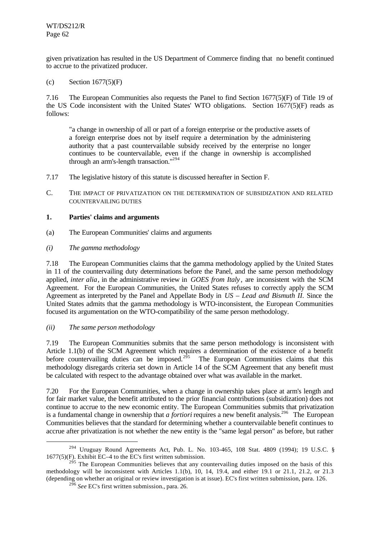given privatization has resulted in the US Department of Commerce finding that no benefit continued to accrue to the privatized producer.

### $\text{c)}$  Section 1677(5)(F)

7.16 The European Communities also requests the Panel to find Section 1677(5)(F) of Title 19 of the US Code inconsistent with the United States' WTO obligations. Section 1677(5)(F) reads as follows:

"a change in ownership of all or part of a foreign enterprise or the productive assets of a foreign enterprise does not by itself require a determination by the administering authority that a past countervailable subsidy received by the enterprise no longer continues to be countervailable, even if the change in ownership is accomplished through an arm's-length transaction."<sup>294</sup>

- 7.17 The legislative history of this statute is discussed hereafter in Section F.
- C. THE IMPACT OF PRIVATIZATION ON THE DETERMINATION OF SUBSIDIZATION AND RELATED COUNTERVAILING DUTIES

### **1. Parties' claims and arguments**

- (a) The European Communities' claims and arguments
- *(i) The gamma methodology*

7.18 The European Communities claims that the gamma methodology applied by the United States in 11 of the countervailing duty determinations before the Panel, and the same person methodology applied, *inter alia*, in the administrative review in *GOES from Italy* , are inconsistent with the SCM Agreement. For the European Communities, the United States refuses to correctly apply the SCM Agreement as interpreted by the Panel and Appellate Body in *US – Lead and Bismuth II*. Since the United States admits that the gamma methodology is WTO-inconsistent, the European Communities focused its argumentation on the WTO-compatibility of the same person methodology.

### *(ii) The same person methodology*

l

7.19 The European Communities submits that the same person methodology is inconsistent with Article 1.1(b) of the SCM Agreement which requires a determination of the existence of a benefit before countervailing duties can be imposed.<sup>295</sup> The European Communities claims that this methodology disregards criteria set down in Article 14 of the SCM Agreement that any benefit must be calculated with respect to the advantage obtained over what was available in the market.

7.20 For the European Communities, when a change in ownership takes place at arm's length and for fair market value, the benefit attributed to the prior financial contributions (subsidization) does not continue to accrue to the new economic entity. The European Communities submits that privatization is a fundamental change in ownership that *a fortiori* requires a new benefit analysis.<sup>296</sup> The European Communities believes that the standard for determining whether a countervailable benefit continues to accrue after privatization is not whether the new entity is the "same legal person" as before, but rather

<sup>294</sup> Uruguay Round Agreements Act, Pub. L. No. 103-465, 108 Stat. 4809 (1994); 19 U.S.C. § 1677(5)(F). Exhibit EC–4 to the EC's first written submission.

<sup>&</sup>lt;sup>295</sup> The European Communities believes that any countervailing duties imposed on the basis of this methodology will be inconsistent with Articles 1.1(b), 10, 14, 19.4, and either 19.1 or 21.1, 21.2, or 21.3 (depending on whether an original or review investigation is at issue). EC's first written submission, para. 126.

<sup>296</sup> *See* EC's first written submission*.*, para. 26.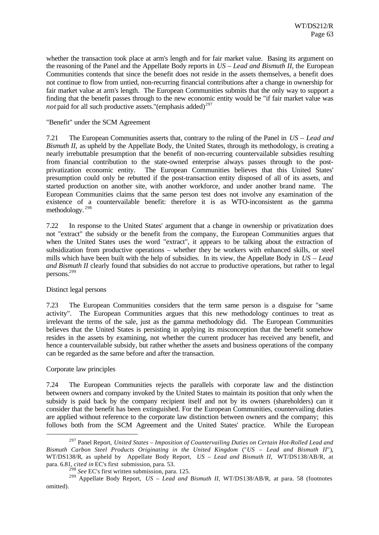whether the transaction took place at arm's length and for fair market value. Basing its argument on the reasoning of the Panel and the Appellate Body reports in *US – Lead and Bismuth II,* the European Communities contends that since the benefit does not reside in the assets themselves, a benefit does not continue to flow from untied, non-recurring financial contributions after a change in ownership for fair market value at arm's length. The European Communities submits that the only way to support a finding that the benefit passes through to the new economic entity would be "if fair market value was *not* paid for all such productive assets."(emphasis added)<sup>297</sup>

### "Benefit" under the SCM Agreement

7.21 The European Communities asserts that, contrary to the ruling of the Panel in *US – Lead and Bismuth II,* as upheld by the Appellate Body, the United States, through its methodology, is creating a nearly irrebuttable presumption that the benefit of non-recurring countervailable subsidies resulting from financial contribution to the state-owned enterprise always passes through to the postprivatization economic entity. The European Communities believes that this United States' presumption could only be rebutted if the post-transaction entity disposed of all of its assets, and started production on another site, with another workforce, and under another brand name. The European Communities claims that the same person test does not involve any examination of the existence of a countervailable benefit: therefore it is as WTO-inconsistent as the gamma methodology. <sup>298</sup>

7.22 In response to the United States' argument that a change in ownership or privatization does not "extract" the subsidy or the benefit from the company, the European Communities argues that when the United States uses the word "extract", it appears to be talking about the extraction of subsidization from productive operations – whether they be workers with enhanced skills, or steel mills which have been built with the help of subsidies. In its view, the Appellate Body in *US – Lead and Bismuth II* clearly found that subsidies do not accrue to productive operations, but rather to legal persons. 299

### Distinct legal persons

7.23 The European Communities considers that the term same person is a disguise for "same activity". The European Communities argues that this new methodology continues to treat as irrelevant the terms of the sale, just as the gamma methodology did. The European Communities believes that the United States is persisting in applying its misconception that the benefit somehow resides in the assets by examining, not whether the current producer has received any benefit, and hence a countervailable subsidy, but rather whether the assets and business operations of the company can be regarded as the same before and after the transaction.

### Corporate law principles

l

7.24 The European Communities rejects the parallels with corporate law and the distinction between owners and company invoked by the United States to maintain its position that only when the subsidy is paid back by the company recipient itself and not by its owners (shareholders) can it consider that the benefit has been extinguished. For the European Communities, countervailing duties are applied without reference to the corporate law distinction between owners and the company; this follows both from the SCM Agreement and the United States' practice. While the European

<sup>297</sup> Panel Report, *United States – Imposition of Countervailing Duties on Certain Hot-Rolled Lead and Bismuth Carbon Steel Products Originating in the United Kingdom* ("*US – Lead and Bismuth II*")*,* WT/DS138/R*,* as upheld by Appellate Body Report, *US – Lead and Bismuth II,* WT/DS138/AB/R, at para. 6.81, *cited in* EC's first submission, para. 53.

<sup>298</sup> *See* EC's first written submission, para. 125.

<sup>&</sup>lt;sup>299</sup> Appellate Body Report, *US – Lead and Bismuth II*, WT/DS138/AB/R, at para. 58 (footnotes omitted).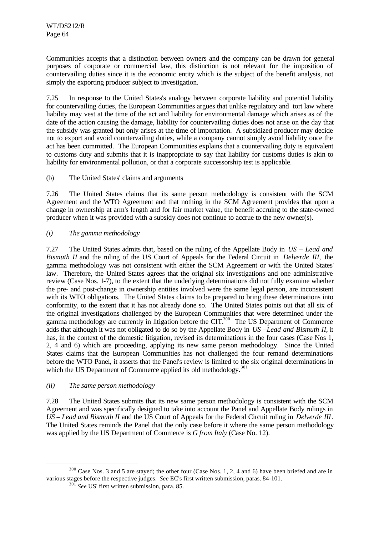Communities accepts that a distinction between owners and the company can be drawn for general purposes of corporate or commercial law, this distinction is not relevant for the imposition of countervailing duties since it is the economic entity which is the subject of the benefit analysis, not simply the exporting producer subject to investigation.

7.25 In response to the United States's analogy between corporate liability and potential liability for countervailing duties, the European Communities argues that unlike regulatory and tort law where liability may vest at the time of the act and liability for environmental damage which arises as of the date of the action causing the damage, liability for countervailing duties does not arise on the day that the subsidy was granted but only arises at the time of importation. A subsidized producer may decide not to export and avoid countervailing duties, while a company cannot simply avoid liability once the act has been committed. The European Communities explains that a countervailing duty is equivalent to customs duty and submits that it is inappropriate to say that liability for customs duties is akin to liability for environmental pollution, or that a corporate successorship test is applicable.

(b) The United States' claims and arguments

7.26 The United States claims that its same person methodology is consistent with the SCM Agreement and the WTO Agreement and that nothing in the SCM Agreement provides that upon a change in ownership at arm's length and for fair market value, the benefit accruing to the state-owned producer when it was provided with a subsidy does not continue to accrue to the new owner(s).

### *(i) The gamma methodology*

7.27 The United States admits that, based on the ruling of the Appellate Body in *US – Lead and Bismuth II* and the ruling of the US Court of Appeals for the Federal Circuit in *Delverde III,* the gamma methodology was not consistent with either the SCM Agreement or with the United States' law. Therefore, the United States agrees that the original six investigations and one administrative review (Case Nos. 1-7), to the extent that the underlying determinations did not fully examine whether the pre- and post-change in ownership entities involved were the same legal person, are inconsistent with its WTO obligations. The United States claims to be prepared to bring these determinations into conformity, to the extent that it has not already done so. The United States points out that all six of the original investigations challenged by the European Communities that were determined under the gamma methodology are currently in litigation before the CIT.<sup>300</sup> The US Department of Commerce adds that although it was not obligated to do so by the Appellate Body in *US –Lead and Bismuth II*, it has, in the context of the domestic litigation, revised its determinations in the four cases (Case Nos 1, 2, 4 and 6) which are proceeding, applying its new same person methodology. Since the United States claims that the European Communities has not challenged the four remand determinations before the WTO Panel, it asserts that the Panel's review is limited to the six original determinations in which the US Department of Commerce applied its old methodology.<sup>301</sup>

# *(ii) The same person methodology*

l

7.28 The United States submits that its new same person methodology is consistent with the SCM Agreement and was specifically designed to take into account the Panel and Appellate Body rulings in *US – Lead and Bismuth II* and the US Court of Appeals for the Federal Circuit ruling in *Delverde III*. The United States reminds the Panel that the only case before it where the same person methodology was applied by the US Department of Commerce is *G from Italy* (Case No. 12).

<sup>300</sup> Case Nos. 3 and 5 are stayed; the other four (Case Nos. 1, 2, 4 and 6) have been briefed and are in various stages before the respective judges. *See* EC's first written submission, paras. 84-101.

<sup>301</sup> *See* US' first written submission, para. 85.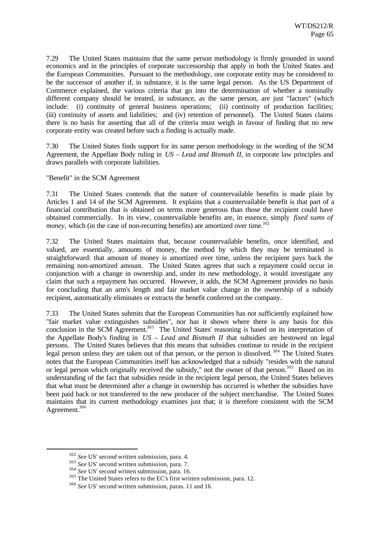7.29 The United States maintains that the same person methodology is firmly grounded in sound economics and in the principles of corporate successorship that apply in both the United States and the European Communities. Pursuant to the methodology, one corporate entity may be considered to be the successor of another if, in substance, it is the same legal person. As the US Department of Commerce explained, the various criteria that go into the determination of whether a nominally different company should be treated, in substance, as the same person, are just "factors" (which include: (i) continuity of general business operations; (ii) continuity of production facilities; (iii) continuity of assets and liabilities; and (iv) retention of personnel). The United States claims there is no basis for asserting that all of the criteria must weigh in favour of finding that no new corporate entity was created before such a finding is actually made.

7.30 The United States finds support for its same person methodology in the wording of the SCM Agreement, the Appellate Body ruling in *US – Lead and Bismuth II*, in corporate law principles and draws parallels with corporate liabilities.

"Benefit" in the SCM Agreement

7.31 The United States contends that the nature of countervailable benefits is made plain by Articles 1 and 14 of the SCM Agreement. It explains that a countervailable benefit is that part of a financial contribution that is obtained on terms more generous than those the recipient could have obtained commercially. In its view, countervailable benefits are, in essence, simply *fixed sums of money*, which (in the case of non-recurring benefits) are amortized over time.<sup>302</sup>

7.32 The United States maintains that, because countervailable benefits, once identified, and valued, are essentially, amounts of money, the method by which they may be terminated is straightforward: that amount of money is amortized over time, unless the recipient pays back the remaining non-amortized amount. The United States agrees that such a repayment could occur in conjunction with a change in ownership and, under its new methodology, it would investigate any claim that such a repayment has occurred. However, it adds, the SCM Agreement provides no basis for concluding that an arm's length and fair market value change in the ownership of a subsidy recipient, automatically eliminates or extracts the benefit conferred on the company.

7.33 The United States submits that the European Communities has not sufficiently explained how "fair market value extinguishes subsidies", nor has it shown where there is any basis for this conclusion in the SCM Agreement.<sup>303</sup> The United States' reasoning is based on its interpretation of the Appellate Body's finding in *US – Lead and Bismuth II* that subsidies are bestowed on legal persons. The United States believes that this means that subsidies continue to reside in the recipient legal person unless they are taken out of that person, or the person is dissolved.<sup>304</sup> The United States notes that the European Communities itself has acknowledged that a subsidy "resides with the natural or legal person which originally received the subsidy," not the owner of that person.<sup>305</sup> Based on its understanding of the fact that subsidies reside in the recipient legal person, the United States believes that what must be determined after a change in ownership has occurred is whether the subsidies have been paid back or not transferred to the new producer of the subject merchandise. The United States maintains that its current methodology examines just that; it is therefore consistent with the SCM Agreement.<sup>306</sup>

<sup>302</sup> *See* US' second written submission, para. 4.

<sup>303</sup> *See* US' second written submission, para. 7.

<sup>304</sup> *See* US' second written submission, para. 16.

<sup>&</sup>lt;sup>305</sup> The United States refers to the EC's first written submission, para. 12.

<sup>306</sup> *See* US' second written submission, paras. 11 and 16.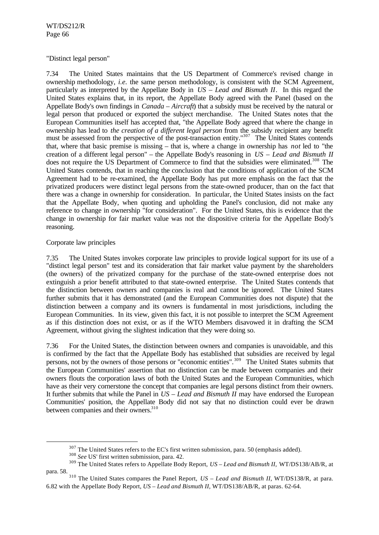"Distinct legal person"

7.34 The United States maintains that the US Department of Commerce's revised change in ownership methodology, *i.e.* the same person methodology, is consistent with the SCM Agreement, particularly as interpreted by the Appellate Body in *US – Lead and Bismuth II*. In this regard the United States explains that, in its report, the Appellate Body agreed with the Panel (based on the Appellate Body's own findings in *Canada – Aircraft*) that a subsidy must be received by the natural or legal person that produced or exported the subject merchandise. The United States notes that the European Communities itself has accepted that, "the Appellate Body agreed that where the change in ownership has lead to *the creation of a different legal person* from the subsidy recipient any benefit must be assessed from the perspective of the post-transaction entity."<sup>307</sup> The United States contends that, where that basic premise is missing – that is, where a change in ownership has *not* led to "the creation of a different legal person" – the Appellate Body's reasoning in *US – Lead and Bismuth II* does not require the US Department of Commerce to find that the subsidies were eliminated.<sup>308</sup> The United States contends, that in reaching the conclusion that the conditions of application of the SCM Agreement had to be re-examined, the Appellate Body has put more emphasis on the fact that the privatized producers were distinct legal persons from the state-owned producer, than on the fact that there was a change in ownership for consideration. In particular, the United States insists on the fact that the Appellate Body, when quoting and upholding the Panel's conclusion, did not make any reference to change in ownership "for consideration". For the United States, this is evidence that the change in ownership for fair market value was not the dispositive criteria for the Appellate Body's reasoning.

### Corporate law principles

l

7.35 The United States invokes corporate law principles to provide logical support for its use of a "distinct legal person" test and its consideration that fair market value payment by the shareholders (the owners) of the privatized company for the purchase of the state-owned enterprise does not extinguish a prior benefit attributed to that state-owned enterprise. The United States contends that the distinction between owners and companies is real and cannot be ignored. The United States further submits that it has demonstrated (and the European Communities does not dispute) that the distinction between a company and its owners is fundamental in most jurisdictions, including the European Communities. In its view, given this fact, it is not possible to interpret the SCM Agreement as if this distinction does not exist, or as if the WTO Members disavowed it in drafting the SCM Agreement, without giving the slightest indication that they were doing so.

7.36 For the United States, the distinction between owners and companies is unavoidable, and this is confirmed by the fact that the Appellate Body has established that subsidies are received by legal persons, not by the owners of those persons or "economic entities".<sup>309</sup> The United States submits that the European Communities' assertion that no distinction can be made between companies and their owners flouts the corporation laws of both the United States and the European Communities, which have as their very cornerstone the concept that companies are legal persons distinct from their owners. It further submits that while the Panel in *US – Lead and Bismuth II* may have endorsed the European Communities' position, the Appellate Body did not say that no distinction could ever be drawn between companies and their owners.<sup>310</sup>

<sup>&</sup>lt;sup>307</sup> The United States refers to the EC's first written submission, para. 50 (emphasis added).

<sup>308</sup> *See* US' first written submission, para. 42.

<sup>309</sup> The United States refers to Appellate Body Report, *US – Lead and Bismuth II,* WT/DS138/AB/R, at para. 58.

<sup>310</sup> The United States compares the Panel Report, *US – Lead and Bismuth II,* WT/DS138/R, at para. 6.82 with the Appellate Body Report, *US – Lead and Bismuth II,* WT/DS138/AB/R, at paras. 62-64.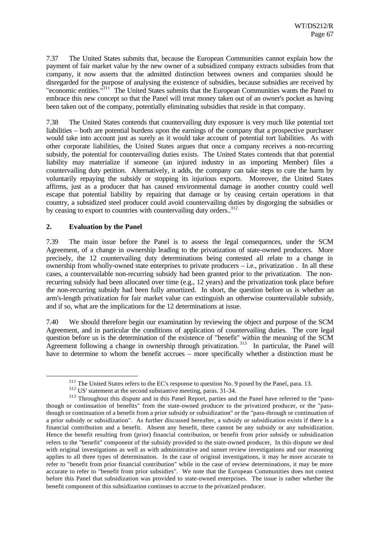7.37 The United States submits that, because the European Communities cannot explain how the payment of fair market value by the new owner of a subsidized company extracts subsidies from that company, it now asserts that the admitted distinction between owners and companies should be disregarded for the purpose of analysing the existence of subsidies, because subsidies are received by "economic entities.<sup>"311</sup> The United States submits that the European Communities wants the Panel to embrace this new concept so that the Panel will treat money taken out of an owner's pocket as having been taken out of the company, potentially eliminating subsidies that reside in that company.

7.38 The United States contends that countervailing duty exposure is very much like potential tort liabilities – both are potential burdens upon the earnings of the company that a prospective purchaser would take into account just as surely as it would take account of potential tort liabilities. As with other corporate liabilities, the United States argues that once a company receives a non-recurring subsidy, the potential for countervailing duties exists. The United States contends that that potential liability may materialize if someone (an injured industry in an importing Member) files a countervailing duty petition. Alternatively, it adds, the company can take steps to cure the harm by voluntarily repaying the subsidy or stopping its injurious exports. Moreover, the United States affirms, just as a producer that has caused environmental damage in another country could well escape that potential liability by repairing that damage or by ceasing certain operations in that country, a subsidized steel producer could avoid countervailing duties by disgorging the subsidies or by ceasing to export to countries with countervailing duty orders..<sup>312</sup>

## **2. Evaluation by the Panel**

l

7.39 The main issue before the Panel is to assess the legal consequences, under the SCM Agreement, of a change in ownership leading to the privatization of state-owned producers. More precisely, the 12 countervailing duty determinations being contested all relate to a change in ownership from wholly-owned state enterprises to private producers – i.e., privatization . In all these cases, a countervailable non-recurring subsidy had been granted prior to the privatization. The nonrecurring subsidy had been allocated over time (e.g., 12 years) and the privatization took place before the non-recurring subsidy had been fully amortized. In short, the question before us is whether an arm's-length privatization for fair market value can extinguish an otherwise countervailable subsidy, and if so, what are the implications for the 12 determinations at issue.

7.40 We should therefore begin our examination by reviewing the object and purpose of the SCM Agreement, and in particular the conditions of application of countervailing duties. The core legal question before us is the determination of the existence of "benefit" within the meaning of the SCM Agreement following a change in ownership through privatization.<sup>313</sup> In particular, the Panel will have to determine to whom the benefit accrues – more specifically whether a distinction must be

<sup>&</sup>lt;sup>311</sup> The United States refers to the EC's response to question No. 9 posed by the Panel, para. 13.

<sup>312</sup> US' statement at the second substantive meeting, paras. 31-34.

<sup>&</sup>lt;sup>313</sup> Throughout this dispute and in this Panel Report, parties and the Panel have referred to the "passthough or continuation of benefits" from the state-owned producer to the privatized producer, or the "passthough or continuation of a benefit from a prior subsidy or subsidization" or the "pass-through or continuation of a prior subsidy or subsidization". As further discussed hereafter, a subsidy or subsidization exists if there is a financial contribution and a benefit. Absent any benefit, there cannot be any subsidy or any subsidization. Hence the benefit resulting from (prior) financial contribution, or benefit from prior subsidy or subsidization refers to the "benefit" component of the subsidy provided to the state-owned producer, In this dispute we deal with original investigations as well as with administrative and sunset review investigations and our reasoning applies to all three types of determination. In the case of original investigations, it may be more accurate to refer to "benefit from prior financial contribution" while in the case of review determinations, it may be more accurate to refer to "benefit from prior subsidies". We note that the European Communities does not contest before this Panel that subsidization was provided to state-owned enterprises. The issue is rather whether the benefit component of this subsidization continues to accrue to the privatized producer.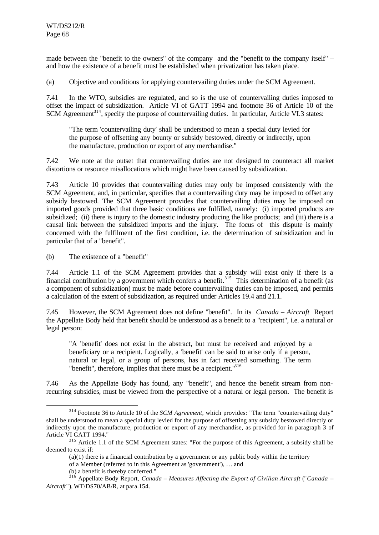made between the "benefit to the owners" of the company and the "benefit to the company itself" – and how the existence of a benefit must be established when privatization has taken place.

(a) Objective and conditions for applying countervailing duties under the SCM Agreement.

7.41 In the WTO, subsidies are regulated, and so is the use of countervailing duties imposed to offset the impact of subsidization. Article VI of GATT 1994 and footnote 36 of Article 10 of the SCM Agreement<sup>314</sup>, specify the purpose of countervailing duties. In particular, Article VI.3 states:

"The term 'countervailing duty' shall be understood to mean a special duty levied for the purpose of offsetting any bounty or subsidy bestowed, directly or indirectly, upon the manufacture, production or export of any merchandise."

7.42 We note at the outset that countervailing duties are not designed to counteract all market distortions or resource misallocations which might have been caused by subsidization.

7.43 Article 10 provides that countervailing duties may only be imposed consistently with the SCM Agreement, and, in particular, specifies that a countervailing duty may be imposed to offset any subsidy bestowed. The SCM Agreement provides that countervailing duties may be imposed on imported goods provided that three basic conditions are fulfilled, namely: (i) imported products are subsidized; (ii) there is injury to the domestic industry producing the like products; and (iii) there is a causal link between the subsidized imports and the injury. The focus of this dispute is mainly concerned with the fulfilment of the first condition, i.e. the determination of subsidization and in particular that of a "benefit".

(b) The existence of a "benefit"

7.44 Article 1.1 of the SCM Agreement provides that a subsidy will exist only if there is a financial contribution by a government which confers a benefit.<sup>315</sup> This determination of a benefit (as a component of subsidization) must be made before countervailing duties can be imposed, and permits a calculation of the extent of subsidization, as required under Articles 19.4 and 21.1.

7.45 However, the SCM Agreement does not define "benefit". In its *Canada – Aircraft* Report the Appellate Body held that benefit should be understood as a benefit to a "recipient", i.e. a natural or legal person:

"A 'benefit' does not exist in the abstract, but must be received and enjoyed by a beneficiary or a recipient. Logically, a 'benefit' can be said to arise only if a person, natural or legal, or a group of persons, has in fact received something. The term "benefit", therefore, implies that there must be a recipient."<sup>316</sup>

7.46 As the Appellate Body has found, any "benefit", and hence the benefit stream from nonrecurring subsidies, must be viewed from the perspective of a natural or legal person. The benefit is

<sup>314</sup> Footnote 36 to Article 10 of the *SCM Agreement*, which provides: "The term "countervailing duty" shall be understood to mean a special duty levied for the purpose of offsetting any subsidy bestowed directly or indirectly upon the manufacture, production or export of any merchandise, as provided for in paragraph 3 of Article VI GATT 1994."

<sup>&</sup>lt;sup>315</sup> Article 1.1 of the SCM Agreement states: "For the purpose of this Agreement, a subsidy shall be deemed to exist if:

<sup>(</sup>a)(1) there is a financial contribution by a government or any public body within the territory

of a Member (referred to in this Agreement as 'government'), … and

<sup>(</sup>b) a benefit is thereby conferred."

<sup>316</sup> Appellate Body Report, *Canada – Measures Affecting the Export of Civilian Aircraft* ("*Canada – Aircraft*")*,* WT/DS70/AB/R, at para.154.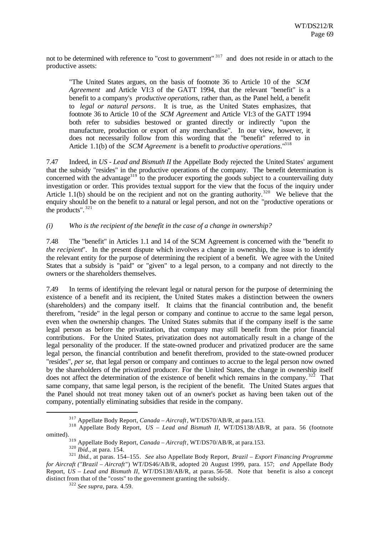not to be determined with reference to "cost to government" <sup>317</sup> and does not reside in or attach to the productive assets:

"The United States argues, on the basis of footnote 36 to Article 10 of the *SCM Agreement* and Article VI:3 of the GATT 1994, that the relevant "benefit" is a benefit to a company's *productive operations*, rather than, as the Panel held, a benefit to *legal or natural persons*. It is true, as the United States emphasizes, that footnote 36 to Article 10 of the *SCM Agreement* and Article VI:3 of the GATT 1994 both refer to subsidies bestowed or granted directly or indirectly "upon the manufacture, production or export of any merchandise". In our view, however, it does not necessarily follow from this wording that the "benefit" referred to in Article 1.1(b) of the *SCM Agreement* is a benefit to *productive operations*."<sup>318</sup>

7.47 Indeed, in *US - Lead and Bismuth II* the Appellate Body rejected the United States' argument that the subsidy "resides" in the productive operations of the company. The benefit determination is concerned with the advantage<sup>319</sup> to the producer exporting the goods subject to a countervailing duty investigation or order. This provides textual support for the view that the focus of the inquiry under Article 1.1(b) should be on the recipient and not on the granting authority.<sup>320</sup> We believe that the enquiry should be on the benefit to a natural or legal person, and not on the "productive operations or the products". <sup>321</sup>

#### *(i) Who is the recipient of the benefit in the case of a change in ownership?*

7.48 The "benefit" in Articles 1.1 and 14 of the SCM Agreement is concerned with the "benefit *to the recipient*". In the present dispute which involves a change in ownership, the issue is to identify the relevant entity for the purpose of determining the recipient of a benefit. We agree with the United States that a subsidy is "paid" or "given" to a legal person, to a company and not directly to the owners or the shareholders themselves.

7.49 In terms of identifying the relevant legal or natural person for the purpose of determining the existence of a benefit and its recipient, the United States makes a distinction between the owners (shareholders) and the company itself. It claims that the financial contribution and, the benefit therefrom, "reside" in the legal person or company and continue to accrue to the same legal person, even when the ownership changes. The United States submits that if the company itself is the same legal person as before the privatization, that company may still benefit from the prior financial contributions. For the United States, privatization does not automatically result in a change of the legal personality of the producer. If the state-owned producer and privatized producer are the same legal person, the financial contribution and benefit therefrom, provided to the state-owned producer "resides", *per se,* that legal person or company and continues to accrue to the legal person now owned by the shareholders of the privatized producer. For the United States, the change in ownership itself does not affect the determination of the existence of benefit which remains in the company.  $32\overline{2}$  That same company, that same legal person, is the recipient of the benefit. The United States argues that the Panel should not treat money taken out of an owner's pocket as having been taken out of the company, potentially eliminating subsidies that reside in the company.

<sup>317</sup> Appellate Body Report, *Canada – Aircraft*, WT/DS70/AB/R, at para.153.

<sup>318</sup> Appellate Body Report, *US – Lead and Bismuth II,* WT/DS138/AB/R, at para. 56 (footnote omitted).

<sup>319</sup> Appellate Body Report, *Canada – Aircraft*, WT/DS70/AB/R, at para.153.

<sup>320</sup> *Ibid.,* at para. 154.

<sup>321</sup> *Ibid.,* at paras. 154–155*. See* also Appellate Body Report, *Brazil – Export Financing Programme for Aircraft ("Brazil – Aircraft*") WT/DS46/AB/R, adopted 20 August 1999, para. 157; *and* Appellate Body Report, *US – Lead and Bismuth II,* WT/DS138/AB/R, at paras. 56-58*.* Note that benefit is also a concept distinct from that of the "costs" to the government granting the subsidy.

<sup>322</sup> *See supra,* para. 4.59.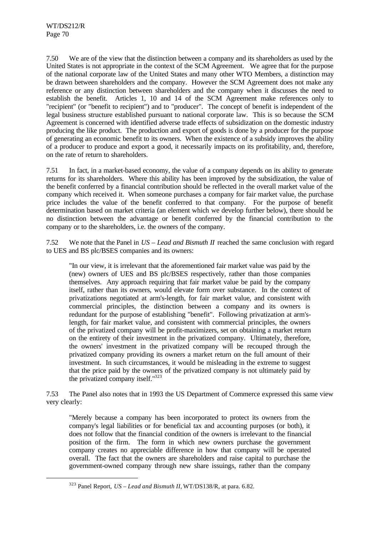7.50 We are of the view that the distinction between a company and its shareholders as used by the United States is not appropriate in the context of the SCM Agreement. We agree that for the purpose of the national corporate law of the United States and many other WTO Members, a distinction may be drawn between shareholders and the company. However the SCM Agreement does not make any reference or any distinction between shareholders and the company when it discusses the need to establish the benefit. Articles 1, 10 and 14 of the SCM Agreement make references only to "recipient" (or "benefit to recipient") and to "producer". The concept of benefit is independent of the legal business structure established pursuant to national corporate law. This is so because the SCM Agreement is concerned with identified adverse trade effects of subsidization on the domestic industry producing the like product. The production and export of goods is done by a producer for the purpose of generating an economic benefit to its owners. When the existence of a subsidy improves the ability of a producer to produce and export a good, it necessarily impacts on its profitability, and, therefore, on the rate of return to shareholders.

7.51 In fact, in a market-based economy, the value of a company depends on its ability to generate returns for its shareholders. Where this ability has been improved by the subsidization, the value of the benefit conferred by a financial contribution should be reflected in the overall market value of the company which received it. When someone purchases a company for fair market value, the purchase price includes the value of the benefit conferred to that company. For the purpose of benefit determination based on market criteria (an element which we develop further below), there should be no distinction between the advantage or benefit conferred by the financial contribution to the company or to the shareholders, i.e. the owners of the company.

7.52 We note that the Panel in *US – Lead and Bismuth II* reached the same conclusion with regard to UES and BS plc/BSES companies and its owners:

"In our view, it is irrelevant that the aforementioned fair market value was paid by the (new) owners of UES and BS plc/BSES respectively, rather than those companies themselves. Any approach requiring that fair market value be paid by the company itself, rather than its owners, would elevate form over substance. In the context of privatizations negotiated at arm's-length, for fair market value, and consistent with commercial principles, the distinction between a company and its owners is redundant for the purpose of establishing "benefit". Following privatization at arm'slength, for fair market value, and consistent with commercial principles, the owners of the privatized company will be profit-maximizers, set on obtaining a market return on the entirety of their investment in the privatized company. Ultimately, therefore, the owners' investment in the privatized company will be recouped through the privatized company providing its owners a market return on the full amount of their investment. In such circumstances, it would be misleading in the extreme to suggest that the price paid by the owners of the privatized company is not ultimately paid by the privatized company itself."<sup>323</sup>

7.53 The Panel also notes that in 1993 the US Department of Commerce expressed this same view very clearly:

"Merely because a company has been incorporated to protect its owners from the company's legal liabilities or for beneficial tax and accounting purposes (or both), it does not follow that the financial condition of the owners is irrelevant to the financial position of the firm. The form in which new owners purchase the government company creates no appreciable difference in how that company will be operated overall. The fact that the owners are shareholders and raise capital to purchase the government-owned company through new share issuings, rather than the company

<sup>323</sup> Panel Report, *US – Lead and Bismuth II,* WT/DS138/R, at para. 6.82.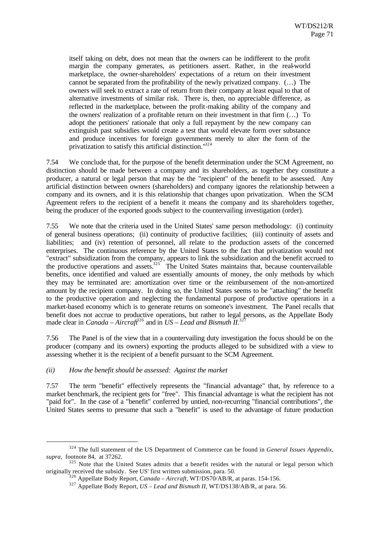itself taking on debt, does not mean that the owners can be indifferent to the profit margin the company generates, as petitioners assert. Rather, in the real-world marketplace, the owner-shareholders' expectations of a return on their investment cannot be separated from the profitability of the newly privatized company. (…) The owners will seek to extract a rate of return from their company at least equal to that of alternative investments of similar risk. There is, then, no appreciable difference, as reflected in the marketplace, between the profit-making ability of the company and the owners' realization of a profitable return on their investment in that firm (…) To adopt the petitioners' rationale that only a full repayment by the new company can extinguish past subsidies would create a test that would elevate form over substance and produce incentives for foreign governments merely to alter the form of the privatization to satisfy this artificial distinction.<sup>1924</sup>

7.54 We conclude that, for the purpose of the benefit determination under the SCM Agreement, no distinction should be made between a company and its shareholders, as together they constitute a producer, a natural or legal person that may be the "recipient" of the benefit to be assessed. Any artificial distinction between owners (shareholders) and company ignores the relationship between a company and its owners, and it is this relationship that changes upon privatization. When the SCM Agreement refers to the recipient of a benefit it means the company and its shareholders together, being the producer of the exported goods subject to the countervailing investigation (order).

7.55 We note that the criteria used in the United States' same person methodology: (i) continuity of general business operations; (ii) continuity of productive facilities; (iii) continuity of assets and liabilities; and (iv) retention of personnel, all relate to the production assets of the concerned enterprises. The continuous reference by the United States to the fact that privatization would not "extract" subsidization from the company, appears to link the subsidization and the benefit accrued to the productive operations and assets.<sup>325</sup> The United States maintains that, because countervailable benefits, once identified and valued are essentially amounts of money, the only methods by which they may be terminated are: amortization over time or the reimbursement of the non-amortized amount by the recipient company. In doing so, the United States seems to be "attaching" the benefit to the productive operation and neglecting the fundamental purpose of productive operations in a market-based economy which is to generate returns on someone's investment. The Panel recalls that benefit does not accrue to productive operations, but rather to legal persons, as the Appellate Body made clear in *Canada – Aircraft*<sup>226</sup> and in  $US$  – Lead and Bismuth II.<sup>3</sup>

7.56 The Panel is of the view that in a countervailing duty investigation the focus should be on the producer (company and its owners) exporting the products alleged to be subsidized with a view to assessing whether it is the recipient of a benefit pursuant to the SCM Agreement.

#### *(ii) How the benefit should be assessed: Against the market*

l

7.57 The term "benefit" effectively represents the "financial advantage" that, by reference to a market benchmark, the recipient gets for "free". This financial advantage is what the recipient has not "paid for". In the case of a "benefit" conferred by untied, non-recurring "financial contributions", the United States seems to presume that such a "benefit" is used to the advantage of future production

<sup>324</sup> The full statement of the US Department of Commerce can be found in *General Issues Appendix*, *supra,* footnote 84, at 37262.

 $325$  Note that the United States admits that a benefit resides with the natural or legal person which originally received the subsidy. See US' first written submission, para. 50.

<sup>&</sup>lt;sup>26</sup> Appellate Body Report, *Canada – Aircraft*, WT/DS70/AB/R, at paras. 154-156.

<sup>327</sup> Appellate Body Report, *US – Lead and Bismuth II,* WT/DS138/AB/R, at para. 56.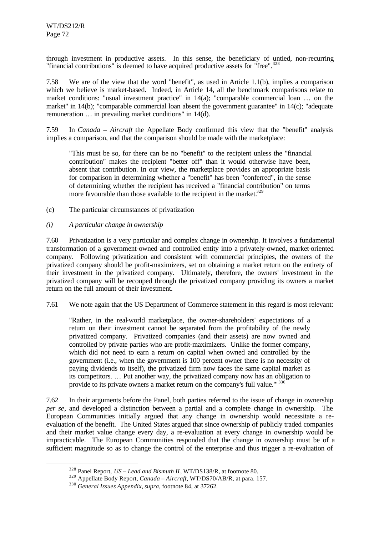through investment in productive assets. In this sense, the beneficiary of untied, non-recurring "financial contributions" is deemed to have acquired productive assets for "free".<sup>328</sup>

7.58 We are of the view that the word "benefit", as used in Article 1.1(b), implies a comparison which we believe is market-based. Indeed, in Article 14, all the benchmark comparisons relate to market conditions: "usual investment practice" in 14(a); "comparable commercial loan … on the market" in 14(b); "comparable commercial loan absent the government guarantee" in 14(c); "adequate remuneration … in prevailing market conditions" in 14(d).

7.59 In *Canada – Aircraft* the Appellate Body confirmed this view that the "benefit" analysis implies a comparison, and that the comparison should be made with the marketplace:

"This must be so, for there can be no "benefit" to the recipient unless the "financial contribution" makes the recipient "better off" than it would otherwise have been, absent that contribution. In our view, the marketplace provides an appropriate basis for comparison in determining whether a "benefit" has been "conferred", in the sense of determining whether the recipient has received a "financial contribution" on terms more favourable than those available to the recipient in the market.<sup>329</sup>

- (c) The particular circumstances of privatization
- *(i) A particular change in ownership*

7.60 Privatization is a very particular and complex change in ownership. It involves a fundamental transformation of a government-owned and controlled entity into a privately-owned, market-oriented company. Following privatization and consistent with commercial principles, the owners of the privatized company should be profit-maximizers, set on obtaining a market return on the entirety of their investment in the privatized company. Ultimately, therefore, the owners' investment in the privatized company will be recouped through the privatized company providing its owners a market return on the full amount of their investment.

7.61 We note again that the US Department of Commerce statement in this regard is most relevant:

"Rather, in the real-world marketplace, the owner-shareholders' expectations of a return on their investment cannot be separated from the profitability of the newly privatized company. Privatized companies (and their assets) are now owned and controlled by private parties who are profit-maximizers. Unlike the former company, which did not need to earn a return on capital when owned and controlled by the government (i.e., when the government is 100 percent owner there is no necessity of paying dividends to itself), the privatized firm now faces the same capital market as its competitors. … Put another way, the privatized company now has an obligation to provide to its private owners a market return on the company's full value."<sup>330</sup>

7.62 In their arguments before the Panel, both parties referred to the issue of change in ownership *per se*, and developed a distinction between a partial and a complete change in ownership. The European Communities initially argued that any change in ownership would necessitate a reevaluation of the benefit. The United States argued that since ownership of publicly traded companies and their market value change every day, a re-evaluation at every change in ownership would be impracticable. The European Communities responded that the change in ownership must be of a sufficient magnitude so as to change the control of the enterprise and thus trigger a re-evaluation of

<sup>328</sup> Panel Report, *US – Lead and Bismuth II*, WT/DS138/R, at footnote 80.

<sup>329</sup> Appellate Body Report, *Canada – Aircraft,* WT/DS70/AB/R, at para. 157.

<sup>330</sup> *General Issues Appendix*, *supra,* footnote 84, at 37262.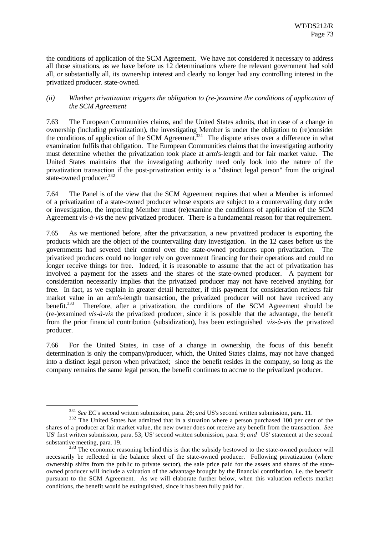the conditions of application of the SCM Agreement. We have not considered it necessary to address all those situations, as we have before us 12 determinations where the relevant government had sold all, or substantially all, its ownership interest and clearly no longer had any controlling interest in the privatized producer. state-owned.

## *(ii) Whether privatization triggers the obligation to (re-)examine the conditions of application of the SCM Agreement*

7.63 The European Communities claims, and the United States admits, that in case of a change in ownership (including privatization), the investigating Member is under the obligation to (re)consider the conditions of application of the SCM Agreement.<sup>331</sup> The dispute arises over a difference in what examination fulfils that obligation. The European Communities claims that the investigating authority must determine whether the privatization took place at arm's-length and for fair market value. The United States maintains that the investigating authority need only look into the nature of the privatization transaction if the post-privatization entity is a "distinct legal person" from the original state-owned producer. $332$ 

7.64 The Panel is of the view that the SCM Agreement requires that when a Member is informed of a privatization of a state-owned producer whose exports are subject to a countervailing duty order or investigation, the importing Member must (re)examine the conditions of application of the SCM Agreement *vis-à-vis* the new privatized producer. There is a fundamental reason for that requirement.

7.65 As we mentioned before, after the privatization, a new privatized producer is exporting the products which are the object of the countervailing duty investigation. In the 12 cases before us the governments had severed their control over the state-owned producers upon privatization. The privatized producers could no longer rely on government financing for their operations and could no longer receive things for free. Indeed, it is reasonable to assume that the act of privatization has involved a payment for the assets and the shares of the state-owned producer. A payment for consideration necessarily implies that the privatized producer may not have received anything for free. In fact, as we explain in greater detail hereafter, if this payment for consideration reflects fair market value in an arm's-length transaction, the privatized producer will not have received any benefit.<sup>333</sup> Therefore, after a privatization, the conditions of the SCM Agreement should be Therefore, after a privatization, the conditions of the SCM Agreement should be (re-)examined *vis-à-vis* the privatized producer, since it is possible that the advantage, the benefit from the prior financial contribution (subsidization), has been extinguished *vis-à-vis* the privatized producer.

7.66 For the United States, in case of a change in ownership, the focus of this benefit determination is only the company/producer, which, the United States claims, may not have changed into a distinct legal person when privatized; since the benefit resides in the company, so long as the company remains the same legal person, the benefit continues to accrue to the privatized producer.

<sup>331</sup> *See* EC's second written submission, para. 26; *and* US's second written submission, para. 11.

<sup>&</sup>lt;sup>332</sup> The United States has admitted that in a situation where a person purchased 100 per cent of the shares of a producer at fair market value, the new owner does not receive any benefit from the transaction. *See* US' first written submission, para. 53; US' second written submission, para. 9; *and* US' statement at the second substantive meeting, para. 19.

 $\frac{333}{333}$  The economic reasoning behind this is that the subsidy bestowed to the state-owned producer will necessarily be reflected in the balance sheet of the state-owned producer. Following privatization (where ownership shifts from the public to private sector), the sale price paid for the assets and shares of the stateowned producer will include a valuation of the advantage brought by the financial contribution, i.e. the benefit pursuant to the SCM Agreement. As we will elaborate further below, when this valuation reflects market conditions, the benefit would be extinguished, since it has been fully paid for.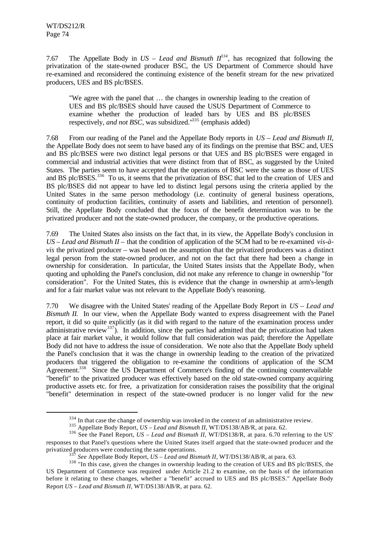7.67 The Appellate Body in *US – Lead and Bismuth II<sup>334</sup>*, has recognized that following the privatization of the state-owned producer BSC, the US Department of Commerce should have re-examined and reconsidered the continuing existence of the benefit stream for the new privatized producers, UES and BS plc/BSES.

"We agree with the panel that … the changes in ownership leading to the creation of UES and BS plc/BSES should have caused the USUS Department of Commerce to examine whether the production of leaded bars by UES and BS plc/BSES respectively, *and not BSC*, was subsidized."<sup>335</sup> (emphasis added)

7.68 From our reading of the Panel and the Appellate Body reports in *US – Lead and Bismuth II*, the Appellate Body does not seem to have based any of its findings on the premise that BSC and, UES and BS plc/BSES were two distinct legal persons or that UES and BS plc/BSES were engaged in commercial and industrial activities that were distinct from that of BSC, as suggested by the United States. The parties seem to have accepted that the operations of BSC were the same as those of UES and BS plc/BSES.<sup>336</sup> To us, it seems that the privatization of BSC that led to the creation of UES and BS plc/BSES did not appear to have led to distinct legal persons using the criteria applied by the United States in the same person methodology (i.e. continuity of general business operations, continuity of production facilities, continuity of assets and liabilities, and retention of personnel). Still, the Appellate Body concluded that the focus of the benefit determination was to be the privatized producer and not the state-owned producer, the company, or the productive operations.

7.69 The United States also insists on the fact that, in its view, the Appellate Body's conclusion in *US – Lead and Bismuth II –* that the condition of application of the SCM had to be re-examined *vis-àvis* the privatized producer – was based on the assumption that the privatized producers was a distinct legal person from the state-owned producer, and not on the fact that there had been a change in ownership for consideration. In particular, the United States insists that the Appellate Body, when quoting and upholding the Panel's conclusion, did not make any reference to change in ownership "for consideration". For the United States, this is evidence that the change in ownership at arm's-length and for a fair market value was not relevant to the Appellate Body's reasoning.

7.70 We disagree with the United States' reading of the Appellate Body Report in *US – Lead and Bismuth II.* In our view, when the Appellate Body wanted to express disagreement with the Panel report, it did so quite explicitly (as it did with regard to the nature of the examination process under administrative review<sup>337</sup>). In addition, since the parties had admitted that the privatization had taken place at fair market value, it would follow that full consideration was paid; therefore the Appellate Body did not have to address the issue of consideration. We note also that the Appellate Body upheld the Panel's conclusion that it was the change in ownership leading to the creation of the privatized producers that triggered the obligation to re-examine the conditions of application of the SCM Agreement.<sup>338</sup> Since the US Department of Commerce's finding of the continuing countervailable "benefit" to the privatized producer was effectively based on the old state-owned company acquiring productive assets etc. for free, a privatization for consideration raises the possibility that the original "benefit" determination in respect of the state-owned producer is no longer valid for the new

<sup>&</sup>lt;sup>334</sup> In that case the change of ownership was invoked in the context of an administrative review.

<sup>335</sup> Appellate Body Report, *US – Lead and Bismuth II,* WT/DS138/AB/R, at para. 62.

<sup>336</sup> See the Panel Report, *US – Lead and Bismuth II,* WT/DS138/R, at para. 6.70 referring to the US' responses to that Panel's questions where the United States itself argued that the state-owned producer and the privatized producers were conducting the same operations.

<sup>337</sup> *See* Appellate Body Report, *US – Lead and Bismuth II,* WT/DS138/AB/R, at para. 63.

<sup>&</sup>lt;sup>338</sup> "In this case, given the changes in ownership leading to the creation of UES and BS plc/BSES, the US Department of Commerce was required under Article 21.2 to examine, on the basis of the information before it relating to these changes, whether a "benefit" accrued to UES and BS plc/BSES." Appellate Body Report *US – Lead and Bismuth II,* WT/DS138/AB/R, at para. 62.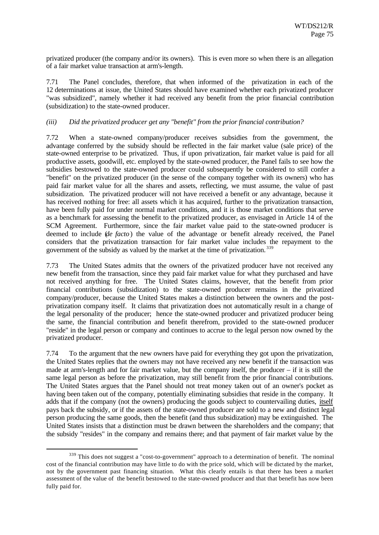privatized producer (the company and/or its owners). This is even more so when there is an allegation of a fair market value transaction at arm's-length.

7.71 The Panel concludes, therefore, that when informed of the privatization in each of the 12 determinations at issue, the United States should have examined whether each privatized producer "was subsidized", namely whether it had received any benefit from the prior financial contribution (subsidization) to the state-owned producer.

## *(iii) Did the privatized producer get any "benefit" from the prior financial contribution?*

7.72 When a state-owned company/producer receives subsidies from the government, the advantage conferred by the subsidy should be reflected in the fair market value (sale price) of the state-owned enterprise to be privatized. Thus, if upon privatization, fair market value is paid for all productive assets, goodwill, etc. employed by the state-owned producer, the Panel fails to see how the subsidies bestowed to the state-owned producer could subsequently be considered to still confer a "benefit" on the privatized producer (in the sense of the company together with its owners) who has paid fair market value for all the shares and assets, reflecting, we must assume, the value of past subsidization. The privatized producer will not have received a benefit or any advantage, because it has received nothing for free: all assets which it has acquired, further to the privatization transaction, have been fully paid for under normal market conditions, and it is those market conditions that serve as a benchmark for assessing the benefit to the privatized producer, as envisaged in Article 14 of the SCM Agreement. Furthermore, since the fair market value paid to the state-owned producer is deemed to include (*de facto*) the value of the advantage or benefit already received, the Panel considers that the privatization transaction for fair market value includes the repayment to the government of the subsidy as valued by the market at the time of privatization. <sup>339</sup>

7.73 The United States admits that the owners of the privatized producer have not received any new benefit from the transaction, since they paid fair market value for what they purchased and have not received anything for free. The United States claims, however, that the benefit from prior financial contributions (subsidization) to the state-owned producer remains in the privatized company/producer, because the United States makes a distinction between the owners and the postprivatization company itself. It claims that privatization does not automatically result in a change of the legal personality of the producer; hence the state-owned producer and privatized producer being the same, the financial contribution and benefit therefrom, provided to the state-owned producer "reside" in the legal person or company and continues to accrue to the legal person now owned by the privatized producer.

7.74 To the argument that the new owners have paid for everything they got upon the privatization, the United States replies that the owners may not have received any new benefit if the transaction was made at arm's-length and for fair market value, but the company itself, the producer – if it is still the same legal person as before the privatization, may still benefit from the prior financial contributions. The United States argues that the Panel should not treat money taken out of an owner's pocket as having been taken out of the company, potentially eliminating subsidies that reside in the company. It adds that if the company (not the owners) producing the goods subject to countervailing duties, itself pays back the subsidy, or if the assets of the state-owned producer are sold to a new and distinct legal person producing the same goods, then the benefit (and thus subsidization) may be extinguished. The United States insists that a distinction must be drawn between the shareholders and the company; that the subsidy "resides" in the company and remains there; and that payment of fair market value by the

<sup>&</sup>lt;sup>339</sup> This does not suggest a "cost-to-government" approach to a determination of benefit. The nominal cost of the financial contribution may have little to do with the price sold, which will be dictated by the market, not by the government past financing situation. What this clearly entails is that there has been a market assessment of the value of the benefit bestowed to the state-owned producer and that that benefit has now been fully paid for.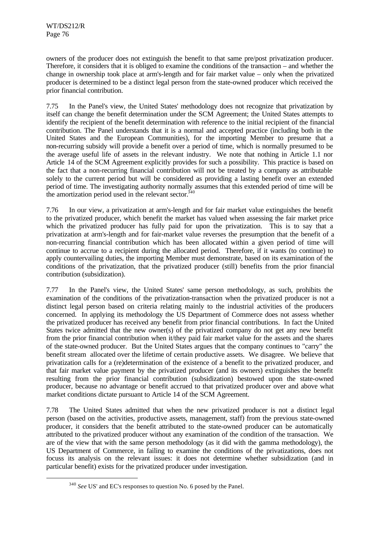owners of the producer does not extinguish the benefit to that same pre/post privatization producer. Therefore, it considers that it is obliged to examine the conditions of the transaction – and whether the change in ownership took place at arm's-length and for fair market value – only when the privatized producer is determined to be a distinct legal person from the state-owned producer which received the prior financial contribution.

7.75 In the Panel's view, the United States' methodology does not recognize that privatization by itself can change the benefit determination under the SCM Agreement; the United States attempts to identify the recipient of the benefit determination with reference to the initial recipient of the financial contribution. The Panel understands that it is a normal and accepted practice (including both in the United States and the European Communities), for the importing Member to presume that a non-recurring subsidy will provide a benefit over a period of time, which is normally presumed to be the average useful life of assets in the relevant industry. We note that nothing in Article 1.1 nor Article 14 of the SCM Agreement explicitly provides for such a possibility. This practice is based on the fact that a non-recurring financial contribution will not be treated by a company as attributable solely to the current period but will be considered as providing a lasting benefit over an extended period of time. The investigating authority normally assumes that this extended period of time will be the amortization period used in the relevant sector.<sup>34</sup>

7.76 In our view, a privatization at arm's-length and for fair market value extinguishes the benefit to the privatized producer, which benefit the market has valued when assessing the fair market price which the privatized producer has fully paid for upon the privatization. This is to say that a privatization at arm's-length and for fair-market value reverses the presumption that the benefit of a non-recurring financial contribution which has been allocated within a given period of time will continue to accrue to a recipient during the allocated period. Therefore, if it wants (to continue) to apply countervailing duties, the importing Member must demonstrate, based on its examination of the conditions of the privatization, that the privatized producer (still) benefits from the prior financial contribution (subsidization).

7.77 In the Panel's view, the United States' same person methodology, as such, prohibits the examination of the conditions of the privatization-transaction when the privatized producer is not a distinct legal person based on criteria relating mainly to the industrial activities of the producers concerned. In applying its methodology the US Department of Commerce does not assess whether the privatized producer has received any benefit from prior financial contributions. In fact the United States twice admitted that the new owner(s) of the privatized company do not get any new benefit from the prior financial contribution when it/they paid fair market value for the assets and the shares of the state-owned producer. But the United States argues that the company continues to "carry" the benefit stream allocated over the lifetime of certain productive assets. We disagree. We believe that privatization calls for a (re)determination of the existence of a benefit to the privatized producer, and that fair market value payment by the privatized producer (and its owners) extinguishes the benefit resulting from the prior financial contribution (subsidization) bestowed upon the state-owned producer, because no advantage or benefit accrued to that privatized producer over and above what market conditions dictate pursuant to Article 14 of the SCM Agreement.

7.78 The United States admitted that when the new privatized producer is not a distinct legal person (based on the activities, productive assets, management, staff) from the previous state-owned producer, it considers that the benefit attributed to the state-owned producer can be automatically attributed to the privatized producer without any examination of the condition of the transaction. We are of the view that with the same person methodology (as it did with the gamma methodology), the US Department of Commerce, in failing to examine the conditions of the privatizations, does not focuss its analysis on the relevant issues: it does not determine whether subsidization (and in particular benefit) exists for the privatized producer under investigation.

<sup>340</sup> *See* US' and EC's responses to question No. 6 posed by the Panel.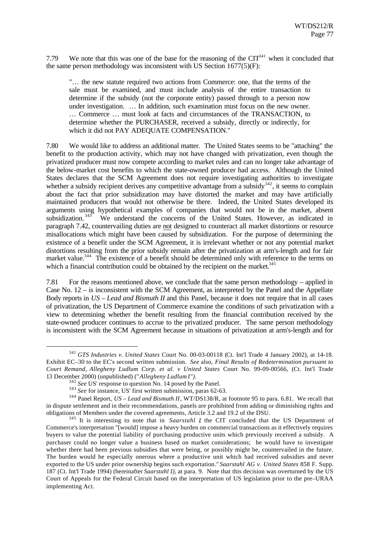7.79 We note that this was one of the base for the reasoning of the  $\text{CIT}^{341}$  when it concluded that the same person methodology was inconsistent with US Section 1677(5)(F):

"… the new statute required two actions from Commerce: one, that the terms of the sale must be examined, and must include analysis of the entire transaction to determine if the subsidy (not the corporate entity) passed through to a person now under investigation. … In addition, such examination must focus on the new owner. … Commerce … must look at facts and circumstances of the TRANSACTION, to determine whether the PURCHASER, received a subsidy, directly or indirectly, for which it did not PAY ADEQUATE COMPENSATION."

7.80 We would like to address an additional matter. The United States seems to be "attaching" the benefit to the production activity, which may not have changed with privatization, even though the privatized producer must now compete according to market rules and can no longer take advantage of the below-market cost benefits to which the state-owned producer had access. Although the United States declares that the SCM Agreement does not require investigating authorities to investigate whether a subsidy recipient derives any competitive advantage from a subsidy<sup>342</sup>, it seems to complain about the fact that prior subsidization may have distorted the market and may have artificially maintained producers that would not otherwise be there. Indeed, the United States developed its arguments using hypothetical examples of companies that would not be in the market, absent subsidization.<sup>343</sup> We understand the concerns of the United States. However, as indicated in paragraph 7.42, countervailing duties are not designed to counteract all market distortions or resource misallocations which might have been caused by subsidization. For the purpose of determining the existence of a benefit under the SCM Agreement, it is irrelevant whether or not any potential market distortions resulting from the prior subsidy remain after the privatization at arm's-length and for fair market value.<sup>344</sup> The existence of a benefit should be determined only with reference to the terms on which a financial contribution could be obtained by the recipient on the market.<sup>345</sup>

7.81 For the reasons mentioned above, we conclude that the same person methodology – applied in Case No.  $12 -$  is inconsistent with the SCM Agreement, as interpreted by the Panel and the Appellate Body reports in *US – Lead and Bismuth II* and this Panel, because it does not require that in all cases of privatization, the US Department of Commerce examine the conditions of such privatization with a view to determining whether the benefit resulting from the financial contribution received by the state-owned producer continues to accrue to the privatized producer. The same person methodology is inconsistent with the SCM Agreement because in situations of privatization at arm's-length and for

<sup>341</sup> *GTS Industries v. United States* Court No. 00-03-00118 (Ct. Int'l Trade 4 January 2002), at 14-18. Exhibit EC–30 to the EC's second written submission. *See* also, *Final Results of Redetermination pursuant to Court Remand*, *Allegheny Ludlum Corp. et al. v United States* Court No. 99-09-00566, (Ct. Int'l Trade 13 December 2000) (unpublished) ("*Allegheny Ludlum I")*.

<sup>&</sup>lt;sup>342</sup> *See* US' response to question No. 14 posed by the Panel.

<sup>343</sup> *See* for instance, US' first written submission, paras 62-63.

<sup>344</sup> Panel Report, *US – Lead and Bismuth II*, WT/DS138/R, at footnote 95 to para. 6.81. We recall that in dispute settlement and in their recommendations, panels are prohibited from adding or diminishing rights and obligations of Members under the covered agreements, Article 3.2 and 19.2 of the DSU.

<sup>&</sup>lt;sup>345</sup> It is interesting to note that in *Saarstahl I*, the CIT concluded that the US Department of Commerce's interpretation "[would] impose a heavy burden on commercial transactions as it effectively requires buyers to value the potential liability of purchasing productive units which previously received a subsidy. A purchaser could no longer value a business based on market considerations; he would have to investigate whether there had been previous subsidies that were being, or possibly might be, countervailed in the future. The burden would be especially onerous where a productive unit which had received subsidies and never exported to the US under prior ownership begins such exportation." *Saarstahl AG v. United States* 858 F. Supp. 187 (Ct. Int'l Trade 1994) (hereinafter *Saarstahl I),* at para. 9. Note that this decision was overturned by the US Court of Appeals for the Federal Circuit based on the interpretation of US legislation prior to the pre–URAA implementing Act.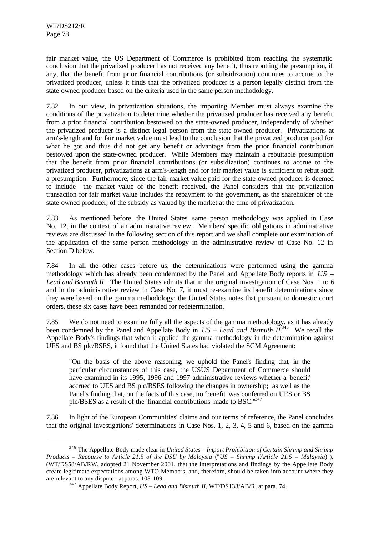fair market value, the US Department of Commerce is prohibited from reaching the systematic conclusion that the privatized producer has not received any benefit, thus rebutting the presumption, if any, that the benefit from prior financial contributions (or subsidization) continues to accrue to the privatized producer, unless it finds that the privatized producer is a person legally distinct from the state-owned producer based on the criteria used in the same person methodology.

7.82 In our view, in privatization situations, the importing Member must always examine the conditions of the privatization to determine whether the privatized producer has received any benefit from a prior financial contribution bestowed on the state-owned producer, independently of whether the privatized producer is a distinct legal person from the state-owned producer. Privatizations at arm's-length and for fair market value must lead to the conclusion that the privatized producer paid for what he got and thus did not get any benefit or advantage from the prior financial contribution bestowed upon the state-owned producer. While Members may maintain a rebuttable presumption that the benefit from prior financial contributions (or subsidization) continues to accrue to the privatized producer, privatizations at arm's-length and for fair market value is sufficient to rebut such a presumption. Furthermore, since the fair market value paid for the state-owned producer is deemed to include the market value of the benefit received, the Panel considers that the privatization transaction for fair market value includes the repayment to the government, as the shareholder of the state-owned producer, of the subsidy as valued by the market at the time of privatization.

7.83 As mentioned before, the United States' same person methodology was applied in Case No. 12, in the context of an administrative review. Members' specific obligations in administrative reviews are discussed in the following section of this report and we shall complete our examination of the application of the same person methodology in the administrative review of Case No. 12 in Section D below.

7.84 In all the other cases before us, the determinations were performed using the gamma methodology which has already been condemned by the Panel and Appellate Body reports in *US – Lead and Bismuth II*. The United States admits that in the original investigation of Case Nos. 1 to 6 and in the administrative review in Case No. 7, it must re-examine its benefit determinations since they were based on the gamma methodology; the United States notes that pursuant to domestic court orders, these six cases have been remanded for redetermination.

7.85 We do not need to examine fully all the aspects of the gamma methodology, as it has already been condemned by the Panel and Appellate Body in  $US - Lead$  and Bismuth  $II^{346}$  We recall the Appellate Body's findings that when it applied the gamma methodology in the determination against UES and BS plc/BSES, it found that the United States had violated the SCM Agreement:

"On the basis of the above reasoning, we uphold the Panel's finding that, in the particular circumstances of this case, the USUS Department of Commerce should have examined in its 1995, 1996 and 1997 administrative reviews whether a 'benefit' accrued to UES and BS plc/BSES following the changes in ownership; as well as the Panel's finding that, on the facts of this case, no 'benefit' was conferred on UES or BS plc/BSES as a result of the 'financial contributions' made to BSC."<sup>347</sup>

7.86 In light of the European Communities' claims and our terms of reference, the Panel concludes that the original investigations' determinations in Case Nos. 1, 2, 3, 4, 5 and 6, based on the gamma

<sup>346</sup> The Appellate Body made clear in *United States – Import Prohibition of Certain Shrimp and Shrimp Products – Recourse to Article 21.5 of the DSU by Malaysia* ("*US – Shrimp (Article 21.5 – Malaysia*)"), (WT/DS58/AB/RW, adopted 21 November 2001, that the interpretations and findings by the Appellate Body create legitimate expectations among WTO Members, and, therefore, should be taken into account where they are relevant to any dispute; at paras. 108-109.

<sup>347</sup> Appellate Body Report, *US – Lead and Bismuth II,* WT/DS138/AB/R, at para. 74.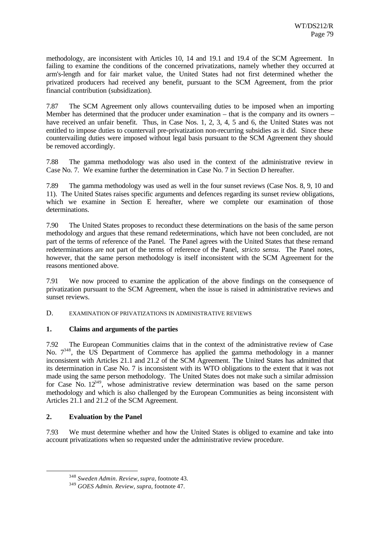methodology, are inconsistent with Articles 10, 14 and 19.1 and 19.4 of the SCM Agreement. In failing to examine the conditions of the concerned privatizations, namely whether they occurred at arm's-length and for fair market value, the United States had not first determined whether the privatized producers had received any benefit, pursuant to the SCM Agreement, from the prior financial contribution (subsidization).

7.87 The SCM Agreement only allows countervailing duties to be imposed when an importing Member has determined that the producer under examination – that is the company and its owners – have received an unfair benefit. Thus, in Case Nos. 1, 2, 3, 4, 5 and 6, the United States was not entitled to impose duties to countervail pre-privatization non-recurring subsidies as it did. Since these countervailing duties were imposed without legal basis pursuant to the SCM Agreement they should be removed accordingly.

7.88 The gamma methodology was also used in the context of the administrative review in Case No. 7. We examine further the determination in Case No. 7 in Section D hereafter.

7.89 The gamma methodology was used as well in the four sunset reviews (Case Nos. 8, 9, 10 and 11). The United States raises specific arguments and defences regarding its sunset review obligations, which we examine in Section E hereafter, where we complete our examination of those determinations.

7.90 The United States proposes to reconduct these determinations on the basis of the same person methodology and argues that these remand redeterminations, which have not been concluded, are not part of the terms of reference of the Panel. The Panel agrees with the United States that these remand redeterminations are not part of the terms of reference of the Panel, *stricto sensu*. The Panel notes, however, that the same person methodology is itself inconsistent with the SCM Agreement for the reasons mentioned above.

7.91 We now proceed to examine the application of the above findings on the consequence of privatization pursuant to the SCM Agreement, when the issue is raised in administrative reviews and sunset reviews.

D. EXAMINATION OF PRIVATIZATIONS IN ADMINISTRATIVE REVIEWS

# **1. Claims and arguments of the parties**

The European Communities claims that in the context of the administrative review of Case No.  $7^{348}$ , the US Department of Commerce has applied the gamma methodology in a manner inconsistent with Articles 21.1 and 21.2 of the SCM Agreement. The United States has admitted that its determination in Case No. 7 is inconsistent with its WTO obligations to the extent that it was not made using the same person methodology. The United States does not make such a similar admission for Case No.  $12^{349}$ , whose administrative review determination was based on the same person methodology and which is also challenged by the European Communities as being inconsistent with Articles 21.1 and 21.2 of the SCM Agreement.

# **2. Evaluation by the Panel**

l

7.93 We must determine whether and how the United States is obliged to examine and take into account privatizations when so requested under the administrative review procedure.

<sup>348</sup> *Sweden Admin. Review,supra,* footnote 43.

<sup>349</sup> *GOES Admin. Review, supra,* footnote 47.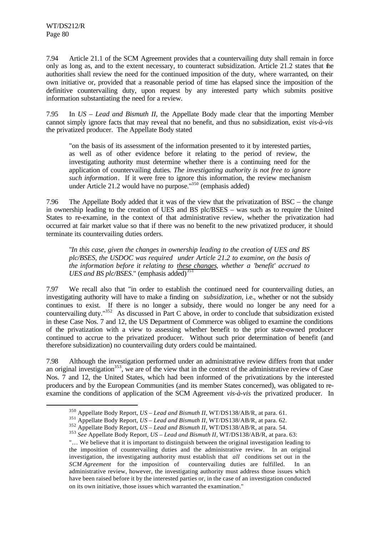7.94 Article 21.1 of the SCM Agreement provides that a countervailing duty shall remain in force only as long as, and to the extent necessary, to counteract subsidization. Article 21.2 states that the authorities shall review the need for the continued imposition of the duty, where warranted, on their own initiative or, provided that a reasonable period of time has elapsed since the imposition of the definitive countervailing duty, upon request by any interested party which submits positive information substantiating the need for a review.

7.95 In *US – Lead and Bismuth II*, the Appellate Body made clear that the importing Member cannot simply ignore facts that may reveal that no benefit, and thus no subsidization, exist *vis-à-vis* the privatized producer. The Appellate Body stated

"on the basis of its assessment of the information presented to it by interested parties, as well as of other evidence before it relating to the period of review, the investigating authority must determine whether there is a continuing need for the application of countervailing duties*. The investigating authority is not free to ignore such information*. If it were free to ignore this information, the review mechanism under Article 21.2 would have no purpose."<sup>350</sup> (emphasis added)

7.96 The Appellate Body added that it was of the view that the privatization of BSC – the change in ownership leading to the creation of UES and BS plc/BSES – was such as to require the United States to re-examine, in the context of that administrative review, whether the privatization had occurred at fair market value so that if there was no benefit to the new privatized producer, it should terminate its countervailing duties orders.

"*In this case, given the changes in ownership leading to the creation of UES and BS plc/BSES, the USDOC was required under Article 21.2 to examine, on the basis of the information before it relating to these changes, whether a 'benefit' accrued to UES and BS plc/BSES*." (emphasis added)<sup>351</sup>

7.97 We recall also that "in order to establish the continued need for countervailing duties, an investigating authority will have to make a finding on *subsidization*, i.e., whether or not the subsidy continues to exist. If there is no longer a subsidy, there would no longer be any need for a countervailing duty."<sup>352</sup> As discussed in Part C above, in order to conclude that subsidization existed in these Case Nos. 7 and 12, the US Department of Commerce was obliged to examine the conditions of the privatization with a view to assessing whether benefit to the prior state-owned producer continued to accrue to the privatized producer. Without such prior determination of benefit (and therefore subsidization) no countervailing duty orders could be maintained.

7.98 Although the investigation performed under an administrative review differs from that under an original investigation<sup>353</sup>, we are of the view that in the context of the administrative review of Case Nos. 7 and 12, the United States, which had been informed of the privatizations by the interested producers and by the European Communities (and its member States concerned), was obligated to reexamine the conditions of application of the SCM Agreement *vis-à-vis* the privatized producer. In

<sup>350</sup> Appellate Body Report, *US – Lead and Bismuth II,* WT/DS138/AB/R, at para. 61.

<sup>351</sup> Appellate Body Report, *US – Lead and Bismuth II,* WT/DS138/AB/R, at para. 62.

<sup>352</sup> Appellate Body Report, *US – Lead and Bismuth II,* WT/DS138/AB/R, at para. 54.

<sup>353</sup> *See* Appellate Body Report, *US – Lead and Bismuth II,* WT/DS138/AB/R, at para. 63:

<sup>&</sup>quot;… We believe that it is important to distinguish between the original investigation leading to the imposition of countervailing duties and the administrative review. In an original investigation, the investigating authority must establish that *all* conditions set out in the *SCM Agreement* for the imposition of countervailing duties are fulfilled. In an administrative review, however, the investigating authority must address those issues which have been raised before it by the interested parties or, in the case of an investigation conducted on its own initiative, those issues which warranted the examination."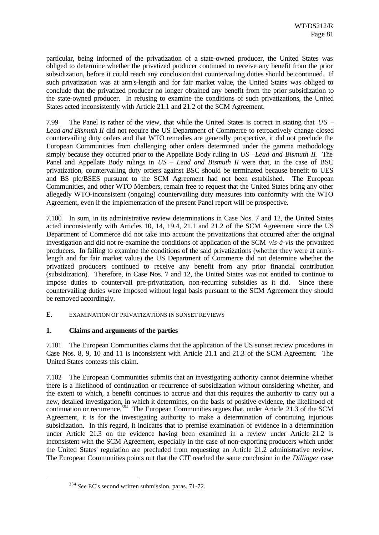particular, being informed of the privatization of a state-owned producer, the United States was obliged to determine whether the privatized producer continued to receive any benefit from the prior subsidization, before it could reach any conclusion that countervailing duties should be continued. If such privatization was at arm's-length and for fair market value, the United States was obliged to conclude that the privatized producer no longer obtained any benefit from the prior subsidization to the state-owned producer. In refusing to examine the conditions of such privatizations, the United States acted inconsistently with Article 21.1 and 21.2 of the SCM Agreement.

7.99 The Panel is rather of the view, that while the United States is correct in stating that *US –* Lead and Bismuth II did not require the US Department of Commerce to retroactively change closed countervailing duty orders and that WTO remedies are generally prospective, it did not preclude the European Communities from challenging other orders determined under the gamma methodology simply because they occurred prior to the Appellate Body ruling in *US –Lead and Bismuth II*. The Panel and Appellate Body rulings in *US – Lead and Bismuth II* were that, in the case of BSC privatization, countervailing duty orders against BSC should be terminated because benefit to UES and BS plc/BSES pursuant to the SCM Agreement had not been established. The European Communities, and other WTO Members, remain free to request that the United States bring any other allegedly WTO-inconsistent (ongoing) countervailing duty measures into conformity with the WTO Agreement, even if the implementation of the present Panel report will be prospective.

7.100 In sum, in its administrative review determinations in Case Nos. 7 and 12, the United States acted inconsistently with Articles 10, 14, 19.4, 21.1 and 21.2 of the SCM Agreement since the US Department of Commerce did not take into account the privatizations that occurred after the original investigation and did not re-examine the conditions of application of the SCM *vis-à-vis* the privatized producers. In failing to examine the conditions of the said privatizations (whether they were at arm'slength and for fair market value) the US Department of Commerce did not determine whether the privatized producers continued to receive any benefit from any prior financial contribution (subsidization). Therefore, in Case Nos. 7 and 12, the United States was not entitled to continue to impose duties to countervail pre-privatization, non-recurring subsidies as it did. Since these countervailing duties were imposed without legal basis pursuant to the SCM Agreement they should be removed accordingly.

#### E. EXAMINATION OF PRIVATIZATIONS IN SUNSET REVIEWS

# **1. Claims and arguments of the parties**

7.101 The European Communities claims that the application of the US sunset review procedures in Case Nos. 8, 9, 10 and 11 is inconsistent with Article 21.1 and 21.3 of the SCM Agreement. The United States contests this claim.

7.102 The European Communities submits that an investigating authority cannot determine whether there is a likelihood of continuation or recurrence of subsidization without considering whether, and the extent to which, a benefit continues to accrue and that this requires the authority to carry out a new, detailed investigation, in which it determines, on the basis of positive evidence, the likelihood of continuation or recurrence.<sup>354</sup> The European Communities argues that, under Article 21.3 of the SCM Agreement, it is for the investigating authority to make a determination of continuing injurious subsidization. In this regard, it indicates that to premise examination of evidence in a determination under Article 21.3 on the evidence having been examined in a review under Article 21.2 is inconsistent with the SCM Agreement, especially in the case of non-exporting producers which under the United States' regulation are precluded from requesting an Article 21.2 administrative review. The European Communities points out that the CIT reached the same conclusion in the *Dillinger* case

<sup>354</sup> *See* EC's second written submission, paras. 71-72.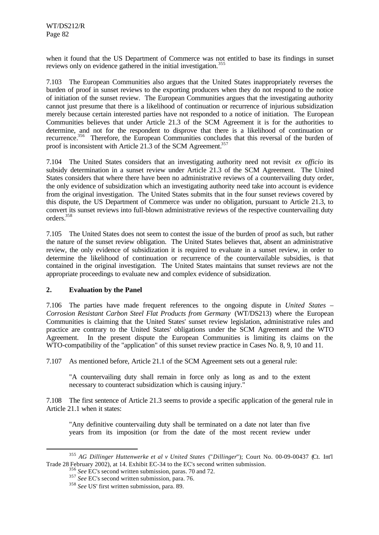when it found that the US Department of Commerce was not entitled to base its findings in sunset reviews only on evidence gathered in the initial investigation.<sup>355</sup>

7.103 The European Communities also argues that the United States inappropriately reverses the burden of proof in sunset reviews to the exporting producers when they do not respond to the notice of initiation of the sunset review. The European Communities argues that the investigating authority cannot just presume that there is a likelihood of continuation or recurrence of injurious subsidization merely because certain interested parties have not responded to a notice of initiation. The European Communities believes that under Article 21.3 of the SCM Agreement it is for the authorities to determine, and not for the respondent to disprove that there is a likelihood of continuation or recurrence.<sup>356</sup> Therefore, the European Communities concludes that this reversal of the burden of proof is inconsistent with Article 21.3 of the SCM Agreement.<sup>357</sup>

7.104 The United States considers that an investigating authority need not revisit *ex officio* its subsidy determination in a sunset review under Article 21.3 of the SCM Agreement. The United States considers that where there have been no administrative reviews of a countervailing duty order, the only evidence of subsidization which an investigating authority need take into account is evidence from the original investigation. The United States submits that in the four sunset reviews covered by this dispute, the US Department of Commerce was under no obligation, pursuant to Article 21.3, to convert its sunset reviews into full-blown administrative reviews of the respective countervailing duty orders.<sup>358</sup>

7.105 The United States does not seem to contest the issue of the burden of proof as such, but rather the nature of the sunset review obligation. The United States believes that, absent an administrative review, the only evidence of subsidization it is required to evaluate in a sunset review, in order to determine the likelihood of continuation or recurrence of the countervailable subsidies, is that contained in the original investigation. The United States maintains that sunset reviews are not the appropriate proceedings to evaluate new and complex evidence of subsidization.

# **2. Evaluation by the Panel**

l

7.106 The parties have made frequent references to the ongoing dispute in *United States – Corrosion Resistant Carbon Steel Flat Products from Germany* (WT/DS213) where the European Communities is claiming that the United States' sunset review legislation, administrative rules and practice are contrary to the United States' obligations under the SCM Agreement and the WTO Agreement. In the present dispute the European Communities is limiting its claims on the WTO-compatibility of the "application" of this sunset review practice in Cases No. 8, 9, 10 and 11.

7.107 As mentioned before, Article 21.1 of the SCM Agreement sets out a general rule:

"A countervailing duty shall remain in force only as long as and to the extent necessary to counteract subsidization which is causing injury."

7.108 The first sentence of Article 21.3 seems to provide a specific application of the general rule in Article 21.1 when it states:

"Any definitive countervailing duty shall be terminated on a date not later than five years from its imposition (or from the date of the most recent review under

<sup>355</sup> *AG Dillinger Huttenwerke et al v United States* ("*Dillinger*"); Court No. 00-09-00437 (Ct. Int'l Trade 28 February 2002), at 14. Exhibit EC-34 to the EC's second written submission.

<sup>&</sup>lt;sup>356</sup> *See* EC's second written submission, paras. 70 and 72.

<sup>&</sup>lt;sup>357</sup> See EC's second written submission, para. 76.

<sup>358</sup> *See* US' first written submission, para. 89.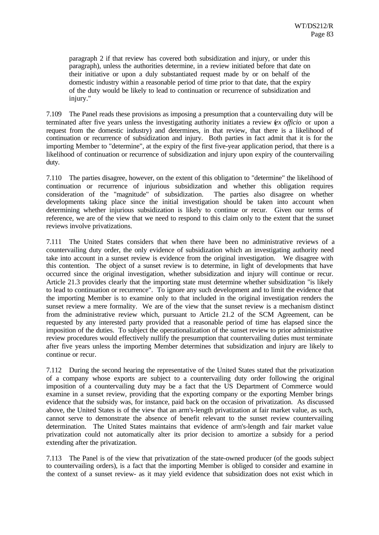paragraph 2 if that review has covered both subsidization and injury, or under this paragraph), unless the authorities determine, in a review initiated before that date on their initiative or upon a duly substantiated request made by or on behalf of the domestic industry within a reasonable period of time prior to that date, that the expiry of the duty would be likely to lead to continuation or recurrence of subsidization and injury."

7.109 The Panel reads these provisions as imposing a presumption that a countervailing duty will be terminated after five years unless the investigating authority initiates a review (*ex officio* or upon a request from the domestic industry) and determines, in that review, that there is a likelihood of continuation or recurrence of subsidization and injury. Both parties in fact admit that it is for the importing Member to "determine", at the expiry of the first five-year application period, that there is a likelihood of continuation or recurrence of subsidization and injury upon expiry of the countervailing duty.

7.110 The parties disagree, however, on the extent of this obligation to "determine" the likelihood of continuation or recurrence of injurious subsidization and whether this obligation requires consideration of the "magnitude" of subsidization. The parties also disagree on whether developments taking place since the initial investigation should be taken into account when determining whether injurious subsidization is likely to continue or recur. Given our terms of reference, we are of the view that we need to respond to this claim only to the extent that the sunset reviews involve privatizations.

7.111 The United States considers that when there have been no administrative reviews of a countervailing duty order, the only evidence of subsidization which an investigating authority need take into account in a sunset review is evidence from the original investigation. We disagree with this contention. The object of a sunset review is to determine, in light of developments that have occurred since the original investigation, whether subsidization and injury will continue or recur. Article 21.3 provides clearly that the importing state must determine whether subsidization "is likely to lead to continuation or recurrence". To ignore any such development and to limit the evidence that the importing Member is to examine only to that included in the original investigation renders the sunset review a mere formality. We are of the view that the sunset review is a mechanism distinct from the administrative review which, pursuant to Article 21.2 of the SCM Agreement, can be requested by any interested party provided that a reasonable period of time has elapsed since the imposition of the duties. To subject the operationalization of the sunset review to prior administrative review procedures would effectively nullify the presumption that countervailing duties must terminate after five years unless the importing Member determines that subsidization and injury are likely to continue or recur.

7.112 During the second hearing the representative of the United States stated that the privatization of a company whose exports are subject to a countervailing duty order following the original imposition of a countervailing duty may be a fact that the US Department of Commerce would examine in a sunset review, providing that the exporting company or the exporting Member brings evidence that the subsidy was, for instance, paid back on the occasion of privatization. As discussed above, the United States is of the view that an arm's-length privatization at fair market value, as such, cannot serve to demonstrate the absence of benefit relevant to the sunset review countervailing determination. The United States maintains that evidence of arm's-length and fair market value privatization could not automatically alter its prior decision to amortize a subsidy for a period extending after the privatization.

7.113 The Panel is of the view that privatization of the state-owned producer (of the goods subject to countervailing orders), is a fact that the importing Member is obliged to consider and examine in the context of a sunset review- as it may yield evidence that subsidization does not exist which in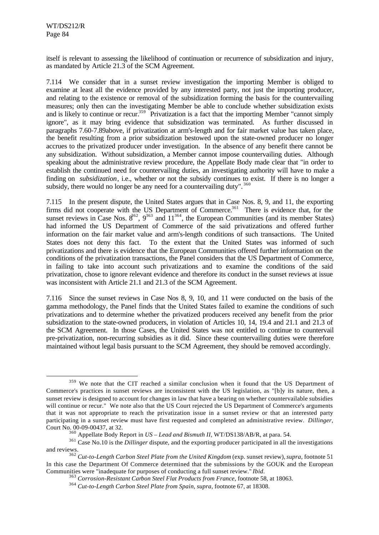itself is relevant to assessing the likelihood of continuation or recurrence of subsidization and injury, as mandated by Article 21.3 of the SCM Agreement.

7.114 We consider that in a sunset review investigation the importing Member is obliged to examine at least all the evidence provided by any interested party, not just the importing producer, and relating to the existence or removal of the subsidization forming the basis for the countervailing measures; only then can the investigating Member be able to conclude whether subsidization exists and is likely to continue or recur.<sup>359</sup> Privatization is a fact that the importing Member "cannot simply ignore", as it may bring evidence that subsidization was terminated. As further discussed in paragraphs 7.60-7.89above, if privatization at arm's-length and for fair market value has taken place, the benefit resulting from a prior subsidization bestowed upon the state-owned producer no longer accrues to the privatized producer under investigation. In the absence of any benefit there cannot be any subsidization. Without subsidization, a Member cannot impose countervailing duties. Although speaking about the administrative review procedure, the Appellate Body made clear that "in order to establish the continued need for countervailing duties, an investigating authority will have to make a finding on *subsidization*, i.e., whether or not the subsidy continues to exist. If there is no longer a subsidy, there would no longer be any need for a countervailing duty".<sup>360</sup>

7.115 In the present dispute, the United States argues that in Case Nos. 8, 9, and 11, the exporting firms did not cooperate with the US Department of Commerce.<sup>361</sup> There is evidence that, for the sunset reviews in Case Nos.  $8^{62}$ ,  $9^{363}$  and  $11^{364}$ , the European Communities (and its member States) had informed the US Department of Commerce of the said privatizations and offered further information on the fair market value and arm's-length conditions of such transactions. The United States does not deny this fact. To the extent that the United States was informed of such privatizations and there is evidence that the European Communities offered further information on the conditions of the privatization transactions, the Panel considers that the US Department of Commerce, in failing to take into account such privatizations and to examine the conditions of the said privatization, chose to ignore relevant evidence and therefore its conduct in the sunset reviews at issue was inconsistent with Article 21.1 and 21.3 of the SCM Agreement.

7.116 Since the sunset reviews in Case Nos 8, 9, 10, and 11 were conducted on the basis of the gamma methodology, the Panel finds that the United States failed to examine the conditions of such privatizations and to determine whether the privatized producers received any benefit from the prior subsidization to the state-owned producers, in violation of Articles 10, 14, 19.4 and 21.1 and 21.3 of the SCM Agreement. In those Cases, the United States was not entitled to continue to countervail pre-privatization, non-recurring subsidies as it did. Since these countervailing duties were therefore maintained without legal basis pursuant to the SCM Agreement, they should be removed accordingly.

<sup>&</sup>lt;sup>359</sup> We note that the CIT reached a similar conclusion when it found that the US Department of Commerce's practices in sunset reviews are inconsistent with the US legislation, as "[b]y its nature, then, a sunset review is designed to account for changes in law that have a bearing on whether countervailable subsidies will continue or recur." We note also that the US Court rejected the US Department of Commerce's arguments that it was not appropriate to reach the privatization issue in a sunset review or that an interested party participating in a sunset review must have first requested and completed an administrative review. *Dillinger,* Court No. 00-09-00437, at 32.

<sup>360</sup> Appellate Body Report in *US – Lead and Bismuth II*, WT/DS138/AB/R, at para. 54.

<sup>&</sup>lt;sup>361</sup> Case No.10 is the *Dillinger* dispute, and the exporting producer participated in all the investigations and reviews.

<sup>362</sup> *Cut-to-Length Carbon Steel Plate from the United Kingdom* (exp. sunset review), *supra,* footnote 51 In this case the Department Of Commerce determined that the submissions by the GOUK and the European Communities were "inadequate for purposes of conducting a full sunset review." *Ibid.*

<sup>363</sup> *Corrosion-Resistant Carbon Steel Flat Products from France*, footnote 58, at 18063.

<sup>364</sup> *Cut-to-Length Carbon Steel Plate from Spain, supra,* footnote 67, at 18308.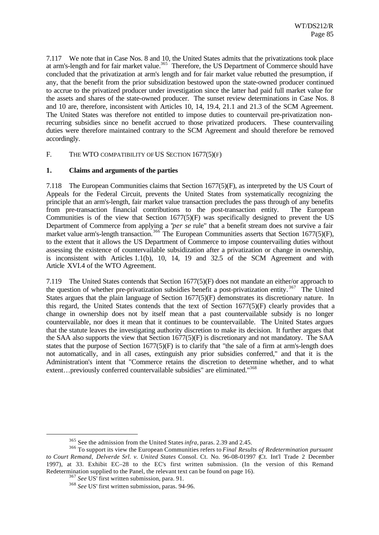7.117 We note that in Case Nos. 8 and 10, the United States admits that the privatizations took place at arm's-length and for fair market value.<sup>365</sup> Therefore, the US Department of Commerce should have concluded that the privatization at arm's length and for fair market value rebutted the presumption, if any, that the benefit from the prior subsidization bestowed upon the state-owned producer continued to accrue to the privatized producer under investigation since the latter had paid full market value for the assets and shares of the state-owned producer. The sunset review determinations in Case Nos. 8 and 10 are, therefore, inconsistent with Articles 10, 14, 19.4, 21.1 and 21.3 of the SCM Agreement. The United States was therefore not entitled to impose duties to countervail pre-privatization nonrecurring subsidies since no benefit accrued to those privatized producers. These countervailing duties were therefore maintained contrary to the SCM Agreement and should therefore be removed accordingly.

## F. THE WTO COMPATIBILITY OF US SECTION 1677(5)(F)

## **1. Claims and arguments of the parties**

7.118 The European Communities claims that Section 1677(5)(F), as interpreted by the US Court of Appeals for the Federal Circuit, prevents the United States from systematically recognizing the principle that an arm's-length, fair market value transaction precludes the pass through of any benefits from pre-transaction financial contributions to the post-transaction entity. The European Communities is of the view that Section 1677(5)(F) was specifically designed to prevent the US Department of Commerce from applying a "*per se* rule" that a benefit stream does not survive a fair market value arm's-length transaction.<sup>366</sup> The European Communities asserts that Section  $1677(5)(F)$ , to the extent that it allows the US Department of Commerce to impose countervailing duties without assessing the existence of countervailable subsidization after a privatization or change in ownership, is inconsistent with Articles 1.1(b), 10, 14, 19 and 32.5 of the SCM Agreement and with Article XVI.4 of the WTO Agreement.

7.119 The United States contends that Section 1677(5)(F) does not mandate an either/or approach to the question of whether pre-privatization subsidies benefit a post-privatization entity.<sup>367</sup> The United States argues that the plain language of Section 1677(5)(F) demonstrates its discretionary nature. In this regard, the United States contends that the text of Section  $1677(5)$ (F) clearly provides that a change in ownership does not by itself mean that a past countervailable subsidy is no longer countervailable, nor does it mean that it continues to be countervailable. The United States argues that the statute leaves the investigating authority discretion to make its decision. It further argues that the SAA also supports the view that Section 1677(5)(F) is discretionary and not mandatory. The SAA states that the purpose of Section  $1677(5)$ (F) is to clarify that "the sale of a firm at arm's-length does not automatically, and in all cases, extinguish any prior subsidies conferred," and that it is the Administration's intent that "Commerce retains the discretion to determine whether, and to what extent...previously conferred countervailable subsidies" are eliminated."<sup>368</sup>

<sup>365</sup> See the admission from the United States *infra,* paras. 2.39 and 2.45.

<sup>366</sup> To support its view the European Communities refers to *Final Results of Redetermination pursuant to Court Remand, Delverde Srl. v. United States* Consol. Ct. No. 96-08-01997 (Ct. Int'l Trade 2 December 1997), at 33. Exhibit EC–28 to the EC's first written submission. (In the version of this Remand Redetermination supplied to the Panel, the relevant text can be found on page 16).

<sup>367</sup> *See* US' first written submission, para. 91.

<sup>368</sup> *See* US' first written submission, paras. 94-96.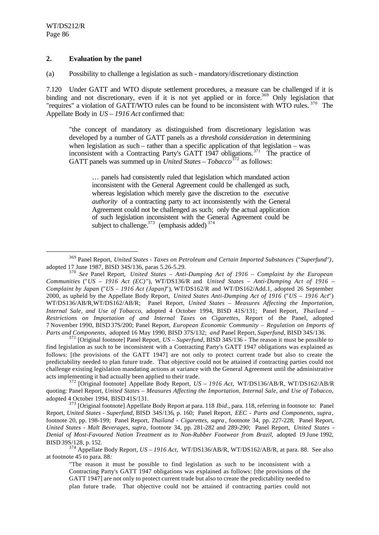#### **2. Evaluation by the panel**

(a) Possibility to challenge a legislation as such - mandatory/discretionary distinction

7.120 Under GATT and WTO dispute settlement procedures, a measure can be challenged if it is binding and not discretionary, even if it is not yet applied or in force.<sup>369</sup> Only legislation that "requires" a violation of GATT/WTO rules can be found to be inconsistent with WTO rules.<sup>370</sup> The Appellate Body in *US – 1916 Act* confirmed that:

"the concept of mandatory as distinguished from discretionary legislation was developed by a number of GATT panels as a *threshold consideration* in determining when legislation as such – rather than a specific application of that legislation – was inconsistent with a Contracting Party's GATT 1947 obligations.<sup>371</sup> The practice of GATT panels was summed up in *United States – Tobacco*<sup>372</sup> as follows:

… panels had consistently ruled that legislation which mandated action inconsistent with the General Agreement could be challenged as such, whereas legislation which merely gave the discretion to the *executive authority* of a contracting party to act inconsistently with the General Agreement could not be challenged as such; only the actual application of such legislation inconsistent with the General Agreement could be subject to challenge. $373$  (emphasis added)  $374$ 

<sup>371</sup> [Original footnote] Panel Report, *US – Superfund*, BISD 34S/136 *-* The reason it must be possible to find legislation as such to be inconsistent with a Contracting Party's GATT 1947 obligations was explained as follows: [the provisions of the GATT 1947] are not only to protect current trade but also to create the predictability needed to plan future trade. That objective could not be attained if contracting parties could not challenge existing legislation mandating actions at variance with the General Agreement until the administrative acts implementing it had actually been applied to their trade.

<sup>372</sup> [Original footnote] Appellate Body Report, *US – 1916 Act,* WT/DS136/AB/R, WT/DS162/AB/R quoting: Panel Report, *United States – Measures Affecting the Importation, Internal Sale, and Use of Tobacco*, adopted 4 October 1994, BISD 41S/131.

<sup>373</sup> [Original footnote] Appellate Body Report at para. 118 *Ibid*., para. 118, referring in footnote to: Panel Report, *United States - Superfund*, BISD 34S/136, p. 160; Panel Report, *EEC - Parts and Components*, *supra*, footnote 20, pp. 198-199; Panel Report, *Thailand - Cigarettes*, *supra* , footnote 34, pp. 227-228; Panel Report, *United States - Malt Beverages*, *supra*, footnote 34, pp. 281-282 and 289-290; Panel Report, *United States - Denial of Most-Favoured Nation Treatment as to Non-Rubber Footwear from Brazil*, adopted 19 June 1992, BISD 39S/128, p. 152.

<sup>374</sup> Appellate Body Report, *US – 1916 Act,* WT/DS136/AB/R, WT/DS162/AB/R, at para. 88. See also at footnote 45 to para. 88*:*

"The reason it must be possible to find legislation as such to be inconsistent with a Contracting Party's GATT 1947 obligations was explained as follows: [the provisions of the GATT 1947] are not only to protect current trade but also to create the predictability needed to plan future trade. That objective could not be attained if contracting parties could not

<sup>369</sup> Panel Report, *United States - Taxes on Petroleum and Certain Imported Substances* ("*Superfund")*, adopted 17 June 1987, BISD 34S/136, paras 5.26-5.29.

<sup>370</sup> *See* Panel Report, *United States – Anti-Dumping Act of 1916 – Complaint by the European Communities* ("*US – 1916 Act (EC)*"), WT/DS136/R and *United States – Anti-Dumping Act of 1916 – Complaint by Japan* ("*US – 1916 Act (Japan)*")*,* WT/DS162/R and WT/DS162/Add.1, adopted 26 September 2000, as upheld by the Appellate Body Report, *United States Anti-Dumping Act of 1916* ("*US – 1916 Act*") WT/DS136/AB/R,WT/DS162/AB/R; Panel Report, *United States – Measures Affecting the Importation, Internal Sale, and Use of Tobacco*, adopted 4 October 1994, BISD 41S/131; Panel Report, *Thailand – Restrictions on Importation of and Internal Taxes on Cigarettes*, Report of the Panel, adopted 7 November 1990, BISD 37S/200; Panel Report, *European Economic Community – Regulation on Imports of Parts and Components*, adopted 16 May 1990, BISD 37S/132; *and* Panel Report, *Superfund,* BISD 34S/136.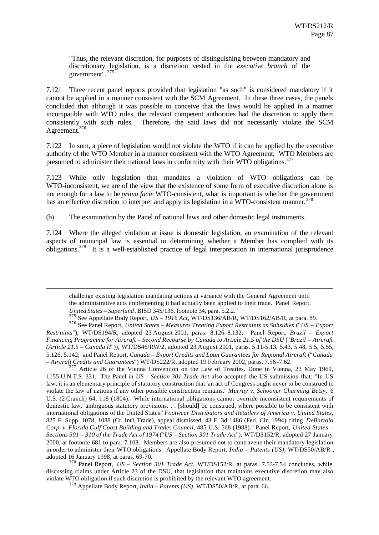"Thus, the relevant discretion, for purposes of distinguishing between mandatory and discretionary legislation, is a discretion vested in the *executive branch* of the government". <sup>375</sup>

7.121 Three recent panel reports provided that legislation "as such" is considered mandatory if it cannot be applied in a manner consistent with the SCM Agreement. In these three cases, the panels concluded that although it was possible to conceive that the laws would be applied in a manner incompatible with WTO rules, the relevant competent authorities had the discretion to apply them consistently with such rules. Therefore, the said laws did not necessarily violate the SCM Agreement.<sup>376</sup>

7.122 In sum, a piece of legislation would not violate the WTO if it can be applied by the executive authority of the WTO Member in a manner consistent with the WTO Agreement; WTO Members are presumed to administer their national laws in conformity with their WTO obligations.<sup>377</sup>

7.123 While only legislation that mandates a violation of WTO obligations can be WTO-inconsistent, we are of the view that the existence of some form of executive discretion alone is not enough for a law to be *prima facie* WTO-consistent, what is important is whether the government has an effective discretion to interpret and apply its legislation in a WTO-consistent manner.<sup>378</sup>

(b) The examination by the Panel of national laws and other domestic legal instruments.

7.124 Where the alleged violation at issue is domestic legislation, an examination of the relevant aspects of municipal law is essential to determining whether a Member has complied with its obligations.<sup>379</sup> It is a well-established practice of legal interpretation in international jurisprudence

l

<sup>377</sup> Article 26 of the Vienna Convention on the Law of Treaties. Done in Vienna, 23 May 1969, 1155 U.N.T.S. 331. The Panel in *US – Section 301 Trade Act* also accepted the US submission that: "In US law, it is an elementary principle of statutory construction that 'an act of Congress ought never to be construed to violate the law of nations if any other possible construction remains.' *Murray v. Schooner Charming Betsy,* 6 U.S. (2 Cranch) 64, 118 (1804). While international obligations cannot override inconsistent requirements of domestic law, 'ambiguous statutory provisions. . . [should] be construed, where possible to be consistent with international obligations of the United States.' *Footwear Distributors and Retailers of America v. United States*, 825 F. Supp. 1078, 1088 (Ct. Int'l Trade), appeal dismissed, 43 F. 3d 1486 (Fed. Cir. 1994) citing *DeBartolo Corp. v. Florida Gulf Coast Building and Trades Council*, 485 U.S. 568 (1988)." Panel Report, *United States – Sections 301 – 310 of the Trade Act of 1974* ("*US – Section 301 Trade Act*"), WT/DS152/R, adopted 27 January 2000, at footnote 681 to para. 7.108. Members are also presumed not to contravene their mandatory legislation in order to administer their WTO obligations. Appellate Body Report, *India – Patents (US)*, WT/DS50/AB/R , adopted 16 January 1998, at paras. 69-70.

<sup>378</sup> Panel Report, *US – Section 301 Trade Act*, WT/DS152/R, at paras. 7.53-7.54 concludes, while discussing claims under Article 23 of the DSU, that legislation that maintains executive discretion may also violate WTO obligation if such discretion is prohibited by the relevant WTO agreement.

<sup>379</sup> Appellate Body Report, *India – Patents (US)*, WT/DS50/AB/R, at para. 66.

challenge existing legislation mandating actions at variance with the General Agreement until the administrative acts implementing it had actually been applied to their trade. Panel Report,

*United States – Superfund*, BISD 34S/136, footnote 34, para. 5.2.2."

<sup>375</sup> See Appellate Body Report, *US – 1916 Act*, WT/DS136/AB/R, WT/DS162/AB/R, at para. 89.

<sup>376</sup> See Panel Report, *United States – Measures Treating Export Restraints as Subsidies* ("*US – Export Restraints*"), WT/DS194/R, adopted 23 August 2001, paras. 8.126–8.132; Panel Report, *Brazil – Export Financing Programme for Aircraft – Second Recourse by Canada to Article 21.5 of the DSU* ("*Brazil – Aircraft (Article 21.5 – Canada II*")), WT/DS46/RW/2, adopted 23 August 2001, paras. 5.11-5.13, 5.43, 5.48, 5.5, 5.55, 5.126, 5.142; and Panel Report, *Canada – Export Credits and Loan Guarantees for Regional Aircraft* ("*Canada – Aircraft Credits and Guarantees*") WT/DS222/R, adopted 19 February 2002, paras. 7.56–7.62.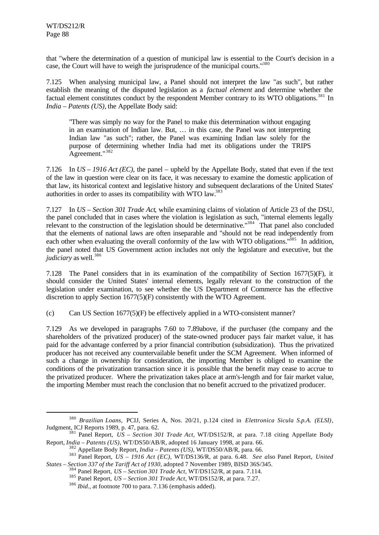that "where the determination of a question of municipal law is essential to the Court's decision in a case, the Court will have to weigh the jurisprudence of the municipal courts."<sup>380</sup>

7.125 When analysing municipal law, a Panel should not interpret the law "as such", but rather establish the meaning of the disputed legislation as a *factual element* and determine whether the factual element constitutes conduct by the respondent Member contrary to its WTO obligations.<sup>381</sup> In *India – Patents (US),* the Appellate Body said:

"There was simply no way for the Panel to make this determination without engaging in an examination of Indian law. But, … in this case, the Panel was not interpreting Indian law "as such"; rather, the Panel was examining Indian law solely for the purpose of determining whether India had met its obligations under the TRIPS Agreement."<sup>382</sup>

7.126 In *US – 1916 Act (EC)*, the panel – upheld by the Appellate Body, stated that even if the text of the law in question were clear on its face, it was necessary to examine the domestic application of that law, its historical context and legislative history and subsequent declarations of the United States' authorities in order to asses its compatibility with WTO law.<sup>383</sup>

7.127 In *US – Section 301 Trade Act*, while examining claims of violation of Article 23 of the DSU, the panel concluded that in cases where the violation is legislation as such, "internal elements legally relevant to the construction of the legislation should be determinative."<sup>384</sup> That panel also concluded that the elements of national laws are often inseparable and "should not be read independently from each other when evaluating the overall conformity of the law with WTO obligations.<sup> $385$ </sup> In addition, the panel noted that US Government action includes not only the legislature and executive, but the *judiciary* as well.<sup>386</sup>

7.128 The Panel considers that in its examination of the compatibility of Section 1677(5)(F), it should consider the United States' internal elements, legally relevant to the construction of the legislation under examination, to see whether the US Department of Commerce has the effective discretion to apply Section 1677(5)(F) consistently with the WTO Agreement.

(c) Can US Section  $1677(5)$ (F) be effectively applied in a WTO-consistent manner?

7.129 As we developed in paragraphs 7.60 to 7.89above, if the purchaser (the company and the shareholders of the privatized producer) of the state-owned producer pays fair market value, it has paid for the advantage conferred by a prior financial contribution (subsidization). Thus the privatized producer has not received any countervailable benefit under the SCM Agreement. When informed of such a change in ownership for consideration, the importing Member is obliged to examine the conditions of the privatization transaction since it is possible that the benefit may cease to accrue to the privatized producer. Where the privatization takes place at arm's-length and for fair market value, the importing Member must reach the conclusion that no benefit accrued to the privatized producer.

<sup>380</sup> *Brazilian Loans,* PCIJ, Series A, Nos. 20/21, p.124 cited in *Elettronica Sicula S.p.A. (ELSI)*, Judgment, ICJ Reports 1989, p. 47, para. 62.

<sup>&</sup>lt;sup>381</sup> Panel Report, *US – Section 301 Trade Act*, WT/DS152/R, at para. 7.18 citing Appellate Body Report, *India – Patents (US)*, WT/DS50/AB/R, adopted 16 January 1998, at para. 66.

<sup>382</sup> Appellate Body Report, *India – Patents (US)*, WT/DS50/AB/R, para. 66.

<sup>383</sup> Panel Report, *US – 1916 Act (EC)*, WT/DS136/R, at para. 6.48. *See a*lso Panel Report, *United States – Section 337 of the Tariff Act of 1930,* adopted 7 November 1989, BISD 36S/345.

<sup>384</sup> Panel Report, *US – Section 301 Trade Act,* WT/DS152/R, at para. 7.114.

<sup>385</sup> Panel Report, *US – Section 301 Trade Act,* WT/DS152/R, at para. 7.27.

<sup>386</sup> *Ibid.,* at footnote 700 to para. 7.136 (emphasis added).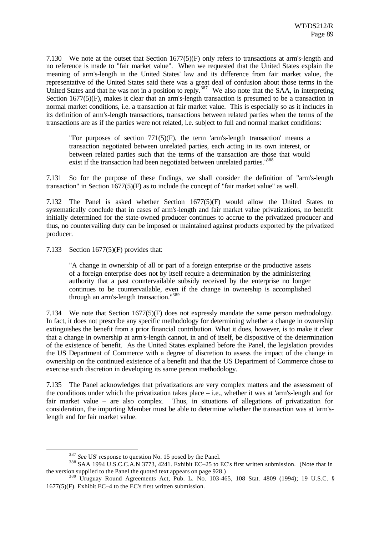7.130 We note at the outset that Section 1677(5)(F) only refers to transactions at arm's-length and no reference is made to "fair market value". When we requested that the United States explain the meaning of arm's-length in the United States' law and its difference from fair market value, the representative of the United States said there was a great deal of confusion about those terms in the United States and that he was not in a position to reply.<sup>387</sup> We also note that the SAA, in interpreting Section 1677(5)(F), makes it clear that an arm's-length transaction is presumed to be a transaction in normal market conditions, i.e. a transaction at fair market value. This is especially so as it includes in its definition of arm's-length transactions, transactions between related parties when the terms of the transactions are as if the parties were not related, i.e. subject to full and normal market conditions:

"For purposes of section  $771(5)(F)$ , the term 'arm's-length transaction' means a transaction negotiated between unrelated parties, each acting in its own interest, or between related parties such that the terms of the transaction are those that would exist if the transaction had been negotiated between unrelated parties.<sup>1388</sup>

7.131 So for the purpose of these findings, we shall consider the definition of "arm's-length transaction" in Section 1677(5)(F) as to include the concept of "fair market value" as well.

7.132 The Panel is asked whether Section 1677(5)(F) would allow the United States to systematically conclude that in cases of arm's-length and fair market value privatizations, no benefit initially determined for the state-owned producer continues to accrue to the privatized producer and thus, no countervailing duty can be imposed or maintained against products exported by the privatized producer.

7.133 Section 1677(5)(F) provides that:

l

"A change in ownership of all or part of a foreign enterprise or the productive assets of a foreign enterprise does not by itself require a determination by the administering authority that a past countervailable subsidy received by the enterprise no longer continues to be countervailable, even if the change in ownership is accomplished through an arm's-length transaction."<sup>389</sup>

7.134 We note that Section 1677(5)(F) does not expressly mandate the same person methodology. In fact, it does not prescribe any specific methodology for determining whether a change in ownership extinguishes the benefit from a prior financial contribution. What it does, however, is to make it clear that a change in ownership at arm's-length cannot, in and of itself, be dispositive of the determination of the existence of benefit. As the United States explained before the Panel, the legislation provides the US Department of Commerce with a degree of discretion to assess the impact of the change in ownership on the continued existence of a benefit and that the US Department of Commerce chose to exercise such discretion in developing its same person methodology.

7.135 The Panel acknowledges that privatizations are very complex matters and the assessment of the conditions under which the privatization takes place – i.e., whether it was at 'arm's-length and for fair market value – are also complex. Thus, in situations of allegations of privatization for consideration, the importing Member must be able to determine whether the transaction was at 'arm'slength and for fair market value.

<sup>387</sup> *See* US' response to question No. 15 posed by the Panel.

<sup>&</sup>lt;sup>388</sup> SAA 1994 U.S.C.C.A.N 3773, 4241. Exhibit EC-25 to EC's first written submission. (Note that in the version supplied to the Panel the quoted text appears on page 928.)

<sup>389</sup> Uruguay Round Agreements Act, Pub. L. No. 103-465, 108 Stat. 4809 (1994); 19 U.S.C. § 1677(5)(F). Exhibit EC–4 to the EC's first written submission.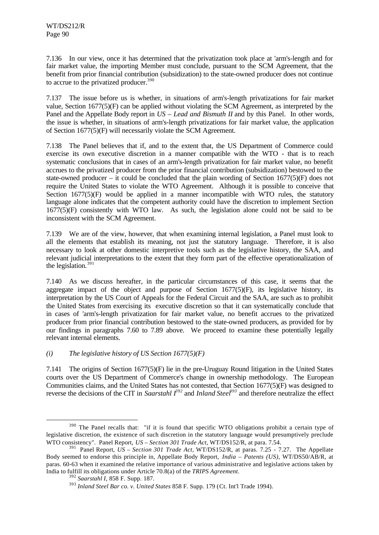7.136 In our view, once it has determined that the privatization took place at 'arm's-length and for fair market value, the importing Member must conclude, pursuant to the SCM Agreement, that the benefit from prior financial contribution (subsidization) to the state-owned producer does not continue to accrue to the privatized producer.<sup>390</sup>

7.137 The issue before us is whether, in situations of arm's-length privatizations for fair market value, Section 1677(5)(F) can be applied without violating the SCM Agreement, as interpreted by the Panel and the Appellate Body report in *US – Lead and Bismuth II* and by this Panel. In other words, the issue is whether, in situations of arm's-length privatizations for fair market value, the application of Section 1677(5)(F) will necessarily violate the SCM Agreement.

7.138 The Panel believes that if, and to the extent that, the US Department of Commerce could exercise its own executive discretion in a manner compatible with the WTO - that is to reach systematic conclusions that in cases of an arm's-length privatization for fair market value, no benefit accrues to the privatized producer from the prior financial contribution (subsidization) bestowed to the state-owned producer – it could be concluded that the plain wording of Section 1677(5)(F) does not require the United States to violate the WTO Agreement. Although it is possible to conceive that Section  $1677(5)$ (F) would be applied in a manner incompatible with WTO rules, the statutory language alone indicates that the competent authority could have the discretion to implement Section 1677(5)(F) consistently with WTO law. As such, the legislation alone could not be said to be inconsistent with the SCM Agreement.

7.139 We are of the view, however, that when examining internal legislation, a Panel must look to all the elements that establish its meaning, not just the statutory language. Therefore, it is also necessary to look at other domestic interpretive tools such as the legislative history, the SAA, and relevant judicial interpretations to the extent that they form part of the effective operationalization of the legislation.<sup>391</sup>

7.140 As we discuss hereafter, in the particular circumstances of this case, it seems that the aggregate impact of the object and purpose of Section  $1677(5)$  (F), its legislative history, its interpretation by the US Court of Appeals for the Federal Circuit and the SAA, are such as to prohibit the United States from exercising its executive discretion so that it can systematically conclude that in cases of 'arm's-length privatization for fair market value, no benefit accrues to the privatized producer from prior financial contribution bestowed to the state-owned producers, as provided for by our findings in paragraphs 7.60 to 7.89 above. We proceed to examine these potentially legally relevant internal elements.

# *(i) The legislative history of US Section 1677(5)(F)*

7.141 The origins of Section 1677(5)(F) lie in the pre-Uruguay Round litigation in the United States courts over the US Department of Commerce's change in ownership methodology. The European Communities claims, and the United States has not contested, that Section 1677(5)(F) was designed to reverse the decisions of the CIT in *Saarstahl I<sup>392</sup>* and *Inland Steel<sup>393</sup>* and therefore neutralize the effect

<sup>&</sup>lt;sup>390</sup> The Panel recalls that: "if it is found that specific WTO obligations prohibit a certain type of legislative discretion, the existence of such discretion in the statutory language would presumptively preclude WTO consistency". Panel Report, *US – Section 301 Trade Act,* WT/DS152/R, at para. 7.54.

<sup>391</sup> Panel Report, *US – Section 301 Trade Act,* WT/DS152/R, at paras. 7.25 - 7.27. The Appellate Body seemed to endorse this principle in, Appellate Body Report, *India – Patents (US)*, WT/DS50/AB/R, at paras. 60-63 when it examined the relative importance of various administrative and legislative actions taken by India to fulfill its obligations under Article 70.8(a) of the *TRIPS Agreement*.

<sup>392</sup> *Saarstahl I*, 858 F. Supp. 187.

<sup>393</sup> *Inland Steel Bar co. v. United States* 858 F. Supp. 179 (Ct. Int'l Trade 1994).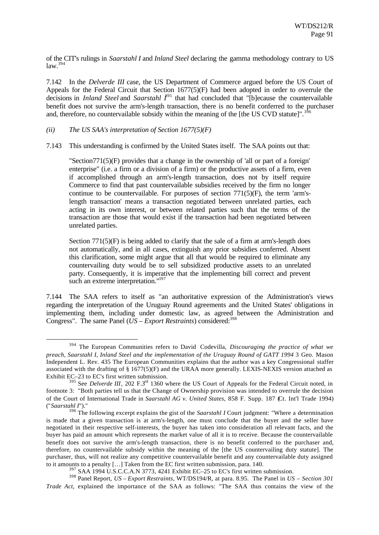of the CIT's rulings in *Saarstahl I* and *Inland Steel* declaring the gamma methodology contrary to US law.<sup>394</sup>

7.142 In the *Delverde III* case, the US Department of Commerce argued before the US Court of Appeals for the Federal Circuit that Section 1677(5)(F) had been adopted in order to overrule the decisions in *Inland Steel* and *Saarstahl*  $\hat{I}^{95}$  that had concluded that "[b]ecause the countervailable benefit does not survive the arm's-length transaction, there is no benefit conferred to the purchaser and, therefore, no countervailable subsidy within the meaning of the [the US CVD statute]".<sup>3</sup>

#### *(ii) The US SAA's interpretation of Section 1677(5)(F)*

l

7.143 This understanding is confirmed by the United States itself. The SAA points out that:

"Section771(5)(F) provides that a change in the ownership of 'all or part of a foreign' enterprise" (i.e. a firm or a division of a firm) or the productive assets of a firm, even if accomplished through an arm's-length transaction, does not by itself require Commerce to find that past countervailable subsidies received by the firm no longer continue to be countervailable. For purposes of section  $771(5)(F)$ , the term 'arm'slength transaction' means a transaction negotiated between unrelated parties, each acting in its own interest, or between related parties such that the terms of the transaction are those that would exist if the transaction had been negotiated between unrelated parties.

Section 771(5)(F) is being added to clarify that the sale of a firm at arm's-length does not automatically, and in all cases, extinguish any prior subsidies conferred. Absent this clarification, some might argue that all that would be required to eliminate any countervailing duty would be to sell subsidized productive assets to an unrelated party. Consequently, it is imperative that the implementing bill correct and prevent such an extreme interpretation."<sup>397</sup>

7.144 The SAA refers to itself as "an authoritative expression of the Administration's views regarding the interpretation of the Uruguay Round agreements and the United States' obligations in implementing them, including under domestic law, as agreed between the Administration and Congress". The same Panel (*US – Export Restraints*) considered:<sup>398</sup>

<sup>394</sup> The European Communities refers to David Codevilla, *Discouraging the practice of what we preach, Saarstahl I, Inland Steel and the implementation of the Uruguay Round of GATT 1994* 3 Geo. Mason Independent L. Rev. 435 The European Communities explains that the author was a key Congressional staffer associated with the drafting of  $\S 1677(5)$ (F) and the URAA more generally. LEXIS-NEXIS version attached as Exhibit EC–23 to EC's first written submission.

<sup>&</sup>lt;sup>395</sup> See *Delverde III*, 202 F.3<sup>rd</sup> 1360 where the US Court of Appeals for the Federal Circuit noted, in footnote 3: "Both parties tell us that the Change of Ownership provision was intended to overrule the decision of the Court of International Trade in *Saarstahl AG v. United States*, 858 F. Supp. 187 (Ct. Int'l Trade 1994) ("*Saarstahl I*")."

<sup>396</sup> The following excerpt explains the gist of the *Saarstahl I* Court judgment: "Where a determination is made that a given transaction is at arm's-length, one must conclude that the buyer and the seller have negotiated in their respective self-interests, the buyer has taken into consideration all relevant facts, and the buyer has paid an amount which represents the market value of all it is to receive. Because the countervailable benefit does not survive the arm's-length transaction, there is no benefit conferred to the purchaser and, therefore, no countervailable subsidy within the meaning of the [the US countervailing duty statute]. The purchaser, thus, will not realize any competitive countervailable benefit and any countervailable duty assigned to it amounts to a penalty […] Taken from the EC first written submission, para. 140.

 $397$  SAA 1994 U.S.C.C.A.N 3773, 4241 Exhibit EC–25 to EC's first written submission.

<sup>398</sup> Panel Report, *US – Export Restraints*, WT/DS194/R, at para. 8.95. The Panel in *US – Section 301 Trade Act*, explained the importance of the SAA as follows: "The SAA thus contains the view of the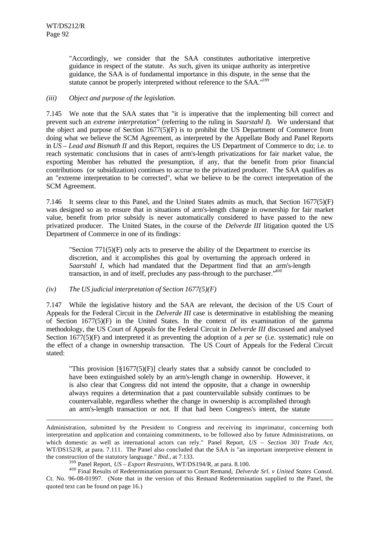"Accordingly, we consider that the SAA constitutes authoritative interpretive guidance in respect of the statute. As such, given its unique authority as interpretive guidance, the SAA is of fundamental importance in this dispute, in the sense that the statute cannot be properly interpreted without reference to the SAA.<sup>1399</sup>

## *(iii) Object and purpose of the legislation.*

7.145 We note that the SAA states that "it is imperative that the implementing bill correct and prevent such an *extreme interpretation*" (referring to the ruling in *Saarstahl I*). We understand that the object and purpose of Section 1677(5)(F) is to prohibit the US Department of Commerce from doing what we believe the SCM Agreement, as interpreted by the Appellate Body and Panel Reports in *US – Lead and Bismuth II* and this Report, requires the US Department of Commerce to do; i.e. to reach systematic conclusions that in cases of arm's-length privatizations for fair market value, the exporting Member has rebutted the presumption, if any, that the benefit from prior financial contributions (or subsidization) continues to accrue to the privatized producer. The SAA qualifies as an "extreme interpretation to be corrected", what we believe to be the correct interpretation of the SCM Agreement.

7.146 It seems clear to this Panel, and the United States admits as much, that Section 1677(5)(F) was designed so as to ensure that in situations of arm's-length change in ownership for fair market value, benefit from prior subsidy is never automatically considered to have passed to the new privatized producer. The United States, in the course of the *Delverde III* litigation quoted the US Department of Commerce in one of its findings:

"Section  $771(5)(F)$  only acts to preserve the ability of the Department to exercise its discretion, and it accomplishes this goal by overturning the approach ordered in *Saarstahl I*, which had mandated that the Department find that an arm's-length transaction, in and of itself, precludes any pass-through to the purchaser.<sup>"400</sup>

#### *(iv) The US judicial interpretation of Section 1677(5)(F)*

7.147 While the legislative history and the SAA are relevant, the decision of the US Court of Appeals for the Federal Circuit in the *Delverde III* case is determinative in establishing the meaning of Section 1677(5)(F) in the United States. In the context of its examination of the gamma methodology, the US Court of Appeals for the Federal Circuit in *Delverde III* discussed and analysed Section 1677(5)(F) and interpreted it as preventing the adoption of a *per se* (i.e. systematic) rule on the effect of a change in ownership transaction. The US Court of Appeals for the Federal Circuit stated:

"This provision  $[\S1677(5)(F)]$  clearly states that a subsidy cannot be concluded to have been extinguished solely by an arm's-length change in ownership. However, it is also clear that Congress did not intend the opposite, that a change in ownership always requires a determination that a past countervailable subsidy continues to be countervailable, regardless whether the change in ownership is accomplished through an arm's-length transaction or not. If that had been Congress's intent, the statute

Administration, submitted by the President to Congress and receiving its imprimatur, concerning both interpretation and application and containing commitments, to be followed also by future Administrations, on which domestic as well as international actors can rely." Panel Report, *US – Section 301 Trade Act*, WT/DS152/R, at para. 7.111. The Panel also concluded that the SAA is "an important interpretive element in the construction of the statutory language." *Ibid.,* at 7.133.

<sup>399</sup> Panel Report, *US – Export Restraints*, WT/DS194/R, at para. 8.100.

<sup>400</sup> Final Results of Redetermination pursuant to Court Remand, *Delverde Srl. v United States* Consol. Ct. No. 96-08-01997. (Note that in the version of this Remand Redetermination supplied to the Panel, the quoted text can be found on page 16.)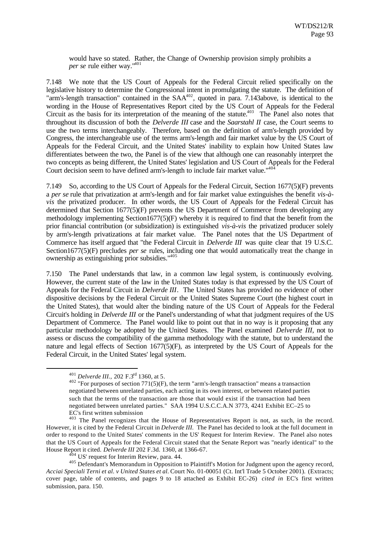would have so stated. Rather, the Change of Ownership provision simply prohibits a per se rule either way."<sup>401</sup>

7.148 We note that the US Court of Appeals for the Federal Circuit relied specifically on the legislative history to determine the Congressional intent in promulgating the statute. The definition of "arm's-length transaction" contained in the SAA<sup>402</sup>, quoted in para. 7.143above, is identical to the wording in the House of Representatives Report cited by the US Court of Appeals for the Federal Circuit as the basis for its interpretation of the meaning of the statute.<sup>403</sup> The Panel also notes that throughout its discussion of both the *Delverde III* case and the *Saarstahl II* case, the Court seems to use the two terms interchangeably. Therefore, based on the definition of arm's-length provided by Congress, the interchangeable use of the terms arm's-length and fair market value by the US Court of Appeals for the Federal Circuit, and the United States' inability to explain how United States law differentiates between the two, the Panel is of the view that although one can reasonably interpret the two concepts as being different, the United States' legislation and US Court of Appeals for the Federal Court decision seem to have defined arm's-length to include fair market value."<sup>402</sup>

7.149 So, according to the US Court of Appeals for the Federal Circuit, Section 1677(5)(F) prevents a *per se* rule that privatization at arm's-length and for fair market value extinguishes the benefit *vis-àvis* the privatized producer. In other words, the US Court of Appeals for the Federal Circuit has determined that Section 1677(5)(F) prevents the US Department of Commerce from developing any methodology implementing Section1677(5)(F) whereby it is required to find that the benefit from the prior financial contribution (or subsidization) is extinguished *vis-à-vis* the privatized producer solely by arm's-length privatizations at fair market value. The Panel notes that the US Department of Commerce has itself argued that "the Federal Circuit in *Delverde III* was quite clear that 19 U.S.C. Section1677(5)(F) precludes *per se* rules, including one that would automatically treat the change in ownership as extinguishing prior subsidies."<sup>405</sup>

7.150 The Panel understands that law, in a common law legal system, is continuously evolving. However, the current state of the law in the United States today is that expressed by the US Court of Appeals for the Federal Circuit in *Delverde III*. The United States has provided no evidence of other dispositive decisions by the Federal Circuit or the United States Supreme Court (the highest court in the United States), that would alter the binding nature of the US Court of Appeals for the Federal Circuit's holding in *Delverde III* or the Panel's understanding of what that judgment requires of the US Department of Commerce. The Panel would like to point out that in no way is it proposing that any particular methodology be adopted by the United States. The Panel examined *Delverde III*, not to assess or discuss the compatibility of the gamma methodology with the statute, but to understand the nature and legal effects of Section 1677(5)(F), as interpreted by the US Court of Appeals for the Federal Circuit, in the United States' legal system.

<sup>401</sup> *Delverde III.,* 202 F.3rd 1360, at 5.

 $402$  "For purposes of section 771(5)(F), the term "arm's-length transaction" means a transaction negotiated between unrelated parties, each acting in its own interest, or between related parties such that the terms of the transaction are those that would exist if the transaction had been negotiated between unrelated parties." SAA 1994 U.S.C.C.A.N 3773, 4241 Exhibit EC–25 to EC's first written submission

<sup>&</sup>lt;sup>403</sup> The Panel recognizes that the House of Representatives Report is not, as such, in the record. However, it is cited by the Federal Circuit in *Delverde III*. The Panel has decided to look at the full document in order to respond to the United States' comments in the US' Request for Interim Review. The Panel also notes that the US Court of Appeals for the Federal Circuit stated that the Senate Report was "nearly identical" to the House Report it cited. *Delverde III* 202 F.3d. 1360, at 1366-67.

 $404 \text{ US}$  request for Interim Review, para. 44.

<sup>&</sup>lt;sup>405</sup> Defendant's Memorandum in Opposition to Plaintiff's Motion for Judgment upon the agency record, *Acciai Speciali Terni et al. v United States et al.* Court No. 01-00051 (Ct. Int'l Trade 5 October 2001). (Extracts; cover page, table of contents, and pages 9 to 18 attached as Exhibit EC-26) *cited in* EC's first written submission, para. 150.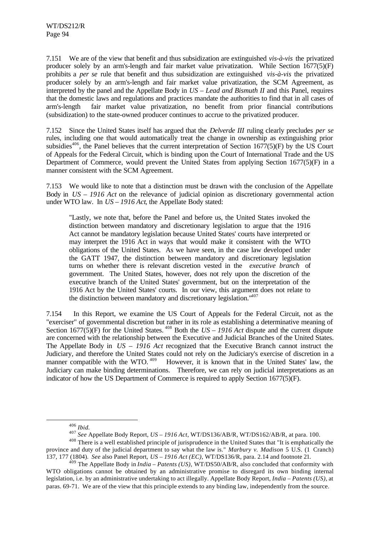7.151 We are of the view that benefit and thus subsidization are extinguished *vis-à-vis* the privatized producer solely by an arm's-length and fair market value privatization. While Section 1677(5)(F) prohibits a *per se* rule that benefit and thus subsidization are extinguished *vis-à-vis* the privatized producer solely by an arm's-length and fair market value privatization, the SCM Agreement, as interpreted by the panel and the Appellate Body in *US – Lead and Bismuth II* and this Panel, requires that the domestic laws and regulations and practices mandate the authorities to find that in all cases of arm's-length fair market value privatization, no benefit from prior financial contributions (subsidization) to the state-owned producer continues to accrue to the privatized producer.

7.152 Since the United States itself has argued that the *Delverde III* ruling clearly precludes *per se* rules, including one that would automatically treat the change in ownership as extinguishing prior subsidies<sup>406</sup>, the Panel believes that the current interpretation of Section 1677(5)(F) by the US Court of Appeals for the Federal Circuit, which is binding upon the Court of International Trade and the US Department of Commerce, would prevent the United States from applying Section 1677(5)(F) in a manner consistent with the SCM Agreement.

7.153 We would like to note that a distinction must be drawn with the conclusion of the Appellate Body in *US – 1916 Act* on the relevance of judicial opinion as discretionary governmental action under WTO law. In *US – 1916 Act*, the Appellate Body stated:

"Lastly, we note that, before the Panel and before us, the United States invoked the distinction between mandatory and discretionary legislation to argue that the 1916 Act cannot be mandatory legislation because United States' courts have interpreted or may interpret the 1916 Act in ways that would make it consistent with the WTO obligations of the United States. As we have seen, in the case law developed under the GATT 1947, the distinction between mandatory and discretionary legislation turns on whether there is relevant discretion vested in the *executive branch* of government. The United States, however, does not rely upon the discretion of the executive branch of the United States' government, but on the interpretation of the 1916 Act by the United States' courts. In our view, this argument does not relate to the distinction between mandatory and discretionary legislation."<sup>407</sup>

7.154 In this Report, we examine the US Court of Appeals for the Federal Circuit, not as the "exerciser" of governmental discretion but rather in its role as establishing a determinative meaning of Section 1677(5)(F) for the United States.<sup>408</sup> Both the *US – 1916 Act* dispute and the current dispute are concerned with the relationship between the Executive and Judicial Branches of the United States. The Appellate Body in *US – 1916 Act* recognized that the Executive Branch cannot instruct the Judiciary, and therefore the United States could not rely on the Judiciary's exercise of discretion in a manner compatible with the WTO.<sup>409</sup> However, it is known that in the United States' law. the However, it is known that in the United States' law, the Judiciary can make binding determinations. Therefore, we can rely on judicial interpretations as an indicator of how the US Department of Commerce is required to apply Section 1677(5)(F).

<sup>406</sup> *Ibid.*

<sup>407</sup> *See* Appellate Body Report, *US – 1916 Act*, WT/DS136/AB/R, WT/DS162/AB/R, at para. 100.

<sup>&</sup>lt;sup>408</sup> There is a well established principle of jurisprudence in the United States that "It is emphatically the province and duty of the judicial department to say what the law is." *Marbury v. Madison* 5 U.S. (1 Cranch) 137, 177 (1804). *See* also Panel Report, *US – 1916 Act (EC)*, WT/DS136/R, para. 2.14 and footnote 21.

<sup>409</sup> The Appellate Body in *India – Patents (US)*, WT/DS50/AB/R, also concluded that conformity with WTO obligations cannot be obtained by an administrative promise to disregard its own binding internal legislation, i.e. by an administrative undertaking to act illegally. Appellate Body Report, *India – Patents (US)*, at paras. 69-71. We are of the view that this principle extends to any binding law, independently from the source.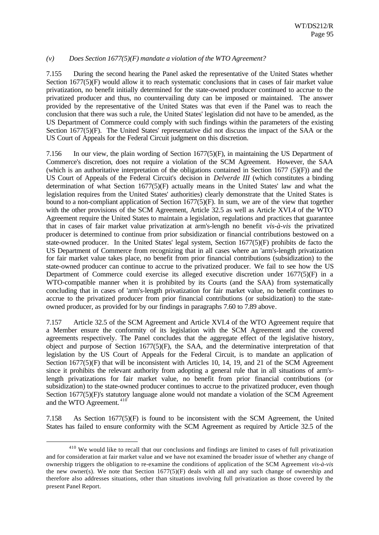## *(v) Does Section 1677(5)(F) mandate a violation of the WTO Agreement?*

7.155 During the second hearing the Panel asked the representative of the United States whether Section 1677(5)(F) would allow it to reach systematic conclusions that in cases of fair market value privatization, no benefit initially determined for the state-owned producer continued to accrue to the privatized producer and thus, no countervailing duty can be imposed or maintained. The answer provided by the representative of the United States was that even if the Panel was to reach the conclusion that there was such a rule, the United States' legislation did not have to be amended, as the US Department of Commerce could comply with such findings within the parameters of the existing Section 1677(5)(F). The United States' representative did not discuss the impact of the SAA or the US Court of Appeals for the Federal Circuit judgment on this discretion.

7.156 In our view, the plain wording of Section 1677(5)(F), in maintaining the US Department of Commerce's discretion, does not require a violation of the SCM Agreement. However, the SAA (which is an authoritative interpretation of the obligations contained in Section 1677 (5)(F)) and the US Court of Appeals of the Federal Circuit's decision in *Delverde III* (which constitutes a binding determination of what Section 1677(5)(F) actually means in the United States' law and what the legislation requires from the United States' authorities) clearly demonstrate that the United States is bound to a non-compliant application of Section  $1677(5)$ (F). In sum, we are of the view that together with the other provisions of the SCM Agreement, Article 32.5 as well as Article XVI.4 of the WTO Agreement require the United States to maintain a legislation, regulations and practices that guarantee that in cases of fair market value privatization at arm's-length no benefit *vis-à-vis* the privatized producer is determined to continue from prior subsidization or financial contributions bestowed on a state-owned producer. In the United States' legal system, Section 1677(5)(F) prohibits de facto the US Department of Commerce from recognizing that in all cases where an 'arm's-length privatization for fair market value takes place, no benefit from prior financial contributions (subsidization) to the state-owned producer can continue to accrue to the privatized producer. We fail to see how the US Department of Commerce could exercise its alleged executive discretion under 1677(5)(F) in a WTO-compatible manner when it is prohibited by its Courts (and the SAA) from systematically concluding that in cases of 'arm's-length privatization for fair market value, no benefit continues to accrue to the privatized producer from prior financial contributions (or subsidization) to the stateowned producer, as provided for by our findings in paragraphs 7.60 to 7.89 above.

7.157 Article 32.5 of the SCM Agreement and Article XVI.4 of the WTO Agreement require that a Member ensure the conformity of its legislation with the SCM Agreement and the covered agreements respectively. The Panel concludes that the aggregate effect of the legislative history, object and purpose of Section 1677(5)(F), the SAA, and the determinative interpretation of that legislation by the US Court of Appeals for the Federal Circuit, is to mandate an application of Section 1677(5)(F) that will be inconsistent with Articles 10, 14, 19, and 21 of the SCM Agreement since it prohibits the relevant authority from adopting a general rule that in all situations of arm'slength privatizations for fair market value, no benefit from prior financial contributions (or subsidization) to the state-owned producer continues to accrue to the privatized producer, even though Section 1677(5)(F)'s statutory language alone would not mandate a violation of the SCM Agreement and the WTO Agreement. <sup>410</sup>

7.158 As Section 1677(5)(F) is found to be inconsistent with the SCM Agreement, the United States has failed to ensure conformity with the SCM Agreement as required by Article 32.5 of the

<sup>&</sup>lt;sup>410</sup> We would like to recall that our conclusions and findings are limited to cases of full privatization and for consideration at fair market value and we have not examined the broader issue of whether any change of ownership triggers the obligation to re-examine the conditions of application of the SCM Agreement *vis-à-vis* the new owner(s). We note that Section  $1677(5)$ (F) deals with all and any such change of ownership and therefore also addresses situations, other than situations involving full privatization as those covered by the present Panel Report.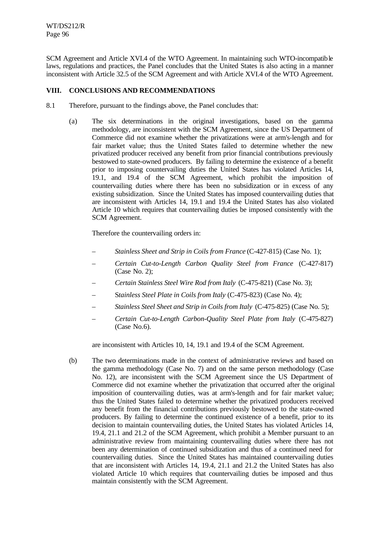SCM Agreement and Article XVI.4 of the WTO Agreement. In maintaining such WTO-incompatible laws, regulations and practices, the Panel concludes that the United States is also acting in a manner inconsistent with Article 32.5 of the SCM Agreement and with Article XVI.4 of the WTO Agreement.

## **VIII. CONCLUSIONS AND RECOMMENDATIONS**

- 8.1 Therefore, pursuant to the findings above, the Panel concludes that:
	- (a) The six determinations in the original investigations, based on the gamma methodology, are inconsistent with the SCM Agreement, since the US Department of Commerce did not examine whether the privatizations were at arm's-length and for fair market value; thus the United States failed to determine whether the new privatized producer received any benefit from prior financial contributions previously bestowed to state-owned producers. By failing to determine the existence of a benefit prior to imposing countervailing duties the United States has violated Articles 14, 19.1, and 19.4 of the SCM Agreement, which prohibit the imposition of countervailing duties where there has been no subsidization or in excess of any existing subsidization. Since the United States has imposed countervailing duties that are inconsistent with Articles 14, 19.1 and 19.4 the United States has also violated Article 10 which requires that countervailing duties be imposed consistently with the SCM Agreement.

Therefore the countervailing orders in:

- *Stainless Sheet and Strip in Coils from France* (C-427-815) (Case No. 1);
- *Certain Cut-to-Length Carbon Quality Steel from France* (C-427-817) (Case No. 2);
- *Certain Stainless Steel Wire Rod from Italy* (C-475-821) (Case No. 3);
- S*tainless Steel Plate in Coils from Italy* (C-475-823) (Case No. 4);
- *Stainless Steel Sheet and Strip in Coils from Italy* (C-475-825) (Case No. 5);
- *Certain Cut-to-Length Carbon-Quality Steel Plate from Italy* (C-475-827) (Case No.6).

are inconsistent with Articles 10, 14, 19.1 and 19.4 of the SCM Agreement.

(b) The two determinations made in the context of administrative reviews and based on the gamma methodology (Case No. 7) and on the same person methodology (Case No. 12), are inconsistent with the SCM Agreement since the US Department of Commerce did not examine whether the privatization that occurred after the original imposition of countervailing duties, was at arm's-length and for fair market value; thus the United States failed to determine whether the privatized producers received any benefit from the financial contributions previously bestowed to the state-owned producers. By failing to determine the continued existence of a benefit, prior to its decision to maintain countervailing duties, the United States has violated Articles 14, 19.4, 21.1 and 21.2 of the SCM Agreement, which prohibit a Member pursuant to an administrative review from maintaining countervailing duties where there has not been any determination of continued subsidization and thus of a continued need for countervailing duties. Since the United States has maintained countervailing duties that are inconsistent with Articles 14, 19.4, 21.1 and 21.2 the United States has also violated Article 10 which requires that countervailing duties be imposed and thus maintain consistently with the SCM Agreement.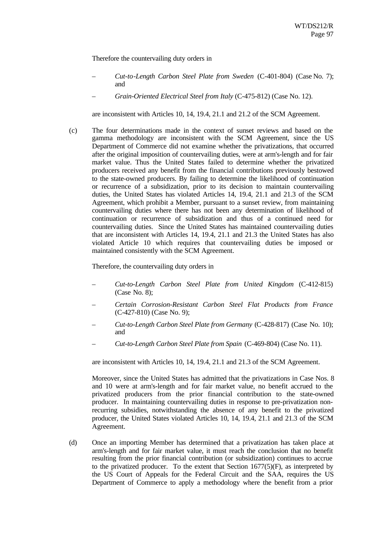Therefore the countervailing duty orders in

- *Cut-to-Length Carbon Steel Plate from Sweden* (C-401-804) (Case No. 7); and
- *Grain-Oriented Electrical Steel from Italy* (C-475-812) (Case No. 12).

are inconsistent with Articles 10, 14, 19.4, 21.1 and 21.2 of the SCM Agreement.

(c) The four determinations made in the context of sunset reviews and based on the gamma methodology are inconsistent with the SCM Agreement, since the US Department of Commerce did not examine whether the privatizations, that occurred after the original imposition of countervailing duties, were at arm's-length and for fair market value. Thus the United States failed to determine whether the privatized producers received any benefit from the financial contributions previously bestowed to the state-owned producers. By failing to determine the likelihood of continuation or recurrence of a subsidization, prior to its decision to maintain countervailing duties, the United States has violated Articles 14, 19.4, 21.1 and 21.3 of the SCM Agreement, which prohibit a Member, pursuant to a sunset review, from maintaining countervailing duties where there has not been any determination of likelihood of continuation or recurrence of subsidization and thus of a continued need for countervailing duties. Since the United States has maintained countervailing duties that are inconsistent with Articles 14, 19.4, 21.1 and 21.3 the United States has also violated Article 10 which requires that countervailing duties be imposed or maintained consistently with the SCM Agreement.

Therefore, the countervailing duty orders in

- *Cut-to-Length Carbon Steel Plate from United Kingdom* (C-412-815) (Case No. 8);
- *Certain Corrosion-Resistant Carbon Steel Flat Products from France* (C-427-810) (Case No. 9);
- *Cut-to-Length Carbon Steel Plate from Germany* (C-428-817) (Case No. 10); and
- *Cut-to-Length Carbon Steel Plate from Spain* (C-469-804) (Case No. 11).

are inconsistent with Articles 10, 14, 19.4, 21.1 and 21.3 of the SCM Agreement.

Moreover, since the United States has admitted that the privatizations in Case Nos. 8 and 10 were at arm's-length and for fair market value, no benefit accrued to the privatized producers from the prior financial contribution to the state-owned producer. In maintaining countervailing duties in response to pre-privatization nonrecurring subsidies, notwithstanding the absence of any benefit to the privatized producer, the United States violated Articles 10, 14, 19.4, 21.1 and 21.3 of the SCM Agreement.

(d) Once an importing Member has determined that a privatization has taken place at arm's-length and for fair market value, it must reach the conclusion that no benefit resulting from the prior financial contribution (or subsidization) continues to accrue to the privatized producer. To the extent that Section  $1677(5)(F)$ , as interpreted by the US Court of Appeals for the Federal Circuit and the SAA, requires the US Department of Commerce to apply a methodology where the benefit from a prior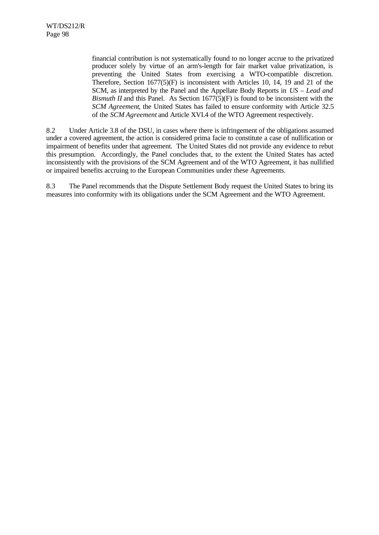financial contribution is not systematically found to no longer accrue to the privatized producer solely by virtue of an arm's-length for fair market value privatization, is preventing the United States from exercising a WTO-compatible discretion. Therefore, Section 1677(5)(F) is inconsistent with Articles 10, 14, 19 and 21 of the SCM, as interpreted by the Panel and the Appellate Body Reports in *US – Lead and Bismuth II* and this Panel. As Section 1677(5)(F) is found to be inconsistent with the *SCM Agreement*, the United States has failed to ensure conformity with Article 32.5 of the *SCM Agreement* and Article XVI.4 of the WTO Agreement respectively.

8.2 Under Article 3.8 of the DSU, in cases where there is infringement of the obligations assumed under a covered agreement, the action is considered prima facie to constitute a case of nullification or impairment of benefits under that agreement. The United States did not provide any evidence to rebut this presumption. Accordingly, the Panel concludes that, to the extent the United States has acted inconsistently with the provisions of the SCM Agreement and of the WTO Agreement, it has nullified or impaired benefits accruing to the European Communities under these Agreements.

8.3 The Panel recommends that the Dispute Settlement Body request the United States to bring its measures into conformity with its obligations under the SCM Agreement and the WTO Agreement.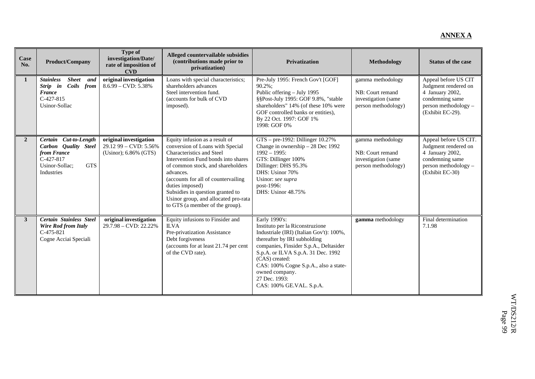# **ANNEX A**

| Case<br>No.  | Product/Company                                                                                                           | Type of<br>investigation/Date/<br>rate of imposition of<br><b>CVD</b>    | Alleged countervailable subsidies<br>(contributions made prior to<br>privatization)                                                                                                                                                                                                                                                                               | Privatization                                                                                                                                                                                                                                                                                                                          | Methodology                                                                         | <b>Status of the case</b>                                                                                                      |
|--------------|---------------------------------------------------------------------------------------------------------------------------|--------------------------------------------------------------------------|-------------------------------------------------------------------------------------------------------------------------------------------------------------------------------------------------------------------------------------------------------------------------------------------------------------------------------------------------------------------|----------------------------------------------------------------------------------------------------------------------------------------------------------------------------------------------------------------------------------------------------------------------------------------------------------------------------------------|-------------------------------------------------------------------------------------|--------------------------------------------------------------------------------------------------------------------------------|
| 1            | Stainless Sheet and<br>Strip in Coils from<br><b>France</b><br>$C-427-815$<br>Usinor-Sollac                               | original investigation<br>$8.6.99 -$ CVD: 5.38%                          | Loans with special characteristics;<br>shareholders advances<br>Steel intervention fund.<br>(accounts for bulk of CVD)<br>imposed).                                                                                                                                                                                                                               | Pre-July 1995: French Gov't [GOF]<br>$90.2\%$ :<br>Public offering - July 1995<br>§§Post-July 1995: GOF 9.8%, "stable<br>shareholders" 14% (of these 10% were<br>GOF controlled banks or entities),<br>By 22 Oct. 1997: GOF 1%<br>1998: GOF 0%                                                                                         | gamma methodology<br>NB: Court remand<br>investigation (same<br>person methodology) | Appeal before US CIT<br>Judgment rendered on<br>4 January 2002,<br>condemning same<br>person methodology -<br>(Exhibit EC-29). |
| $\mathbf{2}$ | Certain Cut-to-Length<br>Carbon Quality Steel<br>from France<br>$C-427-817$<br><b>GTS</b><br>Usinor-Sollac:<br>Industries | original investigation<br>29.12 99 - CVD: 5.56%<br>(Usinor); 6.86% (GTS) | Equity infusion as a result of<br>conversion of Loans with Special<br>Characteristics and Steel<br>Intervention Fund bonds into shares<br>of common stock, and shareholders<br>advances.<br>(accounts for all of countervailing<br>duties imposed)<br>Subsidies in question granted to<br>Usinor group, and allocated pro-rata<br>to GTS (a member of the group). | GTS - pre-1992: Dillinger 10.27%<br>Change in ownership - 28 Dec 1992<br>$1992 - 1995$ :<br>GTS: Dillinger 100%<br>Dillinger: DHS 95.3%<br>DHS: Usinor 70%<br>Usinor: see supra<br>post-1996:<br>DHS: Usinor 48.75%                                                                                                                    | gamma methodology<br>NB: Court remand<br>investigation (same<br>person methodology) | Appeal before US CIT.<br>Judgment rendered on<br>4 January 2002,<br>condemning same<br>person methodology -<br>(Exhibit EC-30) |
| 3            | Certain Stainless Steel<br><b>Wire Rod from Italy</b><br>$C-475-821$<br>Cogne Acciai Speciali                             | original investigation<br>29.7.98 - CVD: 22.22%                          | Equity infusions to Finsider and<br><b>ILVA</b><br>Pre-privatization Assistance<br>Debt forgiveness<br>(accounts for at least 21.74 per cent<br>of the CVD rate).                                                                                                                                                                                                 | Early 1990's:<br>Instituto per la Riconstruzione<br>Industriale (IRI) (Italian Gov't): 100%,<br>thereafter by IRI subholding<br>companies, Finsider S.p.A., Deltasider<br>S.p.A. or ILVA S.p.A. 31 Dec. 1992<br>(CAS) created:<br>CAS: 100% Cogne S.p.A., also a state-<br>owned company.<br>27 Dec. 1993:<br>CAS: 100% GE.VAL. S.p.A. | gamma methodology                                                                   | Final determination<br>7.1.98                                                                                                  |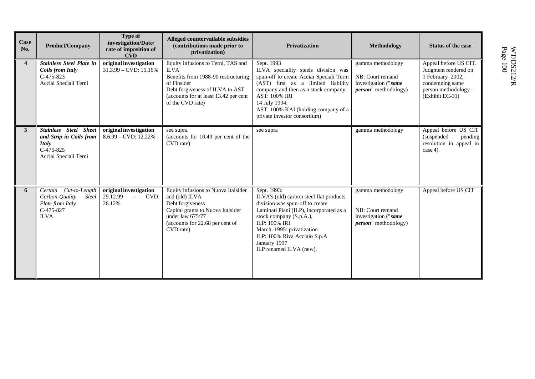| Case<br>No.             | Product/Company                                                                                                 | Type of<br>investigation/Date/<br>rate of imposition of<br><b>CVD</b> | Alleged countervailable subsidies<br>(contributions made prior to<br>privatization)                                                                                                                     | <b>Privatization</b>                                                                                                                                                                                                                                                                        | <b>Methodology</b>                                                                            | <b>Status of the case</b>                                                                                                       |
|-------------------------|-----------------------------------------------------------------------------------------------------------------|-----------------------------------------------------------------------|---------------------------------------------------------------------------------------------------------------------------------------------------------------------------------------------------------|---------------------------------------------------------------------------------------------------------------------------------------------------------------------------------------------------------------------------------------------------------------------------------------------|-----------------------------------------------------------------------------------------------|---------------------------------------------------------------------------------------------------------------------------------|
| $\overline{\mathbf{4}}$ | <b>Stainless Steel Plate in</b><br><b>Coils from Italy</b><br>$C-475-823$<br>Acciai Speciali Terni              | original investigation<br>$31.3.99 -$ CVD: $15.16\%$                  | Equity infusions to Terni, TAS and<br><b>ILVA</b><br>Benefits from 1988-90 restructuring<br>of Finsider<br>Debt forgiveness of ILVA to AST<br>(accounts for at least 13.42 per cent<br>of the CVD rate) | Sept. 1993<br>ILVA speciality steels division was<br>spun-off to create Acciai Speciali Terni<br>(AST) first as a limited liability<br>company and then as a stock company.<br><b>AST: 100% IRI</b><br>14 July 1994:<br>AST: 100% KAI (holding company of a<br>private investor consortium) | gamma methodology<br>NB: Court remand<br>investigation ("same<br><i>person</i> " methodology) | Appeal before US CIT.<br>Judgment rendered on<br>1 February 2002,<br>condemning same<br>person methodology -<br>(Exhibit EC-31) |
| $\overline{5}$          | <b>Stainless Steel Sheet</b><br>and Strip in Coils from<br><b>Italy</b><br>$C-475-825$<br>Acciai Speciali Terni | original investigation<br>$8.6.99 - CVD: 12.22%$                      | see supra<br>(accounts for 10.49 per cent of the<br>CVD rate)                                                                                                                                           | see supra                                                                                                                                                                                                                                                                                   | gamma methodology                                                                             | Appeal before US CIT<br>(suspended<br>pending<br>resolution in appeal in<br>case 4).                                            |
| 6                       | Cut-to-Length<br>Certain<br><b>Steel</b><br>Carbon-Quality<br>Plate from Italy<br>C-475-827<br><b>ILVA</b>      | original investigation<br>29.12.99<br>CVD:<br>26.12%                  | Equity infusions to Nuova Italsider<br>and (old) ILVA<br>Debt forgiveness<br>Capital grants to Nuova Italsider<br>under law 675/77<br>(accounts for 22.68 per cent of<br>CVD rate)                      | Sept. 1993:<br>ILVA's (old) carbon steel flat products<br>division was spun-off to create<br>Laminati Piani (ILP), incorporated as a<br>stock company (S.p.A.),<br>ILP: 100% IRI<br>March. 1995: privatization<br>ILP: 100% Riva Acciaio S.p.A<br>January 1997<br>ILP renamed ILVA (new).   | gamma methodology<br>NB: Court remand<br>investigation ("same<br><i>person</i> " methodology) | Appeal before US CIT                                                                                                            |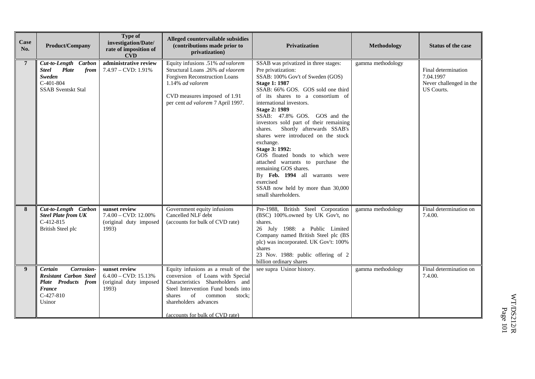| Case<br>No.    | <b>Product/Company</b>                                                                                                  | Type of<br>investigation/Date/<br>rate of imposition of<br>$\overline{\text{CVD}}$ | Alleged countervailable subsidies<br>(contributions made prior to<br>privatization)                                                                                                                                                               | Privatization                                                                                                                                                                                                                                                                                                                                                                                                                                                                                                                                                                                                                                           | Methodology       | <b>Status of the case</b>                                                 |
|----------------|-------------------------------------------------------------------------------------------------------------------------|------------------------------------------------------------------------------------|---------------------------------------------------------------------------------------------------------------------------------------------------------------------------------------------------------------------------------------------------|---------------------------------------------------------------------------------------------------------------------------------------------------------------------------------------------------------------------------------------------------------------------------------------------------------------------------------------------------------------------------------------------------------------------------------------------------------------------------------------------------------------------------------------------------------------------------------------------------------------------------------------------------------|-------------------|---------------------------------------------------------------------------|
| $7^{\circ}$    | Cut-to-Length Carbon<br><b>Steel</b><br>Plate<br>from<br><b>Sweden</b><br>$C-401-804$<br><b>SSAB Sventskt Stal</b>      | administrative review<br>7.4.97 - CVD: 1.91%                                       | Equity infusions .51% advalorem<br>Structural Loans .26% ad vlaorem<br>Forgiven Reconstruction Loans<br>1.14% ad valorem<br>CVD measures imposed of 1.91<br>per cent ad valorem 7 April 1997.                                                     | SSAB was privatized in three stages:<br>Pre privatization:<br>SSAB: 100% Gov't of Sweden (GOS)<br><b>Stage 1: 1987</b><br>SSAB: 66% GOS. GOS sold one third<br>of its shares to a consortium of<br>international investors.<br><b>Stage 2: 1989</b><br>SSAB: 47.8% GOS. GOS and the<br>investors sold part of their remaining<br>Shortly afterwards SSAB's<br>shares.<br>shares were introduced on the stock<br>exchange.<br>Stage 3: 1992:<br>GOS floated bonds to which were<br>attached warrants to purchase the<br>remaining GOS shares.<br>By Feb. 1994 all warrants were<br>exercised<br>SSAB now held by more than 30,000<br>small shareholders. | gamma methodology | Final determination<br>7.04.1997<br>Never challenged in the<br>US Courts. |
| 8              | Cut-to-Length Carbon<br><b>Steel Plate from UK</b><br>$C-412-815$<br>British Steel plc                                  | sunset review<br>$7.4.00 -$ CVD: 12.00%<br>(original duty imposed<br>1993)         | Government equity infusions<br>Cancelled NLF debt<br>(accounts for bulk of CVD rate)                                                                                                                                                              | Pre-1988, British Steel Corporation<br>(BSC) 100% owned by UK Gov't, no<br>shares.<br>26 July 1988: a Public Limited<br>Company named British Steel plc (BS<br>plc) was incorporated. UK Gov't: 100%<br>shares<br>23 Nov. 1988: public offering of 2<br>billion ordinary shares                                                                                                                                                                                                                                                                                                                                                                         | gamma methodology | Final determination on<br>7.4.00.                                         |
| 9 <sup>°</sup> | Certain<br>Corrosion-<br><b>Resistant Carbon Steel</b><br>Plate Products from<br><b>France</b><br>$C-427-810$<br>Usinor | sunset review<br>$6.4.00 - CVD: 15.13%$<br>(original duty imposed<br>1993)         | Equity infusions as a result of the<br>conversion of Loans with Special<br>Characteristics Shareholders and<br>Steel Intervention Fund bonds into<br>of<br>shares<br>common<br>stock;<br>shareholders advances<br>(accounts for bulk of CVD rate) | see supra Usinor history.                                                                                                                                                                                                                                                                                                                                                                                                                                                                                                                                                                                                                               | gamma methodology | Final determination on<br>7.4.00.                                         |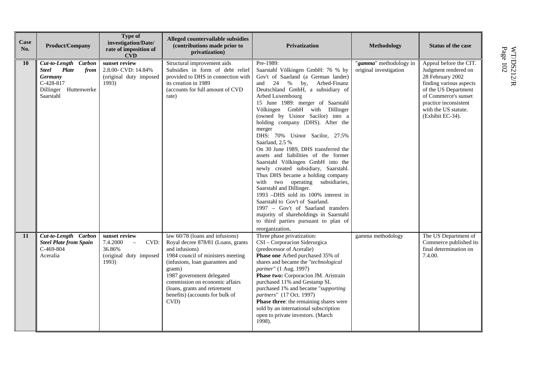| Case<br>No. | <b>Product/Company</b>                                                                                                     | <b>Type of</b><br>investigation/Date/<br>rate of imposition of<br><b>CVD</b>               | Alleged countervailable subsidies<br>(contributions made prior to<br>privatization)                                                                                                                                                                                                                                     | Privatization                                                                                                                                                                                                                                                                                                                                                                                                                                                                                                                                                                                                                                                                                                                                                                                                                                                                               | Methodology                                      | <b>Status of the case</b>                                                                                                                                                                                          |
|-------------|----------------------------------------------------------------------------------------------------------------------------|--------------------------------------------------------------------------------------------|-------------------------------------------------------------------------------------------------------------------------------------------------------------------------------------------------------------------------------------------------------------------------------------------------------------------------|---------------------------------------------------------------------------------------------------------------------------------------------------------------------------------------------------------------------------------------------------------------------------------------------------------------------------------------------------------------------------------------------------------------------------------------------------------------------------------------------------------------------------------------------------------------------------------------------------------------------------------------------------------------------------------------------------------------------------------------------------------------------------------------------------------------------------------------------------------------------------------------------|--------------------------------------------------|--------------------------------------------------------------------------------------------------------------------------------------------------------------------------------------------------------------------|
| 10          | Cut-to-Length Carbon<br>Plate<br><b>Steel</b><br>from<br><b>Germany</b><br>C-428-817<br>Dillinger Huttenwerke<br>Saarstahl | sunset review<br>2.8.00- CVD: 14.84%<br>(original duty imposed<br>1993)                    | Structural improvement aids<br>Subsidies in form of debt relief<br>provided to DHS in connection with<br>its creation in 1989<br>(accounts for full amount of CVD<br>rate)                                                                                                                                              | Pre-1989:<br>Saarstahl Völkingen GmbH: 76 % by<br>Gov't of Saarland (a German lander)<br>by, Arbed-Finanz<br>and 24<br>$\%$<br>Deutschland GmbH, a subsidiary of<br>Arbed Luxembourg<br>15 June 1989: merger of Saarstahl<br>Völkingen GmbH with Dillinger<br>(owned by Usinor Sacilor) into a<br>holding company (DHS). After the<br>merger<br>DHS: 70% Usinor Sacilor, 27.5%<br>Saarland, 2.5 %<br>On 30 June 1989, DHS transferred the<br>assets and liabilities of the former<br>Saarstahl Völkingen GmbH into the<br>newly created subsidiary, Saarstahl.<br>Thus DHS became a holding company<br>with two operating<br>subsidiaries,<br>Saarstahl and Dillinger.<br>1993 -DHS sold its 100% interest in<br>Saarstahl to Gov't of Saarland.<br>1997 - Gov't of Saarland transfers<br>majority of shareholdings in Saarstahl<br>to third parties pursuant to plan of<br>reorganization. | "gamma" methodology in<br>original investigation | Appeal before the CIT.<br>Judgment rendered on<br>28 February 2002<br>finding various aspects<br>of the US Department<br>of Commerce's sunset<br>practice inconsistent<br>with the US statute.<br>(Exhibit EC-34). |
| 11          | Cut-to-Length Carbon<br><b>Steel Plate from Spain</b><br>C-469-804<br>Aceralia                                             | sunset review<br>7.4.2000<br>CVD:<br>$\equiv$<br>36.86%<br>(original duty imposed<br>1993) | law $60/78$ (loans and infusions)<br>Royal decree 878/81 (Loans, grants<br>and infusions)<br>1984 council of ministers meeting<br>(infusions, loan guarantees and<br>grants)<br>1987 government delegated<br>commission on economic affairs<br>(loans, grants and retirement<br>benefits) (accounts for bulk of<br>CVD) | Three phase privatization:<br>CSI - Corporacion Siderurgica<br>(predecessor of Aceralie)<br>Phase one Arbed purchased 35% of<br>shares and became the "technological<br>partner" (1 Aug. 1997)<br>Phase two: Corporacion JM. Aristrain<br>purchased 11% and Gestamp SL<br>purchased 1% and became "supporting<br>partners" (17 Oct. 1997)<br>Phase three: the remaining shares were<br>sold by an international subscription<br>open to private investors. (March<br>1998).                                                                                                                                                                                                                                                                                                                                                                                                                 | gamma methodology                                | The US Department of<br>Commerce published its<br>final determination on<br>7.4.00.                                                                                                                                |

Page WT/DS212/R 102